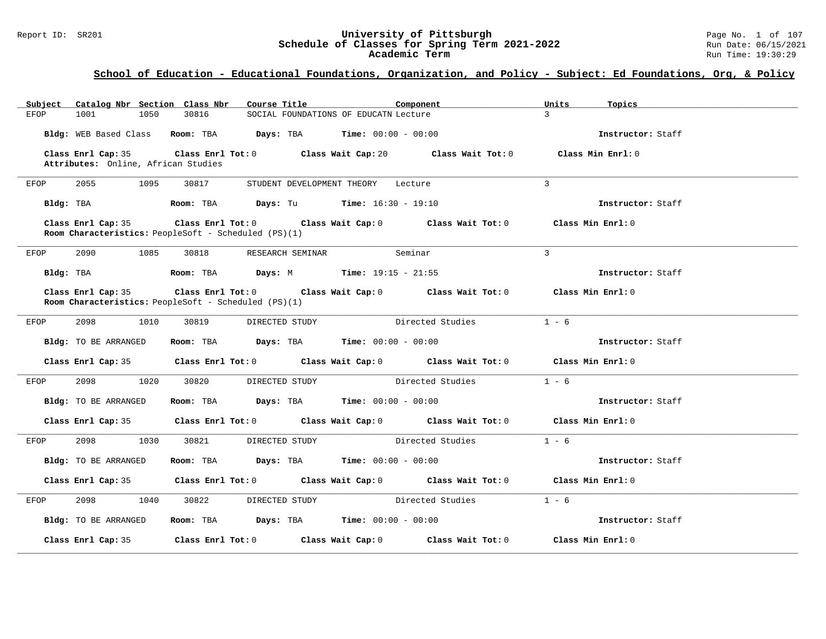#### Report ID: SR201 **University of Pittsburgh** Page No. 1 of 107 **Schedule of Classes for Spring Term 2021-2022** Run Date: 06/15/2021 **Academic Term** Run Time: 19:30:29

| Subject Catalog Nbr Section Class Nbr                                      | Course Title                                                                               | Component<br>Units                  | Topics            |
|----------------------------------------------------------------------------|--------------------------------------------------------------------------------------------|-------------------------------------|-------------------|
| 1001<br>1050<br>30816<br>EFOP                                              | SOCIAL FOUNDATIONS OF EDUCATN Lecture                                                      | $\mathbf{3}$                        |                   |
|                                                                            | Bldg: WEB Based Class Room: TBA Days: TBA Time: 00:00 - 00:00                              |                                     | Instructor: Staff |
| Class Enrl Cap: 35<br>Attributes: Online, African Studies                  | Class Enrl Tot: 0 Class Wait Cap: 20 Class Wait Tot: 0                                     |                                     | Class Min Enrl: 0 |
| 2055<br>1095<br>30817<br>EFOP                                              | STUDENT DEVELOPMENT THEORY Lecture                                                         | $\overline{3}$                      |                   |
| Bldg: TBA                                                                  | <b>Room:</b> TBA <b>Days:</b> Tu <b>Time:</b> $16:30 - 19:10$                              |                                     | Instructor: Staff |
| Class Enrl Cap: 35<br>Room Characteristics: PeopleSoft - Scheduled (PS)(1) | Class Enrl Tot: $0$ Class Wait Cap: $0$ Class Wait Tot: $0$ Class Min Enrl: $0$            |                                     |                   |
| 2090<br>EFOP<br>1085<br>30818                                              | RESEARCH SEMINAR                                                                           | $\mathbf{3}$<br>Seminar             |                   |
| Bldg: TBA                                                                  | <b>Room:</b> TBA <b>Days:</b> M <b>Time:</b> 19:15 - 21:55                                 |                                     | Instructor: Staff |
| <b>Room Characteristics:</b> PeopleSoft - Scheduled (PS)(1)                | Class Enrl Cap: 35 Class Enrl Tot: 0 Class Wait Cap: 0 Class Wait Tot: 0 Class Min Enrl: 0 |                                     |                   |
| 2098<br>1010<br>30819<br>EFOP                                              | DIRECTED STUDY                                                                             | $1 - 6$<br>Directed Studies         |                   |
| Bldg: TO BE ARRANGED                                                       | Room: TBA $\rule{1em}{0.15mm}$ Days: TBA $\rule{1.5mm}{0.15mm}$ Time: $00:00 - 00:00$      |                                     | Instructor: Staff |
|                                                                            | Class Enrl Cap: 35 Class Enrl Tot: 0 Class Wait Cap: 0 Class Wait Tot: 0 Class Min Enrl: 0 |                                     |                   |
| 2098<br>1020<br>30820<br>EFOP                                              | DIRECTED STUDY                                                                             | Directed Studies<br>$1 - 6$         |                   |
| Bldg: TO BE ARRANGED                                                       | <b>Room:</b> TBA <b>Days:</b> TBA <b>Time:</b> 00:00 - 00:00                               |                                     | Instructor: Staff |
| Class Enrl Cap: 35                                                         | Class Enrl Tot: $0$ Class Wait Cap: $0$ Class Wait Tot: $0$ Class Min Enrl: $0$            |                                     |                   |
| 2098<br>1030<br>30821<br>EFOP                                              | DIRECTED STUDY                                                                             | Directed Studies<br>$1 - 6$         |                   |
| Bldg: TO BE ARRANGED                                                       | Room: TBA $Days:$ TBA $Time: 00:00 - 00:00$                                                |                                     | Instructor: Staff |
|                                                                            | Class Enrl Cap: 35 Class Enrl Tot: 0 Class Wait Cap: 0 Class Wait Tot: 0 Class Min Enrl: 0 |                                     |                   |
| 2098<br>1040<br>30822<br>EFOP                                              | DIRECTED STUDY Directed Studies                                                            | $1 - 6$                             |                   |
| Bldg: TO BE ARRANGED                                                       | Room: TBA $Days:$ TBA Time: $00:00 - 00:00$                                                |                                     | Instructor: Staff |
| Class Enrl Cap: 35                                                         | Class Enrl Tot: $0$ Class Wait Cap: $0$                                                    | Class Wait Tot: 0 Class Min Enrl: 0 |                   |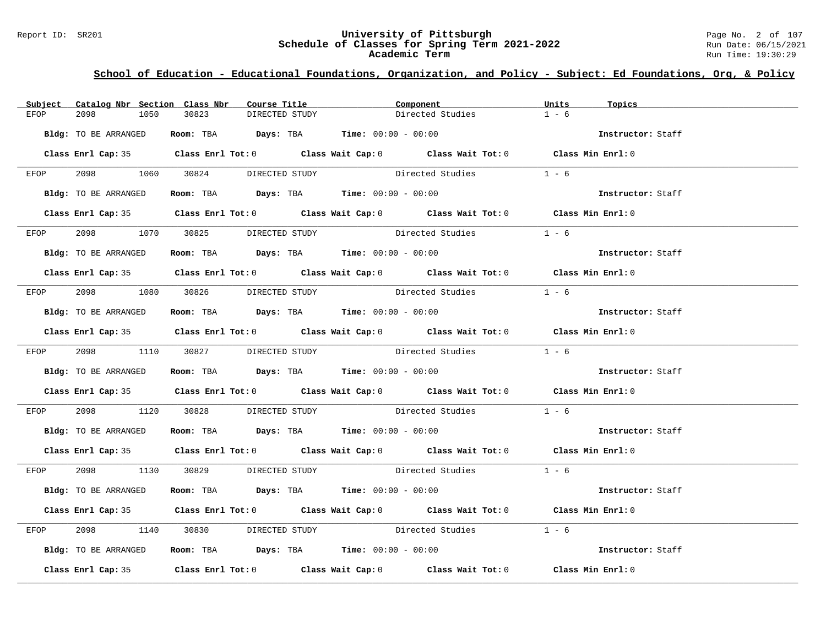#### Report ID: SR201 **University of Pittsburgh** Page No. 2 of 107 **Schedule of Classes for Spring Term 2021-2022** Run Date: 06/15/2021 **Academic Term** Run Time: 19:30:29

| Subject | Catalog Nbr Section Class Nbr       |       | Course Title   |                                                                | Component                                                                                  | Units   | Topics            |
|---------|-------------------------------------|-------|----------------|----------------------------------------------------------------|--------------------------------------------------------------------------------------------|---------|-------------------|
| EFOP    | 2098<br>1050                        | 30823 | DIRECTED STUDY |                                                                | Directed Studies                                                                           | $1 - 6$ |                   |
|         | Bldg: TO BE ARRANGED                |       |                | Room: TBA $Days: TBA$ Time: $00:00 - 00:00$                    |                                                                                            |         | Instructor: Staff |
|         |                                     |       |                |                                                                | Class Enrl Cap: 35 Class Enrl Tot: 0 Class Wait Cap: 0 Class Wait Tot: 0 Class Min Enrl: 0 |         |                   |
| EFOP    | 2098 1060 30824 DIRECTED STUDY      |       |                |                                                                | Directed Studies                                                                           | $1 - 6$ |                   |
|         | Bldg: TO BE ARRANGED                |       |                | Room: TBA $Days:$ TBA $Time: 00:00 - 00:00$                    |                                                                                            |         | Instructor: Staff |
|         |                                     |       |                |                                                                | Class Enrl Cap: 35 Class Enrl Tot: 0 Class Wait Cap: 0 Class Wait Tot: 0 Class Min Enrl: 0 |         |                   |
|         | EFOP 2098 1070 30825 DIRECTED_STUDY |       |                |                                                                | Directed Studies 1 - 6                                                                     |         |                   |
|         | Bldg: TO BE ARRANGED                |       |                | Room: TBA $Days:$ TBA $Time: 00:00 - 00:00$                    |                                                                                            |         | Instructor: Staff |
|         |                                     |       |                |                                                                | Class Enrl Cap: 35 Class Enrl Tot: 0 Class Wait Cap: 0 Class Wait Tot: 0 Class Min Enrl: 0 |         |                   |
| EFOP    |                                     |       |                |                                                                | 2098 1080 30826 DIRECTED STUDY Directed Studies 1 - 6                                      |         |                   |
|         | Bldg: TO BE ARRANGED                |       |                | Room: TBA $\rule{1em}{0.15mm}$ Days: TBA Time: $00:00 - 00:00$ |                                                                                            |         | Instructor: Staff |
|         |                                     |       |                |                                                                | Class Enrl Cap: 35 Class Enrl Tot: 0 Class Wait Cap: 0 Class Wait Tot: 0 Class Min Enrl: 0 |         |                   |
|         |                                     |       |                |                                                                | EFOP 2098 1110 30827 DIRECTED STUDY Directed Studies 1 - 6                                 |         |                   |
|         | Bldg: TO BE ARRANGED                |       |                | Room: TBA Days: TBA Time: $00:00 - 00:00$                      |                                                                                            |         | Instructor: Staff |
|         |                                     |       |                |                                                                | Class Enrl Cap: 35 Class Enrl Tot: 0 Class Wait Cap: 0 Class Wait Tot: 0 Class Min Enrl: 0 |         |                   |
| EFOP    |                                     |       |                |                                                                | 2098 1120 30828 DIRECTED STUDY Directed Studies 1 - 6                                      |         |                   |
|         | Bldg: TO BE ARRANGED                |       |                |                                                                | Room: TBA $Days: TBA$ Time: $00:00 - 00:00$                                                |         | Instructor: Staff |
|         |                                     |       |                |                                                                | Class Enrl Cap: 35 Class Enrl Tot: 0 Class Wait Cap: 0 Class Wait Tot: 0 Class Min Enrl: 0 |         |                   |
|         |                                     |       |                |                                                                | EFOP 2098 1130 30829 DIRECTED STUDY Directed Studies 1 - 6                                 |         |                   |
|         | Bldg: TO BE ARRANGED                |       |                | Room: TBA $Days:$ TBA Time: $00:00 - 00:00$                    |                                                                                            |         | Instructor: Staff |
|         |                                     |       |                |                                                                | Class Enrl Cap: 35 Class Enrl Tot: 0 Class Wait Cap: 0 Class Wait Tot: 0 Class Min Enrl: 0 |         |                   |
| EFOP    | 2098                                |       |                |                                                                | 1140 30830 DIRECTED STUDY Directed Studies 1 - 6                                           |         |                   |
|         | Bldg: TO BE ARRANGED                |       |                | Room: TBA Days: TBA Time: 00:00 - 00:00                        |                                                                                            |         | Instructor: Staff |
|         |                                     |       |                |                                                                | Class Enrl Cap: 35 Class Enrl Tot: 0 Class Wait Cap: 0 Class Wait Tot: 0 Class Min Enrl: 0 |         |                   |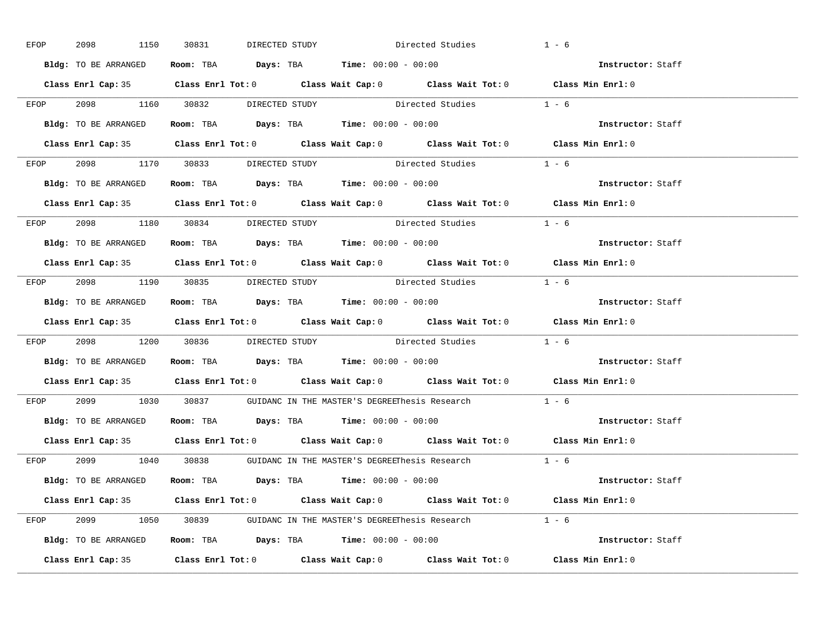| EFOP | 2098 1150 30831      |                                     | Directed Studies<br>DIRECTED STUDY                                                                 |                        | $1 - 6$           |
|------|----------------------|-------------------------------------|----------------------------------------------------------------------------------------------------|------------------------|-------------------|
|      | Bldg: TO BE ARRANGED |                                     | Room: TBA $Days:$ TBA Time: $00:00 - 00:00$                                                        |                        | Instructor: Staff |
|      |                      |                                     | Class Enrl Cap: 35 Class Enrl Tot: 0 Class Wait Cap: 0 Class Wait Tot: 0 Class Min Enrl: 0         |                        |                   |
|      |                      |                                     | EFOP $2098$ 1160 $30832$ DIRECTED STUDY Directed Studies 1 - 6                                     |                        |                   |
|      | Bldg: TO BE ARRANGED |                                     | Room: TBA $\rule{1em}{0.15mm}$ Days: TBA Time: $00:00 - 00:00$                                     |                        | Instructor: Staff |
|      |                      |                                     | Class Enrl Cap: 35 Class Enrl Tot: 0 Class Wait Cap: 0 Class Wait Tot: 0 Class Min Enrl: 0         |                        |                   |
|      |                      |                                     | EFOP 2098 1170 30833 DIRECTED STUDY Directed Studies 1 - 6                                         |                        |                   |
|      |                      |                                     | Bldg: TO BE ARRANGED Room: TBA Days: TBA Time: 00:00 - 00:00                                       |                        | Instructor: Staff |
|      |                      |                                     | Class Enrl Cap: 35 Class Enrl Tot: 0 Class Wait Cap: 0 Class Wait Tot: 0 Class Min Enrl: 0         |                        |                   |
|      |                      |                                     | EFOP 2098 1180 30834 DIRECTED STUDY Directed Studies 1 - 6                                         |                        |                   |
|      | Bldg: TO BE ARRANGED |                                     | Room: TBA Days: TBA Time: $00:00 - 00:00$                                                          |                        | Instructor: Staff |
|      |                      |                                     | Class Enrl Cap: 35 Class Enrl Tot: 0 Class Wait Cap: 0 Class Wait Tot: 0 Class Min Enrl: 0         |                        |                   |
|      |                      | EFOP 2098 1190 30835 DIRECTED STUDY |                                                                                                    | Directed Studies 1 - 6 |                   |
|      |                      |                                     | Bldg: TO BE ARRANGED Room: TBA Days: TBA Time: 00:00 - 00:00                                       |                        | Instructor: Staff |
|      |                      |                                     | Class Enrl Cap: 35 Class Enrl Tot: 0 Class Wait Cap: 0 Class Wait Tot: 0 Class Min Enrl: 0         |                        |                   |
|      |                      |                                     | EFOP $2098$ 1200 $30836$ DIRECTED STUDY Directed Studies 1 - 6                                     |                        |                   |
|      |                      |                                     | Bldg: TO BE ARRANGED Room: TBA Days: TBA Time: 00:00 - 00:00                                       |                        | Instructor: Staff |
|      |                      |                                     | Class Enrl Cap: 35 Class Enrl Tot: 0 Class Wait Cap: 0 Class Wait Tot: 0 Class Min Enrl: 0         |                        |                   |
| EFOP |                      |                                     | 2099 1030 30837 GUIDANC IN THE MASTER'S DEGREEThesis Research                                      |                        | $1 - 6$           |
|      |                      |                                     | Bldg: TO BE ARRANGED Room: TBA Days: TBA Time: 00:00 - 00:00                                       |                        | Instructor: Staff |
|      | Class Enrl Cap: 35   |                                     | Class Enrl Tot: 0 $\qquad$ Class Wait Cap: 0 $\qquad$ Class Wait Tot: 0 $\qquad$ Class Min Enrl: 0 |                        |                   |
|      |                      |                                     | EFOP 2099 1040 30838 GUIDANC IN THE MASTER'S DEGREEThesis Research 1 - 6                           |                        |                   |
|      |                      |                                     | Bldg: TO BE ARRANGED Room: TBA Days: TBA Time: 00:00 - 00:00                                       |                        | Instructor: Staff |
|      |                      |                                     | Class Enrl Cap: 35 Class Enrl Tot: 0 Class Wait Cap: 0 Class Wait Tot: 0 Class Min Enrl: 0         |                        |                   |
|      |                      |                                     | EFOP 2099 1050 30839 GUIDANC IN THE MASTER'S DEGREEThesis Research 1 - 6                           |                        |                   |
|      |                      |                                     | Bldg: TO BE ARRANGED Room: TBA Days: TBA Time: 00:00 - 00:00                                       |                        | Instructor: Staff |
|      |                      |                                     | Class Enrl Cap: 35 Class Enrl Tot: 0 Class Wait Cap: 0 Class Wait Tot: 0 Class Min Enrl: 0         |                        |                   |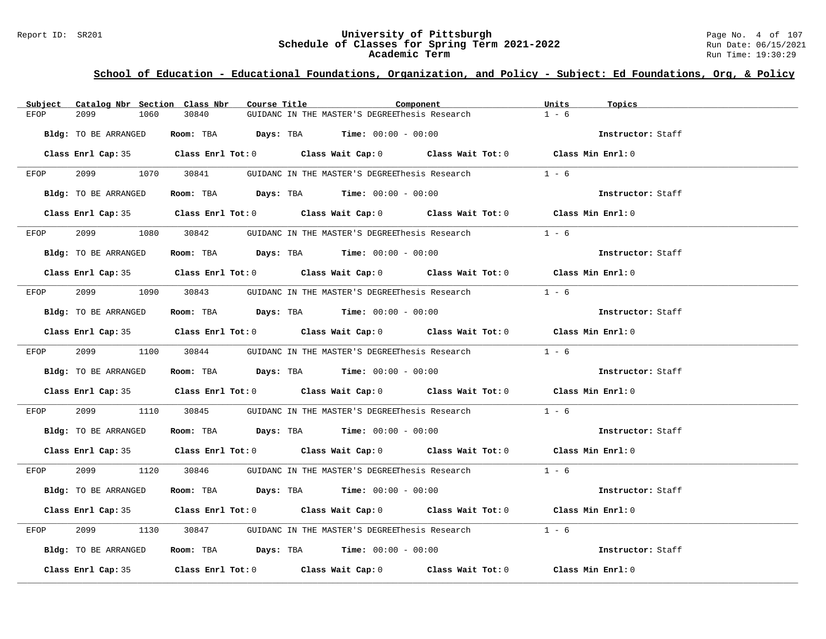#### Report ID: SR201 **University of Pittsburgh** Page No. 4 of 107 **Schedule of Classes for Spring Term 2021-2022** Run Date: 06/15/2021 **Academic Term** Run Time: 19:30:29

| Subject | Catalog Nbr Section Class Nbr | Course Title | Component                                                                                  | Units<br>Topics   |  |
|---------|-------------------------------|--------------|--------------------------------------------------------------------------------------------|-------------------|--|
| EFOP    | 2099<br>1060                  | 30840        | GUIDANC IN THE MASTER'S DEGREEThesis Research                                              | $1 - 6$           |  |
|         | Bldg: TO BE ARRANGED          |              | Room: TBA $Days:$ TBA $Time: 00:00 - 00:00$                                                | Instructor: Staff |  |
|         |                               |              | Class Enrl Cap: 35 Class Enrl Tot: 0 Class Wait Cap: 0 Class Wait Tot: 0 Class Min Enrl: 0 |                   |  |
| EFOP    |                               |              | 2099 1070 30841 GUIDANC IN THE MASTER'S DEGREEThesis Research                              | $1 - 6$           |  |
|         | Bldg: TO BE ARRANGED          |              | Room: TBA $\rule{1em}{0.15mm}$ Days: TBA Time: $00:00 - 00:00$                             | Instructor: Staff |  |
|         |                               |              | Class Enrl Cap: 35 Class Enrl Tot: 0 Class Wait Cap: 0 Class Wait Tot: 0 Class Min Enrl: 0 |                   |  |
| EFOP    |                               |              | 2099 1080 30842 GUIDANC IN THE MASTER'S DEGREEThesis Research 1 - 6                        |                   |  |
|         | Bldg: TO BE ARRANGED          |              | Room: TBA $Days:$ TBA $Time:$ 00:00 - 00:00                                                | Instructor: Staff |  |
|         |                               |              | Class Enrl Cap: 35 Class Enrl Tot: 0 Class Wait Cap: 0 Class Wait Tot: 0 Class Min Enrl: 0 |                   |  |
| EFOP    |                               |              | 2099 1090 30843 GUIDANC IN THE MASTER'S DEGREEThesis Research                              | $1 - 6$           |  |
|         | Bldg: TO BE ARRANGED          |              | Room: TBA $\rule{1em}{0.15mm}$ Days: TBA Time: $00:00 - 00:00$                             | Instructor: Staff |  |
|         |                               |              | Class Enrl Cap: 35 Class Enrl Tot: 0 Class Wait Cap: 0 Class Wait Tot: 0 Class Min Enrl: 0 |                   |  |
|         |                               |              | EFOP 2099 1100 30844 GUIDANC IN THE MASTER'S DEGREEThesis Research 1 - 6                   |                   |  |
|         | Bldg: TO BE ARRANGED          |              | Room: TBA $Days$ : TBA Time: $00:00 - 00:00$                                               | Instructor: Staff |  |
|         |                               |              | Class Enrl Cap: 35 Class Enrl Tot: 0 Class Wait Cap: 0 Class Wait Tot: 0 Class Min Enrl: 0 |                   |  |
| EFOP    | 2099 — 200                    |              | 1110 30845 GUIDANC IN THE MASTER'S DEGREEThesis Research 1 - 6                             |                   |  |
|         | Bldg: TO BE ARRANGED          |              | Room: TBA $Days: TBA$ Time: $00:00 - 00:00$                                                | Instructor: Staff |  |
|         |                               |              | Class Enrl Cap: 35 Class Enrl Tot: 0 Class Wait Cap: 0 Class Wait Tot: 0 Class Min Enrl: 0 |                   |  |
|         |                               |              | EFOP 2099 1120 30846 GUIDANC IN THE MASTER'S DEGREEThesis Research 1 - 6                   |                   |  |
|         | Bldg: TO BE ARRANGED          |              | Room: TBA $Days:$ TBA $Time: 00:00 - 00:00$                                                | Instructor: Staff |  |
|         |                               |              | Class Enrl Cap: 35 Class Enrl Tot: 0 Class Wait Cap: 0 Class Wait Tot: 0 Class Min Enrl: 0 |                   |  |
| EFOP    | 2099 70                       |              | 1130 30847 GUIDANC IN THE MASTER'S DEGREEThesis Research                                   | $1 - 6$           |  |
|         | Bldg: TO BE ARRANGED          |              | Room: TBA $\rule{1em}{0.15mm}$ Days: TBA Time: $00:00 - 00:00$                             | Instructor: Staff |  |
|         |                               |              | Class Enrl Cap: 35 Class Enrl Tot: 0 Class Wait Cap: 0 Class Wait Tot: 0 Class Min Enrl: 0 |                   |  |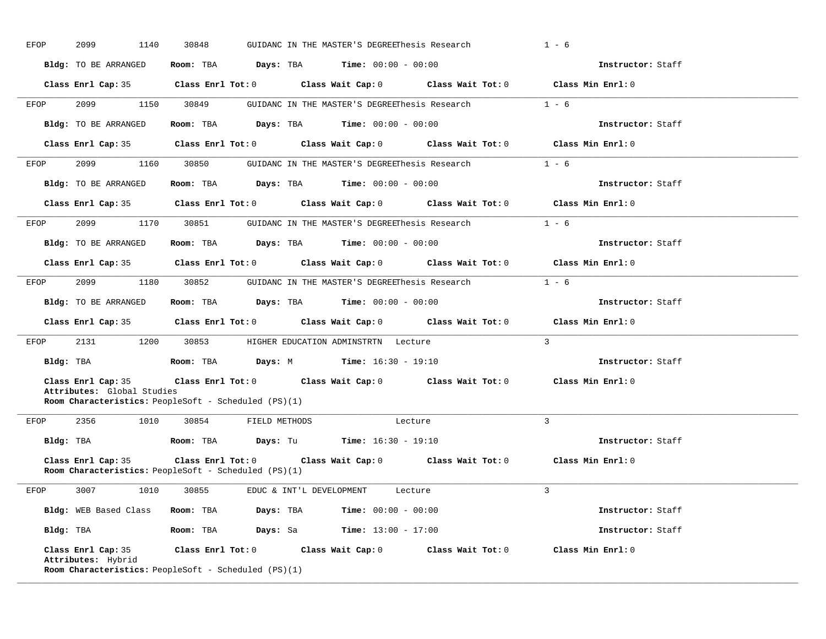| EFOP | 2099<br>1140                                                                         | 30848 |                                                               | GUIDANC IN THE MASTER'S DEGREEThesis Research |                                                                                            | $1 - 6$           |  |
|------|--------------------------------------------------------------------------------------|-------|---------------------------------------------------------------|-----------------------------------------------|--------------------------------------------------------------------------------------------|-------------------|--|
|      | Bldg: TO BE ARRANGED                                                                 |       | Room: TBA $Days:$ TBA Time: $00:00 - 00:00$                   |                                               |                                                                                            | Instructor: Staff |  |
|      |                                                                                      |       |                                                               |                                               | Class Enrl Cap: 35 Class Enrl Tot: 0 Class Wait Cap: 0 Class Wait Tot: 0 Class Min Enrl: 0 |                   |  |
| EFOP |                                                                                      |       | 2099 1150 30849 GUIDANC IN THE MASTER'S DEGREEThesis Research |                                               |                                                                                            | $1 - 6$           |  |
|      | Bldg: TO BE ARRANGED                                                                 |       | Room: TBA $Days:$ TBA $Time: 00:00 - 00:00$                   |                                               |                                                                                            | Instructor: Staff |  |
|      |                                                                                      |       |                                                               |                                               | Class Enrl Cap: 35 Class Enrl Tot: 0 Class Wait Cap: 0 Class Wait Tot: 0 Class Min Enrl: 0 |                   |  |
| EFOP |                                                                                      |       |                                                               |                                               | 2099 1160 30850 GUIDANC IN THE MASTER'S DEGREEThesis Research 1 - 6                        |                   |  |
|      | Bldg: TO BE ARRANGED                                                                 |       | Room: TBA $Days:$ TBA $Time: 00:00 - 00:00$                   |                                               |                                                                                            | Instructor: Staff |  |
|      |                                                                                      |       |                                                               |                                               | Class Enrl Cap: 35 Class Enrl Tot: 0 Class Wait Cap: 0 Class Wait Tot: 0 Class Min Enrl: 0 |                   |  |
| EFOP |                                                                                      |       |                                                               |                                               | 2099 1170 30851 GUIDANC IN THE MASTER'S DEGREEThesis Research 1 - 6                        |                   |  |
|      | Bldg: TO BE ARRANGED ROOM: TBA Days: TBA Time: 00:00 - 00:00                         |       |                                                               |                                               |                                                                                            | Instructor: Staff |  |
|      |                                                                                      |       |                                                               |                                               | Class Enrl Cap: 35 Class Enrl Tot: 0 Class Wait Cap: 0 Class Wait Tot: 0 Class Min Enrl: 0 |                   |  |
|      |                                                                                      |       |                                                               |                                               | EFOP 2099 1180 30852 GUIDANC IN THE MASTER'S DEGREEThesis Research 1 - 6                   |                   |  |
|      | Bldg: TO BE ARRANGED Room: TBA Days: TBA Time: 00:00 - 00:00                         |       |                                                               |                                               |                                                                                            | Instructor: Staff |  |
|      |                                                                                      |       |                                                               |                                               | Class Enrl Cap: 35 Class Enrl Tot: 0 Class Wait Cap: 0 Class Wait Tot: 0 Class Min Enrl: 0 |                   |  |
| EFOP |                                                                                      |       | 2131 1200 30853 HIGHER EDUCATION ADMINSTRTN Lecture           |                                               |                                                                                            | $\overline{3}$    |  |
|      | Bldg: TBA                    Room: TBA         Days: M           Time: 16:30 - 19:10 |       |                                                               |                                               |                                                                                            | Instructor: Staff |  |
|      |                                                                                      |       |                                                               |                                               | Class Enrl Cap: 35 Class Enrl Tot: 0 Class Wait Cap: 0 Class Wait Tot: 0 Class Min Enrl: 0 |                   |  |
|      | Attributes: Global Studies<br>Room Characteristics: PeopleSoft - Scheduled (PS)(1)   |       |                                                               |                                               |                                                                                            |                   |  |
| EFOP |                                                                                      |       | 2356 1010 30854 FIELD METHODS Lecture                         |                                               |                                                                                            | $\overline{3}$    |  |
|      | Bldg: TBA                    Room: TBA         Days: Tu         Time: 16:30 - 19:10  |       |                                                               |                                               |                                                                                            | Instructor: Staff |  |
|      |                                                                                      |       |                                                               |                                               | Class Enrl Cap: 35 Class Enrl Tot: 0 Class Wait Cap: 0 Class Wait Tot: 0 Class Min Enrl: 0 |                   |  |
|      | Room Characteristics: PeopleSoft - Scheduled (PS)(1)                                 |       |                                                               |                                               |                                                                                            |                   |  |
|      | EFOP 3007 1010 30855 EDUC & INT'L DEVELOPMENT Lecture                                |       |                                                               |                                               |                                                                                            | $\overline{3}$    |  |
|      | Bldg: WEB Based Class Room: TBA Days: TBA Time: 00:00 - 00:00                        |       |                                                               |                                               |                                                                                            | Instructor: Staff |  |
|      | Bldg: TBA                    Room: TBA         Days: Sa         Time: 13:00 - 17:00  |       |                                                               |                                               |                                                                                            | Instructor: Staff |  |
|      | Attributes: Hybrid<br><b>Room Characteristics:</b> PeopleSoft - Scheduled (PS)(1)    |       |                                                               |                                               | Class Enrl Cap: 35 Class Enrl Tot: 0 Class Wait Cap: 0 Class Wait Tot: 0 Class Min Enrl: 0 |                   |  |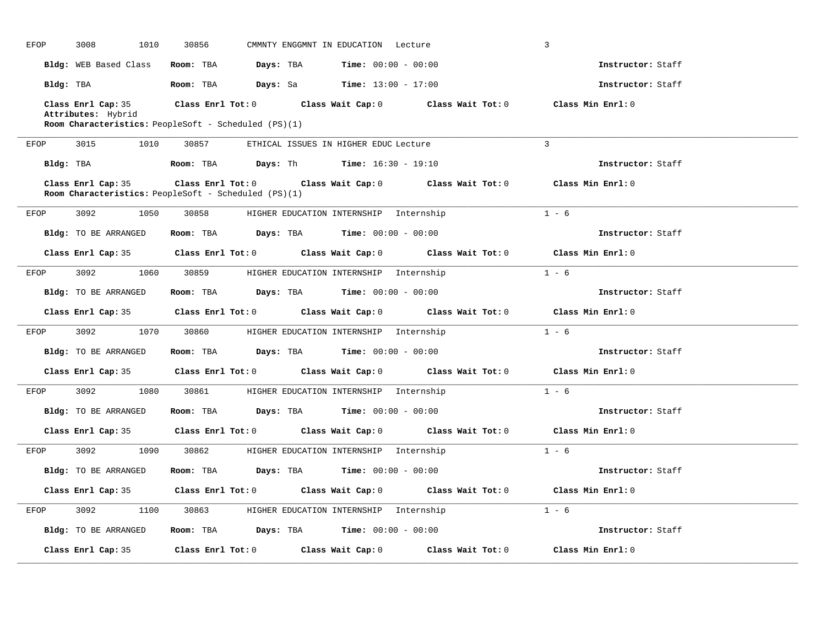| EFOP | 3008<br>1010                                                                      | 30856 | CMMNTY ENGGMNT IN EDUCATION Lecture                                                        |         | $\overline{3}$    |  |
|------|-----------------------------------------------------------------------------------|-------|--------------------------------------------------------------------------------------------|---------|-------------------|--|
|      |                                                                                   |       | <b>Bldg:</b> WEB Based Class <b>Room:</b> TBA <b>Days:</b> TBA <b>Time:</b> 00:00 - 00:00  |         | Instructor: Staff |  |
|      |                                                                                   |       | Bldg: TBA                     Room: TBA         Days: Sa         Time: 13:00 - 17:00       |         | Instructor: Staff |  |
|      | Attributes: Hybrid<br><b>Room Characteristics:</b> PeopleSoft - Scheduled (PS)(1) |       | Class Enrl Cap: 35 Class Enrl Tot: 0 Class Wait Cap: 0 Class Wait Tot: 0 Class Min Enrl: 0 |         |                   |  |
| EFOP | 3015 1010                                                                         |       | 30857 ETHICAL ISSUES IN HIGHER EDUC Lecture                                                |         | $\overline{3}$    |  |
|      |                                                                                   |       | Bldg: TBA                     Room: TBA         Days: Th         Time: 16:30 - 19:10       |         | Instructor: Staff |  |
|      | Class Enrl Cap: 35<br><b>Room Characteristics:</b> PeopleSoft - Scheduled (PS)(1) |       | Class Enrl Tot: $0$ Class Wait Cap: $0$ Class Wait Tot: $0$ Class Min Enrl: $0$            |         |                   |  |
| EFOP | 3092<br>1050                                                                      |       | 30858 HIGHER EDUCATION INTERNSHIP Internship                                               |         | $1 - 6$           |  |
|      | Bldg: TO BE ARRANGED                                                              |       | Room: TBA $Days:$ TBA $Time: 00:00 - 00:00$                                                |         | Instructor: Staff |  |
|      |                                                                                   |       | Class Enrl Cap: 35 Class Enrl Tot: 0 Class Wait Cap: 0 Class Wait Tot: 0 Class Min Enrl: 0 |         |                   |  |
| EFOP |                                                                                   |       | 3092 1060 30859 HIGHER EDUCATION INTERNSHIP Internship                                     | $1 - 6$ |                   |  |
|      |                                                                                   |       | Bldg: TO BE ARRANGED Room: TBA Days: TBA Time: 00:00 - 00:00                               |         | Instructor: Staff |  |
|      |                                                                                   |       |                                                                                            |         |                   |  |
|      |                                                                                   |       | Class Enrl Cap: 35 Class Enrl Tot: 0 Class Wait Cap: 0 Class Wait Tot: 0 Class Min Enrl: 0 |         |                   |  |
|      |                                                                                   |       | EFOP 3092 1070 30860 HIGHER EDUCATION INTERNSHIP Internship                                |         | $1 - 6$           |  |
|      | Bldg: TO BE ARRANGED                                                              |       | Room: TBA $Days:$ TBA $Time: 00:00 - 00:00$                                                |         | Instructor: Staff |  |
|      |                                                                                   |       | Class Enrl Cap: 35 Class Enrl Tot: 0 Class Wait Cap: 0 Class Wait Tot: 0 Class Min Enrl: 0 |         |                   |  |
| EFOP |                                                                                   |       | 3092 1080 30861 HIGHER EDUCATION INTERNSHIP Internship                                     |         | $1 - 6$           |  |
|      | Bldg: TO BE ARRANGED                                                              |       | Room: TBA $Days:$ TBA $Time: 00:00 - 00:00$                                                |         | Instructor: Staff |  |
|      |                                                                                   |       | Class Enrl Cap: 35 Class Enrl Tot: 0 Class Wait Cap: 0 Class Wait Tot: 0 Class Min Enrl: 0 |         |                   |  |
| EFOP | 3092                                                                              |       | 1090 30862 HIGHER EDUCATION INTERNSHIP Internship                                          |         | $1 - 6$           |  |
|      | Bldg: TO BE ARRANGED                                                              |       | Room: TBA $Days:$ TBA Time: $00:00 - 00:00$                                                |         | Instructor: Staff |  |
|      |                                                                                   |       | Class Enrl Cap: 35 Class Enrl Tot: 0 Class Wait Cap: 0 Class Wait Tot: 0 Class Min Enrl: 0 |         |                   |  |
| EFOP |                                                                                   |       | 3092 1100 30863 HIGHER EDUCATION INTERNSHIP Internship                                     |         | $1 - 6$           |  |
|      | Bldg: TO BE ARRANGED                                                              |       | Room: TBA $Days:$ TBA Time: $00:00 - 00:00$                                                |         | Instructor: Staff |  |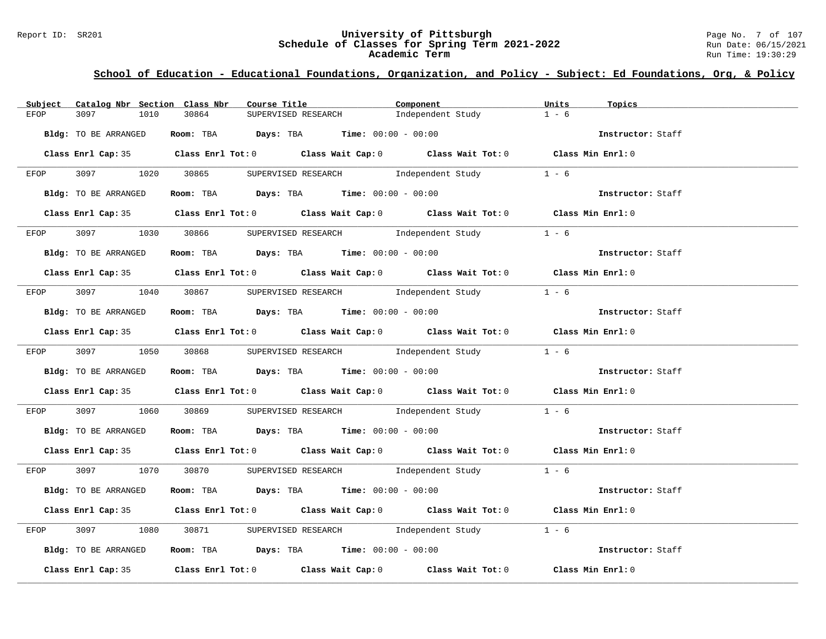#### Report ID: SR201 **University of Pittsburgh** Page No. 7 of 107 **Schedule of Classes for Spring Term 2021-2022** Run Date: 06/15/2021 **Academic Term** Run Time: 19:30:29

| SUPERVISED RESEARCH<br>30864<br>Independent Study<br>$1 - 6$<br>EFOP<br>3097<br>1010<br>Room: TBA $Days:$ TBA $Time: 00:00 - 00:00$<br>Bldg: TO BE ARRANGED<br>Instructor: Staff<br>Class Enrl Cap: 35 Class Enrl Tot: 0 Class Wait Cap: 0 Class Wait Tot: 0 Class Min Enrl: 0<br>EFOP 3097 1020 30865 SUPERVISED RESEARCH Independent Study 1 - 6<br>Room: TBA Days: TBA Time: $00:00 - 00:00$<br>Bldg: TO BE ARRANGED<br>Class Enrl Cap: 35 Class Enrl Tot: 0 Class Wait Cap: 0 Class Wait Tot: 0 Class Min Enrl: 0<br>3097 1030 30866 SUPERVISED RESEARCH Independent Study 1 - 6<br>EFOP<br>Room: TBA $Days:$ TBA Time: $00:00 - 00:00$<br>Bldg: TO BE ARRANGED<br>Instructor: Staff<br>Class Enrl Cap: 35 Class Enrl Tot: 0 Class Wait Cap: 0 Class Wait Tot: 0 Class Min Enrl: 0<br>EFOP 3097 1040 30867 SUPERVISED RESEARCH Independent Study<br>$1 - 6$<br>Instructor: Staff<br>Room: TBA $Days:$ TBA $Time: 00:00 - 00:00$<br>Bldg: TO BE ARRANGED<br>Class Enrl Cap: 35 Class Enrl Tot: 0 Class Wait Cap: 0 Class Wait Tot: 0 Class Min Enrl: 0<br>EFOP 3097 1050 30868 SUPERVISED RESEARCH Independent Study 1 - 6<br>Bldg: TO BE ARRANGED<br>Room: TBA $\rule{1em}{0.15mm}$ Days: TBA Time: $00:00 - 00:00$<br>Instructor: Staff<br>Class Enrl Cap: 35 Class Enrl Tot: 0 Class Wait Cap: 0 Class Wait Tot: 0 Class Min Enrl: 0<br>3097 1060 30869 SUPERVISED RESEARCH Independent Study 1 - 6<br>EFOP<br>Room: TBA $Days:$ TBA Time: $00:00 - 00:00$<br>Instructor: Staff<br>Bldg: TO BE ARRANGED<br>Class Enrl Cap: 35 Class Enrl Tot: 0 Class Wait Cap: 0 Class Wait Tot: 0 Class Min Enrl: 0<br>EFOP 3097 1070 30870 SUPERVISED RESEARCH Independent Study 1 - 6<br>Room: TBA $\rule{1em}{0.15mm}$ Days: TBA Time: $00:00 - 00:00$<br>Bldg: TO BE ARRANGED<br>Instructor: Staff<br>Class Enrl Cap: 35 Class Enrl Tot: 0 Class Wait Cap: 0 Class Wait Tot: 0 Class Min Enrl: 0<br>1080 30871 SUPERVISED RESEARCH Independent Study 1 - 6<br>3097 300<br>EFOP<br>Room: TBA $Days:$ TBA $Time: 00:00 - 00:00$<br>Bldg: TO BE ARRANGED<br>Instructor: Staff<br>Class Enrl Cap: 35 Class Enrl Tot: 0 Class Wait Cap: 0 Class Wait Tot: 0 Class Min Enrl: 0 | Subject | Catalog Nbr Section Class Nbr | Course Title | Component | Units<br>Topics |
|----------------------------------------------------------------------------------------------------------------------------------------------------------------------------------------------------------------------------------------------------------------------------------------------------------------------------------------------------------------------------------------------------------------------------------------------------------------------------------------------------------------------------------------------------------------------------------------------------------------------------------------------------------------------------------------------------------------------------------------------------------------------------------------------------------------------------------------------------------------------------------------------------------------------------------------------------------------------------------------------------------------------------------------------------------------------------------------------------------------------------------------------------------------------------------------------------------------------------------------------------------------------------------------------------------------------------------------------------------------------------------------------------------------------------------------------------------------------------------------------------------------------------------------------------------------------------------------------------------------------------------------------------------------------------------------------------------------------------------------------------------------------------------------------------------------------------------------------------------------------------------------------------------------------------------------------------------------------------------------------------------------------------------------------------------------------------------------------------------------------------------------------------------------------|---------|-------------------------------|--------------|-----------|-----------------|
|                                                                                                                                                                                                                                                                                                                                                                                                                                                                                                                                                                                                                                                                                                                                                                                                                                                                                                                                                                                                                                                                                                                                                                                                                                                                                                                                                                                                                                                                                                                                                                                                                                                                                                                                                                                                                                                                                                                                                                                                                                                                                                                                                                      |         |                               |              |           |                 |
|                                                                                                                                                                                                                                                                                                                                                                                                                                                                                                                                                                                                                                                                                                                                                                                                                                                                                                                                                                                                                                                                                                                                                                                                                                                                                                                                                                                                                                                                                                                                                                                                                                                                                                                                                                                                                                                                                                                                                                                                                                                                                                                                                                      |         |                               |              |           |                 |
|                                                                                                                                                                                                                                                                                                                                                                                                                                                                                                                                                                                                                                                                                                                                                                                                                                                                                                                                                                                                                                                                                                                                                                                                                                                                                                                                                                                                                                                                                                                                                                                                                                                                                                                                                                                                                                                                                                                                                                                                                                                                                                                                                                      |         |                               |              |           |                 |
|                                                                                                                                                                                                                                                                                                                                                                                                                                                                                                                                                                                                                                                                                                                                                                                                                                                                                                                                                                                                                                                                                                                                                                                                                                                                                                                                                                                                                                                                                                                                                                                                                                                                                                                                                                                                                                                                                                                                                                                                                                                                                                                                                                      |         |                               |              |           |                 |
|                                                                                                                                                                                                                                                                                                                                                                                                                                                                                                                                                                                                                                                                                                                                                                                                                                                                                                                                                                                                                                                                                                                                                                                                                                                                                                                                                                                                                                                                                                                                                                                                                                                                                                                                                                                                                                                                                                                                                                                                                                                                                                                                                                      |         |                               |              |           |                 |
|                                                                                                                                                                                                                                                                                                                                                                                                                                                                                                                                                                                                                                                                                                                                                                                                                                                                                                                                                                                                                                                                                                                                                                                                                                                                                                                                                                                                                                                                                                                                                                                                                                                                                                                                                                                                                                                                                                                                                                                                                                                                                                                                                                      |         |                               |              |           |                 |
|                                                                                                                                                                                                                                                                                                                                                                                                                                                                                                                                                                                                                                                                                                                                                                                                                                                                                                                                                                                                                                                                                                                                                                                                                                                                                                                                                                                                                                                                                                                                                                                                                                                                                                                                                                                                                                                                                                                                                                                                                                                                                                                                                                      |         |                               |              |           |                 |
|                                                                                                                                                                                                                                                                                                                                                                                                                                                                                                                                                                                                                                                                                                                                                                                                                                                                                                                                                                                                                                                                                                                                                                                                                                                                                                                                                                                                                                                                                                                                                                                                                                                                                                                                                                                                                                                                                                                                                                                                                                                                                                                                                                      |         |                               |              |           |                 |
|                                                                                                                                                                                                                                                                                                                                                                                                                                                                                                                                                                                                                                                                                                                                                                                                                                                                                                                                                                                                                                                                                                                                                                                                                                                                                                                                                                                                                                                                                                                                                                                                                                                                                                                                                                                                                                                                                                                                                                                                                                                                                                                                                                      |         |                               |              |           |                 |
|                                                                                                                                                                                                                                                                                                                                                                                                                                                                                                                                                                                                                                                                                                                                                                                                                                                                                                                                                                                                                                                                                                                                                                                                                                                                                                                                                                                                                                                                                                                                                                                                                                                                                                                                                                                                                                                                                                                                                                                                                                                                                                                                                                      |         |                               |              |           |                 |
|                                                                                                                                                                                                                                                                                                                                                                                                                                                                                                                                                                                                                                                                                                                                                                                                                                                                                                                                                                                                                                                                                                                                                                                                                                                                                                                                                                                                                                                                                                                                                                                                                                                                                                                                                                                                                                                                                                                                                                                                                                                                                                                                                                      |         |                               |              |           |                 |
|                                                                                                                                                                                                                                                                                                                                                                                                                                                                                                                                                                                                                                                                                                                                                                                                                                                                                                                                                                                                                                                                                                                                                                                                                                                                                                                                                                                                                                                                                                                                                                                                                                                                                                                                                                                                                                                                                                                                                                                                                                                                                                                                                                      |         |                               |              |           |                 |
|                                                                                                                                                                                                                                                                                                                                                                                                                                                                                                                                                                                                                                                                                                                                                                                                                                                                                                                                                                                                                                                                                                                                                                                                                                                                                                                                                                                                                                                                                                                                                                                                                                                                                                                                                                                                                                                                                                                                                                                                                                                                                                                                                                      |         |                               |              |           |                 |
|                                                                                                                                                                                                                                                                                                                                                                                                                                                                                                                                                                                                                                                                                                                                                                                                                                                                                                                                                                                                                                                                                                                                                                                                                                                                                                                                                                                                                                                                                                                                                                                                                                                                                                                                                                                                                                                                                                                                                                                                                                                                                                                                                                      |         |                               |              |           |                 |
|                                                                                                                                                                                                                                                                                                                                                                                                                                                                                                                                                                                                                                                                                                                                                                                                                                                                                                                                                                                                                                                                                                                                                                                                                                                                                                                                                                                                                                                                                                                                                                                                                                                                                                                                                                                                                                                                                                                                                                                                                                                                                                                                                                      |         |                               |              |           |                 |
|                                                                                                                                                                                                                                                                                                                                                                                                                                                                                                                                                                                                                                                                                                                                                                                                                                                                                                                                                                                                                                                                                                                                                                                                                                                                                                                                                                                                                                                                                                                                                                                                                                                                                                                                                                                                                                                                                                                                                                                                                                                                                                                                                                      |         |                               |              |           |                 |
|                                                                                                                                                                                                                                                                                                                                                                                                                                                                                                                                                                                                                                                                                                                                                                                                                                                                                                                                                                                                                                                                                                                                                                                                                                                                                                                                                                                                                                                                                                                                                                                                                                                                                                                                                                                                                                                                                                                                                                                                                                                                                                                                                                      |         |                               |              |           |                 |
|                                                                                                                                                                                                                                                                                                                                                                                                                                                                                                                                                                                                                                                                                                                                                                                                                                                                                                                                                                                                                                                                                                                                                                                                                                                                                                                                                                                                                                                                                                                                                                                                                                                                                                                                                                                                                                                                                                                                                                                                                                                                                                                                                                      |         |                               |              |           |                 |
|                                                                                                                                                                                                                                                                                                                                                                                                                                                                                                                                                                                                                                                                                                                                                                                                                                                                                                                                                                                                                                                                                                                                                                                                                                                                                                                                                                                                                                                                                                                                                                                                                                                                                                                                                                                                                                                                                                                                                                                                                                                                                                                                                                      |         |                               |              |           |                 |
|                                                                                                                                                                                                                                                                                                                                                                                                                                                                                                                                                                                                                                                                                                                                                                                                                                                                                                                                                                                                                                                                                                                                                                                                                                                                                                                                                                                                                                                                                                                                                                                                                                                                                                                                                                                                                                                                                                                                                                                                                                                                                                                                                                      |         |                               |              |           |                 |
|                                                                                                                                                                                                                                                                                                                                                                                                                                                                                                                                                                                                                                                                                                                                                                                                                                                                                                                                                                                                                                                                                                                                                                                                                                                                                                                                                                                                                                                                                                                                                                                                                                                                                                                                                                                                                                                                                                                                                                                                                                                                                                                                                                      |         |                               |              |           |                 |
|                                                                                                                                                                                                                                                                                                                                                                                                                                                                                                                                                                                                                                                                                                                                                                                                                                                                                                                                                                                                                                                                                                                                                                                                                                                                                                                                                                                                                                                                                                                                                                                                                                                                                                                                                                                                                                                                                                                                                                                                                                                                                                                                                                      |         |                               |              |           |                 |
|                                                                                                                                                                                                                                                                                                                                                                                                                                                                                                                                                                                                                                                                                                                                                                                                                                                                                                                                                                                                                                                                                                                                                                                                                                                                                                                                                                                                                                                                                                                                                                                                                                                                                                                                                                                                                                                                                                                                                                                                                                                                                                                                                                      |         |                               |              |           |                 |
|                                                                                                                                                                                                                                                                                                                                                                                                                                                                                                                                                                                                                                                                                                                                                                                                                                                                                                                                                                                                                                                                                                                                                                                                                                                                                                                                                                                                                                                                                                                                                                                                                                                                                                                                                                                                                                                                                                                                                                                                                                                                                                                                                                      |         |                               |              |           |                 |
|                                                                                                                                                                                                                                                                                                                                                                                                                                                                                                                                                                                                                                                                                                                                                                                                                                                                                                                                                                                                                                                                                                                                                                                                                                                                                                                                                                                                                                                                                                                                                                                                                                                                                                                                                                                                                                                                                                                                                                                                                                                                                                                                                                      |         |                               |              |           |                 |
|                                                                                                                                                                                                                                                                                                                                                                                                                                                                                                                                                                                                                                                                                                                                                                                                                                                                                                                                                                                                                                                                                                                                                                                                                                                                                                                                                                                                                                                                                                                                                                                                                                                                                                                                                                                                                                                                                                                                                                                                                                                                                                                                                                      |         |                               |              |           |                 |
|                                                                                                                                                                                                                                                                                                                                                                                                                                                                                                                                                                                                                                                                                                                                                                                                                                                                                                                                                                                                                                                                                                                                                                                                                                                                                                                                                                                                                                                                                                                                                                                                                                                                                                                                                                                                                                                                                                                                                                                                                                                                                                                                                                      |         |                               |              |           |                 |
|                                                                                                                                                                                                                                                                                                                                                                                                                                                                                                                                                                                                                                                                                                                                                                                                                                                                                                                                                                                                                                                                                                                                                                                                                                                                                                                                                                                                                                                                                                                                                                                                                                                                                                                                                                                                                                                                                                                                                                                                                                                                                                                                                                      |         |                               |              |           |                 |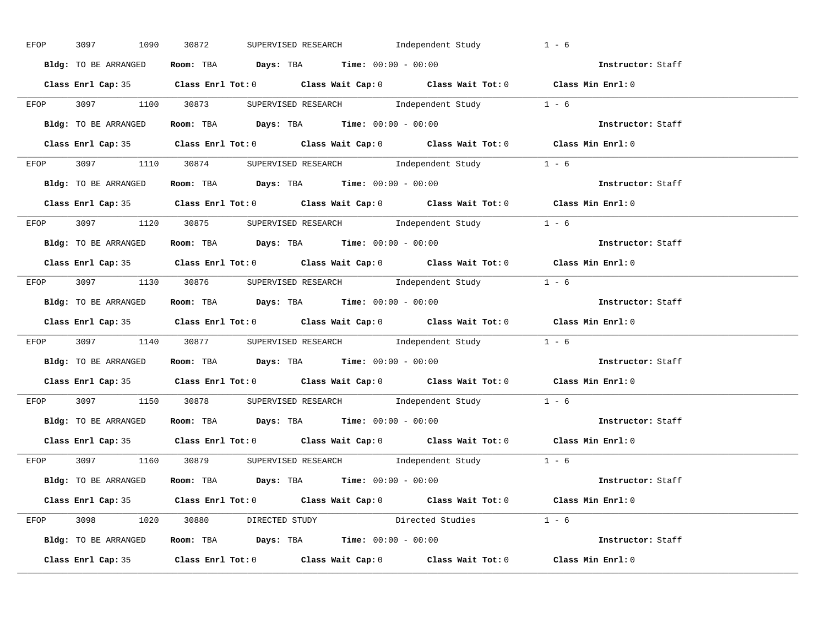| EFOP | 3097 1090            | SUPERVISED RESEARCH 1ndependent Study<br>30872                                              | $1 - 6$           |
|------|----------------------|---------------------------------------------------------------------------------------------|-------------------|
|      | Bldg: TO BE ARRANGED | Room: TBA $Days:$ TBA $Time: 00:00 - 00:00$                                                 | Instructor: Staff |
|      |                      | Class Enrl Cap: 35 Class Enrl Tot: 0 Class Wait Cap: 0 Class Wait Tot: 0 Class Min Enrl: 0  |                   |
|      |                      | EFOP 3097 1100 30873 SUPERVISED RESEARCH Independent Study 1 - 6                            |                   |
|      |                      | Bldg: TO BE ARRANGED Room: TBA Days: TBA Time: 00:00 - 00:00                                | Instructor: Staff |
|      |                      | Class Enrl Cap: 35 Class Enrl Tot: 0 Class Wait Cap: 0 Class Wait Tot: 0 Class Min Enrl: 0  |                   |
|      |                      | EFOP 3097 1110 30874 SUPERVISED RESEARCH Independent Study 1 - 6                            |                   |
|      |                      | Bldg: TO BE ARRANGED Room: TBA Days: TBA Time: 00:00 - 00:00                                | Instructor: Staff |
|      |                      | Class Enrl Cap: 35 Class Enrl Tot: 0 Class Wait Cap: 0 Class Wait Tot: 0 Class Min Enrl: 0  |                   |
|      |                      | EFOP 3097 1120 30875 SUPERVISED RESEARCH Independent Study 1 - 6                            |                   |
|      | Bldg: TO BE ARRANGED | Room: TBA $\rule{1em}{0.15mm}$ Days: TBA $\rule{1.15mm}]{0.15mm}$ Time: $0.000 - 0.000$     | Instructor: Staff |
|      |                      | Class Enrl Cap: 35 Class Enrl Tot: 0 Class Wait Cap: 0 Class Wait Tot: 0 Class Min Enrl: 0  |                   |
|      |                      | EFOP 3097 1130 30876 SUPERVISED RESEARCH Independent Study 1 - 6                            |                   |
|      |                      | Bldg: TO BE ARRANGED Room: TBA Days: TBA Time: 00:00 - 00:00                                | Instructor: Staff |
|      |                      | Class Enrl Cap: 35 Class Enrl Tot: 0 Class Wait Cap: 0 Class Wait Tot: 0 Class Min Enrl: 0  |                   |
|      |                      | EFOP 3097 1140 30877 SUPERVISED RESEARCH Independent Study 1 - 6                            |                   |
|      |                      | <b>Bldg:</b> TO BE ARRANGED <b>ROOM:</b> TBA <b>Days:</b> TBA <b>Time:</b> $00:00 - 00:00$  | Instructor: Staff |
|      |                      | Class Enrl Cap: 35 Class Enrl Tot: 0 Class Wait Cap: 0 Class Wait Tot: 0 Class Min Enrl: 0  |                   |
|      |                      | EFOP 3097 1150 30878 SUPERVISED RESEARCH Independent Study 1 - 6                            |                   |
|      |                      | <b>Bldg:</b> TO BE ARRANGED <b>Room:</b> TBA <b>Days:</b> TBA <b>Time:</b> $00:00 - 00:00$  | Instructor: Staff |
|      |                      | Class Enrl Cap: 35 Class Enrl Tot: 0 Class Wait Cap: 0 Class Wait Tot: 0 Class Min Enrl: 0  |                   |
|      |                      | EFOP 3097 1160 30879 SUPERVISED RESEARCH Independent Study 1 - 6                            |                   |
|      |                      | <b>Bldg:</b> TO BE ARRANGED <b>Room:</b> TBA <b>Days:</b> TBA <b>Time:</b> $00:00 - 00:00$  | Instructor: Staff |
|      |                      | Class Enrl Cap: 35 Class Enrl Tot: 0 Class Wait Cap: 0 Class Wait Tot: 0 Class Min Enrl: 0  |                   |
|      |                      | EFOP 3098 1020 30880 DIRECTED STUDY Directed Studies 1 - 6                                  |                   |
|      |                      | Bldg: TO BE ARRANGED Room: TBA Days: TBA Time: 00:00 - 00:00 000 000 1000 1nstructor: Staff |                   |
|      |                      | Class Enrl Cap: 35 Class Enrl Tot: 0 Class Wait Cap: 0 Class Wait Tot: 0 Class Min Enrl: 0  |                   |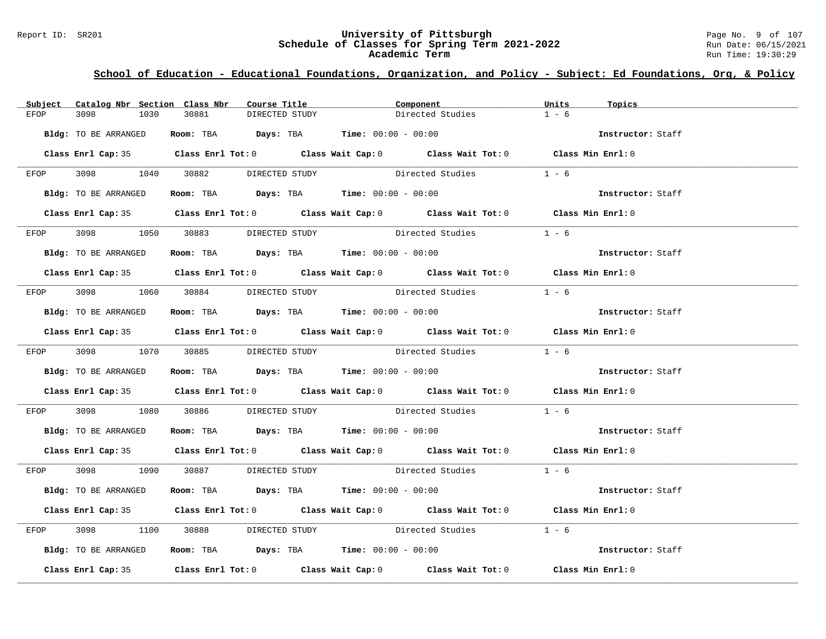#### Report ID: SR201 **University of Pittsburgh** Page No. 9 of 107 **Schedule of Classes for Spring Term 2021-2022** Run Date: 06/15/2021 **Academic Term** Run Time: 19:30:29

| Subject | Catalog Nbr Section Class Nbr | Course Title                                                                               | Component        |                        | Units   | Topics            |
|---------|-------------------------------|--------------------------------------------------------------------------------------------|------------------|------------------------|---------|-------------------|
| EFOP    | 3098<br>1030                  | 30881<br>DIRECTED STUDY                                                                    |                  | Directed Studies       | $1 - 6$ |                   |
|         | Bldg: TO BE ARRANGED          | Room: TBA $Days: TBA$ Time: $00:00 - 00:00$                                                |                  |                        |         | Instructor: Staff |
|         |                               | Class Enrl Cap: 35 Class Enrl Tot: 0 Class Wait Cap: 0 Class Wait Tot: 0 Class Min Enrl: 0 |                  |                        |         |                   |
|         |                               | EFOP 3098 1040 30882 DIRECTED STUDY                                                        | Directed Studies |                        | $1 - 6$ |                   |
|         | Bldg: TO BE ARRANGED          | Room: TBA $Days:$ TBA $Time: 00:00 - 00:00$                                                |                  |                        |         | Instructor: Staff |
|         |                               | Class Enrl Cap: 35 Class Enrl Tot: 0 Class Wait Cap: 0 Class Wait Tot: 0 Class Min Enrl: 0 |                  |                        |         |                   |
|         |                               | EFOP 3098 1050 30883 DIRECTED STUDY                                                        |                  | Directed Studies 1 - 6 |         |                   |
|         | Bldg: TO BE ARRANGED          | Room: TBA $Days:$ TBA $Time: 00:00 - 00:00$                                                |                  |                        |         | Instructor: Staff |
|         |                               | Class Enrl Cap: 35 Class Enrl Tot: 0 Class Wait Cap: 0 Class Wait Tot: 0 Class Min Enrl: 0 |                  |                        |         |                   |
| EFOP    |                               | 3098 1060 30884 DIRECTED STUDY Directed Studies 1 - 6                                      |                  |                        |         |                   |
|         | Bldg: TO BE ARRANGED          | Room: TBA $\rule{1em}{0.15mm}$ Days: TBA Time: $00:00 - 00:00$                             |                  |                        |         | Instructor: Staff |
|         |                               | Class Enrl Cap: 35 Class Enrl Tot: 0 Class Wait Cap: 0 Class Wait Tot: 0 Class Min Enrl: 0 |                  |                        |         |                   |
|         |                               | EFOP 3098 1070 30885 DIRECTED STUDY Directed Studies 1 - 6                                 |                  |                        |         |                   |
|         | Bldg: TO BE ARRANGED          | Room: TBA Days: TBA Time: $00:00 - 00:00$                                                  |                  |                        |         | Instructor: Staff |
|         |                               | Class Enrl Cap: 35 Class Enrl Tot: 0 Class Wait Cap: 0 Class Wait Tot: 0 Class Min Enrl: 0 |                  |                        |         |                   |
| EFOP    |                               | 3098 $1080$ 30886 DIRECTED STUDY Directed Studies $1 - 6$                                  |                  |                        |         |                   |
|         | Bldg: TO BE ARRANGED          | Room: TBA $\rule{1em}{0.15mm}$ Days: TBA Time: $00:00 - 00:00$                             |                  |                        |         | Instructor: Staff |
|         |                               | Class Enrl Cap: 35 Class Enrl Tot: 0 Class Wait Cap: 0 Class Wait Tot: 0 Class Min Enrl: 0 |                  |                        |         |                   |
|         |                               | EFOP 3098 1090 30887 DIRECTED STUDY Directed Studies 1 - 6                                 |                  |                        |         |                   |
|         | Bldg: TO BE ARRANGED          | Room: TBA $Days:$ TBA Time: $00:00 - 00:00$                                                |                  |                        |         | Instructor: Staff |
|         |                               | Class Enrl Cap: 35 Class Enrl Tot: 0 Class Wait Cap: 0 Class Wait Tot: 0 Class Min Enrl: 0 |                  |                        |         |                   |
| EFOP    | 3098 300                      | 1100 30888 DIRECTED STUDY Directed Studies 1 - 6                                           |                  |                        |         |                   |
|         | Bldg: TO BE ARRANGED          | Room: TBA Days: TBA Time: 00:00 - 00:00                                                    |                  |                        |         | Instructor: Staff |
|         |                               | Class Enrl Cap: 35 Class Enrl Tot: 0 Class Wait Cap: 0 Class Wait Tot: 0 Class Min Enrl: 0 |                  |                        |         |                   |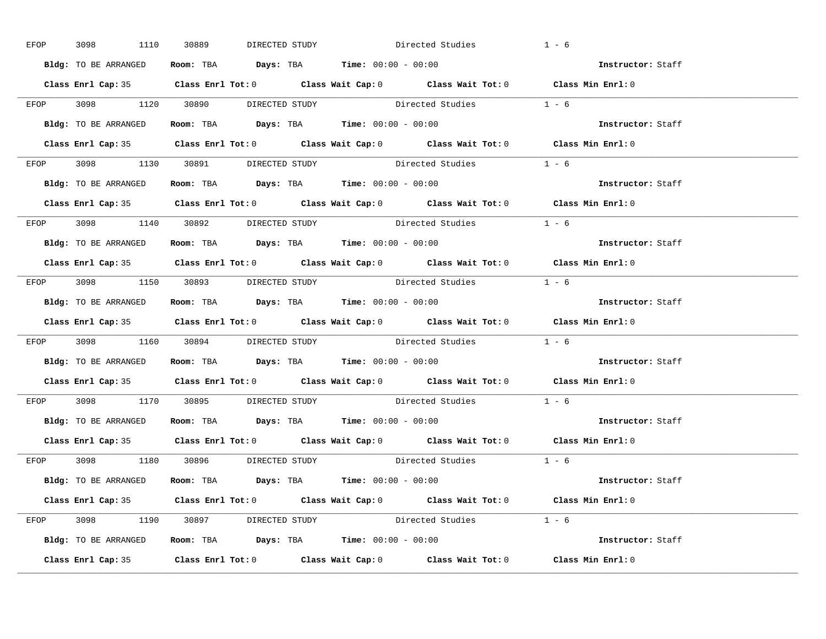| EFOP | 3098 1110 30889      | DIRECTED STUDY                                               | Directed Studies                                                                           | $1 - 6$           |
|------|----------------------|--------------------------------------------------------------|--------------------------------------------------------------------------------------------|-------------------|
|      |                      | Bldg: TO BE ARRANGED Room: TBA Days: TBA Time: 00:00 - 00:00 |                                                                                            | Instructor: Staff |
|      |                      |                                                              | Class Enrl Cap: 35 Class Enrl Tot: 0 Class Wait Cap: 0 Class Wait Tot: 0 Class Min Enrl: 0 |                   |
|      |                      |                                                              | EFOP $3098$ $1120$ $30890$ DIRECTED STUDY Directed Studies $1 - 6$                         |                   |
|      | Bldg: TO BE ARRANGED | Room: TBA $Days:$ TBA Time: $00:00 - 00:00$                  |                                                                                            | Instructor: Staff |
|      |                      |                                                              | Class Enrl Cap: 35 Class Enrl Tot: 0 Class Wait Cap: 0 Class Wait Tot: 0 Class Min Enrl: 0 |                   |
|      |                      |                                                              | EFOP $3098$ 1130 $30891$ DIRECTED STUDY Directed Studies 1 - 6                             |                   |
|      |                      | Bldg: TO BE ARRANGED Room: TBA Days: TBA Time: 00:00 - 00:00 |                                                                                            | Instructor: Staff |
|      |                      |                                                              | Class Enrl Cap: 35 Class Enrl Tot: 0 Class Wait Cap: 0 Class Wait Tot: 0 Class Min Enrl: 0 |                   |
|      |                      | EFOP 3098 1140 30892 DIRECTED STUDY                          | Directed Studies 1 - 6                                                                     |                   |
|      | Bldg: TO BE ARRANGED | Room: TBA $Days:$ TBA $Time:$ $00:00 - 00:00$                |                                                                                            | Instructor: Staff |
|      |                      |                                                              | Class Enrl Cap: 35 Class Enrl Tot: 0 Class Wait Cap: 0 Class Wait Tot: 0 Class Min Enrl: 0 |                   |
|      |                      |                                                              | EFOP $3098$ 1150 $30893$ DIRECTED STUDY Directed Studies $1 - 6$                           |                   |
|      |                      | Bldg: TO BE ARRANGED Room: TBA Days: TBA Time: 00:00 - 00:00 |                                                                                            | Instructor: Staff |
|      |                      |                                                              | Class Enrl Cap: 35 Class Enrl Tot: 0 Class Wait Cap: 0 Class Wait Tot: 0 Class Min Enrl: 0 |                   |
|      |                      |                                                              | EFOP $3098$ 1160 $30894$ DIRECTED STUDY Directed Studies 1 - 6                             |                   |
|      |                      | Bldg: TO BE ARRANGED Room: TBA Days: TBA Time: 00:00 - 00:00 |                                                                                            | Instructor: Staff |
|      |                      |                                                              | Class Enrl Cap: 35 Class Enrl Tot: 0 Class Wait Cap: 0 Class Wait Tot: 0 Class Min Enrl: 0 |                   |
|      |                      |                                                              | EFOP 3098 1170 30895 DIRECTED STUDY Directed Studies 1 - 6                                 |                   |
|      |                      | Bldg: TO BE ARRANGED ROOM: TBA Days: TBA Time: 00:00 - 00:00 |                                                                                            | Instructor: Staff |
|      |                      |                                                              | Class Enrl Cap: 35 Class Enrl Tot: 0 Class Wait Cap: 0 Class Wait Tot: 0 Class Min Enrl: 0 |                   |
|      |                      | EFOP 3098 1180 30896 DIRECTED STUDY                          | Directed Studies 1 - 6                                                                     |                   |
|      |                      | Bldg: TO BE ARRANGED ROOM: TBA Days: TBA Time: 00:00 - 00:00 |                                                                                            | Instructor: Staff |
|      |                      |                                                              | Class Enrl Cap: 35 Class Enrl Tot: 0 Class Wait Cap: 0 Class Wait Tot: 0 Class Min Enrl: 0 |                   |
|      |                      |                                                              | EFOP 3098 1190 30897 DIRECTED STUDY Directed Studies $1 - 6$                               |                   |
|      |                      | Bldg: TO BE ARRANGED ROOM: TBA Days: TBA Time: 00:00 - 00:00 |                                                                                            | Instructor: Staff |
|      |                      |                                                              | Class Enrl Cap: 35 Class Enrl Tot: 0 Class Wait Cap: 0 Class Wait Tot: 0 Class Min Enrl: 0 |                   |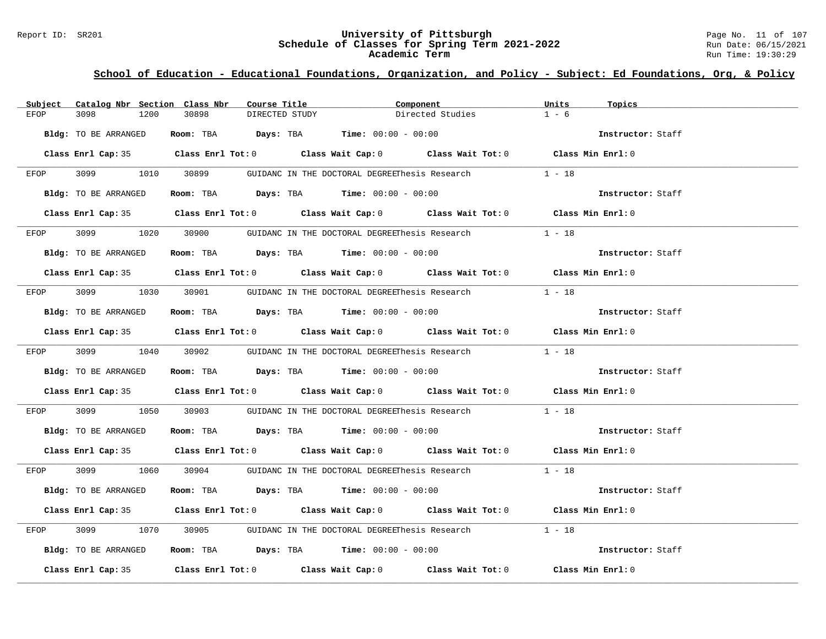#### Report ID: SR201 **University of Pittsburgh** Page No. 11 of 107 **Schedule of Classes for Spring Term 2021-2022** Run Date: 06/15/2021 **Academic Term** Run Time: 19:30:29

| Subject | Catalog Nbr Section Class Nbr | Course Title            | Component                                                                                  |                  | Units<br>Topics   |  |
|---------|-------------------------------|-------------------------|--------------------------------------------------------------------------------------------|------------------|-------------------|--|
| EFOP    | 3098<br>1200                  | 30898<br>DIRECTED STUDY |                                                                                            | Directed Studies | $1 - 6$           |  |
|         | Bldg: TO BE ARRANGED          |                         | Room: TBA $Days:$ TBA $Time: 00:00 - 00:00$                                                |                  | Instructor: Staff |  |
|         |                               |                         |                                                                                            |                  |                   |  |
|         |                               |                         | Class Enrl Cap: 35 Class Enrl Tot: 0 Class Wait Cap: 0 Class Wait Tot: 0 Class Min Enrl: 0 |                  |                   |  |
| EFOP    |                               |                         | 3099 1010 30899 GUIDANC IN THE DOCTORAL DEGREEThesis Research                              |                  | $1 - 18$          |  |
|         | Bldg: TO BE ARRANGED          |                         | Room: TBA $Days:$ TBA $Time: 00:00 - 00:00$                                                |                  | Instructor: Staff |  |
|         |                               |                         | Class Enrl Cap: 35 Class Enrl Tot: 0 Class Wait Cap: 0 Class Wait Tot: 0 Class Min Enrl: 0 |                  |                   |  |
| EFOP    | 3099 700                      |                         | 1020 30900 GUIDANC IN THE DOCTORAL DEGREEThesis Research                                   |                  | $1 - 18$          |  |
|         | Bldg: TO BE ARRANGED          |                         | Room: TBA $Days:$ TBA $Time: 00:00 - 00:00$                                                |                  | Instructor: Staff |  |
|         |                               |                         | Class Enrl Cap: 35 Class Enrl Tot: 0 Class Wait Cap: 0 Class Wait Tot: 0 Class Min Enrl: 0 |                  |                   |  |
|         |                               |                         |                                                                                            |                  |                   |  |
| EFOP    |                               |                         | 3099 1030 30901 GUIDANC IN THE DOCTORAL DEGREEThesis Research                              |                  | $1 - 18$          |  |
|         | Bldg: TO BE ARRANGED          |                         | Room: TBA $\rule{1em}{0.15mm}$ Days: TBA $\rule{1.15mm}{0.15mm}$ Time: $00:00 - 00:00$     |                  | Instructor: Staff |  |
|         |                               |                         | Class Enrl Cap: 35 Class Enrl Tot: 0 Class Wait Cap: 0 Class Wait Tot: 0 Class Min Enrl: 0 |                  |                   |  |
|         |                               |                         | EFOP 3099 1040 30902 GUIDANC IN THE DOCTORAL DEGREEThesis Research 1 - 18                  |                  |                   |  |
|         | Bldg: TO BE ARRANGED          |                         | Room: TBA $Days:$ TBA Time: $00:00 - 00:00$                                                |                  | Instructor: Staff |  |
|         |                               |                         | Class Enrl Cap: 35 Class Enrl Tot: 0 Class Wait Cap: 0 Class Wait Tot: 0 Class Min Enrl: 0 |                  |                   |  |
| EFOP    | 3099 700                      |                         | 1050 30903 GUIDANC IN THE DOCTORAL DEGREEThesis Research 1 - 18                            |                  |                   |  |
|         | Bldg: TO BE ARRANGED          |                         | Room: TBA $Days:$ TBA $Time:$ $00:00 - 00:00$                                              |                  | Instructor: Staff |  |
|         |                               |                         | Class Enrl Cap: 35 Class Enrl Tot: 0 Class Wait Cap: 0 Class Wait Tot: 0 Class Min Enrl: 0 |                  |                   |  |
|         |                               |                         | EFOP 3099 1060 30904 GUIDANC IN THE DOCTORAL DEGREEThesis Research 1 - 18                  |                  |                   |  |
|         | Bldg: TO BE ARRANGED          |                         | Room: TBA $Days: TBA$ Time: $00:00 - 00:00$                                                |                  | Instructor: Staff |  |
|         |                               |                         | Class Enrl Cap: 35 Class Enrl Tot: 0 Class Wait Cap: 0 Class Wait Tot: 0 Class Min Enrl: 0 |                  |                   |  |
| EFOP    | 3099                          | 1070 30905              | GUIDANC IN THE DOCTORAL DEGREEThesis Research $1 - 18$                                     |                  |                   |  |
|         | Bldg: TO BE ARRANGED          |                         | Room: TBA $\rule{1em}{0.15mm}$ Days: TBA $\rule{1.15mm}{0.15mm}$ Time: $00:00 - 00:00$     |                  | Instructor: Staff |  |
|         |                               |                         | Class Enrl Cap: 35 Class Enrl Tot: 0 Class Wait Cap: 0 Class Wait Tot: 0 Class Min Enrl: 0 |                  |                   |  |
|         |                               |                         |                                                                                            |                  |                   |  |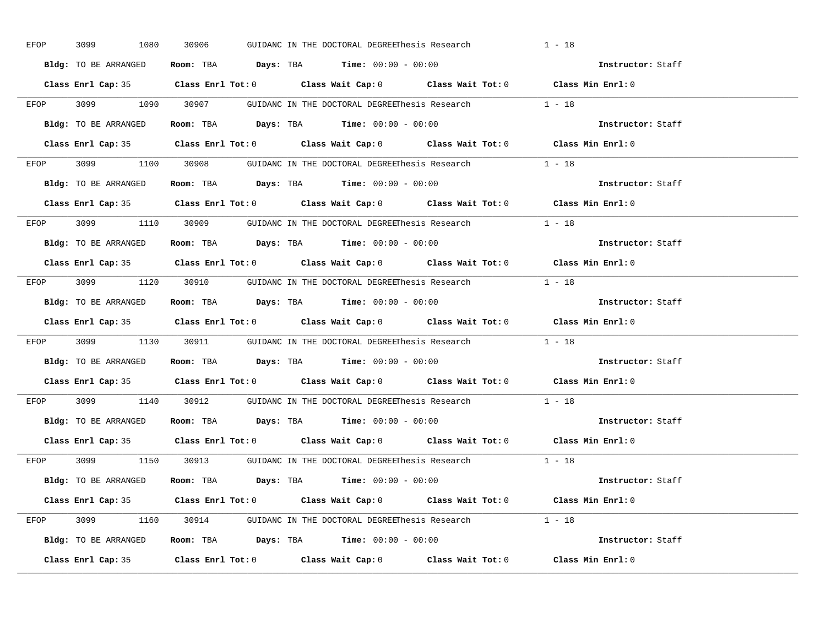| EFOP | 3099 700<br>1080     | 30906 | GUIDANC IN THE DOCTORAL DEGREEThesis Research                                              |                                                               | $1 - 18$          |
|------|----------------------|-------|--------------------------------------------------------------------------------------------|---------------------------------------------------------------|-------------------|
|      | Bldg: TO BE ARRANGED |       | Room: TBA $Days$ : TBA Time: $00:00 - 00:00$                                               |                                                               | Instructor: Staff |
|      |                      |       | Class Enrl Cap: 35 Class Enrl Tot: 0 Class Wait Cap: 0 Class Wait Tot: 0 Class Min Enrl: 0 |                                                               |                   |
|      |                      |       | EFOP 3099 1090 30907 GUIDANC IN THE DOCTORAL DEGREEThesis Research 1 - 18                  |                                                               |                   |
|      | Bldg: TO BE ARRANGED |       | Room: TBA $Days:$ TBA Time: $00:00 - 00:00$                                                |                                                               | Instructor: Staff |
|      |                      |       | Class Enrl Cap: 35 Class Enrl Tot: 0 Class Wait Cap: 0 Class Wait Tot: 0 Class Min Enrl: 0 |                                                               |                   |
|      |                      |       | EFOP 3099 1100 30908 GUIDANC IN THE DOCTORAL DEGREEThesis Research 1 - 18                  |                                                               |                   |
|      |                      |       | <b>Bldg:</b> TO BE ARRANGED <b>Room:</b> TBA <b>Days:</b> TBA <b>Time:</b> $00:00 - 00:00$ |                                                               | Instructor: Staff |
|      |                      |       | Class Enrl Cap: 35 Class Enrl Tot: 0 Class Wait Cap: 0 Class Wait Tot: 0 Class Min Enrl: 0 |                                                               |                   |
|      |                      |       | EFOP 3099 1110 30909 GUIDANC IN THE DOCTORAL DEGREEThesis Research 1 - 18                  |                                                               |                   |
|      | Bldg: TO BE ARRANGED |       | Room: TBA $\rule{1em}{0.15mm}$ Days: TBA $\rule{1.5mm}{0.15mm}$ Time: $00:00 - 00:00$      |                                                               | Instructor: Staff |
|      |                      |       | Class Enrl Cap: 35 Class Enrl Tot: 0 Class Wait Cap: 0 Class Wait Tot: 0 Class Min Enrl: 0 |                                                               |                   |
|      |                      |       | EFOP 3099 1120 30910 GUIDANC IN THE DOCTORAL DEGREEThesis Research 1 - 18                  |                                                               |                   |
|      | Bldg: TO BE ARRANGED |       | Room: TBA $Days:$ TBA $Time: 00:00 - 00:00$                                                |                                                               | Instructor: Staff |
|      |                      |       | Class Enrl Cap: 35 Class Enrl Tot: 0 Class Wait Cap: 0 Class Wait Tot: 0 Class Min Enrl: 0 |                                                               |                   |
|      |                      |       | EFOP 3099 1130 30911 GUIDANC IN THE DOCTORAL DEGREEThesis Research 1 - 18                  |                                                               |                   |
|      |                      |       | Bldg: TO BE ARRANGED Room: TBA Days: TBA Time: 00:00 - 00:00                               |                                                               | Instructor: Staff |
|      |                      |       | Class Enrl Cap: 35 Class Enrl Tot: 0 Class Wait Cap: 0 Class Wait Tot: 0 Class Min Enrl: 0 |                                                               |                   |
| EFOP |                      |       |                                                                                            |                                                               |                   |
|      |                      |       |                                                                                            | 3099 1140 30912 GUIDANC IN THE DOCTORAL DEGREEThesis Research | $1 - 18$          |
|      |                      |       | Bldg: TO BE ARRANGED Room: TBA Days: TBA Time: 00:00 - 00:00                               |                                                               | Instructor: Staff |
|      |                      |       | Class Enrl Cap: 35 Class Enrl Tot: 0 Class Wait Cap: 0 Class Wait Tot: 0 Class Min Enrl: 0 |                                                               |                   |
|      |                      |       | EFOP 3099 1150 30913 GUIDANC IN THE DOCTORAL DEGREEThesis Research 1 - 18                  |                                                               |                   |
|      |                      |       | Bldg: TO BE ARRANGED Room: TBA Days: TBA Time: 00:00 - 00:00                               |                                                               | Instructor: Staff |
|      |                      |       | Class Enrl Cap: 35 Class Enrl Tot: 0 Class Wait Cap: 0 Class Wait Tot: 0 Class Min Enrl: 0 |                                                               |                   |
|      |                      |       | EFOP 3099 1160 30914 GUIDANC IN THE DOCTORAL DEGREEThesis Research 1 - 18                  |                                                               |                   |
|      |                      |       | Bldg: TO BE ARRANGED Room: TBA Days: TBA Time: 00:00 - 00:00                               |                                                               | Instructor: Staff |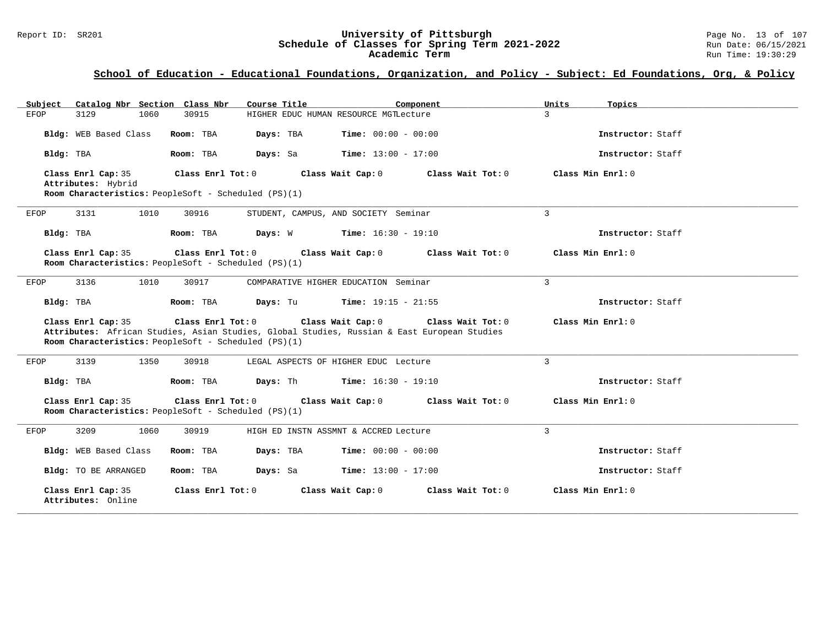#### Report ID: SR201 **University of Pittsburgh** Page No. 13 of 107 **Schedule of Classes for Spring Term 2021-2022** Run Date: 06/15/2021 **Academic Term** Run Time: 19:30:29

| Catalog Nbr Section Class Nbr<br>Subject | Course Title                                                              | Component                                                                                                                             | Units<br>Topics   |
|------------------------------------------|---------------------------------------------------------------------------|---------------------------------------------------------------------------------------------------------------------------------------|-------------------|
| 3129<br>1060<br>EFOP                     | 30915                                                                     | HIGHER EDUC HUMAN RESOURCE MGTLecture                                                                                                 | $\mathbf{R}$      |
| Bldg: WEB Based Class                    | Days: TBA<br>Room: TBA                                                    | <b>Time:</b> $00:00 - 00:00$                                                                                                          | Instructor: Staff |
| Bldg: TBA                                | Room: TBA<br>Days: Sa                                                     | <b>Time:</b> $13:00 - 17:00$                                                                                                          | Instructor: Staff |
| Class Enrl Cap: 35<br>Attributes: Hybrid | Class Enrl Tot: 0<br>Room Characteristics: PeopleSoft - Scheduled (PS)(1) | Class Wait Cap: 0<br>Class Wait Tot: 0                                                                                                | Class Min Enrl: 0 |
| 3131<br>1010<br>EFOP                     | 30916                                                                     | STUDENT, CAMPUS, AND SOCIETY Seminar                                                                                                  | 3                 |
| Bldg: TBA                                | Room: TBA<br>Days: W                                                      | $Time: 16:30 - 19:10$                                                                                                                 | Instructor: Staff |
| Class Enrl Cap: 35                       | Class Enrl Tot: 0<br>Room Characteristics: PeopleSoft - Scheduled (PS)(1) | Class Wait Cap: 0<br>Class Wait Tot: 0                                                                                                | Class Min Enrl: 0 |
| 3136<br>1010<br>EFOP                     | 30917                                                                     | COMPARATIVE HIGHER EDUCATION Seminar                                                                                                  | $\mathcal{L}$     |
| Bldg: TBA                                | Days: Tu<br>Room: TBA                                                     | <b>Time:</b> $19:15 - 21:55$                                                                                                          | Instructor: Staff |
| Class Enrl Cap: 35                       | Class Enrl Tot: 0<br>Room Characteristics: PeopleSoft - Scheduled (PS)(1) | Class Wait Cap: 0<br>Class Wait Tot: 0<br>Attributes: African Studies, Asian Studies, Global Studies, Russian & East European Studies | Class Min Enrl: 0 |
| 3139<br>1350<br>EFOP                     | 30918                                                                     | LEGAL ASPECTS OF HIGHER EDUC Lecture                                                                                                  | 3                 |
| Bldg: TBA                                | Days: Th<br>Room: TBA                                                     | $Time: 16:30 - 19:10$                                                                                                                 | Instructor: Staff |
| Class Enrl Cap: 35                       | Class Enrl Tot: 0<br>Room Characteristics: PeopleSoft - Scheduled (PS)(1) | Class Wait Cap: 0<br>Class Wait Tot: 0                                                                                                | Class Min Enrl: 0 |
| 3209<br>1060<br>EFOP                     | 30919                                                                     | HIGH ED INSTN ASSMNT & ACCRED Lecture                                                                                                 | 3                 |
| Bldg: WEB Based Class                    | Days: TBA<br>Room: TBA                                                    | <b>Time:</b> $00:00 - 00:00$                                                                                                          | Instructor: Staff |
| Bldg: TO BE ARRANGED                     | Room: TBA<br>Days: Sa                                                     | <b>Time:</b> $13:00 - 17:00$                                                                                                          | Instructor: Staff |
| Class Enrl Cap: 35<br>Attributes: Online | Class Enrl Tot: 0                                                         | Class Wait Cap: 0<br>Class Wait Tot: 0                                                                                                | Class Min Enrl: 0 |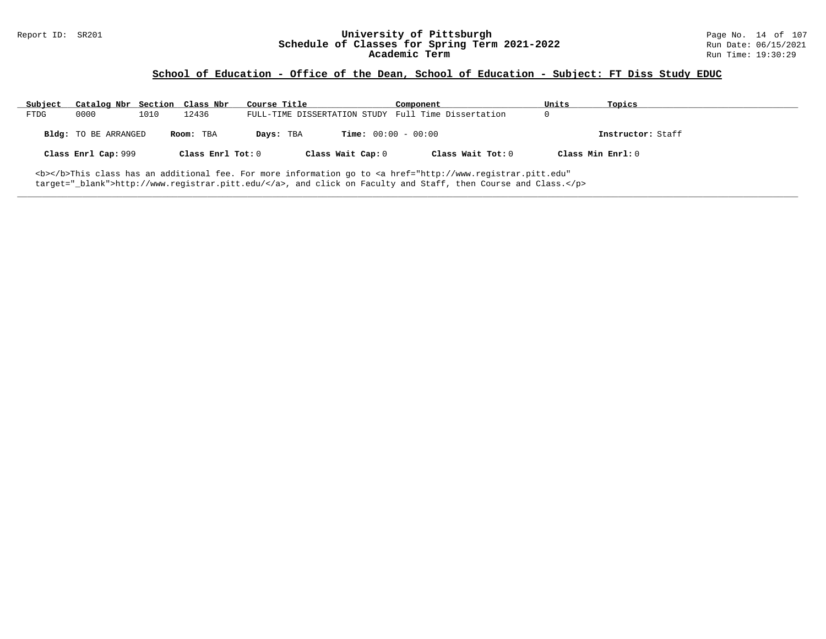# Report ID: SR201 **University of Pittsburgh University of Pittsburgh** Page No. 14 of 107<br>**Schedule of Classes for Spring Term 2021-2022** Run Date: 06/15/2021 Schedule of Classes for Spring Term 2021-2022<br>Academic Term

### **School of Education - Office of the Dean, School of Education - Subject: FT Diss Study EDUC**

| Subject | Catalog Nbr Section Class Nbr                                                                                                |      |                   | Course Title |                              | Component                                           | Units             | Topics            |
|---------|------------------------------------------------------------------------------------------------------------------------------|------|-------------------|--------------|------------------------------|-----------------------------------------------------|-------------------|-------------------|
| FTDG    | 0000                                                                                                                         | 1010 | 12436             |              |                              | FULL-TIME DISSERTATION STUDY Full Time Dissertation |                   |                   |
|         | <b>Bldg:</b> TO BE ARRANGED                                                                                                  |      | Room: TBA         | Days: TBA    | <b>Time:</b> $00:00 - 00:00$ |                                                     |                   | Instructor: Staff |
|         | Class Enrl Cap: 999                                                                                                          |      | Class Enrl Tot: 0 |              | Class Wait Cap: 0            | Class Wait Tot: $0$                                 | Class Min Enrl: 0 |                   |
|         | <b></b> This class has an additional fee. For more information go to <a <="" href="http://www.registrar.pitt.edu" td=""></a> |      |                   |              |                              |                                                     |                   |                   |

**\_\_\_\_\_\_\_\_\_\_\_\_\_\_\_\_\_\_\_\_\_\_\_\_\_\_\_\_\_\_\_\_\_\_\_\_\_\_\_\_\_\_\_\_\_\_\_\_\_\_\_\_\_\_\_\_\_\_\_\_\_\_\_\_\_\_\_\_\_\_\_\_\_\_\_\_\_\_\_\_\_\_\_\_\_\_\_\_\_\_\_\_\_\_\_\_\_\_\_\_\_\_\_\_\_\_\_\_\_\_\_\_\_\_\_\_\_\_\_\_\_\_\_\_\_\_\_\_\_\_\_\_\_\_\_\_\_\_\_\_\_\_\_\_\_\_\_\_\_\_\_\_\_\_\_\_**

target="\_blank">http://www.registrar.pitt.edu/</a>, and click on Faculty and Staff, then Course and Class.</p>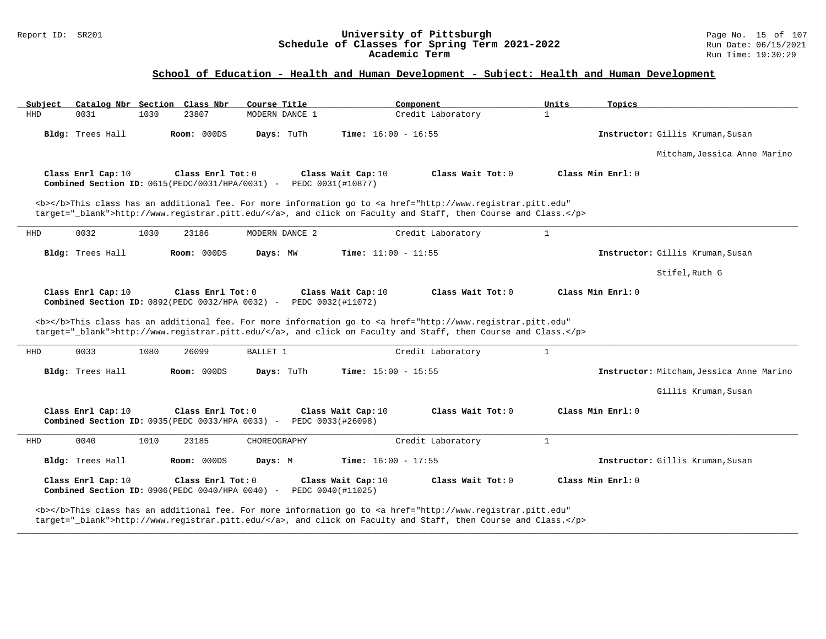#### Report ID: SR201 **University of Pittsburgh** Page No. 15 of 107 **Schedule of Classes for Spring Term 2021-2022** Run Date: 06/15/2021 **Academic Term** Run Time: 19:30:29

### **School of Education - Health and Human Development - Subject: Health and Human Development**

| Subject    | Catalog Nbr Section Class Nbr                                           |      |                   | Course Title                                                               |                                         | Component                                                                                                                                                                                                                          | Units        | Topics                                   |
|------------|-------------------------------------------------------------------------|------|-------------------|----------------------------------------------------------------------------|-----------------------------------------|------------------------------------------------------------------------------------------------------------------------------------------------------------------------------------------------------------------------------------|--------------|------------------------------------------|
| <b>HHD</b> | 0031                                                                    | 1030 | 23807             | MODERN DANCE 1                                                             |                                         | Credit Laboratory                                                                                                                                                                                                                  | $\mathbf{1}$ |                                          |
|            | Bldg: Trees Hall                                                        |      | Room: 000DS       | Days: TuTh                                                                 | <b>Time:</b> $16:00 - 16:55$            |                                                                                                                                                                                                                                    |              | Instructor: Gillis Kruman, Susan         |
|            |                                                                         |      |                   |                                                                            |                                         |                                                                                                                                                                                                                                    |              | Mitcham, Jessica Anne Marino             |
|            | Class Enrl Cap: 10<br>Combined Section ID: $0615(PEDC/0031/HPA/0031)$ - |      | Class Enrl Tot: 0 |                                                                            | Class Wait Cap: 10<br>PEDC 0031(#10877) | Class Wait Tot: 0                                                                                                                                                                                                                  |              | Class Min Enrl: 0                        |
|            |                                                                         |      |                   |                                                                            |                                         | <b></b> This class has an additional fee. For more information go to <a <br="" href="http://www.registrar.pitt.edu">target=" blank"&gt;http://www.registrar.pitt.edu/</a> , and click on Faculty and Staff, then Course and Class. |              |                                          |
| HHD        | 0032                                                                    | 1030 | 23186             | MODERN DANCE 2                                                             |                                         | Credit Laboratory                                                                                                                                                                                                                  | $\mathbf{1}$ |                                          |
|            | Bldg: Trees Hall                                                        |      | Room: 000DS       | Days: MW                                                                   | <b>Time:</b> $11:00 - 11:55$            |                                                                                                                                                                                                                                    |              | Instructor: Gillis Kruman, Susan         |
|            |                                                                         |      |                   |                                                                            |                                         |                                                                                                                                                                                                                                    |              | Stifel, Ruth G                           |
|            | Class Enrl Cap: 10                                                      |      | Class Enrl Tot: 0 | Combined Section ID: 0892(PEDC 0032/HPA 0032) - PEDC 0032(#11072)          | Class Wait Cap: 10                      | Class Wait Tot: 0                                                                                                                                                                                                                  |              | Class Min Enrl: 0                        |
|            |                                                                         |      |                   |                                                                            |                                         | <b></b> This class has an additional fee. For more information go to <a <br="" href="http://www.registrar.pitt.edu">target="_blank"&gt;http://www.registrar.pitt.edu/</a> , and click on Faculty and Staff, then Course and Class. |              |                                          |
| HHD        | 0033                                                                    | 1080 | 26099             | BALLET 1                                                                   |                                         | Credit Laboratory                                                                                                                                                                                                                  | $\mathbf{1}$ |                                          |
|            | Bldg: Trees Hall                                                        |      | Room: 000DS       | Days: TuTh                                                                 | <b>Time:</b> $15:00 - 15:55$            |                                                                                                                                                                                                                                    |              | Instructor: Mitcham, Jessica Anne Marino |
|            |                                                                         |      |                   |                                                                            |                                         |                                                                                                                                                                                                                                    |              | Gillis Kruman, Susan                     |
|            | Class Enrl Cap: 10                                                      |      | Class Enrl Tot: 0 | <b>Combined Section ID: 0935 (PEDC 0033/HPA 0033) - PEDC 0033 (#26098)</b> | Class Wait Cap: 10                      | Class Wait Tot: 0                                                                                                                                                                                                                  |              | Class Min Enrl: 0                        |
| HHD        | 0040                                                                    | 1010 | 23185             | CHOREOGRAPHY                                                               |                                         | Credit Laboratory                                                                                                                                                                                                                  | $\mathbf{1}$ |                                          |
|            | Bldg: Trees Hall                                                        |      | Room: 000DS       | Days: M                                                                    | <b>Time:</b> $16:00 - 17:55$            |                                                                                                                                                                                                                                    |              | Instructor: Gillis Kruman, Susan         |
|            | Class Enrl Cap: 10                                                      |      | Class Enrl Tot: 0 |                                                                            | Class Wait Cap: 10                      |                                                                                                                                                                                                                                    |              | Class Min $Enr1: 0$                      |
|            | Combined Section ID: 0906(PEDC 0040/HPA 0040) -                         |      |                   |                                                                            | PEDC 0040(#11025)                       | Class Wait Tot: $0$                                                                                                                                                                                                                |              |                                          |

**\_\_\_\_\_\_\_\_\_\_\_\_\_\_\_\_\_\_\_\_\_\_\_\_\_\_\_\_\_\_\_\_\_\_\_\_\_\_\_\_\_\_\_\_\_\_\_\_\_\_\_\_\_\_\_\_\_\_\_\_\_\_\_\_\_\_\_\_\_\_\_\_\_\_\_\_\_\_\_\_\_\_\_\_\_\_\_\_\_\_\_\_\_\_\_\_\_\_\_\_\_\_\_\_\_\_\_\_\_\_\_\_\_\_\_\_\_\_\_\_\_\_\_\_\_\_\_\_\_\_\_\_\_\_\_\_\_\_\_\_\_\_\_\_\_\_\_\_\_\_\_\_\_\_\_\_**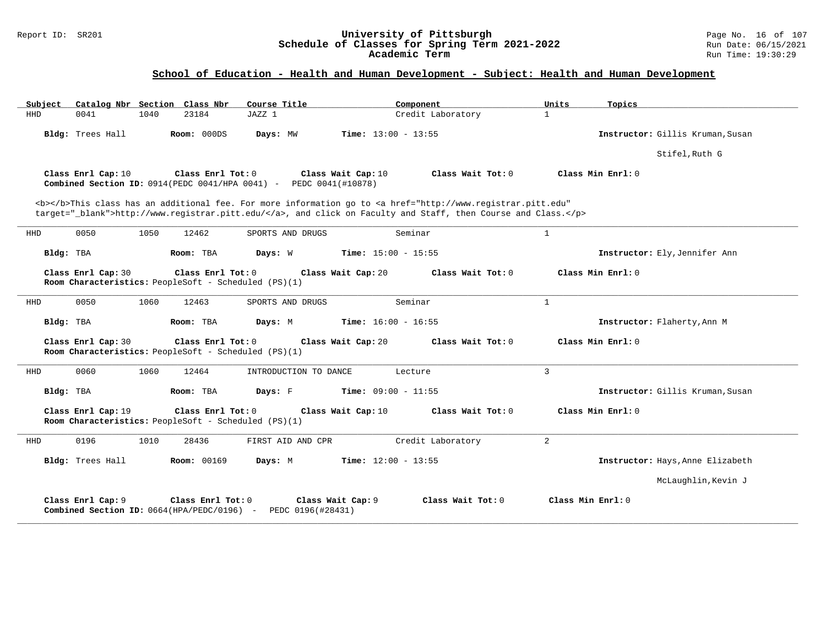#### Report ID: SR201 **University of Pittsburgh** Page No. 16 of 107 **Schedule of Classes for Spring Term 2021-2022** Run Date: 06/15/2021 **Academic Term** Run Time: 19:30:29

| Catalog Nbr Section Class Nbr<br>Subject                                   | Course Title                                                                                                                                                                                                                       | Component                         | Units<br>Topics                  |
|----------------------------------------------------------------------------|------------------------------------------------------------------------------------------------------------------------------------------------------------------------------------------------------------------------------------|-----------------------------------|----------------------------------|
| <b>HHD</b><br>0041<br>1040                                                 | 23184<br>JAZZ 1                                                                                                                                                                                                                    | Credit Laboratory<br>$\mathbf{1}$ |                                  |
| Bldg: Trees Hall                                                           | Room: 000DS<br>Time: $13:00 - 13:55$<br>Days: MW                                                                                                                                                                                   |                                   | Instructor: Gillis Kruman, Susan |
|                                                                            |                                                                                                                                                                                                                                    |                                   | Stifel, Ruth G                   |
| Class Enrl Cap: 10                                                         | Class Enrl Tot: 0<br>Class Wait Cap: 10<br><b>Combined Section ID:</b> $0914$ (PEDC $0041$ /HPA $0041$ ) - PEDC $0041$ (#10878)                                                                                                    | Class Wait Tot: 0                 | Class Min Enrl: 0                |
|                                                                            | <b></b> This class has an additional fee. For more information go to <a <br="" href="http://www.registrar.pitt.edu">target="_blank"&gt;http://www.registrar.pitt.edu/</a> , and click on Faculty and Staff, then Course and Class. |                                   |                                  |
| 0050<br>1050<br>HHD                                                        | 12462<br>SPORTS AND DRUGS                                                                                                                                                                                                          | $\mathbf{1}$<br>Seminar           |                                  |
| Bldg: TBA<br>Room: TBA                                                     | Time: $15:00 - 15:55$<br>Days: W                                                                                                                                                                                                   |                                   | Instructor: Ely, Jennifer Ann    |
| Class Enrl Cap: 30<br>Room Characteristics: PeopleSoft - Scheduled (PS)(1) | Class Enrl Tot: 0<br>Class Wait Cap: 20                                                                                                                                                                                            | Class Wait Tot: 0                 | Class Min Enrl: 0                |
| 0050<br>1060<br>HHD                                                        | 12463<br>SPORTS AND DRUGS                                                                                                                                                                                                          | Seminar<br>$\mathbf{1}$           |                                  |
| Bldg: TBA<br>Room: TBA                                                     | <b>Time:</b> $16:00 - 16:55$<br>Days: M                                                                                                                                                                                            |                                   | Instructor: Flaherty, Ann M      |
| Class Enrl Cap: 30<br>Room Characteristics: PeopleSoft - Scheduled (PS)(1) | Class Enrl Tot: 0<br>Class Wait Cap: 20                                                                                                                                                                                            | Class Wait Tot: 0                 | Class Min Enrl: 0                |
| 0060<br>1060<br><b>HHD</b>                                                 | 12464<br>INTRODUCTION TO DANCE                                                                                                                                                                                                     | $\overline{3}$<br>Lecture         |                                  |
| Bldg: TBA<br>Room: TBA                                                     | Days: F<br><b>Time:</b> $09:00 - 11:55$                                                                                                                                                                                            |                                   | Instructor: Gillis Kruman, Susan |
| Class Enrl Cap: 19<br>Room Characteristics: PeopleSoft - Scheduled (PS)(1) | Class Wait Cap: 10<br>Class Enrl Tot: 0                                                                                                                                                                                            | Class Wait Tot: 0                 | Class Min Enrl: 0                |
| 0196<br>1010<br>HHD                                                        | 28436<br>FIRST AID AND CPR                                                                                                                                                                                                         | 2<br>Credit Laboratory            |                                  |
| Bldg: Trees Hall                                                           | Time: $12:00 - 13:55$<br><b>Room: 00169</b><br>Days: M                                                                                                                                                                             |                                   | Instructor: Hays, Anne Elizabeth |
|                                                                            |                                                                                                                                                                                                                                    |                                   | McLaughlin, Kevin J              |
| Class Enrl Cap: 9<br>Combined Section ID: 0664(HPA/PEDC/0196) -            | Class Enrl Tot: 0<br>Class Wait Cap: 9<br>PEDC 0196(#28431)                                                                                                                                                                        | Class Wait Tot: 0                 | Class Min Enrl: 0                |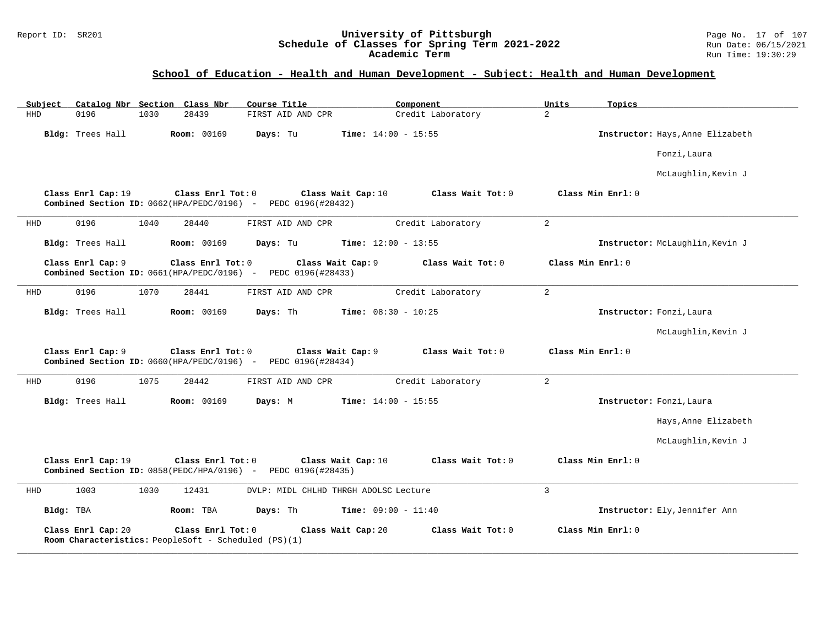#### Report ID: SR201 **University of Pittsburgh** Page No. 17 of 107 **Schedule of Classes for Spring Term 2021-2022** Run Date: 06/15/2021 **Academic Term** Run Time: 19:30:29

| Subject    |                    | Catalog Nbr Section Class Nbr                                             | Course Title                                                                                  | Component                    | Units             | Topics                           |
|------------|--------------------|---------------------------------------------------------------------------|-----------------------------------------------------------------------------------------------|------------------------------|-------------------|----------------------------------|
| <b>HHD</b> | 0196<br>1030       | 28439                                                                     | FIRST AID AND CPR                                                                             | Credit Laboratory            | $\overline{a}$    |                                  |
|            | Bldg: Trees Hall   | <b>Room: 00169</b>                                                        | Days: Tu                                                                                      | <b>Time:</b> $14:00 - 15:55$ |                   | Instructor: Hays, Anne Elizabeth |
|            |                    |                                                                           |                                                                                               |                              |                   | Fonzi, Laura                     |
|            |                    |                                                                           |                                                                                               |                              |                   | McLaughlin, Kevin J              |
|            | Class Enrl Cap: 19 | Class Enrl Tot: 0                                                         | Class Wait Cap: 10<br><b>Combined Section ID:</b> $0662(HPA/PEDC/0196)$ - PEDC 0196(#28432)   | Class Wait Tot: 0            | Class Min Enrl: 0 |                                  |
| HHD        | 0196<br>1040       | 28440                                                                     | FIRST AID AND CPR                                                                             | Credit Laboratory            | $\overline{a}$    |                                  |
|            | Bldg: Trees Hall   | <b>Room: 00169</b>                                                        | Days: Tu                                                                                      | <b>Time:</b> $12:00 - 13:55$ |                   | Instructor: McLaughlin, Kevin J  |
|            | Class Enrl Cap: 9  | Class Enrl Tot: 0                                                         | Class Wait Cap: 9<br>Combined Section ID: 0661(HPA/PEDC/0196) - PEDC 0196(#28433)             | Class Wait Tot: 0            | Class Min Enrl: 0 |                                  |
| HHD        | 0196<br>1070       | 28441                                                                     | FIRST AID AND CPR                                                                             | Credit Laboratory            | $\overline{a}$    |                                  |
|            | Bldg: Trees Hall   | <b>Room: 00169</b>                                                        | Days: Th                                                                                      | <b>Time:</b> $08:30 - 10:25$ |                   | Instructor: Fonzi, Laura         |
|            |                    |                                                                           |                                                                                               |                              |                   | McLaughlin, Kevin J              |
|            | Class Enrl Cap: 9  | Class Enrl Tot: 0                                                         | Class Wait Cap: 9<br>Combined Section ID: $0660$ (HPA/PEDC/0196) - PEDC 0196(#28434)          | Class Wait Tot: $0$          | Class Min Enrl: 0 |                                  |
| HHD        | 1075<br>0196       | 28442                                                                     | FIRST AID AND CPR                                                                             | Credit Laboratory            | $\overline{a}$    |                                  |
|            | Bldg: Trees Hall   | <b>Room: 00169</b>                                                        | Days: M                                                                                       | <b>Time:</b> $14:00 - 15:55$ |                   | Instructor: Fonzi, Laura         |
|            |                    |                                                                           |                                                                                               |                              |                   | Hays, Anne Elizabeth             |
|            |                    |                                                                           |                                                                                               |                              |                   | McLaughlin, Kevin J              |
|            | Class Enrl Cap: 19 | Class Enrl Tot: 0                                                         | Class Wait Cap: 10<br><b>Combined Section ID:</b> $0858(PEDC/HPA/0196)$ - PEDC $0196(H28435)$ | Class Wait Tot: 0            | Class Min Enrl: 0 |                                  |
| HHD        | 1003<br>1030       | 12431                                                                     | DVLP: MIDL CHLHD THRGH ADOLSC Lecture                                                         |                              | $\overline{3}$    |                                  |
| Bldg: TBA  |                    | Room: TBA                                                                 | Days: Th                                                                                      | <b>Time:</b> $09:00 - 11:40$ |                   | Instructor: Ely, Jennifer Ann    |
|            | Class Enrl Cap: 20 | Class Enrl Tot: 0<br>Room Characteristics: PeopleSoft - Scheduled (PS)(1) | Class Wait Cap: 20                                                                            | Class Wait Tot: 0            | Class Min Enrl: 0 |                                  |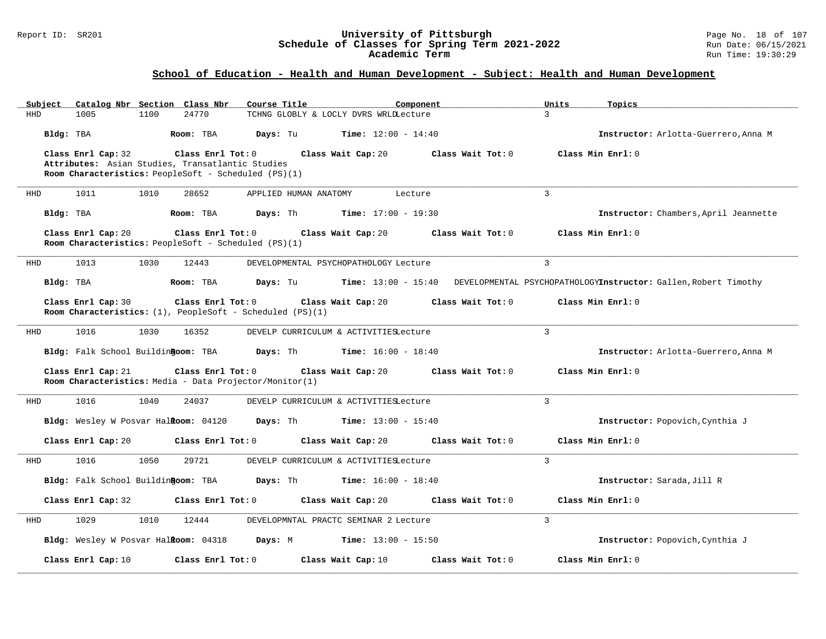#### Report ID: SR201 **University of Pittsburgh** Page No. 18 of 107 **Schedule of Classes for Spring Term 2021-2022** Run Date: 06/15/2021 **Academic Term** Run Time: 19:30:29

| Subject Catalog Nbr Section Class Nbr                                                                    | Course Title<br>Component                       | Units                                                                                      | Topics                                |
|----------------------------------------------------------------------------------------------------------|-------------------------------------------------|--------------------------------------------------------------------------------------------|---------------------------------------|
| 1005<br>1100<br>24770<br><b>HHD</b>                                                                      | TCHNG GLOBLY & LOCLY DVRS WRLDLecture           | $\mathcal{L}$                                                                              |                                       |
| Bldg: TBA<br>Room: TBA                                                                                   | $Time: 12:00 - 14:40$<br>Days: Tu               |                                                                                            | Instructor: Arlotta-Guerrero, Anna M  |
| Class Enrl Cap: 32                                                                                       | Class Enrl Tot: 0<br>Class Wait Cap: 20         | Class Wait Tot: 0<br>Class Min Enrl: 0                                                     |                                       |
| Attributes: Asian Studies, Transatlantic Studies<br>Room Characteristics: PeopleSoft - Scheduled (PS)(1) |                                                 |                                                                                            |                                       |
|                                                                                                          |                                                 |                                                                                            |                                       |
| 1011<br>1010<br>28652<br>HHD                                                                             | APPLIED HUMAN ANATOMY<br>Lecture                | $\mathcal{L}$                                                                              |                                       |
| Bldg: TBA<br>Room: TBA                                                                                   | Days: Th<br><b>Time:</b> $17:00 - 19:30$        |                                                                                            | Instructor: Chambers, April Jeannette |
| Class Enrl Cap: 20                                                                                       | Class Enrl Tot: 0<br>Class Wait Cap: 20         | Class Wait Tot: 0<br>Class Min Enrl: 0                                                     |                                       |
| Room Characteristics: PeopleSoft - Scheduled (PS)(1)                                                     |                                                 |                                                                                            |                                       |
| 1013<br>1030<br>12443<br>HHD                                                                             | DEVELOPMENTAL PSYCHOPATHOLOGY Lecture           | $\overline{3}$                                                                             |                                       |
| Bldg: TBA<br>Room: TBA                                                                                   | Days: Tu                                        | <b>Time:</b> 13:00 - 15:40 DEVELOPMENTAL PSYCHOPATHOLOGYInstructor: Gallen, Robert Timothy |                                       |
| Class Enrl Cap: 30                                                                                       | Class Enrl Tot: 0<br>Class Wait Cap: 20         | Class Min Enrl: 0<br>Class Wait Tot: 0                                                     |                                       |
| Room Characteristics: $(1)$ , PeopleSoft - Scheduled $(PS)(1)$                                           |                                                 |                                                                                            |                                       |
| 1016<br>1030<br>16352<br>HHD                                                                             | DEVELP CURRICULUM & ACTIVITIESLecture           | $\mathcal{L}$                                                                              |                                       |
| Bldg: Falk School BuildinRoom: TBA                                                                       | Days: Th<br>$Time: 16:00 - 18:40$               |                                                                                            | Instructor: Arlotta-Guerrero, Anna M  |
|                                                                                                          |                                                 |                                                                                            |                                       |
| Class Enrl Cap: 21<br>Room Characteristics: Media - Data Projector/Monitor(1)                            | Class Enrl Tot: 0<br>Class Wait Cap: 20         | Class Wait Tot: 0<br>Class Min Enrl: 0                                                     |                                       |
|                                                                                                          |                                                 |                                                                                            |                                       |
| 1016<br>1040<br>24037<br>HHD                                                                             | DEVELP CURRICULUM & ACTIVITIESLecture           | $\mathbf{3}$                                                                               |                                       |
| Bldg: Wesley W Posvar Halkoom: 04120                                                                     | Days: Th<br>$Time: 13:00 - 15:40$               |                                                                                            | Instructor: Popovich, Cynthia J       |
| Class Enrl Cap: 20                                                                                       | Class Enrl Tot: 0<br>Class Wait Cap: 20         | Class Wait Tot: 0<br>Class Min Enrl: 0                                                     |                                       |
| 1016<br>1050<br>29721<br>HHD                                                                             | DEVELP CURRICULUM & ACTIVITIESLecture           | 3                                                                                          |                                       |
| Bldg: Falk School BuildinRoom: TBA                                                                       | <b>Days:</b> Th<br><b>Time:</b> $16:00 - 18:40$ |                                                                                            | Instructor: Sarada, Jill R            |
|                                                                                                          |                                                 |                                                                                            |                                       |
| Class Enrl Cap: 32                                                                                       | Class Enrl Tot: 0<br>Class Wait Cap: 20         | Class Wait Tot: 0<br>Class Min Enrl: 0                                                     |                                       |
| 1029<br>1010<br>HHD<br>12444                                                                             | DEVELOPMNTAL PRACTC SEMINAR 2 Lecture           | $\overline{3}$                                                                             |                                       |
| Bldg: Wesley W Posvar Halkoom: 04318                                                                     | Days: M<br><b>Time:</b> $13:00 - 15:50$         |                                                                                            | Instructor: Popovich, Cynthia J       |
| Class Enrl Cap: 10                                                                                       | Class Enrl Tot: 0<br>Class Wait Cap: 10         | Class Wait Tot: 0<br>Class Min Enrl: 0                                                     |                                       |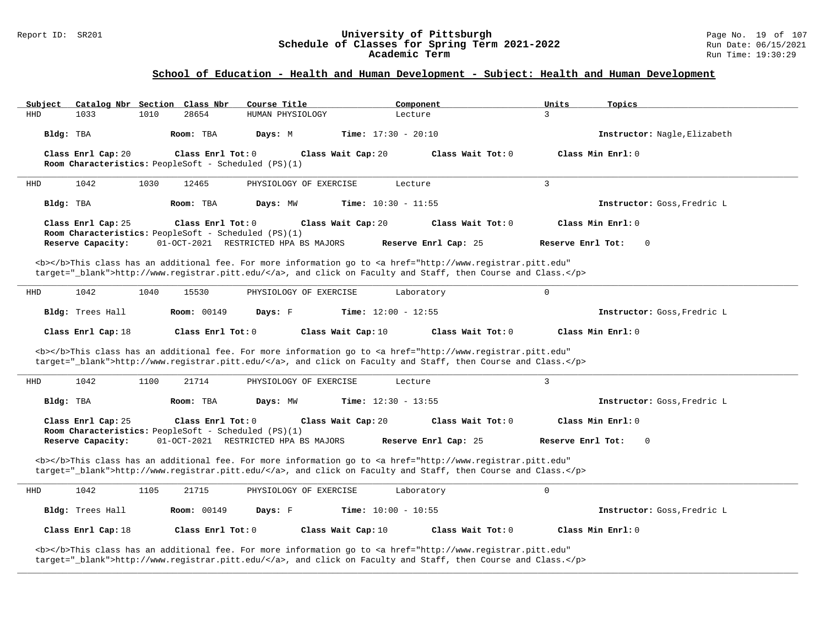# Report ID: SR201 **University of Pittsburgh University of Pittsburgh** Page No. 19 of 107<br>**Schedule of Classes for Spring Term 2021-2022** Run Date: 06/15/2021 Schedule of Classes for Spring Term 2021-2022<br>Academic Term

### **School of Education - Health and Human Development - Subject: Health and Human Development**

| Subject            | Catalog Nbr Section Class Nbr                                             | Course Title                         | Component                                                                                                                                                                                                                          | Units<br>Topics                     |
|--------------------|---------------------------------------------------------------------------|--------------------------------------|------------------------------------------------------------------------------------------------------------------------------------------------------------------------------------------------------------------------------------|-------------------------------------|
| <b>HHD</b><br>1033 | 1010<br>28654                                                             | HUMAN PHYSIOLOGY                     | Lecture                                                                                                                                                                                                                            | 3                                   |
| Bldg: TBA          | Room: TBA                                                                 | Days: M                              | <b>Time:</b> $17:30 - 20:10$                                                                                                                                                                                                       | Instructor: Nagle, Elizabeth        |
| Class Enrl Cap: 20 | Class Enrl Tot: 0<br>Room Characteristics: PeopleSoft - Scheduled (PS)(1) |                                      | Class Wait Tot: 0<br>Class Wait Cap: 20                                                                                                                                                                                            | Class Min Enrl: 0                   |
| 1042<br>HHD        | 1030<br>12465                                                             | PHYSIOLOGY OF EXERCISE               | Lecture                                                                                                                                                                                                                            | $\overline{3}$                      |
| Bldg: TBA          | Room: TBA                                                                 | Days: MW                             | Time: $10:30 - 11:55$                                                                                                                                                                                                              | Instructor: Goss, Fredric L         |
| Class Enrl Cap: 25 | Class Enrl Tot: 0<br>Room Characteristics: PeopleSoft - Scheduled (PS)(1) |                                      | Class Wait Cap: 20<br>Class Wait Tot: 0                                                                                                                                                                                            | Class Min Enrl: 0                   |
| Reserve Capacity:  |                                                                           | 01-OCT-2021 RESTRICTED HPA BS MAJORS | Reserve Enrl Cap: 25                                                                                                                                                                                                               | Reserve Enrl Tot:<br>$\overline{0}$ |
|                    |                                                                           |                                      | <b></b> This class has an additional fee. For more information go to <a <br="" href="http://www.registrar.pitt.edu">target="_blank"&gt;http://www.registrar.pitt.edu/</a> , and click on Faculty and Staff, then Course and Class. |                                     |
| 1042<br>HHD        | 15530<br>1040                                                             | PHYSIOLOGY OF EXERCISE               | Laboratory                                                                                                                                                                                                                         | $\mathsf{O}$                        |
| Bldg: Trees Hall   | <b>Room: 00149</b>                                                        | Days: F                              | Time: $12:00 - 12:55$                                                                                                                                                                                                              | Instructor: Goss, Fredric L         |
|                    |                                                                           |                                      |                                                                                                                                                                                                                                    |                                     |
| Class Enrl Cap: 18 | Class Enrl Tot: 0                                                         |                                      | Class Wait Cap: 10<br>Class Wait Tot: 0                                                                                                                                                                                            | Class Min Enrl: 0                   |
|                    |                                                                           |                                      | <b></b> This class has an additional fee. For more information go to <a <br="" href="http://www.registrar.pitt.edu">target="_blank"&gt;http://www.registrar.pitt.edu/</a> , and click on Faculty and Staff, then Course and Class. |                                     |
| 1042<br>HHD        | 1100<br>21714                                                             | PHYSIOLOGY OF EXERCISE               | Lecture                                                                                                                                                                                                                            | 3                                   |
| Bldg: TBA          | Room: TBA                                                                 | Days: MW                             | <b>Time:</b> $12:30 - 13:55$                                                                                                                                                                                                       | Instructor: Goss, Fredric L         |
| Class Enrl Cap: 25 | Class Enrl Tot: 0                                                         |                                      | Class Wait Cap: 20<br>Class Wait Tot: 0                                                                                                                                                                                            | Class Min Enrl: 0                   |
| Reserve Capacity:  | Room Characteristics: PeopleSoft - Scheduled (PS)(1)                      | 01-OCT-2021 RESTRICTED HPA BS MAJORS | Reserve Enrl Cap: 25                                                                                                                                                                                                               | Reserve Enrl Tot:<br>$\mathbf{0}$   |
|                    |                                                                           |                                      | <b></b> This class has an additional fee. For more information go to <a <br="" href="http://www.registrar.pitt.edu">target="_blank"&gt;http://www.registrar.pitt.edu/</a> , and click on Faculty and Staff, then Course and Class. |                                     |
| 1042<br>HHD        | 1105<br>21715                                                             | PHYSIOLOGY OF EXERCISE               | Laboratory                                                                                                                                                                                                                         | $\mathsf{O}$                        |
| Bldg: Trees Hall   | <b>Room: 00149</b>                                                        | Days: F                              | <b>Time:</b> $10:00 - 10:55$                                                                                                                                                                                                       | Instructor: Goss, Fredric L         |
| Class Enrl Cap: 18 | Class Enrl Tot: 0                                                         |                                      | Class Wait Cap: 10<br>Class Wait Tot: 0                                                                                                                                                                                            | Class Min Enrl: 0                   |

**\_\_\_\_\_\_\_\_\_\_\_\_\_\_\_\_\_\_\_\_\_\_\_\_\_\_\_\_\_\_\_\_\_\_\_\_\_\_\_\_\_\_\_\_\_\_\_\_\_\_\_\_\_\_\_\_\_\_\_\_\_\_\_\_\_\_\_\_\_\_\_\_\_\_\_\_\_\_\_\_\_\_\_\_\_\_\_\_\_\_\_\_\_\_\_\_\_\_\_\_\_\_\_\_\_\_\_\_\_\_\_\_\_\_\_\_\_\_\_\_\_\_\_\_\_\_\_\_\_\_\_\_\_\_\_\_\_\_\_\_\_\_\_\_\_\_\_\_\_\_\_\_\_\_\_\_**

target="\_blank">http://www.registrar.pitt.edu/</a>, and click on Faculty and Staff, then Course and Class.</p>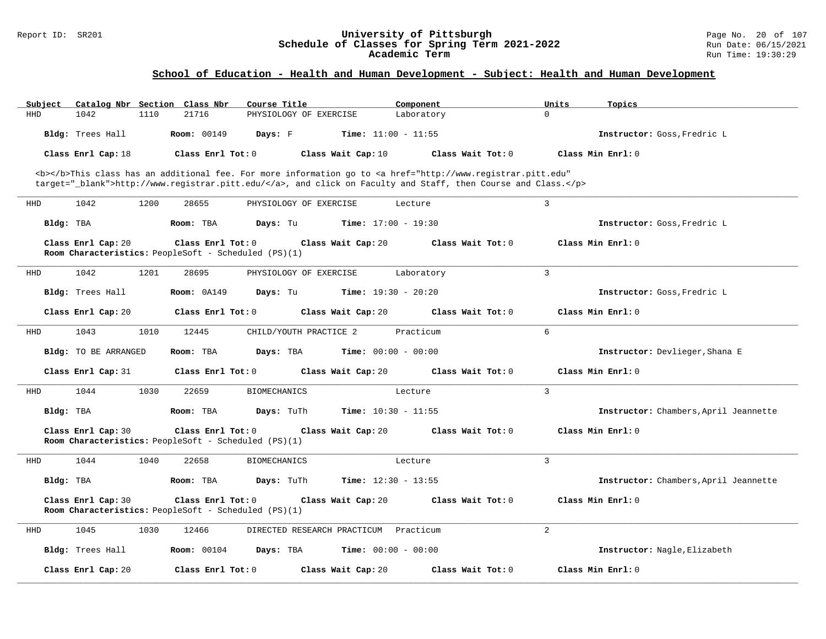#### Report ID: SR201 **University of Pittsburgh** Page No. 20 of 107 **Schedule of Classes for Spring Term 2021-2022** Run Date: 06/15/2021 **Academic Term** Run Time: 19:30:29

| Subject    |                      |      | Catalog Nbr Section Class Nbr                                             | Course Title           |                                       | Component                    |                                                                                                                                                | Units          | Topics                                |
|------------|----------------------|------|---------------------------------------------------------------------------|------------------------|---------------------------------------|------------------------------|------------------------------------------------------------------------------------------------------------------------------------------------|----------------|---------------------------------------|
| <b>HHD</b> | 1042                 | 1110 | 21716                                                                     | PHYSIOLOGY OF EXERCISE |                                       | Laboratory                   |                                                                                                                                                | $\Omega$       |                                       |
|            | Bldg: Trees Hall     |      | <b>Room: 00149</b>                                                        | Days: F                |                                       | <b>Time:</b> $11:00 - 11:55$ |                                                                                                                                                |                | Instructor: Goss, Fredric L           |
|            | Class Enrl Cap: 18   |      | Class Enrl Tot: 0                                                         |                        | Class Wait Cap: 10                    |                              | Class Wait Tot: 0                                                                                                                              |                | Class Min Enrl: 0                     |
|            |                      |      |                                                                           |                        |                                       |                              | <b></b> This class has an additional fee. For more information go to <a <="" href="http://www.registrar.pitt.edu" td=""><td></td><td></td></a> |                |                                       |
|            |                      |      |                                                                           |                        |                                       |                              | target="_blank">http://www.registrar.pitt.edu/, and click on Faculty and Staff, then Course and Class.                                         |                |                                       |
|            |                      |      |                                                                           |                        |                                       |                              |                                                                                                                                                |                |                                       |
| HHD        | 1042                 | 1200 | 28655                                                                     | PHYSIOLOGY OF EXERCISE |                                       | Lecture                      |                                                                                                                                                | 3              |                                       |
| Bldg: TBA  |                      |      | Room: TBA                                                                 | Days: Tu               |                                       | <b>Time:</b> $17:00 - 19:30$ |                                                                                                                                                |                | Instructor: Goss, Fredric L           |
|            | Class Enrl Cap: 20   |      | Class Enrl Tot: 0<br>Room Characteristics: PeopleSoft - Scheduled (PS)(1) |                        | Class Wait Cap: 20                    |                              | Class Wait Tot: 0                                                                                                                              |                | Class Min Enrl: 0                     |
| HHD        | 1042                 | 1201 | 28695                                                                     | PHYSIOLOGY OF EXERCISE |                                       | Laboratory                   |                                                                                                                                                | $\overline{3}$ |                                       |
|            | Bldg: Trees Hall     |      | <b>Room: 0A149</b>                                                        | Days: Tu               |                                       | <b>Time:</b> $19:30 - 20:20$ |                                                                                                                                                |                | Instructor: Goss, Fredric L           |
|            | Class Enrl Cap: 20   |      | Class Enrl Tot: 0                                                         |                        | Class Wait Cap: 20                    |                              | Class Wait Tot: 0                                                                                                                              |                | Class Min Enrl: 0                     |
| HHD        | 1043                 | 1010 | 12445                                                                     | CHILD/YOUTH PRACTICE 2 |                                       | Practicum                    |                                                                                                                                                | 6              |                                       |
|            | Bldg: TO BE ARRANGED |      | Room: TBA                                                                 | Days: TBA              |                                       | <b>Time:</b> $00:00 - 00:00$ |                                                                                                                                                |                | Instructor: Devlieger, Shana E        |
|            | Class Enrl Cap: 31   |      | Class Enrl Tot: 0                                                         |                        | Class Wait Cap: 20                    |                              | Class Wait Tot: 0                                                                                                                              |                | Class Min Enrl: 0                     |
| HHD        | 1044                 | 1030 | 22659                                                                     | <b>BIOMECHANICS</b>    |                                       | Lecture                      |                                                                                                                                                | $\overline{3}$ |                                       |
| Bldg: TBA  |                      |      | Room: TBA                                                                 | Days: TuTh             |                                       | <b>Time:</b> $10:30 - 11:55$ |                                                                                                                                                |                | Instructor: Chambers, April Jeannette |
|            | Class Enrl Cap: 30   |      | Class Enrl Tot: 0<br>Room Characteristics: PeopleSoft - Scheduled (PS)(1) |                        | Class Wait Cap: 20                    |                              | Class Wait Tot: 0                                                                                                                              |                | Class Min Enrl: 0                     |
| HHD        | 1044                 | 1040 | 22658                                                                     | <b>BIOMECHANICS</b>    |                                       | Lecture                      |                                                                                                                                                | $\overline{3}$ |                                       |
| Bldg: TBA  |                      |      | Room: TBA                                                                 | Days: TuTh             |                                       | <b>Time:</b> $12:30 - 13:55$ |                                                                                                                                                |                | Instructor: Chambers, April Jeannette |
|            | Class Enrl Cap: 30   |      | Class Enrl Tot: 0<br>Room Characteristics: PeopleSoft - Scheduled (PS)(1) |                        | Class Wait Cap: 20                    |                              | Class Wait Tot: 0                                                                                                                              |                | Class Min Enrl: 0                     |
| HHD        | 1045                 | 1030 | 12466                                                                     |                        | DIRECTED RESEARCH PRACTICUM Practicum |                              |                                                                                                                                                | 2              |                                       |
|            | Bldg: Trees Hall     |      | <b>Room:</b> 00104                                                        | Days: TBA              |                                       | <b>Time:</b> $00:00 - 00:00$ |                                                                                                                                                |                | Instructor: Nagle, Elizabeth          |
|            | Class Enrl Cap: 20   |      | Class Enrl Tot: 0                                                         |                        | Class Wait Cap: 20                    |                              | Class Wait Tot: 0                                                                                                                              |                | Class Min Enrl: 0                     |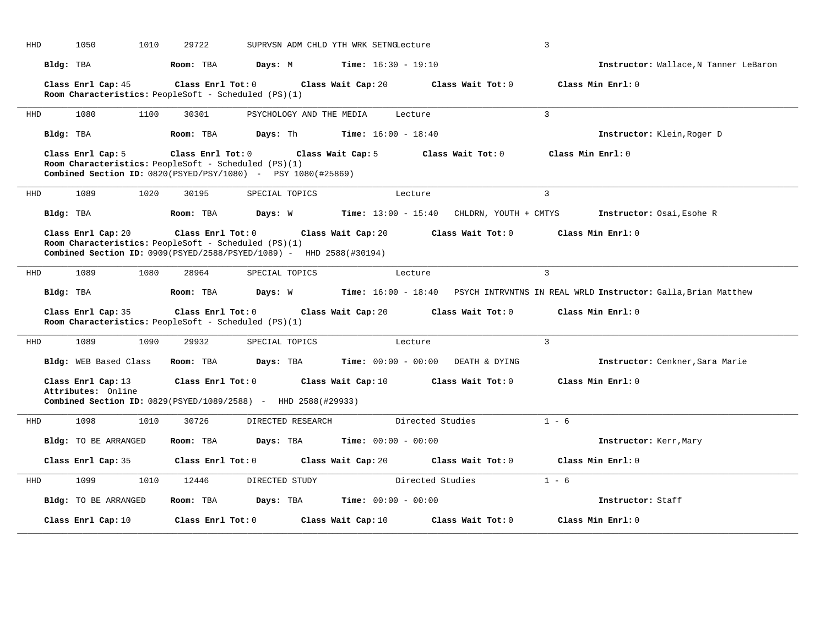| HHD |           | 1010<br>1050                                                               | 29722             |                                                                                                              | SUPRVSN ADM CHLD YTH WRK SETNGLecture                             |                   | 3                                                                                                    |  |
|-----|-----------|----------------------------------------------------------------------------|-------------------|--------------------------------------------------------------------------------------------------------------|-------------------------------------------------------------------|-------------------|------------------------------------------------------------------------------------------------------|--|
|     | Bldg: TBA |                                                                            | Room: TBA         |                                                                                                              | <b>Days:</b> M <b>Time:</b> $16:30 - 19:10$                       |                   | Instructor: Wallace, N Tanner LeBaron                                                                |  |
|     |           | Class Enrl Cap: 45<br>Room Characteristics: PeopleSoft - Scheduled (PS)(1) | Class Enrl Tot: 0 |                                                                                                              | Class Wait Cap: 20                                                | Class Wait Tot: 0 | Class Min Enrl: 0                                                                                    |  |
| HHD |           | 1080<br>1100                                                               | 30301             | PSYCHOLOGY AND THE MEDIA                                                                                     | Lecture                                                           |                   | $\mathcal{L}$                                                                                        |  |
|     | Bldg: TBA |                                                                            | Room: TBA         |                                                                                                              | <b>Days:</b> Th <b>Time:</b> $16:00 - 18:40$                      |                   | Instructor: Klein, Roger D                                                                           |  |
|     |           | Class Enrl Cap: 5<br>Room Characteristics: PeopleSoft - Scheduled (PS)(1)  |                   | Class Enrl Tot: 0 Class Wait Cap: 5<br><b>Combined Section ID:</b> $0820(PSYED/PSY/1080) - PSY 1080(#25869)$ |                                                                   | Class Wait Tot: 0 | Class Min Enrl: 0                                                                                    |  |
| HHD |           | 1089<br>1020                                                               | 30195             | SPECIAL TOPICS                                                                                               | Lecture                                                           |                   | 3                                                                                                    |  |
|     | Bldg: TBA |                                                                            | Room: TBA         |                                                                                                              |                                                                   |                   | Days: W Time: 13:00 - 15:40 CHLDRN, YOUTH + CMTYS Instructor: Osai, Esohe R                          |  |
|     |           | Class Enrl Cap: 20<br>Room Characteristics: PeopleSoft - Scheduled (PS)(1) | Class Enrl Tot: 0 | Combined Section ID: 0909(PSYED/2588/PSYED/1089) - HHD 2588(#30194)                                          | Class Wait Cap: 20                                                | Class Wait Tot: 0 | Class Min Enrl: 0                                                                                    |  |
| HHD |           | 1089<br>1080                                                               | 28964             | SPECIAL TOPICS                                                                                               | Lecture                                                           |                   | $\mathcal{R}$                                                                                        |  |
|     | Bldg: TBA |                                                                            | Room: TBA         |                                                                                                              |                                                                   |                   | Days: W          Time: 16:00 - 18:40   PSYCH INTRVNTNS IN REAL WRLD Instructor: Galla, Brian Matthew |  |
|     |           | Class Enrl Cap: 35<br>Room Characteristics: PeopleSoft - Scheduled (PS)(1) | Class Enrl Tot: 0 |                                                                                                              | Class Wait Cap: 20 Class Wait Tot: 0                              |                   | Class Min Enrl: 0                                                                                    |  |
| HHD |           | 1089<br>1090                                                               | 29932             | SPECIAL TOPICS                                                                                               | Lecture                                                           |                   | $\mathcal{L}$                                                                                        |  |
|     |           | Bldg: WEB Based Class                                                      | Room: TBA         |                                                                                                              | $\texttt{DayS:}$ TBA $\texttt{Time:}$ 00:00 - 00:00 DEATH & DYING |                   | Instructor: Cenkner, Sara Marie                                                                      |  |
|     |           | Class Enrl Cap: 13<br>Attributes: Online                                   | Class Enrl Tot: 0 | <b>Combined Section ID:</b> 0829(PSYED/1089/2588) - HHD 2588(#29933)                                         | Class Wait Cap: $10$ Class Wait Tot: $0$                          |                   | Class Min Enrl: 0                                                                                    |  |
| HHD |           | 1098<br>1010                                                               | 30726             |                                                                                                              | DIRECTED RESEARCH Directed Studies                                |                   | $1 - 6$                                                                                              |  |
|     |           | Bldg: TO BE ARRANGED                                                       | Room: TBA         | Days: TBA                                                                                                    | <b>Time:</b> $00:00 - 00:00$                                      |                   | Instructor: Kerr, Mary                                                                               |  |
|     |           | Class Enrl Cap: 35                                                         |                   |                                                                                                              | Class Enrl Tot: 0 Class Wait Cap: 20 Class Wait Tot: 0            |                   | Class Min Enrl: 0                                                                                    |  |
| HHD |           | 1099<br>1010                                                               | 12446             | DIRECTED STUDY                                                                                               |                                                                   | Directed Studies  | $1 - 6$                                                                                              |  |
|     |           | Bldg: TO BE ARRANGED                                                       | Room: TBA         |                                                                                                              | <b>Days:</b> TBA <b>Time:</b> $00:00 - 00:00$                     |                   | Instructor: Staff                                                                                    |  |
|     |           | Class Enrl Cap: 10                                                         | Class Enrl Tot: 0 |                                                                                                              | Class Wait Cap: 10                                                | Class Wait Tot: 0 | Class Min Enrl: 0                                                                                    |  |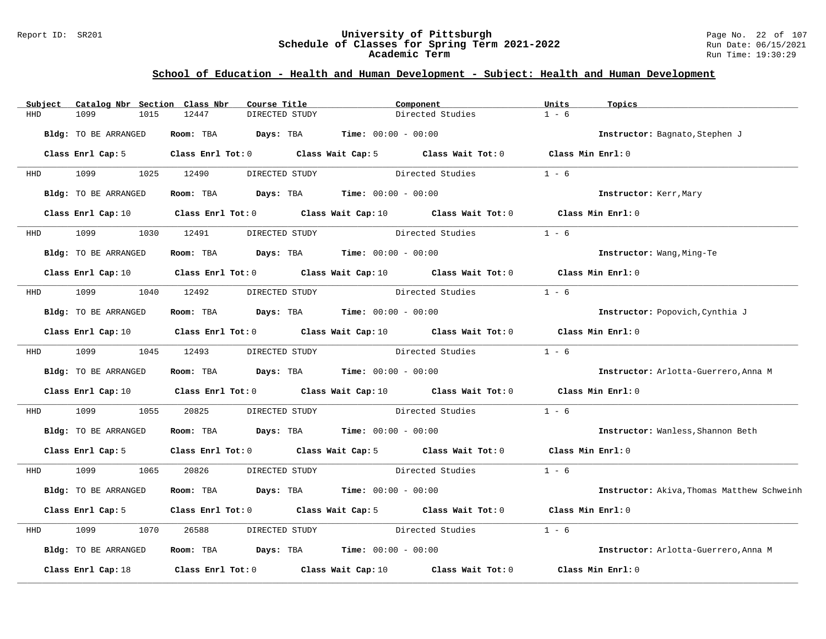#### Report ID: SR201 **University of Pittsburgh** Page No. 22 of 107 **Schedule of Classes for Spring Term 2021-2022** Run Date: 06/15/2021 **Academic Term** Run Time: 19:30:29

| Subject    | Catalog Nbr Section Class Nbr | Course Title                         | Component                                                                                                                       | Units<br>Topics                            |
|------------|-------------------------------|--------------------------------------|---------------------------------------------------------------------------------------------------------------------------------|--------------------------------------------|
| <b>HHD</b> | 1099<br>1015                  | 12447<br>DIRECTED STUDY              | Directed Studies                                                                                                                | $1 - 6$                                    |
|            | Bldg: TO BE ARRANGED          | Room: TBA                            | <b>Days:</b> TBA <b>Time:</b> $00:00 - 00:00$                                                                                   | Instructor: Bagnato, Stephen J             |
|            | Class Enrl Cap: 5             |                                      | Class Enrl Tot: 0 Class Wait Cap: 5 Class Wait Tot: 0 Class Min Enrl: 0                                                         |                                            |
| HHD        | 1099 700                      | 1025 12490<br>DIRECTED STUDY         | Directed Studies                                                                                                                | $1 - 6$                                    |
|            | Bldg: TO BE ARRANGED          |                                      | Room: TBA $Days:$ TBA $Time: 00:00 - 00:00$                                                                                     | Instructor: Kerr, Mary                     |
|            |                               |                                      | Class Enrl Cap: 10 Class Enrl Tot: 0 Class Wait Cap: 10 Class Wait Tot: 0                                                       | Class Min Enrl: 0                          |
| <b>HHD</b> | 1099                          | 1030 12491<br>DIRECTED STUDY         | Directed Studies                                                                                                                | $1 - 6$                                    |
|            | Bldg: TO BE ARRANGED          |                                      | Room: TBA $Days:$ TBA $Time: 00:00 - 00:00$                                                                                     | Instructor: Wang, Ming-Te                  |
|            |                               |                                      | Class Enrl Cap: 10 $\qquad$ Class Enrl Tot: 0 $\qquad$ Class Wait Cap: 10 $\qquad$ Class Wait Tot: 0 $\qquad$ Class Min Enrl: 0 |                                            |
| HHD        | 1099 1040 12492               | DIRECTED STUDY                       | Directed Studies                                                                                                                | $1 - 6$                                    |
|            | Bldg: TO BE ARRANGED          |                                      | Room: TBA $Days:$ TBA $Time: 00:00 - 00:00$                                                                                     | Instructor: Popovich, Cynthia J            |
|            | Class Enrl Cap: 10            |                                      | Class Enrl Tot: 0 $\qquad$ Class Wait Cap: 10 $\qquad$ Class Wait Tot: 0 $\qquad$ Class Min Enrl: 0                             |                                            |
|            | HHD 1099 1045 12493           |                                      | DIRECTED STUDY Directed Studies                                                                                                 | $1 - 6$                                    |
|            | Bldg: TO BE ARRANGED          |                                      | Room: TBA $\rule{1em}{0.15mm}$ Days: TBA Time: $00:00 - 00:00$                                                                  | Instructor: Arlotta-Guerrero, Anna M       |
|            |                               |                                      | Class Enrl Cap: 10 $\qquad$ Class Enrl Tot: 0 $\qquad$ Class Wait Cap: 10 $\qquad$ Class Wait Tot: 0                            | Class Min Enrl: 0                          |
| HHD        | 1099<br>1055                  | 20825<br>DIRECTED STUDY              | Directed Studies                                                                                                                | $1 - 6$                                    |
|            | Bldg: TO BE ARRANGED          |                                      | Room: TBA $Days:$ TBA $Time: 00:00 - 00:00$                                                                                     | Instructor: Wanless, Shannon Beth          |
|            | Class Enrl Cap: 5             |                                      | Class Enrl Tot: 0 Class Wait Cap: 5 Class Wait Tot: 0 Class Min Enrl: 0                                                         |                                            |
| HHD        | 1099<br>1065                  | 20826<br>DIRECTED STUDY              | Directed Studies                                                                                                                | $1 - 6$                                    |
|            | Bldg: TO BE ARRANGED          | Room: TBA                            | $\texttt{Davis:}$ TBA $\texttt{Time:}$ 00:00 - 00:00                                                                            | Instructor: Akiva, Thomas Matthew Schweinh |
|            | Class Enrl Cap: 5             |                                      | Class Enrl Tot: 0 Class Wait Cap: 5 Class Wait Tot: 0                                                                           | Class Min Enrl: 0                          |
| HHD        | 1099<br>1070                  | 26588<br>DIRECTED STUDY              | Directed Studies                                                                                                                | $1 - 6$                                    |
|            | Bldg: TO BE ARRANGED          |                                      | Room: TBA $Days: TBA$ Time: $00:00 - 00:00$                                                                                     | Instructor: Arlotta-Guerrero, Anna M       |
|            | Class Enrl Cap: 18            | Class Enrl Tot: 0 Class Wait Cap: 10 | Class Wait Tot: 0                                                                                                               | Class Min Enrl: 0                          |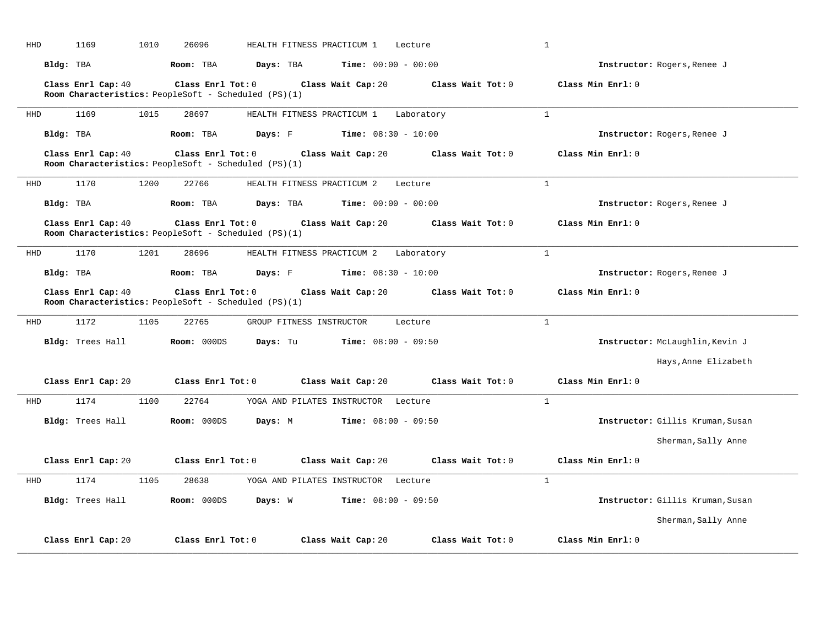| HHD | 1169               | 1010<br>26096                                                             | HEALTH FITNESS PRACTICUM 1 |                                     | Lecture           | $\mathbf{1}$                     |
|-----|--------------------|---------------------------------------------------------------------------|----------------------------|-------------------------------------|-------------------|----------------------------------|
|     | Bldg: TBA          | Room: TBA                                                                 | Days: TBA                  | <b>Time:</b> $00:00 - 00:00$        |                   | Instructor: Rogers, Renee J      |
|     | Class Enrl Cap: 40 | Class Enrl Tot: 0<br>Room Characteristics: PeopleSoft - Scheduled (PS)(1) |                            | Class Wait Cap: 20                  | Class Wait Tot: 0 | Class Min Enrl: 0                |
| HHD | 1169               | 1015<br>28697                                                             | HEALTH FITNESS PRACTICUM 1 |                                     | Laboratory        | $\mathbf{1}$                     |
|     | Bldg: TBA          | Room: TBA                                                                 | Days: F                    | Time: $08:30 - 10:00$               |                   | Instructor: Rogers, Renee J      |
|     | Class Enrl Cap: 40 | Class Enrl Tot: 0<br>Room Characteristics: PeopleSoft - Scheduled (PS)(1) |                            | Class Wait Cap: 20                  | Class Wait Tot: 0 | Class Min Enrl: 0                |
| HHD | 1170               | 1200<br>22766                                                             | HEALTH FITNESS PRACTICUM 2 |                                     | Lecture           | $\mathbf{1}$                     |
|     | Bldg: TBA          | Room: TBA                                                                 | Days: TBA                  | <b>Time:</b> $00:00 - 00:00$        |                   | Instructor: Rogers, Renee J      |
|     | Class Enrl Cap: 40 | Class Enrl Tot: 0<br>Room Characteristics: PeopleSoft - Scheduled (PS)(1) |                            | Class Wait Cap: 20                  | Class Wait Tot: 0 | Class Min Enrl: 0                |
| HHD | 1170               | 1201<br>28696                                                             | HEALTH FITNESS PRACTICUM 2 |                                     | Laboratory        | $\mathbf{1}$                     |
|     | Bldg: TBA          | Room: TBA                                                                 | Days: F                    | <b>Time:</b> $08:30 - 10:00$        |                   | Instructor: Rogers, Renee J      |
|     | Class Enrl Cap: 40 | Class Enrl Tot: 0<br>Room Characteristics: PeopleSoft - Scheduled (PS)(1) |                            | Class Wait Cap: 20                  | Class Wait Tot: 0 | Class Min Enrl: 0                |
| HHD | 1172               | 1105<br>22765                                                             | GROUP FITNESS INSTRUCTOR   |                                     | Lecture           | $\mathbf{1}$                     |
|     | Bldg: Trees Hall   | Room: 000DS                                                               | Days: Tu                   | $Time: 08:00 - 09:50$               |                   | Instructor: McLaughlin, Kevin J  |
|     |                    |                                                                           |                            |                                     |                   | Hays, Anne Elizabeth             |
|     | Class Enrl Cap: 20 | Class Enrl Tot: 0                                                         |                            | Class Wait Cap: 20                  | Class Wait Tot: 0 | Class Min Enrl: 0                |
| HHD | 1174               | 22764<br>1100                                                             |                            | YOGA AND PILATES INSTRUCTOR Lecture |                   | $\mathbf{1}$                     |
|     | Bldg: Trees Hall   | Room: 000DS                                                               | Days: M                    | $Time: 08:00 - 09:50$               |                   | Instructor: Gillis Kruman, Susan |
|     |                    |                                                                           |                            |                                     |                   | Sherman, Sally Anne              |
|     | Class Enrl Cap: 20 | Class Enrl Tot: 0                                                         |                            | Class Wait Cap: 20                  | Class Wait Tot: 0 | Class Min Enrl: 0                |
| HHD | 1174               | 1105<br>28638                                                             |                            | YOGA AND PILATES INSTRUCTOR Lecture |                   | $\mathbf{1}$                     |
|     | Bldg: Trees Hall   | Room: 000DS                                                               | Days: W                    | <b>Time:</b> $08:00 - 09:50$        |                   | Instructor: Gillis Kruman, Susan |
|     |                    |                                                                           |                            |                                     |                   | Sherman, Sally Anne              |
|     | Class Enrl Cap: 20 | Class Enrl Tot: 0                                                         |                            | Class Wait Cap: 20                  | Class Wait Tot: 0 | Class Min Enrl: 0                |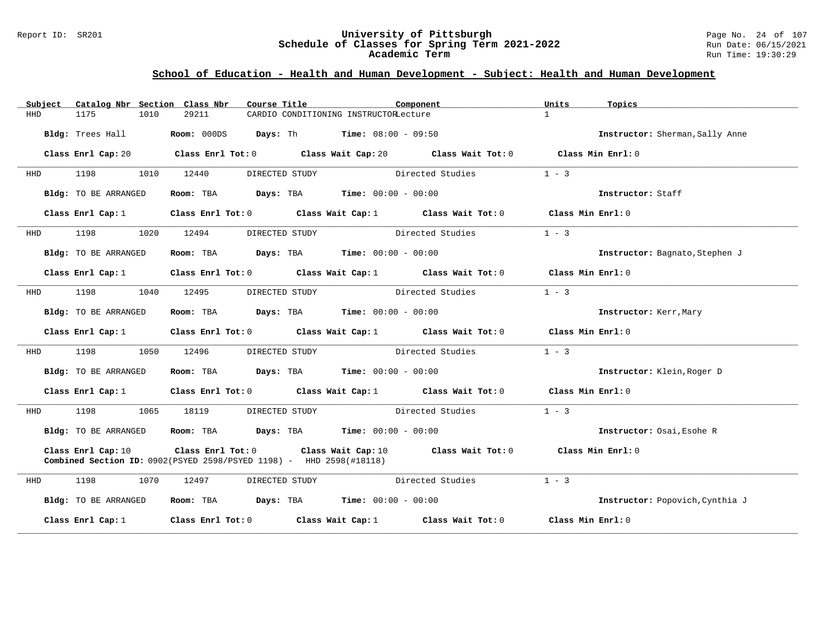#### Report ID: SR201 **University of Pittsburgh** Page No. 24 of 107 **Schedule of Classes for Spring Term 2021-2022** Run Date: 06/15/2021 **Academic Term** Run Time: 19:30:29

| Subject | Catalog Nbr Section Class Nbr | Course Title                                                                                        |                                                                                                    | Component        | Units             | Topics                          |
|---------|-------------------------------|-----------------------------------------------------------------------------------------------------|----------------------------------------------------------------------------------------------------|------------------|-------------------|---------------------------------|
| HHD     | 1175<br>1010                  | 29211                                                                                               | CARDIO CONDITIONING INSTRUCTORLecture                                                              |                  | $\mathbf{1}$      |                                 |
|         | Bldg: Trees Hall              |                                                                                                     | <b>Room:</b> 000DS <b>Days:</b> Th <b>Time:</b> $08:00 - 09:50$                                    |                  |                   | Instructor: Sherman, Sally Anne |
|         | Class Enrl Cap: 20            | Class Enrl Tot: 0 $\qquad$ Class Wait Cap: 20 $\qquad$ Class Wait Tot: 0 $\qquad$ Class Min Enrl: 0 |                                                                                                    |                  |                   |                                 |
| HHD     | 1198<br>1010                  | 12440<br>DIRECTED STUDY                                                                             |                                                                                                    | Directed Studies | $1 - 3$           |                                 |
|         | Bldg: TO BE ARRANGED          |                                                                                                     | Room: TBA $Days:$ TBA $Time: 00:00 - 00:00$                                                        |                  |                   | Instructor: Staff               |
|         | Class Enrl Cap: 1             |                                                                                                     | Class Enrl Tot: $0$ Class Wait Cap: $1$ Class Wait Tot: $0$                                        |                  | Class Min Enrl: 0 |                                 |
| HHD     | 1198 7<br>1020                | 12494                                                                                               | DIRECTED STUDY Directed Studies                                                                    |                  | $1 - 3$           |                                 |
|         | Bldg: TO BE ARRANGED          |                                                                                                     | Room: TBA $Days: TBA$ Time: $00:00 - 00:00$                                                        |                  |                   | Instructor: Bagnato, Stephen J  |
|         | Class Enrl Cap: $1$           |                                                                                                     | Class Enrl Tot: $0$ Class Wait Cap: 1 Class Wait Tot: 0 Class Min Enrl: 0                          |                  |                   |                                 |
| HHD     | 1198<br>1040                  | 12495<br>DIRECTED STUDY                                                                             |                                                                                                    | Directed Studies | $1 - 3$           |                                 |
|         | Bldg: TO BE ARRANGED          |                                                                                                     | Room: TBA $Days:$ TBA $Time: 00:00 - 00:00$                                                        |                  |                   | Instructor: Kerr, Mary          |
|         | Class Enrl Cap: 1             |                                                                                                     | Class Enrl Tot: 0 Class Wait Cap: 1 Class Wait Tot: 0 Class Min Enrl: 0                            |                  |                   |                                 |
| HHD     | 1050<br>1198                  | 12496<br>DIRECTED STUDY                                                                             | Directed Studies                                                                                   |                  | $1 - 3$           |                                 |
|         | Bldg: TO BE ARRANGED          |                                                                                                     | Room: TBA $Days:$ TBA $Time: 00:00 - 00:00$                                                        |                  |                   | Instructor: Klein, Roger D      |
|         | Class Enrl Cap: $1$           |                                                                                                     | Class Enrl Tot: 0 $\qquad$ Class Wait Cap: 1 $\qquad$ Class Wait Tot: 0 $\qquad$ Class Min Enrl: 0 |                  |                   |                                 |
| HHD     | 1198<br>1065                  | 18119                                                                                               | DIRECTED STUDY Directed Studies                                                                    |                  | $1 - 3$           |                                 |
|         | Bldg: TO BE ARRANGED          |                                                                                                     | Room: TBA Days: TBA Time: $00:00 - 00:00$                                                          |                  |                   | Instructor: Osai, Esohe R       |
|         | Class Enrl Cap: 10            | Combined Section ID: 0902(PSYED 2598/PSYED 1198) - HHD 2598(#18118)                                 | Class Enrl Tot: 0 Class Wait Cap: 10 Class Wait Tot: 0                                             |                  | Class Min Enrl: 0 |                                 |
| HHD     | 1198<br>1070                  | 12497<br>DIRECTED STUDY                                                                             | Directed Studies                                                                                   |                  | $1 - 3$           |                                 |
|         | Bldg: TO BE ARRANGED          |                                                                                                     | Room: TBA $Days:$ TBA $Time: 00:00 - 00:00$                                                        |                  |                   | Instructor: Popovich, Cynthia J |
|         | Class Enrl Cap: 1             |                                                                                                     | Class Enrl Tot: 0 Class Wait Cap: 1 Class Wait Tot: 0                                              |                  | Class Min Enrl: 0 |                                 |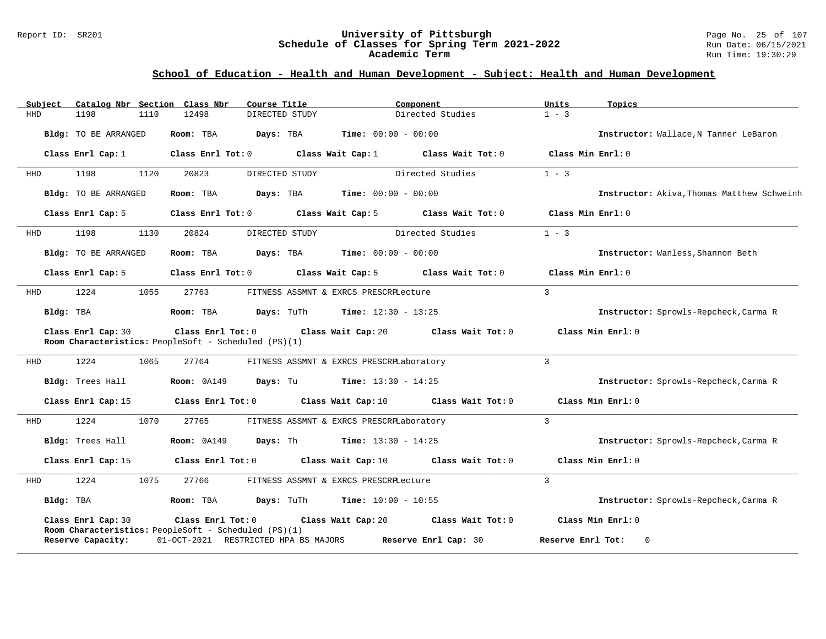#### Report ID: SR201 **University of Pittsburgh** Page No. 25 of 107 **Schedule of Classes for Spring Term 2021-2022** Run Date: 06/15/2021 **Academic Term** Run Time: 19:30:29

| Subject    | Catalog Nbr Section Class Nbr | Course Title                                                                    | Component                                      | Units             | Topics                                     |
|------------|-------------------------------|---------------------------------------------------------------------------------|------------------------------------------------|-------------------|--------------------------------------------|
| <b>HHD</b> | 1198<br>1110                  | 12498<br>DIRECTED STUDY                                                         | Directed Studies                               | $1 - 3$           |                                            |
|            | Bldg: TO BE ARRANGED          | Room: TBA<br>Days: TBA                                                          | <b>Time:</b> $00:00 - 00:00$                   |                   | Instructor: Wallace, N Tanner LeBaron      |
|            | Class Enrl Cap: 1             | Class Enrl Tot: 0                                                               | Class Wait Cap: 1<br>Class Wait Tot: 0         |                   | Class Min Enrl: 0                          |
| HHD        | 1198<br>1120                  | 20823<br>DIRECTED STUDY                                                         | Directed Studies                               | $1 - 3$           |                                            |
|            | Bldg: TO BE ARRANGED          | Days: TBA<br>Room: TBA                                                          | <b>Time:</b> $00:00 - 00:00$                   |                   | Instructor: Akiva, Thomas Matthew Schweinh |
|            | Class Enrl Cap: 5             | Class Enrl Tot: 0                                                               | Class Wait Cap: 5<br>Class Wait Tot: 0         |                   | Class Min Enrl: 0                          |
| HHD        | 1198<br>1130                  | 20824<br>DIRECTED STUDY                                                         | Directed Studies                               | $1 - 3$           |                                            |
|            | Bldg: TO BE ARRANGED          | Room: TBA<br>Days: TBA                                                          | <b>Time:</b> $00:00 - 00:00$                   |                   | Instructor: Wanless, Shannon Beth          |
|            | Class Enrl Cap: 5             | Class Enrl Tot: 0                                                               | Class Wait Cap: 5<br>Class Wait Tot: 0         |                   | Class Min $Enrl: 0$                        |
| HHD        | 1224<br>1055                  | 27763                                                                           | FITNESS ASSMNT & EXRCS PRESCRPLecture          | $\overline{3}$    |                                            |
|            | Bldg: TBA                     | Room: TBA                                                                       | <b>Days:</b> TuTh <b>Time:</b> $12:30 - 13:25$ |                   | Instructor: Sprowls-Repcheck, Carma R      |
|            | Class Enrl Cap: 30            | $Class$ $Enrl$ $Tot: 0$<br>Room Characteristics: PeopleSoft - Scheduled (PS)(1) | Class Wait Cap: 20                             | Class Wait Tot: 0 | Class Min Enrl: 0                          |
| HHD        | 1224<br>1065                  | 27764                                                                           | FITNESS ASSMNT & EXRCS PRESCRPLaboratory       | $\mathbf{3}$      |                                            |
|            | Bldg: Trees Hall              | Room: 0A149<br>Days: Tu                                                         | <b>Time:</b> $13:30 - 14:25$                   |                   | Instructor: Sprowls-Repcheck, Carma R      |
|            | Class Enrl Cap: 15            | Class Enrl Tot: 0                                                               | Class Wait Cap: 10                             | Class Wait Tot: 0 | Class Min Enrl: 0                          |
| HHD        | 1224<br>1070                  | 27765                                                                           | FITNESS ASSMNT & EXRCS PRESCRPLaboratory       | $\mathbf{3}$      |                                            |
|            | Bldg: Trees Hall              | <b>Room: 0A149</b><br><b>Days:</b> Th                                           | <b>Time:</b> $13:30 - 14:25$                   |                   | Instructor: Sprowls-Repcheck, Carma R      |
|            | Class Enrl Cap: 15            | Class Enrl Tot: 0                                                               | Class Wait Cap: 10                             | Class Wait Tot: 0 | Class Min Enrl: 0                          |
| HHD        | 1224<br>1075                  | 27766                                                                           | FITNESS ASSMNT & EXRCS PRESCRPLecture          | $\mathbf{3}$      |                                            |
|            | Bldg: TBA                     | Room: TBA                                                                       | <b>Days:</b> TuTh <b>Time:</b> $10:00 - 10:55$ |                   | Instructor: Sprowls-Repcheck, Carma R      |
|            | Class Enrl Cap: 30            | Class Enrl Tot: 0<br>Room Characteristics: PeopleSoft - Scheduled (PS)(1)       | Class Wait Cap: 20                             | Class Wait Tot: 0 | Class Min $Enr1: 0$                        |
|            | Reserve Capacity:             | 01-OCT-2021 RESTRICTED HPA BS MAJORS                                            | Reserve Enrl Cap: 30                           | Reserve Enrl Tot: | $\Omega$                                   |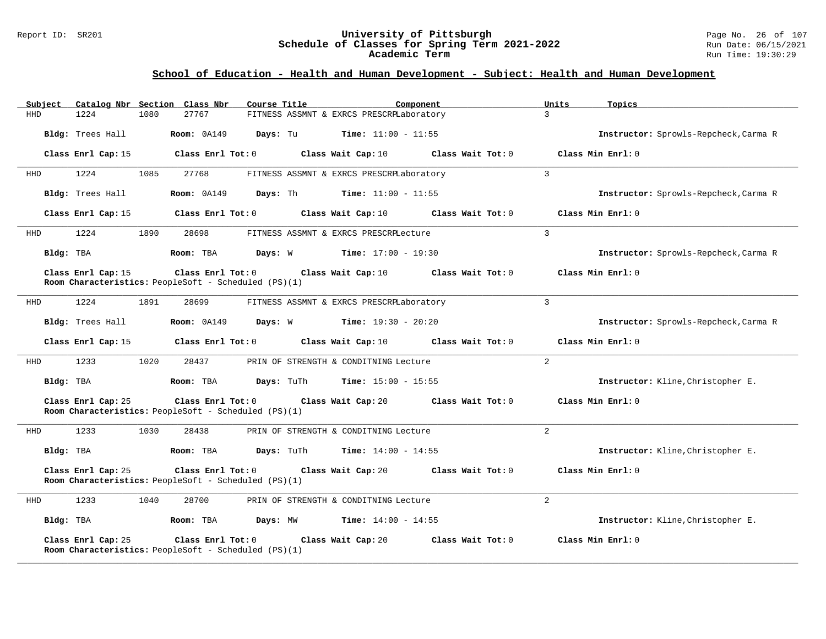#### Report ID: SR201 **University of Pittsburgh** Page No. 26 of 107 **Schedule of Classes for Spring Term 2021-2022** Run Date: 06/15/2021 **Academic Term** Run Time: 19:30:29

| Catalog Nbr Section Class Nbr<br>Subject | Course Title                                                                    | Component                                | Units<br>Topics                       |
|------------------------------------------|---------------------------------------------------------------------------------|------------------------------------------|---------------------------------------|
| 1224<br>HHD<br>1080                      | 27767                                                                           | FITNESS ASSMNT & EXRCS PRESCRPLaboratory | $\overline{3}$                        |
| Bldg: Trees Hall                         | <b>Room: 0A149</b><br>Days: Tu                                                  | <b>Time:</b> $11:00 - 11:55$             | Instructor: Sprowls-Repcheck, Carma R |
| Class Enrl Cap: 15                       | Class Enrl Tot: 0                                                               | Class Wait Cap: 10<br>Class Wait Tot: 0  | Class Min Enrl: 0                     |
| HHD<br>1224<br>1085                      | 27768                                                                           | FITNESS ASSMNT & EXRCS PRESCRPLaboratory | 3                                     |
| Bldg: Trees Hall                         | Room: 0A149<br>Days: Th                                                         | <b>Time:</b> $11:00 - 11:55$             | Instructor: Sprowls-Repcheck, Carma R |
| Class Enrl Cap: 15                       | Class Enrl Tot: 0                                                               | Class Wait Cap: 10<br>Class Wait Tot: 0  | Class Min Enrl: 0                     |
| HHD<br>1224<br>1890                      | 28698                                                                           | FITNESS ASSMNT & EXRCS PRESCRPLecture    | $\overline{3}$                        |
| Bldg: TBA                                | Room: TBA<br>Days: W                                                            | $Time: 17:00 - 19:30$                    | Instructor: Sprowls-Repcheck, Carma R |
| Class Enrl Cap: 15                       | Class Enrl Tot: 0<br>Room Characteristics: PeopleSoft - Scheduled (PS)(1)       | Class Wait Cap: 10<br>Class Wait Tot: 0  | Class Min Enrl: 0                     |
| 1224<br>1891<br>HHD                      | 28699                                                                           | FITNESS ASSMNT & EXRCS PRESCRPLaboratory | 3                                     |
| Bldg: Trees Hall                         | Room: 0A149<br>Days: W                                                          | $Time: 19:30 - 20:20$                    | Instructor: Sprowls-Repcheck, Carma R |
| Class Enrl Cap: 15                       | Class Enrl Tot: 0                                                               | Class Wait Cap: 10<br>Class Wait Tot: 0  | Class Min Enrl: 0                     |
| 1233<br>1020<br>HHD                      | 28437                                                                           | PRIN OF STRENGTH & CONDITNING Lecture    | 2                                     |
| Bldg: TBA                                | Room: TBA<br>Days: TuTh                                                         | <b>Time:</b> $15:00 - 15:55$             | Instructor: Kline, Christopher E.     |
| Class Enrl Cap: 25                       | Class Enrl Tot: 0<br>Room Characteristics: PeopleSoft - Scheduled (PS)(1)       | Class Wait Cap: 20<br>Class Wait Tot: 0  | Class Min Enrl: 0                     |
| 1233<br>1030<br>HHD                      | 28438                                                                           | PRIN OF STRENGTH & CONDITNING Lecture    | $\overline{2}$                        |
| Bldg: TBA                                | Room: TBA<br>Days: TuTh                                                         | <b>Time:</b> $14:00 - 14:55$             | Instructor: Kline, Christopher E.     |
| Class Enrl Cap: 25                       | $Class$ $Enrl$ $Tot: 0$<br>Room Characteristics: PeopleSoft - Scheduled (PS)(1) | Class Wait Cap: 20<br>Class Wait Tot: 0  | Class Min Enrl: 0                     |
| 1233<br>1040<br>HHD                      | 28700                                                                           | PRIN OF STRENGTH & CONDITNING Lecture    | 2                                     |
| Bldg: TBA                                | Days: MW<br>Room: TBA                                                           | <b>Time:</b> $14:00 - 14:55$             | Instructor: Kline, Christopher E.     |
| Class Enrl Cap: 25                       | Class Enrl Tot: 0<br>Room Characteristics: PeopleSoft - Scheduled (PS)(1)       | Class Wait Cap: 20<br>Class Wait Tot: 0  | Class Min Enrl: 0                     |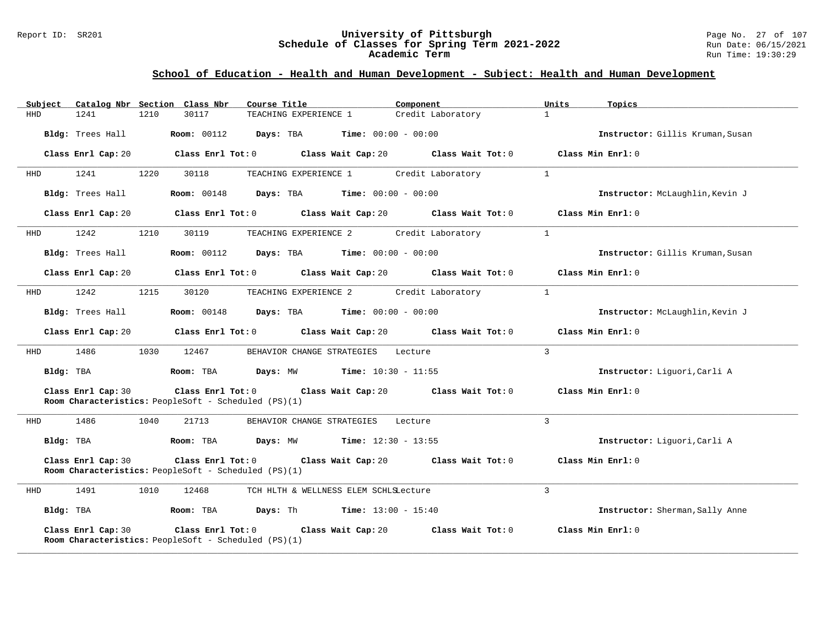#### Report ID: SR201 **University of Pittsburgh** Page No. 27 of 107 **Schedule of Classes for Spring Term 2021-2022** Run Date: 06/15/2021 **Academic Term** Run Time: 19:30:29

| Subject    |                    |      | Catalog Nbr Section Class Nbr                                                   | Course Title                                                       | Component                            | Units          | Topics                           |
|------------|--------------------|------|---------------------------------------------------------------------------------|--------------------------------------------------------------------|--------------------------------------|----------------|----------------------------------|
| <b>HHD</b> | 1241               | 1210 | 30117                                                                           | TEACHING EXPERIENCE 1                                              | Credit Laboratory                    | $\mathbf{1}$   |                                  |
|            | Bldg: Trees Hall   |      | <b>Room: 00112</b>                                                              | Days: TBA                                                          | <b>Time:</b> $00:00 - 00:00$         |                | Instructor: Gillis Kruman, Susan |
|            | Class Enrl Cap: 20 |      |                                                                                 | Class Enrl Tot: 0 Class Wait Cap: 20 Class Wait Tot: 0             |                                      |                | Class Min Enrl: 0                |
| HHD        | 1241               | 1220 | 30118                                                                           | TEACHING EXPERIENCE 1                                              | Credit Laboratory                    | $\mathbf{1}$   |                                  |
|            | Bldg: Trees Hall   |      | <b>Room:</b> 00148                                                              | Days: TBA                                                          | <b>Time:</b> $00:00 - 00:00$         |                | Instructor: McLaughlin, Kevin J  |
|            | Class Enrl Cap: 20 |      |                                                                                 | Class Enrl Tot: $0$ Class Wait Cap: $20$ Class Wait Tot: $0$       |                                      |                | Class Min Enrl: 0                |
| HHD        | 1242               | 1210 | 30119                                                                           | TEACHING EXPERIENCE 2                                              | Credit Laboratory                    | $\mathbf{1}$   |                                  |
|            | Bldg: Trees Hall   |      | <b>Room:</b> 00112                                                              | Days: TBA                                                          | <b>Time:</b> $00:00 - 00:00$         |                | Instructor: Gillis Kruman, Susan |
|            | Class Enrl Cap: 20 |      | $Class$ $Enr1$ $Tot: 0$                                                         |                                                                    | Class Wait Cap: 20 Class Wait Tot: 0 |                | Class Min Enrl: 0                |
| HHD        | 1242               | 1215 | 30120                                                                           | TEACHING EXPERIENCE 2                                              | Credit Laboratory                    | $\mathbf{1}$   |                                  |
|            | Bldg: Trees Hall   |      |                                                                                 | <b>Room:</b> $00148$ <b>Days:</b> TBA <b>Time:</b> $00:00 - 00:00$ |                                      |                | Instructor: McLaughlin, Kevin J  |
|            | Class Enrl Cap: 20 |      | $Class$ $Enr1$ $Tot: 0$                                                         | Class Wait Cap: 20                                                 | Class Wait Tot: 0                    |                | Class Min Enrl: 0                |
| HHD        | 1486               | 1030 | 12467                                                                           | BEHAVIOR CHANGE STRATEGIES                                         | Lecture                              | $\overline{3}$ |                                  |
| Bldg: TBA  |                    |      | Room: TBA                                                                       | <b>Days:</b> MW <b>Time:</b> $10:30 - 11:55$                       |                                      |                | Instructor: Liguori, Carli A     |
|            | Class Enrl Cap: 30 |      | Class Enrl Tot: 0<br>Room Characteristics: PeopleSoft - Scheduled (PS)(1)       |                                                                    | Class Wait Cap: 20 Class Wait Tot: 0 |                | Class Min Enrl: 0                |
| HHD        | 1486               | 1040 | 21713                                                                           | BEHAVIOR CHANGE STRATEGIES                                         | Lecture                              | 3              |                                  |
| Bldg: TBA  |                    |      | Room: TBA                                                                       | <b>Days:</b> MW <b>Time:</b> $12:30 - 13:55$                       |                                      |                | Instructor: Liquori, Carli A     |
|            | Class Enrl Cap: 30 |      | Class Enrl Tot: 0<br>Room Characteristics: PeopleSoft - Scheduled (PS)(1)       | Class Wait Cap: 20                                                 | Class Wait Tot: 0                    |                | Class Min Enrl: 0                |
| HHD        | 1491               | 1010 | 12468                                                                           | TCH HLTH & WELLNESS ELEM SCHLSLecture                              |                                      | 3              |                                  |
| Bldg: TBA  |                    |      | Room: TBA                                                                       | <b>Days:</b> Th <b>Time:</b> $13:00 - 15:40$                       |                                      |                | Instructor: Sherman, Sally Anne  |
|            | Class Enrl Cap: 30 |      | $Class$ $Enr1$ $Tot: 0$<br>Room Characteristics: PeopleSoft - Scheduled (PS)(1) | Class Wait Cap: 20                                                 | Class Wait Tot: 0                    |                | Class Min Enrl: 0                |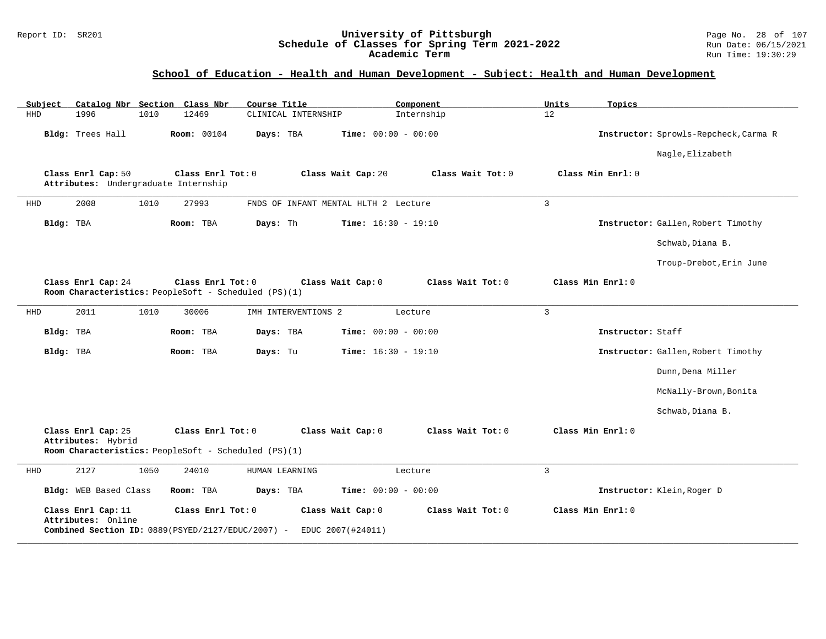#### Report ID: SR201 **University of Pittsburgh** Page No. 28 of 107 **Schedule of Classes for Spring Term 2021-2022** Run Date: 06/15/2021 **Academic Term** Run Time: 19:30:29

| Catalog Nbr Section Class Nbr<br>Subject                   | Course Title                                                                                                     | Component<br>Units        | Topics                                |
|------------------------------------------------------------|------------------------------------------------------------------------------------------------------------------|---------------------------|---------------------------------------|
| 1996<br><b>HHD</b><br>1010                                 | 12469<br>CLINICAL INTERNSHIP                                                                                     | Internship<br>12          |                                       |
| Bldg: Trees Hall                                           | Time: $00:00 - 00:00$<br><b>Room: 00104</b><br>Days: TBA                                                         |                           | Instructor: Sprowls-Repcheck, Carma R |
|                                                            |                                                                                                                  |                           | Nagle, Elizabeth                      |
| Class Enrl Cap: 50<br>Attributes: Undergraduate Internship | Class Enrl Tot: 0<br>Class Wait Cap: 20                                                                          | Class Wait Tot: 0         | Class Min Enrl: 0                     |
| 2008<br>1010<br><b>HHD</b>                                 | 27993<br>FNDS OF INFANT MENTAL HLTH 2 Lecture                                                                    | $\overline{3}$            |                                       |
| Bldg: TBA                                                  | Room: TBA<br>Days: Th<br><b>Time:</b> $16:30 - 19:10$                                                            |                           | Instructor: Gallen, Robert Timothy    |
|                                                            |                                                                                                                  |                           | Schwab, Diana B.                      |
|                                                            |                                                                                                                  |                           | Troup-Drebot, Erin June               |
| Class Enrl Cap: 24                                         | Class Enrl Tot: 0<br>Class Wait Cap: 0<br>Room Characteristics: PeopleSoft - Scheduled (PS)(1)                   | Class Wait Tot: 0         | Class Min Enrl: 0                     |
| 2011<br>1010<br>HHD                                        | 30006<br>IMH INTERVENTIONS 2                                                                                     | $\overline{3}$<br>Lecture |                                       |
| Bldg: TBA                                                  | Days: TBA<br><b>Time:</b> $00:00 - 00:00$<br>Room: TBA                                                           |                           | Instructor: Staff                     |
| Bldg: TBA                                                  | <b>Time:</b> $16:30 - 19:10$<br>Room: TBA<br>Days: Tu                                                            |                           | Instructor: Gallen, Robert Timothy    |
|                                                            |                                                                                                                  |                           | Dunn, Dena Miller                     |
|                                                            |                                                                                                                  |                           | McNally-Brown, Bonita                 |
|                                                            |                                                                                                                  |                           | Schwab, Diana B.                      |
| Class Enrl Cap: 25<br>Attributes: Hybrid                   | Class Enrl Tot: 0<br>Class Wait Cap: 0<br>Room Characteristics: PeopleSoft - Scheduled (PS)(1)                   | Class Wait Tot: 0         | Class Min Enrl: 0                     |
| 2127<br>1050<br>HHD                                        | 24010<br>HUMAN LEARNING                                                                                          | $\overline{3}$<br>Lecture |                                       |
| Bldg: WEB Based Class                                      | Room: TBA<br>Days: TBA<br>Time: $00:00 - 00:00$                                                                  |                           | Instructor: Klein, Roger D            |
| Class Enrl Cap: 11<br>Attributes: Online                   | Class Enrl Tot: 0<br>Class Wait Cap: 0<br>Combined Section ID: 0889(PSYED/2127/EDUC/2007) -<br>EDUC 2007(#24011) | Class Wait Tot: 0         | Class Min Enrl: 0                     |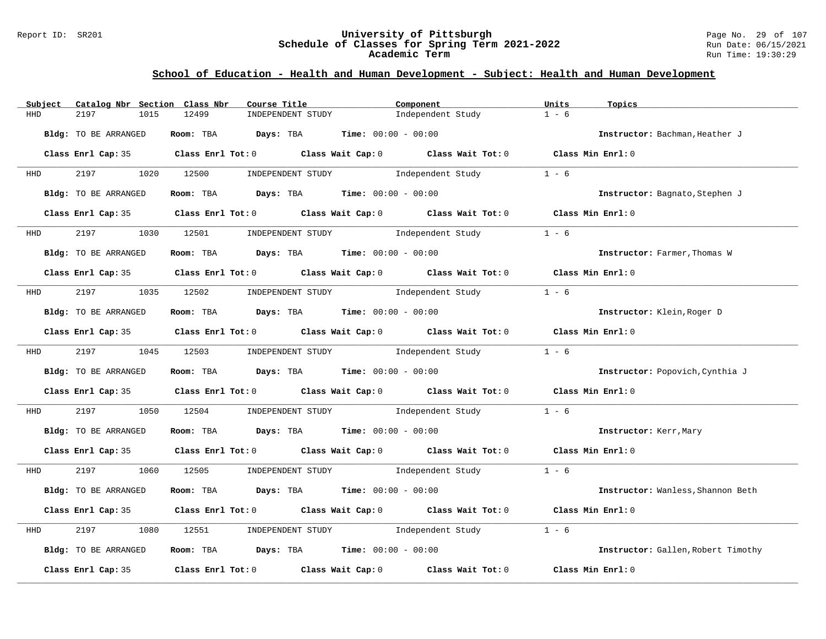#### Report ID: SR201 **University of Pittsburgh** Page No. 29 of 107 **Schedule of Classes for Spring Term 2021-2022** Run Date: 06/15/2021 **Academic Term** Run Time: 19:30:29

| Subject                    | Catalog Nbr Section Class Nbr<br>Course Title                                              | Component                                 | Units<br>Topics                    |
|----------------------------|--------------------------------------------------------------------------------------------|-------------------------------------------|------------------------------------|
| 2197<br>1015<br><b>HHD</b> | 12499<br>INDEPENDENT STUDY                                                                 | Independent Study                         | $1 - 6$                            |
| Bldg: TO BE ARRANGED       | <b>Room:</b> TBA <b>Days:</b> TBA <b>Time:</b> 00:00 - 00:00                               |                                           | Instructor: Bachman, Heather J     |
|                            | Class Enrl Cap: 35 Class Enrl Tot: 0 Class Wait Cap: 0 Class Wait Tot: 0 Class Min Enrl: 0 |                                           |                                    |
| <b>HHD</b>                 | 2197 1020 12500<br>INDEPENDENT STUDY                                                       | Independent Study                         | $1 - 6$                            |
| Bldg: TO BE ARRANGED       | Room: TBA $Days:$ TBA $Time: 00:00 - 00:00$                                                |                                           | Instructor: Bagnato, Stephen J     |
|                            | Class Enrl Cap: 35 Class Enrl Tot: 0 Class Wait Cap: 0 Class Wait Tot: 0 Class Min Enrl: 0 |                                           |                                    |
| 2197<br><b>HHD</b>         | 1030 12501 INDEPENDENT STUDY Independent Study                                             |                                           | $1 - 6$                            |
| Bldg: TO BE ARRANGED       | Room: TBA $Days:$ TBA $Time: 00:00 - 00:00$                                                |                                           | Instructor: Farmer, Thomas W       |
|                            | Class Enrl Cap: 35 Class Enrl Tot: 0 Class Wait Cap: 0 Class Wait Tot: 0 Class Min Enrl: 0 |                                           |                                    |
| <b>HHD</b>                 | 2197 1035 12502 INDEPENDENT STUDY Independent Study                                        |                                           | $1 - 6$                            |
| Bldg: TO BE ARRANGED       | Room: TBA $Days:$ TBA Time: $00:00 - 00:00$                                                |                                           | Instructor: Klein, Roger D         |
|                            | Class Enrl Cap: 35 Class Enrl Tot: 0 Class Wait Cap: 0 Class Wait Tot: 0 Class Min Enrl: 0 |                                           |                                    |
| HHD 2197 1045 12503        |                                                                                            | INDEPENDENT STUDY The Independent Study   | $1 - 6$                            |
| Bldg: TO BE ARRANGED       | Room: TBA $\rule{1em}{0.15mm}$ Days: TBA Time: $00:00 - 00:00$                             |                                           | Instructor: Popovich, Cynthia J    |
|                            | Class Enrl Cap: 35 Class Enrl Tot: 0 Class Wait Cap: 0 Class Wait Tot: 0 Class Min Enrl: 0 |                                           |                                    |
| 2197<br>1050<br>HHD        |                                                                                            | 12504 INDEPENDENT STUDY 1ndependent Study | $1 - 6$                            |
| Bldg: TO BE ARRANGED       | Room: TBA $Days:$ TBA $Time: 00:00 - 00:00$                                                |                                           | Instructor: Kerr, Mary             |
|                            | Class Enrl Cap: 35 Class Enrl Tot: 0 Class Wait Cap: 0 Class Wait Tot: 0 Class Min Enrl: 0 |                                           |                                    |
|                            | HHD 2197 1060 12505 INDEPENDENT STUDY Independent Study 1 - 6                              |                                           |                                    |
| Bldg: TO BE ARRANGED       | Room: TBA $Days:$ TBA $Time: 00:00 - 00:00$                                                |                                           | Instructor: Wanless, Shannon Beth  |
|                            | Class Enrl Cap: 35 Class Enrl Tot: 0 Class Wait Cap: 0 Class Wait Tot: 0 Class Min Enrl: 0 |                                           |                                    |
| 2197<br>1080<br>HHD        | 12551                                                                                      | INDEPENDENT STUDY 1ndependent Study       | $1 - 6$                            |
| Bldg: TO BE ARRANGED       | Room: TBA $Days:$ TBA Time: $00:00 - 00:00$                                                |                                           | Instructor: Gallen, Robert Timothy |
| Class Enrl Cap: 35         | Class Enrl Tot: $0$ Class Wait Cap: $0$ Class Wait Tot: $0$                                |                                           | Class Min Enrl: 0                  |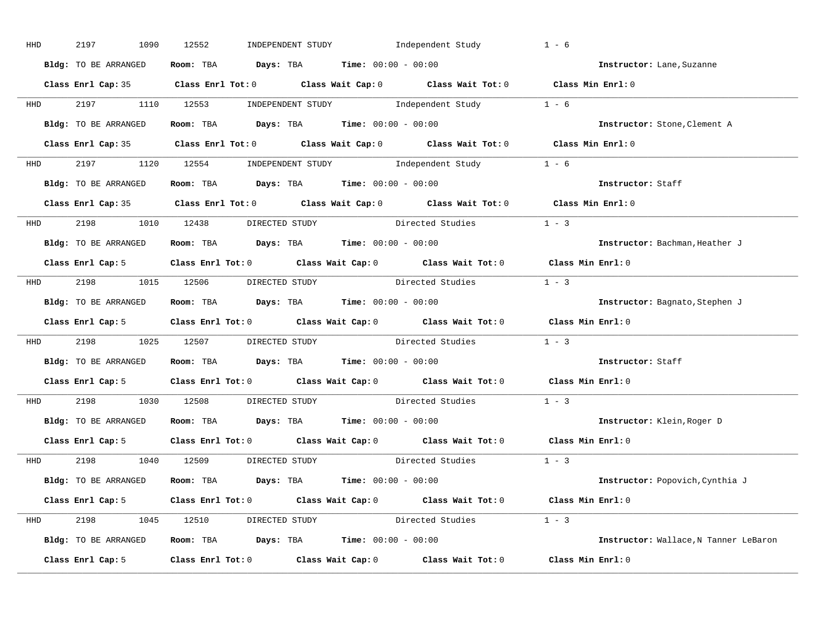| HHD        | 2197<br>1090                                                                               | 12552                                                          | INDEPENDENT STUDY Independent Study |                                                                                                    | $1 - 6$           |                                       |
|------------|--------------------------------------------------------------------------------------------|----------------------------------------------------------------|-------------------------------------|----------------------------------------------------------------------------------------------------|-------------------|---------------------------------------|
|            | Bldg: TO BE ARRANGED                                                                       | Room: TBA $Days:$ TBA $Time: 00:00 - 00:00$                    |                                     |                                                                                                    |                   | Instructor: Lane, Suzanne             |
|            |                                                                                            |                                                                |                                     | Class Enrl Cap: 35 Class Enrl Tot: 0 Class Wait Cap: 0 Class Wait Tot: 0 Class Min Enrl: 0         |                   |                                       |
| <b>HHD</b> |                                                                                            |                                                                |                                     | 2197 1110 12553 INDEPENDENT STUDY Independent Study 1 - 6                                          |                   |                                       |
|            | Bldg: TO BE ARRANGED                                                                       | Room: TBA $Days:$ TBA Time: $00:00 - 00:00$                    |                                     |                                                                                                    |                   | Instructor: Stone, Clement A          |
|            |                                                                                            |                                                                |                                     | Class Enrl Cap: 35 Class Enrl Tot: 0 Class Wait Cap: 0 Class Wait Tot: 0 Class Min Enrl: 0         |                   |                                       |
|            |                                                                                            |                                                                |                                     | HHD 2197 1120 12554 INDEPENDENT STUDY Independent Study 1 - 6                                      |                   |                                       |
|            | <b>Bldg:</b> TO BE ARRANGED <b>ROOM:</b> TBA <b>Days:</b> TBA <b>Time:</b> $00:00 - 00:00$ |                                                                |                                     |                                                                                                    |                   | Instructor: Staff                     |
|            |                                                                                            |                                                                |                                     | Class Enrl Cap: 35 Class Enrl Tot: 0 Class Wait Cap: 0 Class Wait Tot: 0 Class Min Enrl: 0         |                   |                                       |
|            | HHD 2198 1010 12438 DIRECTED STUDY                                                         |                                                                |                                     | Directed Studies 1 - 3                                                                             |                   |                                       |
|            | Bldg: TO BE ARRANGED                                                                       | Room: TBA $\rule{1em}{0.15mm}$ Days: TBA Time: $00:00 - 00:00$ |                                     |                                                                                                    |                   | Instructor: Bachman, Heather J        |
|            |                                                                                            |                                                                |                                     | Class Enrl Cap: 5 Class Enrl Tot: 0 Class Wait Cap: 0 Class Wait Tot: 0 Class Min Enrl: 0          |                   |                                       |
|            |                                                                                            |                                                                |                                     | HHD 2198 1015 12506 DIRECTED STUDY Directed Studies 1 - 3                                          |                   |                                       |
|            | Bldg: TO BE ARRANGED                                                                       | Room: TBA $\rule{1em}{0.15mm}$ Days: TBA Time: $00:00 - 00:00$ |                                     |                                                                                                    |                   | Instructor: Bagnato, Stephen J        |
|            |                                                                                            |                                                                |                                     | Class Enrl Cap: 5 Class Enrl Tot: 0 Class Wait Cap: 0 Class Wait Tot: 0 Class Min Enrl: 0          |                   |                                       |
|            |                                                                                            |                                                                |                                     |                                                                                                    |                   |                                       |
| <b>HHD</b> |                                                                                            |                                                                |                                     | 2198 1025 12507 DIRECTED STUDY Directed Studies                                                    | $1 - 3$           |                                       |
|            | Bldg: TO BE ARRANGED ROOM: TBA Days: TBA Time: 00:00 - 00:00                               |                                                                |                                     |                                                                                                    |                   | Instructor: Staff                     |
|            |                                                                                            |                                                                |                                     | Class Enrl Cap: 5 Class Enrl Tot: 0 Class Wait Cap: 0 Class Wait Tot: 0                            | Class Min Enrl: 0 |                                       |
| <b>HHD</b> | 2198 1030 12508                                                                            |                                                                |                                     | DIRECTED STUDY Directed Studies                                                                    | $1 - 3$           |                                       |
|            | Bldg: TO BE ARRANGED                                                                       | <b>Room:</b> TBA $Days: TBA$ <b>Time:</b> $00:00 - 00:00$      |                                     |                                                                                                    |                   | Instructor: Klein, Roger D            |
|            |                                                                                            |                                                                |                                     | Class Enrl Cap: 5 $\qquad$ Class Enrl Tot: 0 $\qquad$ Class Wait Cap: 0 $\qquad$ Class Wait Tot: 0 | Class Min Enrl: 0 |                                       |
|            | HHD 2198 1040 12509 DIRECTED STUDY                                                         |                                                                |                                     | Directed Studies                                                                                   | $1 - 3$           |                                       |
|            | Bldg: TO BE ARRANGED                                                                       | Room: TBA $Days: TBA$ Time: $00:00 - 00:00$                    |                                     |                                                                                                    |                   | Instructor: Popovich, Cynthia J       |
|            |                                                                                            |                                                                |                                     | Class Enrl Cap: 5 Class Enrl Tot: 0 Class Wait Cap: 0 Class Wait Tot: 0 Class Min Enrl: 0          |                   |                                       |
|            |                                                                                            |                                                                |                                     | HHD 2198 1045 12510 DIRECTED STUDY Directed Studies 1 - 3                                          |                   |                                       |
|            | Bldg: TO BE ARRANGED Room: TBA Days: TBA Time: 00:00 - 00:00                               |                                                                |                                     |                                                                                                    |                   | Instructor: Wallace, N Tanner LeBaron |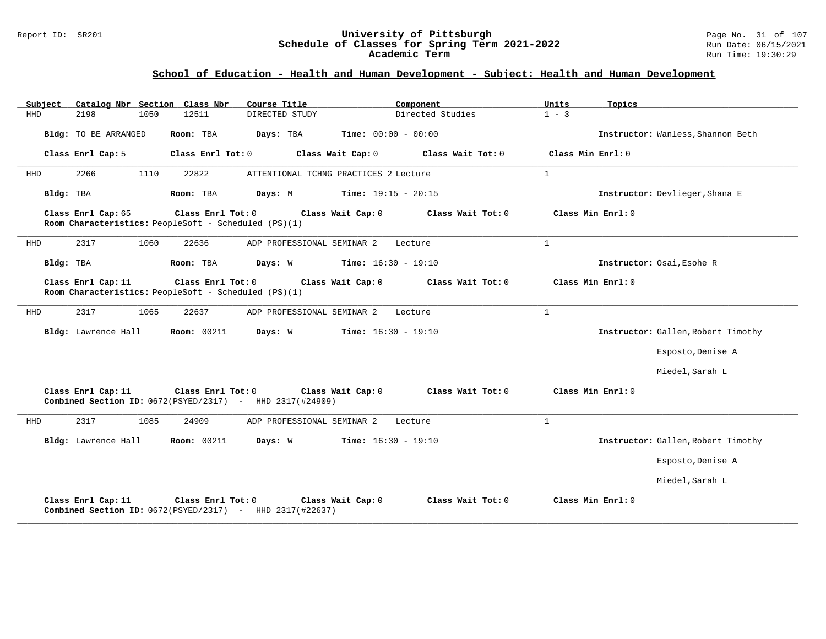#### Report ID: SR201 **University of Pittsburgh** Page No. 31 of 107 **Schedule of Classes for Spring Term 2021-2022** Run Date: 06/15/2021 **Academic Term** Run Time: 19:30:29

| Catalog Nbr Section Class Nbr<br>Subject | Course Title                                                                                           | Component<br>Units           | Topics                             |
|------------------------------------------|--------------------------------------------------------------------------------------------------------|------------------------------|------------------------------------|
| HHD<br>2198<br>1050                      | 12511<br>DIRECTED STUDY                                                                                | Directed Studies<br>$1 - 3$  |                                    |
| Bldg: TO BE ARRANGED                     | Room: TBA<br>Days: TBA                                                                                 | <b>Time:</b> $00:00 - 00:00$ | Instructor: Wanless, Shannon Beth  |
| Class Enrl Cap: 5                        | Class Enrl Tot: 0<br>Class Wait Cap: 0                                                                 | Class Wait Tot: 0            | Class Min Enrl: 0                  |
| 1110<br>2266<br>HHD                      | 22822<br>ATTENTIONAL TCHNG PRACTICES 2 Lecture                                                         | $\mathbf{1}$                 |                                    |
| Bldg: TBA                                | Room: TBA<br>Days: M                                                                                   | <b>Time:</b> $19:15 - 20:15$ | Instructor: Devlieger, Shana E     |
| Class Enrl Cap: 65                       | Class Enrl Tot: 0<br>Class Wait Cap: 0<br>Room Characteristics: PeopleSoft - Scheduled (PS)(1)         | Class Wait Tot: 0            | Class Min Enrl: 0                  |
| 2317<br>1060<br>HHD                      | 22636<br>ADP PROFESSIONAL SEMINAR 2                                                                    | $\mathbf{1}$<br>Lecture      |                                    |
| Bldg: TBA                                | Room: TBA<br>Days: W                                                                                   | $Time: 16:30 - 19:10$        | Instructor: Osai, Esohe R          |
| Class Enrl Cap: 11                       | Class Enrl Tot: 0<br>Class Wait Cap: 0<br>Room Characteristics: PeopleSoft - Scheduled (PS)(1)         | Class Wait Tot: 0            | Class Min Enrl: 0                  |
| 2317<br>1065<br>HHD                      | 22637<br>ADP PROFESSIONAL SEMINAR 2                                                                    | $\mathbf{1}$<br>Lecture      |                                    |
| Bldg: Lawrence Hall                      | <b>Room: 00211</b><br>Days: W                                                                          | <b>Time:</b> $16:30 - 19:10$ | Instructor: Gallen, Robert Timothy |
|                                          |                                                                                                        |                              | Esposto, Denise A                  |
|                                          |                                                                                                        |                              | Miedel, Sarah L                    |
| Class Enrl Cap: 11                       | Class Enrl Tot: 0<br>Class Wait Cap: 0<br>Combined Section ID: $0672(PSYED/2317)$ - HHD $2317(#24909)$ | Class Wait Tot: 0            | Class Min Enrl: 0                  |
| 2317<br>1085<br>HHD                      | 24909<br>ADP PROFESSIONAL SEMINAR 2                                                                    | $\mathbf{1}$<br>Lecture      |                                    |
| Bldg: Lawrence Hall                      | <b>Room: 00211</b><br>Days: W                                                                          | <b>Time:</b> $16:30 - 19:10$ | Instructor: Gallen, Robert Timothy |
|                                          |                                                                                                        |                              | Esposto, Denise A                  |
|                                          |                                                                                                        |                              | Miedel, Sarah L                    |
| Class Enrl Cap: 11                       | Class Enrl Tot: 0<br>Class Wait Cap: 0<br>Combined Section ID: 0672(PSYED/2317) - HHD 2317(#22637)     | Class Wait Tot: 0            | Class Min Enrl: 0                  |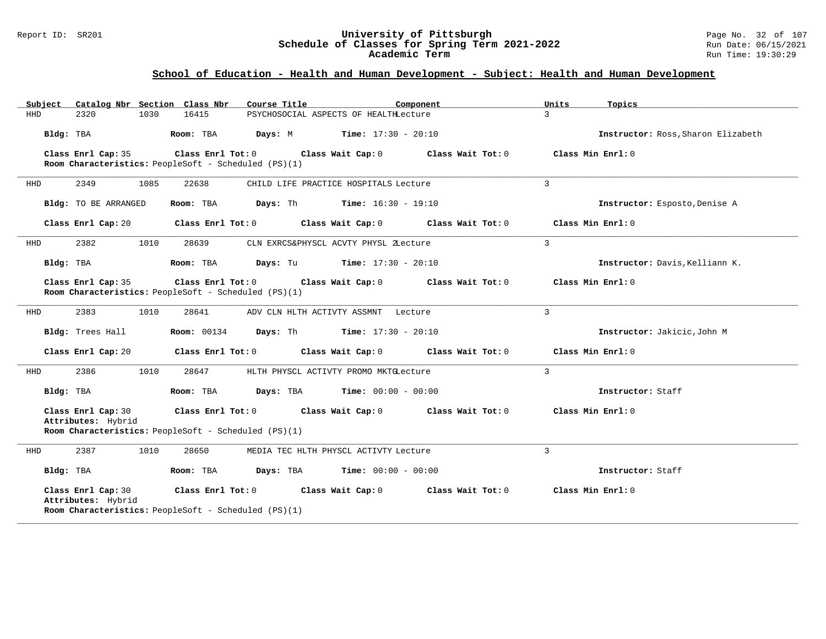#### Report ID: SR201 **University of Pittsburgh** Page No. 32 of 107 **Schedule of Classes for Spring Term 2021-2022** Run Date: 06/15/2021 **Academic Term** Run Time: 19:30:29

| Catalog Nbr Section Class Nbr<br>Subject | Course Title                                                                | Component                                   | Units<br>Topics                    |
|------------------------------------------|-----------------------------------------------------------------------------|---------------------------------------------|------------------------------------|
| <b>HHD</b><br>2320<br>1030               | 16415<br>PSYCHOSOCIAL ASPECTS OF HEALTHLecture                              |                                             | $\mathcal{L}$                      |
| Bldg: TBA                                | Room: TBA                                                                   | <b>Days:</b> M <b>Time:</b> $17:30 - 20:10$ | Instructor: Ross, Sharon Elizabeth |
| Class Enrl Cap: 35                       | Class Enrl Tot: 0<br>Room Characteristics: PeopleSoft - Scheduled (PS)(1)   | Class Wait Cap: 0<br>Class Wait Tot: 0      | Class Min Enrl: $0$                |
| 2349<br>1085<br>HHD                      | 22638<br>CHILD LIFE PRACTICE HOSPITALS Lecture                              |                                             | $\mathbf{3}$                       |
| Bldg: TO BE ARRANGED                     | <b>Days:</b> Th <b>Time:</b> $16:30 - 19:10$<br>Room: TBA                   |                                             | Instructor: Esposto, Denise A      |
| Class Enrl Cap: 20                       | Class Wait Cap: 0<br>Class Enrl Tot: 0                                      | Class Wait Tot: 0                           | Class Min Enrl: 0                  |
| 2382<br>1010<br>HHD                      | 28639<br>CLN EXRCS&PHYSCL ACVTY PHYSL ZLecture                              |                                             | 3                                  |
| Bldg: TBA                                | Room: TBA<br>Days: Tu                                                       | <b>Time:</b> $17:30 - 20:10$                | Instructor: Davis, Kelliann K.     |
| Class Enrl Cap: 35                       | Class Enrl Tot: $0$<br>Room Characteristics: PeopleSoft - Scheduled (PS)(1) | Class Wait Cap: 0<br>Class Wait Tot: 0      | Class Min Enrl: 0                  |
| 2383<br>1010<br>HHD                      | 28641<br>ADV CLN HLTH ACTIVTY ASSMNT Lecture                                |                                             | 3                                  |
| Bldg: Trees Hall                         | <b>Room:</b> 00134<br>Days: Th                                              | <b>Time:</b> $17:30 - 20:10$                | Instructor: Jakicic, John M        |
| Class Enrl Cap: 20                       | Class Enrl Tot: 0                                                           | Class Wait Cap: 0<br>Class Wait Tot: 0      | Class Min Enrl: 0                  |
| 2386<br>1010<br>HHD                      | 28647<br>HLTH PHYSCL ACTIVTY PROMO MKTGLecture                              |                                             | 3                                  |
| Bldg: TBA                                | Room: TBA<br>Days: TBA                                                      | <b>Time:</b> $00:00 - 00:00$                | Instructor: Staff                  |
| Class Enrl Cap: 30<br>Attributes: Hybrid | Class Enrl Tot: 0                                                           | Class Wait Cap: 0<br>Class Wait Tot: 0      | Class Min Enrl: 0                  |
|                                          | Room Characteristics: PeopleSoft - Scheduled (PS)(1)                        |                                             |                                    |
| 2387<br>HHD<br>1010                      | 28650<br>MEDIA TEC HLTH PHYSCL ACTIVTY Lecture                              |                                             | 3                                  |
| Bldg: TBA                                | Room: TBA<br>Days: TBA                                                      | <b>Time:</b> $00:00 - 00:00$                | Instructor: Staff                  |
| Class Enrl Cap: 30<br>Attributes: Hybrid | Class Enrl Tot: 0<br>Room Characteristics: PeopleSoft - Scheduled (PS)(1)   | Class Wait Cap: 0<br>Class Wait Tot: 0      | Class Min Enrl: 0                  |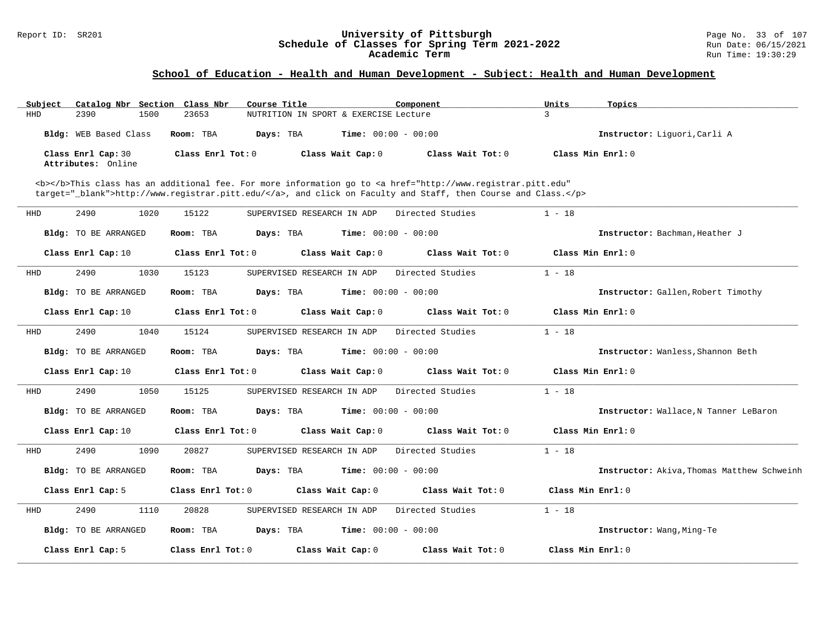#### Report ID: SR201 **University of Pittsburgh** Page No. 33 of 107 **Schedule of Classes for Spring Term 2021-2022** Run Date: 06/15/2021 **Academic Term** Run Time: 19:30:29

| Subject            |                             | Catalog Nbr Section Class Nbr | Course Title                          |                              | Component                                                                                                                                                                                                                          | Units             | Topics                                     |
|--------------------|-----------------------------|-------------------------------|---------------------------------------|------------------------------|------------------------------------------------------------------------------------------------------------------------------------------------------------------------------------------------------------------------------------|-------------------|--------------------------------------------|
| 2390<br><b>HHD</b> |                             | 1500<br>23653                 | NUTRITION IN SPORT & EXERCISE Lecture |                              |                                                                                                                                                                                                                                    | 3                 |                                            |
|                    | Bldg: WEB Based Class       | Room: TBA                     | Days: TBA                             | <b>Time:</b> $00:00 - 00:00$ |                                                                                                                                                                                                                                    |                   | Instructor: Liquori, Carli A               |
| Class Enrl Cap: 30 | Attributes: Online          | Class Enrl Tot: 0             |                                       | Class Wait Cap: 0            | Class Wait Tot: 0                                                                                                                                                                                                                  |                   | Class Min Enrl: 0                          |
|                    |                             |                               |                                       |                              |                                                                                                                                                                                                                                    |                   |                                            |
|                    |                             |                               |                                       |                              | <b></b> This class has an additional fee. For more information go to <a <br="" href="http://www.registrar.pitt.edu">target="_blank"&gt;http://www.registrar.pitt.edu/</a> , and click on Faculty and Staff, then Course and Class. |                   |                                            |
| HHD<br>2490        |                             | 1020<br>15122                 | SUPERVISED RESEARCH IN ADP            |                              | Directed Studies                                                                                                                                                                                                                   | $1 - 18$          |                                            |
|                    | <b>Bldg:</b> TO BE ARRANGED | Room: TBA                     | Days: TBA                             |                              | <b>Time:</b> $00:00 - 00:00$                                                                                                                                                                                                       |                   | Instructor: Bachman, Heather J             |
| Class Enrl Cap: 10 |                             | Class Enrl Tot: 0             |                                       | Class Wait Cap: 0            | Class Wait Tot: 0                                                                                                                                                                                                                  |                   | Class Min Enrl: 0                          |
| 2490<br>HHD        |                             | 1030<br>15123                 | SUPERVISED RESEARCH IN ADP            |                              | Directed Studies                                                                                                                                                                                                                   | $1 - 18$          |                                            |
|                    | <b>Bldg:</b> TO BE ARRANGED | Room: TBA                     | Days: TBA                             |                              | <b>Time:</b> $00:00 - 00:00$                                                                                                                                                                                                       |                   | Instructor: Gallen, Robert Timothy         |
| Class Enrl Cap: 10 |                             | Class Enrl Tot: 0             |                                       | Class Wait Cap: 0            | Class Wait Tot: 0                                                                                                                                                                                                                  |                   | Class Min Enrl: 0                          |
| <b>HHD</b><br>2490 |                             | 1040<br>15124                 | SUPERVISED RESEARCH IN ADP            |                              | Directed Studies                                                                                                                                                                                                                   | $1 - 18$          |                                            |
|                    | Bldg: TO BE ARRANGED        | Room: TBA                     | Days: TBA                             |                              | <b>Time:</b> $00:00 - 00:00$                                                                                                                                                                                                       |                   | Instructor: Wanless, Shannon Beth          |
| Class Enrl Cap: 10 |                             | Class Enrl Tot: 0             |                                       | Class Wait Cap: 0            | Class Wait Tot: 0                                                                                                                                                                                                                  |                   | Class Min Enrl: 0                          |
| 2490<br>HHD        |                             | 1050<br>15125                 | SUPERVISED RESEARCH IN ADP            |                              | Directed Studies                                                                                                                                                                                                                   | $1 - 18$          |                                            |
|                    | Bldg: TO BE ARRANGED        | Room: TBA                     | Days: TBA                             | <b>Time:</b> $00:00 - 00:00$ |                                                                                                                                                                                                                                    |                   | Instructor: Wallace, N Tanner LeBaron      |
| Class Enrl Cap: 10 |                             | Class Enrl Tot: 0             |                                       | Class Wait Cap: 0            | Class Wait Tot: 0                                                                                                                                                                                                                  |                   | Class Min Enrl: 0                          |
| 2490<br>HHD        |                             | 1090<br>20827                 | SUPERVISED RESEARCH IN ADP            |                              | Directed Studies                                                                                                                                                                                                                   | $1 - 18$          |                                            |
|                    | Bldg: TO BE ARRANGED        | Room: TBA                     | Days: TBA                             |                              | <b>Time:</b> $00:00 - 00:00$                                                                                                                                                                                                       |                   | Instructor: Akiva, Thomas Matthew Schweinh |
| Class Enrl Cap: 5  |                             | Class Enrl Tot: 0             |                                       | Class Wait Cap: 0            | Class Wait Tot: 0                                                                                                                                                                                                                  | Class Min Enrl: 0 |                                            |
| 2490<br>HHD        |                             | 1110<br>20828                 | SUPERVISED RESEARCH IN ADP            |                              | Directed Studies                                                                                                                                                                                                                   | $1 - 18$          |                                            |
|                    | Bldg: TO BE ARRANGED        | Room: TBA                     | Days: TBA                             |                              | <b>Time:</b> $00:00 - 00:00$                                                                                                                                                                                                       |                   | Instructor: Wang, Ming-Te                  |
| Class Enrl Cap: 5  |                             | Class Enrl Tot: 0             |                                       | Class Wait Cap: 0            | Class Wait Tot: 0                                                                                                                                                                                                                  | Class Min Enrl: 0 |                                            |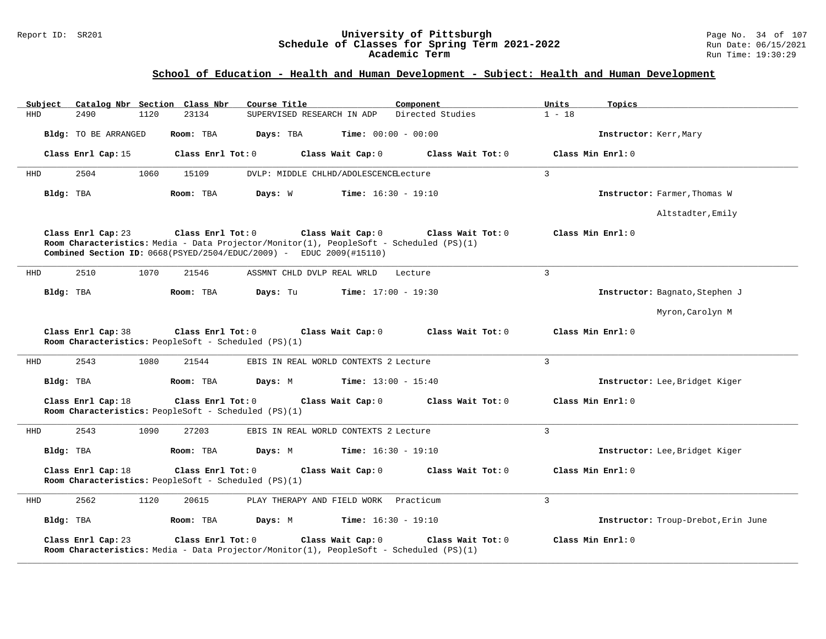#### Report ID: SR201 **University of Pittsburgh** Page No. 34 of 107 **Schedule of Classes for Spring Term 2021-2022** Run Date: 06/15/2021 **Academic Term** Run Time: 19:30:29

| Subject   |                             | Catalog Nbr Section Class Nbr | Course Title                                                                                                                                                                                 |                                       | Component         | Units          | Topics                              |
|-----------|-----------------------------|-------------------------------|----------------------------------------------------------------------------------------------------------------------------------------------------------------------------------------------|---------------------------------------|-------------------|----------------|-------------------------------------|
| HHD       | 2490                        | 1120<br>23134                 | SUPERVISED RESEARCH IN ADP                                                                                                                                                                   |                                       | Directed Studies  | $1 - 18$       |                                     |
|           | <b>Bldg:</b> TO BE ARRANGED | Room: TBA                     | Days: TBA                                                                                                                                                                                    | <b>Time:</b> $00:00 - 00:00$          |                   |                | Instructor: Kerr, Mary              |
|           | Class Enrl Cap: 15          |                               | Class Enrl Tot: 0                                                                                                                                                                            | Class Wait Cap: 0                     | Class Wait Tot: 0 |                | Class Min Enrl: 0                   |
| HHD       | 2504                        | 1060<br>15109                 |                                                                                                                                                                                              | DVLP: MIDDLE CHLHD/ADOLESCENCELecture |                   | $\mathbf{3}$   |                                     |
| Bldg: TBA |                             | Room: TBA                     | Days: W                                                                                                                                                                                      | <b>Time:</b> $16:30 - 19:10$          |                   |                | Instructor: Farmer, Thomas W        |
|           |                             |                               |                                                                                                                                                                                              |                                       |                   |                | Altstadter, Emily                   |
|           | Class Enrl Cap: 23          |                               | Class Enrl Tot: 0<br>Room Characteristics: Media - Data Projector/Monitor(1), PeopleSoft - Scheduled (PS)(1)<br><b>Combined Section ID:</b> $0668(PSYED/2504/EDUC/2009)$ - EDUC 2009(#15110) | Class Wait Cap: 0                     | Class Wait Tot: 0 |                | Class Min Enrl: 0                   |
| HHD       | 2510                        | 1070<br>21546                 | ASSMNT CHLD DVLP REAL WRLD                                                                                                                                                                   |                                       | Lecture           | $\overline{3}$ |                                     |
| Bldg: TBA |                             | Room: TBA                     | Days: Tu                                                                                                                                                                                     | Time: $17:00 - 19:30$                 |                   |                | Instructor: Bagnato, Stephen J      |
|           |                             |                               |                                                                                                                                                                                              |                                       |                   |                | Myron, Carolyn M                    |
|           | Class Enrl Cap: 38          |                               | Class Enrl Tot: 0<br>Room Characteristics: PeopleSoft - Scheduled (PS)(1)                                                                                                                    | Class Wait Cap: 0                     | Class Wait Tot: 0 |                | Class Min Enrl: 0                   |
| HHD       | 2543                        | 1080<br>21544                 |                                                                                                                                                                                              | EBIS IN REAL WORLD CONTEXTS 2 Lecture |                   | 3              |                                     |
| Bldg: TBA |                             | Room: TBA                     | Days: M                                                                                                                                                                                      | <b>Time:</b> $13:00 - 15:40$          |                   |                | Instructor: Lee, Bridget Kiger      |
|           | Class Enrl Cap: 18          |                               | Class Enrl Tot: 0<br>Room Characteristics: PeopleSoft - Scheduled (PS)(1)                                                                                                                    | Class Wait Cap: 0                     | Class Wait Tot: 0 |                | Class Min Enrl: 0                   |
| HHD       | 2543                        | 1090<br>27203                 |                                                                                                                                                                                              | EBIS IN REAL WORLD CONTEXTS 2 Lecture |                   | 3              |                                     |
| Bldg: TBA |                             | Room: TBA                     | Days: M                                                                                                                                                                                      | <b>Time:</b> $16:30 - 19:10$          |                   |                | Instructor: Lee, Bridget Kiger      |
|           | Class Enrl Cap: 18          |                               | Class Enrl Tot: 0<br>Room Characteristics: PeopleSoft - Scheduled (PS)(1)                                                                                                                    | Class Wait Cap: 0                     | Class Wait Tot: 0 |                | Class Min Enrl: 0                   |
| HHD       | 2562                        | 1120<br>20615                 |                                                                                                                                                                                              | PLAY THERAPY AND FIELD WORK Practicum |                   | 3              |                                     |
| Bldg: TBA |                             | Room: TBA                     | Days: M                                                                                                                                                                                      | <b>Time:</b> $16:30 - 19:10$          |                   |                | Instructor: Troup-Drebot, Erin June |
|           | Class Enrl Cap: 23          |                               | Class Enrl Tot: 0<br>Room Characteristics: Media - Data Projector/Monitor(1), PeopleSoft - Scheduled (PS)(1)                                                                                 | Class Wait Cap: 0                     | Class Wait Tot: 0 |                | Class Min Enrl: 0                   |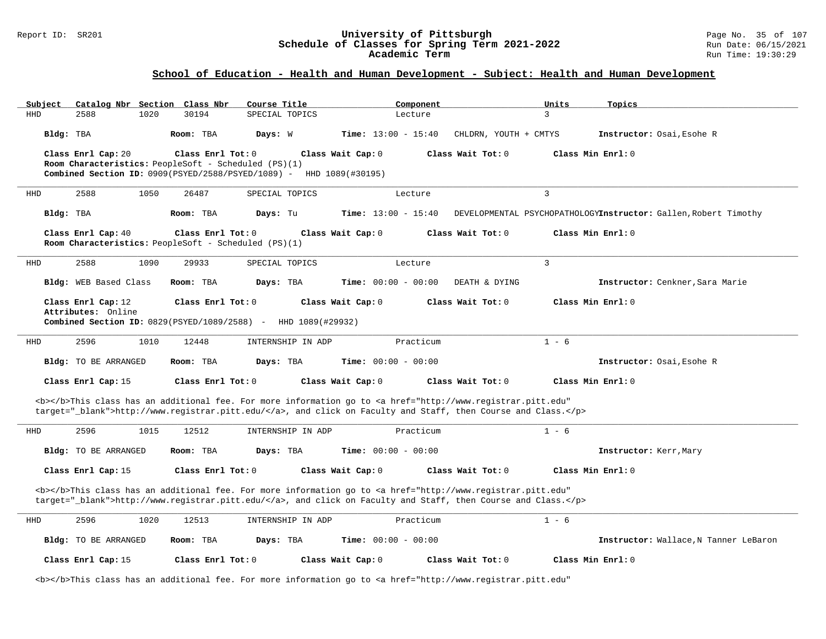#### Report ID: SR201 **University of Pittsburgh** Page No. 35 of 107 **Schedule of Classes for Spring Term 2021-2022** Run Date: 06/15/2021 **Academic Term** Run Time: 19:30:29

| Catalog Nbr Section Class Nbr<br>Subject<br><b>HHD</b><br>2588<br>1020 | Course Title<br>SPECIAL TOPICS<br>30194                                                                                                            | Component<br>Lecture                                                                                                                                                                                                               | Units<br>Topics<br>3                                            |
|------------------------------------------------------------------------|----------------------------------------------------------------------------------------------------------------------------------------------------|------------------------------------------------------------------------------------------------------------------------------------------------------------------------------------------------------------------------------------|-----------------------------------------------------------------|
| Bldg: TBA                                                              | Room: TBA<br>Days: W                                                                                                                               | <b>Time:</b> $13:00 - 15:40$<br>CHLDRN, YOUTH + CMTYS                                                                                                                                                                              | Instructor: Osai, Esohe R                                       |
| Class Enrl Cap: 20                                                     | Class Enrl Tot: $0$<br>Room Characteristics: PeopleSoft - Scheduled (PS)(1)<br>Combined Section ID: 0909(PSYED/2588/PSYED/1089) - HHD 1089(#30195) | Class Wait Cap: 0<br>Class Wait Tot: 0                                                                                                                                                                                             | Class Min Enrl: 0                                               |
| 2588<br>1050<br>HHD                                                    | 26487<br>SPECIAL TOPICS                                                                                                                            | Lecture                                                                                                                                                                                                                            | $\overline{3}$                                                  |
| Bldg: TBA                                                              | Room: TBA<br>Days: Tu                                                                                                                              | <b>Time:</b> $13:00 - 15:40$                                                                                                                                                                                                       | DEVELOPMENTAL PSYCHOPATHOLOGYInstructor: Gallen, Robert Timothy |
| Class Enrl Cap: 40                                                     | Class Enrl Tot: 0<br>Room Characteristics: PeopleSoft - Scheduled (PS)(1)                                                                          | Class Wait Cap: 0<br>Class Wait Tot: 0                                                                                                                                                                                             | Class Min Enrl: 0                                               |
| 2588<br>1090<br>HHD                                                    | 29933<br>SPECIAL TOPICS                                                                                                                            | Lecture                                                                                                                                                                                                                            | $\overline{3}$                                                  |
| Bldg: WEB Based Class                                                  | Room: TBA<br>Days: TBA                                                                                                                             | <b>Time:</b> $00:00 - 00:00$<br>DEATH & DYING                                                                                                                                                                                      | Instructor: Cenkner, Sara Marie                                 |
| Class Enrl Cap: 12<br>Attributes: Online                               | Class Enrl Tot: 0<br>Combined Section ID: 0829(PSYED/1089/2588) - HHD 1089(#29932)                                                                 | Class Wait Tot: 0<br>Class Wait Cap: 0                                                                                                                                                                                             | Class Min Enrl: 0                                               |
| HHD<br>2596<br>1010                                                    | 12448<br>INTERNSHIP IN ADP                                                                                                                         | Practicum                                                                                                                                                                                                                          | $1 - 6$                                                         |
| Bldg: TO BE ARRANGED                                                   | Room: TBA<br>Days: TBA                                                                                                                             | <b>Time:</b> $00:00 - 00:00$                                                                                                                                                                                                       | Instructor: Osai, Esohe R                                       |
| Class Enrl Cap: 15                                                     | Class Enrl Tot: $0$                                                                                                                                | Class Wait Cap: 0<br>Class Wait $Tot: 0$                                                                                                                                                                                           | Class Min Enrl: 0                                               |
|                                                                        |                                                                                                                                                    | <b></b> This class has an additional fee. For more information go to <a <br="" href="http://www.registrar.pitt.edu">target="_blank"&gt;http://www.registrar.pitt.edu/</a> , and click on Faculty and Staff, then Course and Class. |                                                                 |
| 2596<br>1015<br><b>HHD</b>                                             | 12512<br>INTERNSHIP IN ADP                                                                                                                         | Practicum                                                                                                                                                                                                                          | $1 - 6$                                                         |
| Bldg: TO BE ARRANGED                                                   | Room: TBA<br>Days: TBA                                                                                                                             | <b>Time:</b> $00:00 - 00:00$                                                                                                                                                                                                       | Instructor: Kerr, Mary                                          |
| Class Enrl Cap: 15                                                     | Class Enrl Tot: 0                                                                                                                                  | Class Wait Cap: 0<br>Class Wait Tot: 0                                                                                                                                                                                             | Class Min Enrl: 0                                               |
|                                                                        |                                                                                                                                                    | <b></b> This class has an additional fee. For more information go to <a <br="" href="http://www.registrar.pitt.edu">target="_blank"&gt;http://www.registrar.pitt.edu/</a> , and click on Faculty and Staff, then Course and Class. |                                                                 |
| 2596<br>1020<br><b>HHD</b>                                             | 12513<br>INTERNSHIP IN ADP                                                                                                                         | Practicum                                                                                                                                                                                                                          | $1 - 6$                                                         |
| Bldg: TO BE ARRANGED                                                   | Room: TBA<br>Days: TBA                                                                                                                             | <b>Time:</b> $00:00 - 00:00$                                                                                                                                                                                                       | Instructor: Wallace, N Tanner LeBaron                           |
| Class Enrl Cap: 15                                                     | Class Enrl Tot: 0                                                                                                                                  | Class Wait Tot: 0<br>Class Wait Cap: 0                                                                                                                                                                                             | Class Min Enrl: 0                                               |
|                                                                        |                                                                                                                                                    | <b></b> This class has an additional fee. For more information go to <a <="" href="http://www.registrar.pitt.edu" td=""><td></td></a>                                                                                              |                                                                 |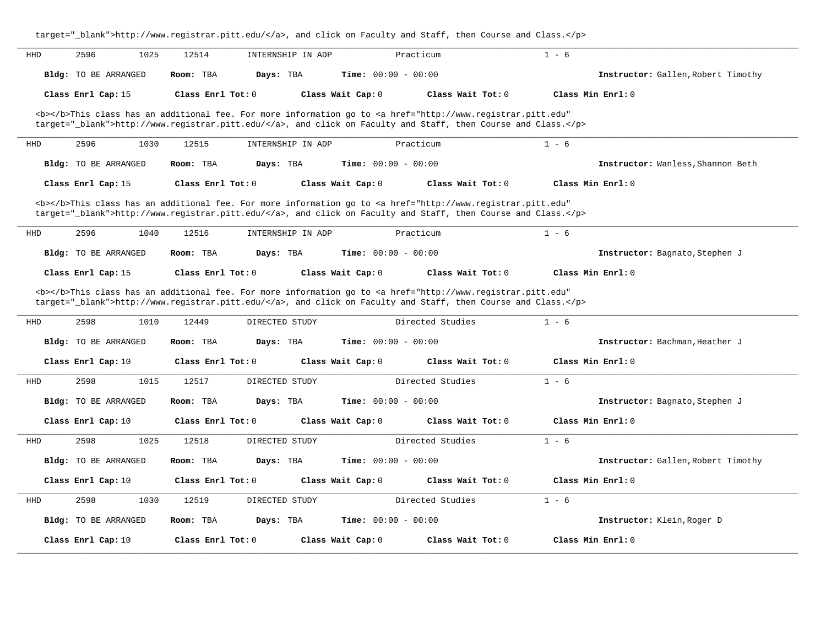|            |                             |                            | target="_blank">http://www.registrar.pitt.edu/, and click on Faculty and Staff, then Course and Class.                                |                                    |
|------------|-----------------------------|----------------------------|---------------------------------------------------------------------------------------------------------------------------------------|------------------------------------|
| HHD        | 2596<br>1025                | 12514<br>INTERNSHIP IN ADP | Practicum                                                                                                                             | $1 - 6$                            |
|            | <b>Bldg:</b> TO BE ARRANGED | Room: TBA<br>Days: TBA     | Time: $00:00 - 00:00$                                                                                                                 | Instructor: Gallen, Robert Timothy |
|            | Class Enrl Cap: 15          | Class $Enr1 Tot: 0$        | Class Wait Cap: 0<br>Class Wait $Tot: 0$                                                                                              | Class Min Err1:0                   |
|            |                             |                            | <b></b> This class has an additional fee. For more information go to <a <="" href="http://www.registrar.pitt.edu" td=""><td></td></a> |                                    |
|            |                             |                            | target="_blank">http://www.registrar.pitt.edu/, and click on Faculty and Staff, then Course and Class.                                |                                    |
| HHD        | 2596<br>1030                | 12515<br>INTERNSHIP IN ADP | Practicum                                                                                                                             | $1 - 6$                            |
|            | Bldg: TO BE ARRANGED        | Days: TBA<br>Room: TBA     | <b>Time:</b> $00:00 - 00:00$                                                                                                          | Instructor: Wanless, Shannon Beth  |
|            | Class Enrl Cap: 15          | Class $Enr1 Tot: 0$        | Class Wait Cap: 0<br>Class Wait Tot: 0                                                                                                | Class Min $Enrl: 0$                |
|            |                             |                            | <b></b> This class has an additional fee. For more information go to <a <="" href="http://www.registrar.pitt.edu" td=""><td></td></a> |                                    |
|            |                             |                            | target="_blank">http://www.registrar.pitt.edu/, and click on Faculty and Staff, then Course and Class.                                |                                    |
| HHD        | 2596<br>1040                | 12516<br>INTERNSHIP IN ADP | Practicum                                                                                                                             | $1 - 6$                            |
|            | <b>Bldg:</b> TO BE ARRANGED | Room: TBA<br>Days: TBA     | Time: $00:00 - 00:00$                                                                                                                 | Instructor: Bagnato, Stephen J     |
|            | Class Enrl Cap: 15          | Class $Enr1 Tot: 0$        | Class Wait Cap: 0<br>Class Wait $Tot: 0$                                                                                              | Class Min Enrl: 0                  |
|            |                             |                            | <b></b> This class has an additional fee. For more information go to <a <="" href="http://www.registrar.pitt.edu" td=""><td></td></a> |                                    |
|            |                             |                            | target="_blank">http://www.registrar.pitt.edu/, and click on Faculty and Staff, then Course and Class.                                |                                    |
| <b>HHD</b> | 2598<br>1010                | 12449<br>DIRECTED STUDY    | Directed Studies                                                                                                                      | $1 - 6$                            |
|            | <b>Bldg:</b> TO BE ARRANGED | Room: TBA<br>Days: TBA     | Time: $00:00 - 00:00$                                                                                                                 | Instructor: Bachman, Heather J     |
|            | Class Enrl Cap: 10          | Class $Enr1 Tot: 0$        | Class Wait Cap: 0<br>Class Wait $Tot: 0$                                                                                              | Class Min Err1:0                   |
| HHD        | 2598<br>1015                | 12517<br>DIRECTED STUDY    | Directed Studies                                                                                                                      | $1 - 6$                            |
|            | <b>Bldg:</b> TO BE ARRANGED | Days: TBA<br>Room: TBA     | Time: $00:00 - 00:00$                                                                                                                 | Instructor: Bagnato, Stephen J     |
|            | Class Enrl Cap: 10          | Class Enrl Tot: 0          | Class Wait Cap: 0<br>Class Wait $Tot: 0$                                                                                              | Class Min Err1:0                   |
| HHD        | 2598<br>1025                | 12518<br>DIRECTED STUDY    | Directed Studies                                                                                                                      | $1 - 6$                            |
|            | <b>Bldg:</b> TO BE ARRANGED | Room: TBA<br>Days: TBA     | Time: $00:00 - 00:00$                                                                                                                 | Instructor: Gallen, Robert Timothy |
|            | Class Enrl Cap: 10          | Class $Enr1 Tot: 0$        | Class Wait Cap: 0<br>Class Wait $Tot: 0$                                                                                              | Class Min Enrl: 0                  |
| <b>HHD</b> | 2598<br>1030                | 12519<br>DIRECTED STUDY    | Directed Studies                                                                                                                      | $1 - 6$                            |
|            | Bldg: TO BE ARRANGED        | Room: TBA<br>Days: TBA     | Time: $00:00 - 00:00$                                                                                                                 | Instructor: Klein, Roger D         |
|            | Class Enrl Cap: 10          | Class Enrl Tot: 0          | Class Wait Cap: 0<br>Class Wait Tot: 0                                                                                                | Class Min Enrl: 0                  |
|            |                             |                            |                                                                                                                                       |                                    |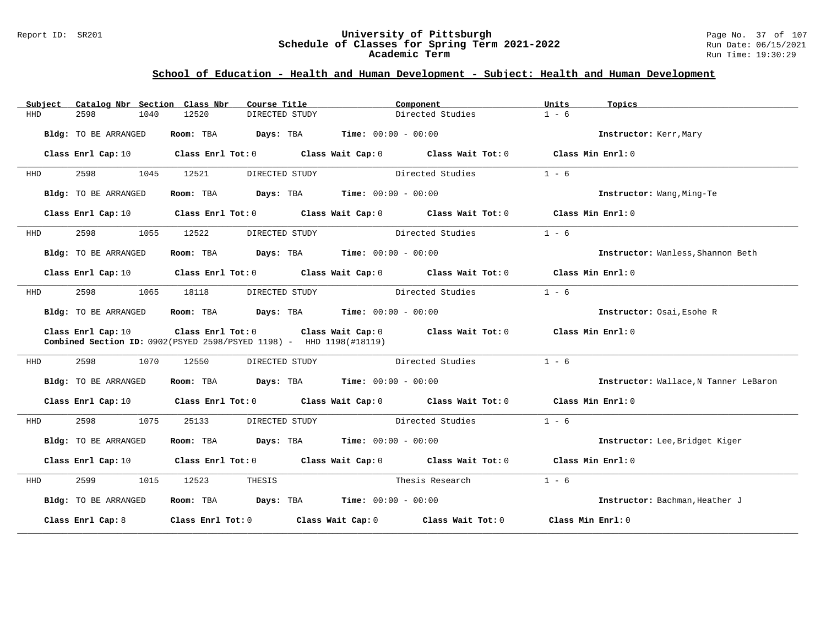#### Report ID: SR201 **University of Pittsburgh** Page No. 37 of 107 **Schedule of Classes for Spring Term 2021-2022** Run Date: 06/15/2021 **Academic Term** Run Time: 19:30:29

| Subject    | Catalog Nbr Section Class Nbr | Course Title                                                                          | Component                                                                                                                      | Units<br>Topics                       |
|------------|-------------------------------|---------------------------------------------------------------------------------------|--------------------------------------------------------------------------------------------------------------------------------|---------------------------------------|
| <b>HHD</b> | 2598<br>1040                  | 12520<br>DIRECTED STUDY                                                               | Directed Studies                                                                                                               | $1 - 6$                               |
|            | Bldg: TO BE ARRANGED          | <b>Room:</b> TBA <b>Days:</b> TBA <b>Time:</b> 00:00 - 00:00                          |                                                                                                                                | Instructor: Kerr, Mary                |
|            | Class Enrl Cap: 10            |                                                                                       | Class Enrl Tot: $0$ Class Wait Cap: $0$ Class Wait Tot: $0$ Class Min Enrl: $0$                                                |                                       |
| HHD        | 2598<br>1045                  | 12521<br>DIRECTED STUDY                                                               | Directed Studies                                                                                                               | $1 - 6$                               |
|            | Bldg: TO BE ARRANGED          | Room: TBA $\rule{1em}{0.15mm}$ Days: TBA $\rule{1.5mm}{0.15mm}$ Time: $00:00 - 00:00$ |                                                                                                                                | Instructor: Wang, Ming-Te             |
|            | Class Enrl Cap: 10            |                                                                                       | Class Enrl Tot: $0$ Class Wait Cap: $0$ Class Wait Tot: $0$ Class Min Enrl: $0$                                                |                                       |
| HHD        | 2598<br>1055                  | 12522<br>DIRECTED STUDY                                                               | Directed Studies                                                                                                               | $1 - 6$                               |
|            | Bldg: TO BE ARRANGED          | Room: TBA $\rule{1em}{0.15mm}$ Days: TBA Time: $00:00 - 00:00$                        |                                                                                                                                | Instructor: Wanless, Shannon Beth     |
|            | Class Enrl Cap: 10            |                                                                                       | Class Enrl Tot: $0$ Class Wait Cap: $0$ Class Wait Tot: $0$ Class Min Enrl: $0$                                                |                                       |
| HHD        | 2598 and 2598<br>1065         | 18118                                                                                 | Directed Studies<br>DIRECTED STUDY                                                                                             | $1 - 6$                               |
|            | Bldg: TO BE ARRANGED          |                                                                                       | Room: TBA $Days:$ TBA $Time: 00:00 - 00:00$                                                                                    | Instructor: Osai, Esohe R             |
|            | Class Enrl Cap: 10            | <b>Combined Section ID:</b> $0902(PSYED 2598/PSYED 1198)$ - HHD $1198(\text{#18119})$ | Class Enrl Tot: 0 $\qquad$ Class Wait Cap: 0 $\qquad$ Class Wait Tot: 0 $\qquad$ Class Min Enrl: 0                             |                                       |
| HHD        | 2598<br>1070                  | 12550<br>DIRECTED STUDY                                                               | Directed Studies                                                                                                               | $1 - 6$                               |
|            | Bldg: TO BE ARRANGED          | Room: TBA                                                                             | <b>Days:</b> TBA <b>Time:</b> $00:00 - 00:00$                                                                                  | Instructor: Wallace, N Tanner LeBaron |
|            | Class Enrl Cap: 10            |                                                                                       | Class Enrl Tot: 0 Class Wait Cap: 0 Class Wait Tot: 0 Class Min Enrl: 0                                                        |                                       |
| HHD        | 2598 and 2598<br>1075         | 25133<br>DIRECTED STUDY                                                               | Directed Studies                                                                                                               | $1 - 6$                               |
|            | Bldg: TO BE ARRANGED          | Room: TBA                                                                             | <b>Days:</b> TBA <b>Time:</b> $00:00 - 00:00$                                                                                  | Instructor: Lee, Bridget Kiger        |
|            |                               |                                                                                       | Class Enrl Cap: 10 $\qquad$ Class Enrl Tot: 0 $\qquad$ Class Wait Cap: 0 $\qquad$ Class Wait Tot: 0 $\qquad$ Class Min Enrl: 0 |                                       |
| HHD        | 2599<br>1015                  | 12523<br>THESIS                                                                       | Thesis Research                                                                                                                | $1 - 6$                               |
|            | Bldg: TO BE ARRANGED          | Room: TBA $Days: TBA$ Time: $00:00 - 00:00$                                           |                                                                                                                                | Instructor: Bachman, Heather J        |
|            | Class Enrl Cap: 8             |                                                                                       | Class Enrl Tot: 0 Class Wait Cap: 0 Class Wait Tot: 0                                                                          | Class Min Enrl: 0                     |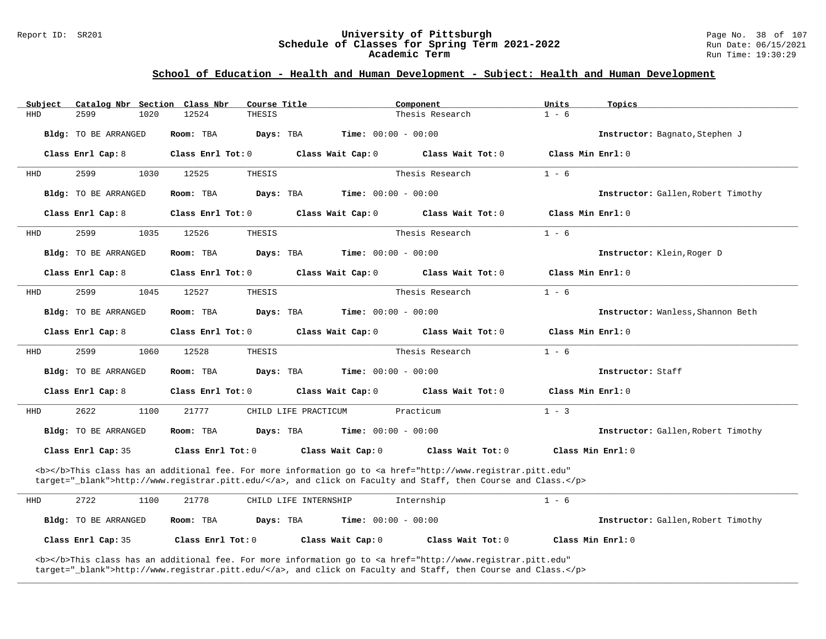# Report ID: SR201 **University of Pittsburgh University of Pittsburgh** Page No. 38 of 107<br>**Schedule of Classes for Spring Term 2021-2022** Run Date: 06/15/2021 Schedule of Classes for Spring Term 2021-2022<br>Academic Term

### **School of Education - Health and Human Development - Subject: Health and Human Development**

| Subject    | Catalog Nbr Section Class Nbr | Course Title           |                              | Component                                                                                                                                                                                                                          | Units             | Topics                             |
|------------|-------------------------------|------------------------|------------------------------|------------------------------------------------------------------------------------------------------------------------------------------------------------------------------------------------------------------------------------|-------------------|------------------------------------|
| HHD        | 2599<br>1020                  | 12524<br>THESIS        |                              | Thesis Research                                                                                                                                                                                                                    | $1 - 6$           |                                    |
|            | Bldg: TO BE ARRANGED          | Room: TBA<br>Days: TBA | <b>Time:</b> $00:00 - 00:00$ |                                                                                                                                                                                                                                    |                   | Instructor: Bagnato, Stephen J     |
|            | Class Enrl Cap: 8             | Class Enrl Tot: 0      | Class Wait Cap: 0            | Class Wait Tot: 0                                                                                                                                                                                                                  | Class Min Enrl: 0 |                                    |
| HHD        | 2599<br>1030                  | 12525<br>THESIS        |                              | Thesis Research                                                                                                                                                                                                                    | $1 - 6$           |                                    |
|            | Bldg: TO BE ARRANGED          | Room: TBA<br>Days: TBA | <b>Time:</b> $00:00 - 00:00$ |                                                                                                                                                                                                                                    |                   | Instructor: Gallen, Robert Timothy |
|            | Class Enrl Cap: 8             | Class Enrl Tot: 0      | Class Wait Cap: 0            | Class Wait Tot: 0                                                                                                                                                                                                                  | Class Min Enrl: 0 |                                    |
| HHD        | 2599<br>1035                  | 12526<br>THESIS        |                              | Thesis Research                                                                                                                                                                                                                    | $1 - 6$           |                                    |
|            | <b>Bldg:</b> TO BE ARRANGED   | Days: TBA<br>Room: TBA | <b>Time:</b> $00:00 - 00:00$ |                                                                                                                                                                                                                                    |                   | Instructor: Klein, Roger D         |
|            | Class Enrl Cap: 8             | Class Enrl Tot: 0      | Class Wait Cap: 0            | Class Wait Tot: 0                                                                                                                                                                                                                  | Class Min Enrl: 0 |                                    |
| HHD        | 2599<br>1045                  | THESIS<br>12527        |                              | Thesis Research                                                                                                                                                                                                                    | $1 - 6$           |                                    |
|            | Bldg: TO BE ARRANGED          | Days: TBA<br>Room: TBA | <b>Time:</b> $00:00 - 00:00$ |                                                                                                                                                                                                                                    |                   | Instructor: Wanless, Shannon Beth  |
|            | Class Enrl Cap: 8             | Class Enrl Tot: 0      | Class Wait Cap: 0            | Class Wait Tot: 0                                                                                                                                                                                                                  | Class Min Enrl: 0 |                                    |
| HHD        | 2599<br>1060                  | 12528<br>THESIS        |                              | Thesis Research                                                                                                                                                                                                                    | $1 - 6$           |                                    |
|            | Bldg: TO BE ARRANGED          | Days: TBA<br>Room: TBA | <b>Time:</b> $00:00 - 00:00$ |                                                                                                                                                                                                                                    |                   | Instructor: Staff                  |
|            | Class Enrl Cap: 8             | Class Enrl Tot: 0      | Class Wait Cap: 0            | Class Wait Tot: 0                                                                                                                                                                                                                  | Class Min Enrl: 0 |                                    |
| <b>HHD</b> | 2622<br>1100                  | 21777                  | CHILD LIFE PRACTICUM         | Practicum                                                                                                                                                                                                                          | $1 - 3$           |                                    |
|            | Bldg: TO BE ARRANGED          | Room: TBA<br>Days: TBA | <b>Time:</b> $00:00 - 00:00$ |                                                                                                                                                                                                                                    |                   | Instructor: Gallen, Robert Timothy |
|            | Class Enrl Cap: 35            | Class Enrl Tot: 0      | Class Wait Cap: 0            | Class Wait Tot: 0                                                                                                                                                                                                                  |                   | Class Min Enrl: 0                  |
|            |                               |                        |                              | <b></b> This class has an additional fee. For more information go to <a <br="" href="http://www.registrar.pitt.edu">target="_blank"&gt;http://www.registrar.pitt.edu/</a> , and click on Faculty and Staff, then Course and Class. |                   |                                    |
| HHD        | 2722<br>1100                  | 21778                  | CHILD LIFE INTERNSHIP        | Internship                                                                                                                                                                                                                         | $1 - 6$           |                                    |
|            | Bldg: TO BE ARRANGED          | Room: TBA<br>Days: TBA | <b>Time:</b> $00:00 - 00:00$ |                                                                                                                                                                                                                                    |                   | Instructor: Gallen, Robert Timothy |

**\_\_\_\_\_\_\_\_\_\_\_\_\_\_\_\_\_\_\_\_\_\_\_\_\_\_\_\_\_\_\_\_\_\_\_\_\_\_\_\_\_\_\_\_\_\_\_\_\_\_\_\_\_\_\_\_\_\_\_\_\_\_\_\_\_\_\_\_\_\_\_\_\_\_\_\_\_\_\_\_\_\_\_\_\_\_\_\_\_\_\_\_\_\_\_\_\_\_\_\_\_\_\_\_\_\_\_\_\_\_\_\_\_\_\_\_\_\_\_\_\_\_\_\_\_\_\_\_\_\_\_\_\_\_\_\_\_\_\_\_\_\_\_\_\_\_\_\_\_\_\_\_\_\_\_\_**

**Class Enrl Cap:** 35 **Class Enrl Tot:** 0 **Class Wait Cap:** 0 **Class Wait Tot:** 0 **Class Min Enrl:** 0

<b></b>This class has an additional fee. For more information go to <a href="http://www.registrar.pitt.edu" target="\_blank">http://www.registrar.pitt.edu/</a>, and click on Faculty and Staff, then Course and Class.</p>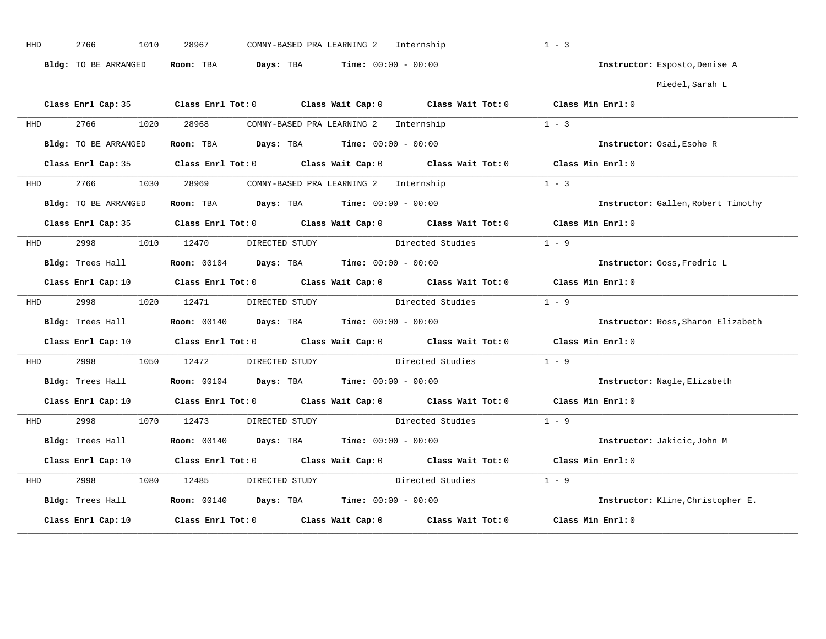| HHD        | 2766<br>1010         | COMNY-BASED PRA LEARNING 2 Internship<br>28967                                                                                 | $1 - 3$                            |
|------------|----------------------|--------------------------------------------------------------------------------------------------------------------------------|------------------------------------|
|            | Bldg: TO BE ARRANGED | Room: TBA $Days: TBA$ Time: $00:00 - 00:00$                                                                                    | Instructor: Esposto, Denise A      |
|            |                      |                                                                                                                                | Miedel,Sarah L                     |
|            |                      | Class Enrl Cap: 35 Class Enrl Tot: 0 Class Wait Cap: 0 Class Wait Tot: 0 Class Min Enrl: 0                                     |                                    |
| HHD        | 2766                 | 1020 28968<br>COMNY-BASED PRA LEARNING 2 Internship                                                                            | $1 - 3$                            |
|            | Bldg: TO BE ARRANGED | Room: TBA $Days: TBA$ Time: $00:00 - 00:00$                                                                                    | Instructor: Osai, Esohe R          |
|            |                      | Class Enrl Cap: 35 Class Enrl Tot: 0 Class Wait Cap: 0 Class Wait Tot: 0 Class Min Enrl: 0                                     |                                    |
| HHD        |                      | 2766 1030 28969 COMNY-BASED PRA LEARNING 2 Internship                                                                          | $1 - 3$                            |
|            | Bldg: TO BE ARRANGED | Room: TBA $\rule{1em}{0.15mm}$ Days: TBA Time: $00:00 - 00:00$                                                                 | Instructor: Gallen, Robert Timothy |
|            |                      | Class Enrl Cap: 35 Class Enrl Tot: 0 Class Wait Cap: 0 Class Wait Tot: 0 Class Min Enrl: 0                                     |                                    |
| <b>HHD</b> | 2998                 | Directed Studies<br>1010 12470<br>DIRECTED STUDY                                                                               | $1 - 9$                            |
|            | Bldg: Trees Hall     | <b>Room:</b> $00104$ <b>Days:</b> TBA <b>Time:</b> $00:00 - 00:00$                                                             | Instructor: Goss, Fredric L        |
|            |                      | Class Enrl Cap: 10 $\qquad$ Class Enrl Tot: 0 $\qquad$ Class Wait Cap: 0 $\qquad$ Class Wait Tot: 0 $\qquad$ Class Min Enrl: 0 |                                    |
| HHD        |                      | Directed Studies<br>2998 1020 12471 DIRECTED STUDY                                                                             | $1 - 9$                            |
|            | Bldg: Trees Hall     | <b>Room:</b> $00140$ <b>Days:</b> TBA <b>Time:</b> $00:00 - 00:00$                                                             | Instructor: Ross, Sharon Elizabeth |
|            |                      | Class Enrl Cap: 10 $\qquad$ Class Enrl Tot: 0 $\qquad$ Class Wait Cap: 0 $\qquad$ Class Wait Tot: 0 $\qquad$ Class Min Enrl: 0 |                                    |
| HHD        | 2998<br>1050         | 12472<br>DIRECTED STUDY<br>Directed Studies                                                                                    | $1 - 9$                            |
|            | Bldg: Trees Hall     | <b>Room:</b> $00104$ <b>Days:</b> TBA <b>Time:</b> $00:00 - 00:00$                                                             | Instructor: Nagle, Elizabeth       |
|            |                      | Class Enrl Cap: 10 $\qquad$ Class Enrl Tot: 0 $\qquad$ Class Wait Cap: 0 $\qquad$ Class Wait Tot: 0 $\qquad$ Class Min Enrl: 0 |                                    |
| HHD        | 2998 — 100           | DIRECTED STUDY Directed Studies 1 - 9<br>1070 12473                                                                            |                                    |
|            | Bldg: Trees Hall     | <b>Room:</b> 00140 <b>Days:</b> TBA <b>Time:</b> $00:00 - 00:00$                                                               | Instructor: Jakicic, John M        |
|            |                      | Class Enrl Cap: 10 $\qquad$ Class Enrl Tot: 0 $\qquad$ Class Wait Cap: 0 $\qquad$ Class Wait Tot: 0 $\qquad$ Class Min Enrl: 0 |                                    |
| HHD        | 2998<br>1080         | DIRECTED STUDY<br>12485                                                                                                        | Directed Studies<br>$1 - 9$        |
|            |                      | Bldg: Trees Hall <b>Room:</b> 00140 <b>Days: TBA Time:</b> 00:00 - 00:00                                                       | Instructor: Kline, Christopher E.  |
|            | Class Enrl Cap: 10   | Class Enrl Tot: 0 Class Wait Cap: 0 Class Wait Tot: 0                                                                          | Class Min Enrl: 0                  |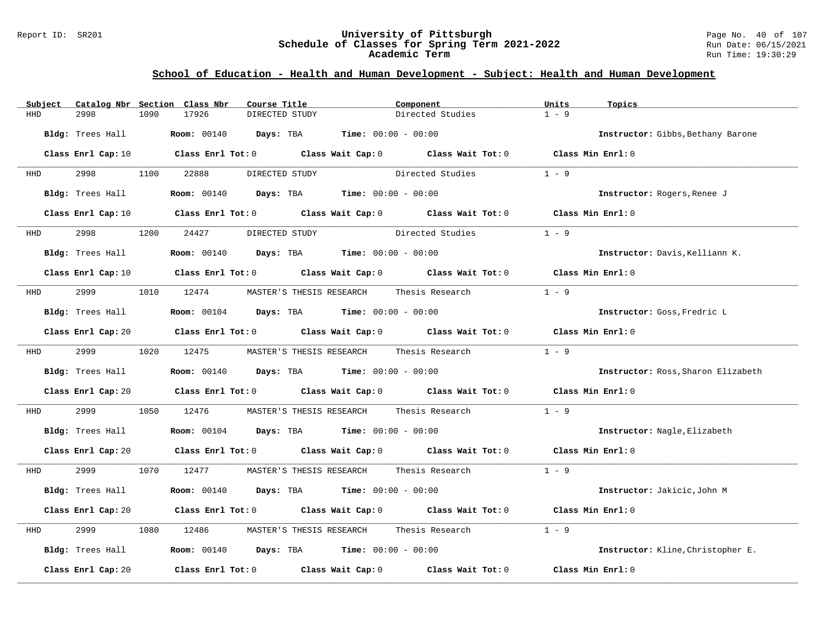#### Report ID: SR201 **University of Pittsburgh** Page No. 40 of 107 **Schedule of Classes for Spring Term 2021-2022** Run Date: 06/15/2021 **Academic Term** Run Time: 19:30:29

| Subject    |                    |      | Catalog Nbr Section Class Nbr | Course Title   |                |                                                                    | Component                                                                                  | Units             | Topics                             |
|------------|--------------------|------|-------------------------------|----------------|----------------|--------------------------------------------------------------------|--------------------------------------------------------------------------------------------|-------------------|------------------------------------|
| HHD        | 2998               | 1090 | 17926                         | DIRECTED STUDY |                |                                                                    | Directed Studies                                                                           | $1 - 9$           |                                    |
|            | Bldg: Trees Hall   |      |                               |                |                | <b>Room:</b> $00140$ <b>Days:</b> TBA <b>Time:</b> $00:00 - 00:00$ |                                                                                            |                   | Instructor: Gibbs, Bethany Barone  |
|            | Class Enrl Cap: 10 |      |                               |                |                |                                                                    | Class Enrl Tot: $0$ Class Wait Cap: $0$ Class Wait Tot: $0$ Class Min Enrl: $0$            |                   |                                    |
| HHD        |                    | 1100 | 22888                         |                | DIRECTED STUDY |                                                                    | Directed Studies                                                                           | $1 - 9$           |                                    |
|            | Bldg: Trees Hall   |      |                               |                |                | <b>Room:</b> 00140 <b>Days:</b> TBA <b>Time:</b> 00:00 - 00:00     |                                                                                            |                   | Instructor: Rogers, Renee J        |
|            | Class Enrl Cap: 10 |      |                               |                |                |                                                                    | Class Enrl Tot: $0$ Class Wait Cap: $0$ Class Wait Tot: $0$                                | Class Min Enrl: 0 |                                    |
| HHD        | 2998               | 1200 | 24427                         |                | DIRECTED STUDY |                                                                    | Directed Studies                                                                           | $1 - 9$           |                                    |
|            | Bldg: Trees Hall   |      |                               |                |                | <b>Room:</b> $00140$ <b>Days:</b> TBA <b>Time:</b> $00:00 - 00:00$ |                                                                                            |                   | Instructor: Davis, Kelliann K.     |
|            |                    |      |                               |                |                |                                                                    | Class Enrl Cap: 10 Class Enrl Tot: 0 Class Wait Cap: 0 Class Wait Tot: 0 Class Min Enrl: 0 |                   |                                    |
| HHD        | 2999               |      | 1010 12474                    |                |                | MASTER'S THESIS RESEARCH                                           | Thesis Research                                                                            | $1 - 9$           |                                    |
|            | Bldg: Trees Hall   |      |                               |                |                | <b>Room:</b> $00104$ <b>Days:</b> TBA <b>Time:</b> $00:00 - 00:00$ |                                                                                            |                   | Instructor: Goss, Fredric L        |
|            |                    |      |                               |                |                |                                                                    | Class Enrl Cap: 20 Class Enrl Tot: 0 Class Wait Cap: 0 Class Wait Tot: 0 Class Min Enrl: 0 |                   |                                    |
| <b>HHD</b> | 2999 720           |      | 1020 12475                    |                |                | MASTER'S THESIS RESEARCH                                           | Thesis Research                                                                            | $1 - 9$           |                                    |
|            | Bldg: Trees Hall   |      |                               |                |                | <b>Room:</b> $00140$ <b>Days:</b> TBA <b>Time:</b> $00:00 - 00:00$ |                                                                                            |                   | Instructor: Ross, Sharon Elizabeth |
|            | Class Enrl Cap: 20 |      |                               |                |                |                                                                    | Class Enrl Tot: $0$ Class Wait Cap: $0$ Class Wait Tot: $0$                                | Class Min Enrl: 0 |                                    |
| HHD        | 2999               | 1050 | 12476                         |                |                | MASTER'S THESIS RESEARCH Thesis Research                           |                                                                                            | $1 - 9$           |                                    |
|            | Bldg: Trees Hall   |      |                               |                |                | <b>Room:</b> $00104$ <b>Days:</b> TBA <b>Time:</b> $00:00 - 00:00$ |                                                                                            |                   | Instructor: Nagle, Elizabeth       |
|            |                    |      |                               |                |                |                                                                    | Class Enrl Cap: 20 Class Enrl Tot: 0 Class Wait Cap: 0 Class Wait Tot: 0 Class Min Enrl: 0 |                   |                                    |
| HHD        | 2999               |      | 1070 12477                    |                |                |                                                                    | MASTER'S THESIS RESEARCH       Thesis Research                                             | $1 - 9$           |                                    |
|            | Bldg: Trees Hall   |      |                               |                |                | <b>Room:</b> $00140$ <b>Days:</b> TBA <b>Time:</b> $00:00 - 00:00$ |                                                                                            |                   | Instructor: Jakicic, John M        |
|            | Class Enrl Cap: 20 |      |                               |                |                |                                                                    | Class Enrl Tot: 0 $\qquad$ Class Wait Cap: 0 $\qquad$ Class Wait Tot: 0                    |                   | Class Min $Enrl: 0$                |
| HHD        | 2999               | 1080 | 12486                         |                |                | MASTER'S THESIS RESEARCH                                           | Thesis Research                                                                            | $1 - 9$           |                                    |
|            | Bldg: Trees Hall   |      |                               |                |                | <b>Room:</b> $00140$ <b>Days:</b> TBA <b>Time:</b> $00:00 - 00:00$ |                                                                                            |                   | Instructor: Kline, Christopher E.  |
|            | Class Enrl Cap: 20 |      |                               |                |                |                                                                    | Class Enrl Tot: $0$ Class Wait Cap: $0$ Class Wait Tot: $0$                                |                   | Class Min Enrl: 0                  |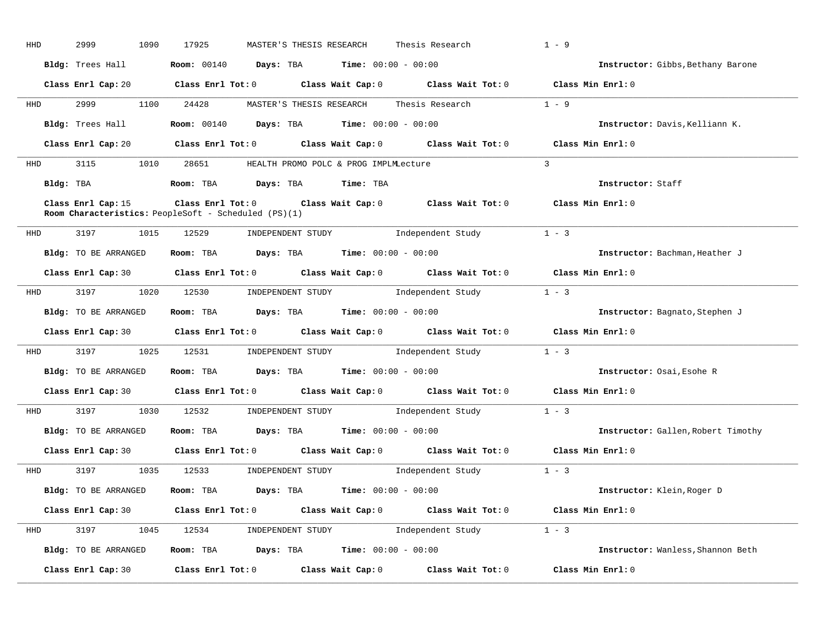| HHD        | 2999<br>1090         | Thesis Research<br>17925<br>MASTER'S THESIS RESEARCH                                                                                                       | $1 - 9$                            |
|------------|----------------------|------------------------------------------------------------------------------------------------------------------------------------------------------------|------------------------------------|
|            | Bldg: Trees Hall     | <b>Room:</b> $00140$ <b>Days:</b> TBA <b>Time:</b> $00:00 - 00:00$                                                                                         | Instructor: Gibbs, Bethany Barone  |
|            |                      | Class Enrl Cap: 20 Class Enrl Tot: 0 Class Wait Cap: 0 Class Wait Tot: 0 Class Min Enrl: 0                                                                 |                                    |
| <b>HHD</b> | 2999                 | 1100 24428<br>MASTER'S THESIS RESEARCH Thesis Research 1 - 9                                                                                               |                                    |
|            | Bldg: Trees Hall     | Room: 00140 Days: TBA<br>$Time: 00:00 - 00:00$                                                                                                             | Instructor: Davis, Kelliann K.     |
|            |                      | Class Enrl Cap: 20 Class Enrl Tot: 0 Class Wait Cap: 0 Class Wait Tot: 0 Class Min Enrl: 0                                                                 |                                    |
| HHD        |                      | 3115 1010 28651 HEALTH PROMO POLC & PROG IMPLMLecture                                                                                                      | $\mathbf{3}$                       |
|            | Bldg: TBA            | Room: TBA Days: TBA<br>Time: TBA                                                                                                                           | Instructor: Staff                  |
|            | Class Enrl Cap: 15   | Class Enrl Tot: 0 $\qquad$ Class Wait Cap: 0 $\qquad$ Class Wait Tot: 0 $\qquad$ Class Min Enrl: 0<br>Room Characteristics: PeopleSoft - Scheduled (PS)(1) |                                    |
| HHD        | 3197<br>1015         | INDEPENDENT STUDY<br>12529<br>Independent Study                                                                                                            | $1 - 3$                            |
|            | Bldg: TO BE ARRANGED | Room: TBA $\rule{1em}{0.15mm}$ Days: TBA Time: $00:00 - 00:00$                                                                                             | Instructor: Bachman, Heather J     |
|            |                      | Class Enrl Cap: 30 Class Enrl Tot: 0 Class Wait Cap: 0 Class Wait Tot: 0 Class Min Enrl: 0                                                                 |                                    |
|            | HHD 3197             | 1020 12530 INDEPENDENT STUDY<br>Independent Study                                                                                                          | $1 - 3$                            |
|            | Bldg: TO BE ARRANGED | Room: TBA $Days:$ TBA $Time: 00:00 - 00:00$                                                                                                                | Instructor: Bagnato, Stephen J     |
|            |                      | Class Enrl Cap: 30 $\qquad$ Class Enrl Tot: 0 $\qquad$ Class Wait Cap: 0 $\qquad$ Class Wait Tot: 0                                                        | Class Min Enrl: 0                  |
|            | HHD 3197             | 1025 12531 INDEPENDENT STUDY Independent Study 1 - 3                                                                                                       |                                    |
|            | Bldg: TO BE ARRANGED | <b>Room:</b> TBA $Days: TBA$ <b>Time:</b> $00:00 - 00:00$                                                                                                  | Instructor: Osai, Esohe R          |
|            |                      | Class Enrl Cap: 30 Class Enrl Tot: 0 Class Wait Cap: 0 Class Wait Tot: 0 Class Min Enrl: 0                                                                 |                                    |
|            |                      | HHD 3197 1030 12532 INDEPENDENT STUDY Independent Study                                                                                                    | $1 - 3$                            |
|            | Bldg: TO BE ARRANGED | Room: TBA $\rule{1em}{0.15mm}$ Days: TBA $\rule{1.15mm}]{0.15mm}$ Time: $0.000 - 0.0000$                                                                   | Instructor: Gallen, Robert Timothy |
|            |                      | Class Enrl Cap: 30 Class Enrl Tot: 0 Class Wait Cap: 0 Class Wait Tot: 0 Class Min Enrl: 0                                                                 |                                    |
|            |                      | HHD 3197 1035 12533 INDEPENDENT STUDY Independent Study 1 - 3                                                                                              |                                    |
|            |                      | Bldg: TO BE ARRANGED Room: TBA Days: TBA Time: 00:00 - 00:00                                                                                               | Instructor: Klein, Roger D         |
|            |                      | Class Enrl Cap: 30 Class Enrl Tot: 0 Class Wait Cap: 0 Class Wait Tot: 0 Class Min Enrl: 0                                                                 |                                    |
| HHD        |                      | 3197 1045 12534 INDEPENDENT STUDY Independent Study 1 - 3                                                                                                  |                                    |
|            | Bldg: TO BE ARRANGED | Room: TBA $\rule{1em}{0.15mm}$ Days: TBA Time: $00:00 - 00:00$                                                                                             | Instructor: Wanless, Shannon Beth  |
|            | Class Enrl Cap: 30   | Class Enrl Tot: $0$ Class Wait Cap: $0$ Class Wait Tot: $0$ Class Min Enrl: $0$                                                                            |                                    |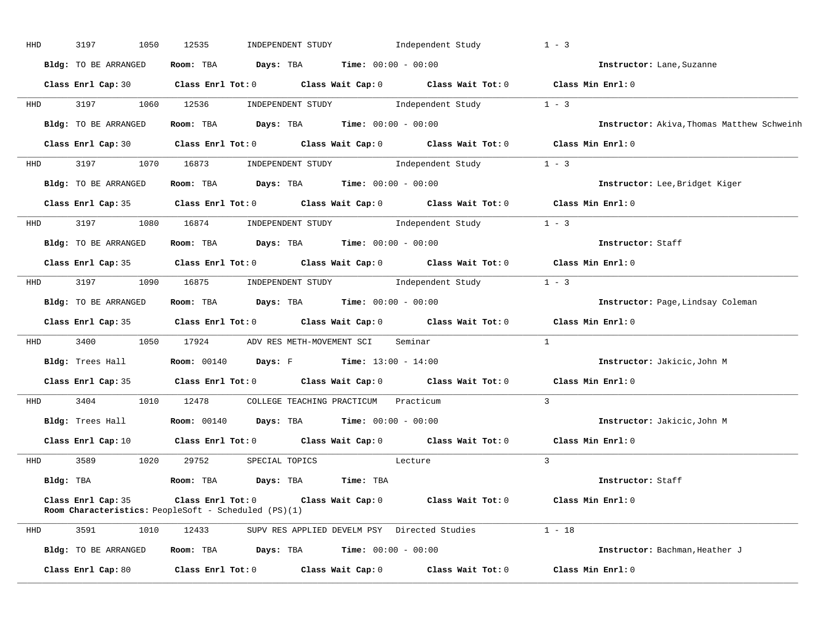| HHD | 3197<br>1050                                                               | 12535                                                        | INDEPENDENT STUDY                             |                              | Independent Study                                                                          | $1 - 3$                                    |
|-----|----------------------------------------------------------------------------|--------------------------------------------------------------|-----------------------------------------------|------------------------------|--------------------------------------------------------------------------------------------|--------------------------------------------|
|     | Bldg: TO BE ARRANGED                                                       | Room: TBA                                                    | Days: TBA                                     | <b>Time:</b> $00:00 - 00:00$ |                                                                                            | Instructor: Lane, Suzanne                  |
|     |                                                                            |                                                              |                                               |                              | Class Enrl Cap: 30 Class Enrl Tot: 0 Class Wait Cap: 0 Class Wait Tot: 0 Class Min Enrl: 0 |                                            |
| HHD | 3197<br>1060                                                               | 12536                                                        |                                               |                              | INDEPENDENT STUDY 1ndependent Study                                                        | $1 - 3$                                    |
|     | Bldg: TO BE ARRANGED                                                       | Room: TBA                                                    | <b>Days:</b> TBA <b>Time:</b> $00:00 - 00:00$ |                              |                                                                                            | Instructor: Akiva, Thomas Matthew Schweinh |
|     | Class Enrl Cap: 30                                                         |                                                              |                                               |                              | Class Enrl Tot: $0$ Class Wait Cap: $0$ Class Wait Tot: $0$ Class Min Enrl: $0$            |                                            |
| HHD | 3197<br>1070                                                               | 16873                                                        |                                               |                              | INDEPENDENT STUDY 1ndependent Study                                                        | $1 - 3$                                    |
|     | Bldg: TO BE ARRANGED                                                       | Room: TBA $Days:$ TBA $Time: 00:00 - 00:00$                  |                                               |                              |                                                                                            | Instructor: Lee, Bridget Kiger             |
|     |                                                                            |                                                              |                                               |                              | Class Enrl Cap: 35 Class Enrl Tot: 0 Class Wait Cap: 0 Class Wait Tot: 0 Class Min Enrl: 0 |                                            |
| HHD | 3197<br>1080                                                               | 16874                                                        |                                               |                              | INDEPENDENT STUDY 1 - 3                                                                    |                                            |
|     | Bldg: TO BE ARRANGED                                                       | Room: TBA $Days:$ TBA $Time: 00:00 - 00:00$                  |                                               |                              |                                                                                            | Instructor: Staff                          |
|     |                                                                            |                                                              |                                               |                              | Class Enrl Cap: 35 Class Enrl Tot: 0 Class Wait Cap: 0 Class Wait Tot: 0                   | Class Min Enrl: 0                          |
| HHD | 3197                                                                       |                                                              |                                               |                              | 1090 16875 INDEPENDENT STUDY Independent Study 1 - 3                                       |                                            |
|     | Bldg: TO BE ARRANGED                                                       | Room: TBA $Days:$ TBA $Time: 00:00 - 00:00$                  |                                               |                              |                                                                                            | Instructor: Page, Lindsay Coleman          |
|     |                                                                            |                                                              |                                               |                              | Class Enrl Cap: 35 Class Enrl Tot: 0 Class Wait Cap: 0 Class Wait Tot: 0 Class Min Enrl: 0 |                                            |
| HHD | 3400<br>1050                                                               | 17924                                                        | ADV RES METH-MOVEMENT SCI                     |                              | Seminar                                                                                    | $\mathbf{1}$                               |
|     | Bldg: Trees Hall                                                           | <b>Room:</b> 00140                                           | <b>Days:</b> F Time: $13:00 - 14:00$          |                              |                                                                                            | Instructor: Jakicic, John M                |
|     | Class Enrl Cap: 35                                                         | Class Enrl Tot: $0$                                          |                                               |                              | Class Wait Cap: $0$ Class Wait Tot: $0$ Class Min Enrl: $0$                                |                                            |
| HHD | 3404 1010 12478                                                            |                                                              | COLLEGE TEACHING PRACTICUM Practicum          |                              |                                                                                            | $\overline{3}$                             |
|     | Bldg: Trees Hall                                                           | <b>Room:</b> 00140                                           | <b>Days:</b> TBA <b>Time:</b> $00:00 - 00:00$ |                              |                                                                                            | Instructor: Jakicic, John M                |
|     |                                                                            |                                                              |                                               |                              | Class Enrl Cap: 10 Class Enrl Tot: 0 Class Wait Cap: 0 Class Wait Tot: 0                   | Class Min Enrl: 0                          |
| HHD | 3589                                                                       | 1020 29752 SPECIAL TOPICS Lecture                            |                                               |                              |                                                                                            | $\overline{3}$                             |
|     | Bldg: TBA                                                                  | Room: TBA                                                    | Days: TBA                                     | Time: TBA                    |                                                                                            | Instructor: Staff                          |
|     | Class Enrl Cap: 35<br>Room Characteristics: PeopleSoft - Scheduled (PS)(1) |                                                              |                                               |                              | Class Enrl Tot: 0 Class Wait Cap: 0 Class Wait Tot: 0                                      | Class Min Enrl: 0                          |
| HHD | 3591<br>1010                                                               | 12433                                                        |                                               |                              | SUPV RES APPLIED DEVELM PSY Directed Studies                                               | $1 - 18$                                   |
|     | Bldg: TO BE ARRANGED                                                       | <b>Room:</b> TBA <b>Days:</b> TBA <b>Time:</b> 00:00 - 00:00 |                                               |                              |                                                                                            | Instructor: Bachman, Heather J             |
|     |                                                                            |                                                              |                                               |                              |                                                                                            |                                            |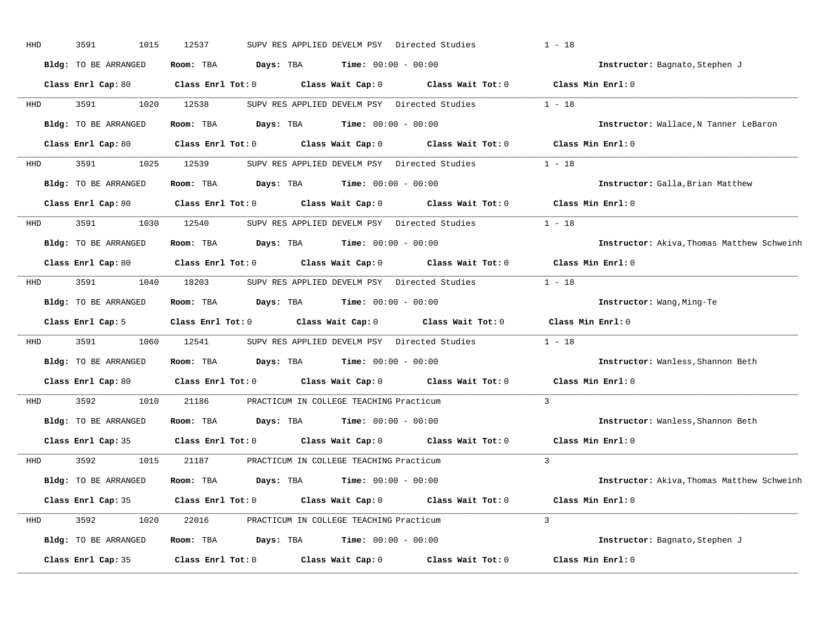| HHD | 3591<br>1015                | 12537                   | SUPV RES APPLIED DEVELM PSY Directed Studies  |                   | $1 - 18$                                   |
|-----|-----------------------------|-------------------------|-----------------------------------------------|-------------------|--------------------------------------------|
|     | Bldg: TO BE ARRANGED        | Room: TBA<br>Days: TBA  | <b>Time:</b> $00:00 - 00:00$                  |                   | Instructor: Bagnato, Stephen J             |
|     | Class Enrl Cap: 80          | $Class$ $Enr1$ $Tot: 0$ | Class Wait Cap: 0                             | Class Wait Tot: 0 | Class Min Enrl: 0                          |
| HHD | 3591<br>1020                | 12538                   | SUPV RES APPLIED DEVELM PSY Directed Studies  |                   | $1 - 18$                                   |
|     | Bldg: TO BE ARRANGED        | Room: TBA<br>Days: TBA  | <b>Time:</b> $00:00 - 00:00$                  |                   | Instructor: Wallace, N Tanner LeBaron      |
|     | Class Enrl Cap: 80          | $Class$ $Enrl$ $Tot: 0$ | Class Wait Cap: 0                             | Class Wait Tot: 0 | Class Min Enrl: 0                          |
| HHD | 3591<br>1025                | 12539                   | SUPV RES APPLIED DEVELM PSY Directed Studies  |                   | $1 - 18$                                   |
|     | Bldg: TO BE ARRANGED        | Room: TBA               | $Time: 00:00 - 00:00$<br>Days: TBA            |                   | Instructor: Galla, Brian Matthew           |
|     | Class Enrl Cap: 80          | Class Enrl Tot: 0       | Class Wait Cap: 0                             | Class Wait Tot: 0 | Class Min Enrl: 0                          |
| HHD | 3591<br>1030                | 12540                   | SUPV RES APPLIED DEVELM PSY Directed Studies  |                   | $1 - 18$                                   |
|     | <b>Bldg:</b> TO BE ARRANGED | Room: TBA<br>Days: TBA  | $Time: 00:00 - 00:00$                         |                   | Instructor: Akiva, Thomas Matthew Schweinh |
|     | Class Enrl Cap: 80          | Class Enrl Tot: 0       | Class Wait Cap: 0                             | Class Wait Tot: 0 | Class Min Enrl: 0                          |
| HHD | 3591<br>1040                | 18203                   | SUPV RES APPLIED DEVELM PSY Directed Studies  |                   | $1 - 18$                                   |
|     | <b>Bldg:</b> TO BE ARRANGED | Days: TBA<br>Room: TBA  | <b>Time:</b> $00:00 - 00:00$                  |                   | Instructor: Wang, Ming-Te                  |
|     | Class Enrl Cap: 5           | Class Enrl Tot: 0       | Class Wait Cap: 0                             | Class Wait Tot: 0 | Class Min Enrl: 0                          |
| HHD | 3591<br>1060                | 12541                   | SUPV RES APPLIED DEVELM PSY Directed Studies  |                   | $1 - 18$                                   |
|     | Bldg: TO BE ARRANGED        | Room: TBA               | Days: TBA<br>$Time: 00:00 - 00:00$            |                   | Instructor: Wanless, Shannon Beth          |
|     | Class Enrl Cap: 80          | Class Enrl Tot: 0       | Class Wait Cap: 0                             | Class Wait Tot: 0 | Class Min Enrl: 0                          |
| HHD | 3592<br>1010                | 21186                   | PRACTICUM IN COLLEGE TEACHING Practicum       |                   | $\overline{3}$                             |
|     | Bldg: TO BE ARRANGED        | Room: TBA               | <b>Days:</b> TBA <b>Time:</b> $00:00 - 00:00$ |                   | Instructor: Wanless, Shannon Beth          |
|     | Class Enrl Cap: 35          | $Class$ $Enr1$ $Tot: 0$ | Class Wait Cap: 0                             | Class Wait Tot: 0 | Class Min Enrl: 0                          |
| HHD | 3592<br>1015                | 21187                   | PRACTICUM IN COLLEGE TEACHING Practicum       |                   | $\overline{3}$                             |
|     | Bldg: TO BE ARRANGED        | Room: TBA<br>Days: TBA  | <b>Time:</b> $00:00 - 00:00$                  |                   | Instructor: Akiva, Thomas Matthew Schweinh |
|     | Class Enrl Cap: 35          | Class Enrl Tot: 0       | Class Wait Cap: 0                             | Class Wait Tot: 0 | Class Min Enrl: 0                          |
| HHD | 3592<br>1020                | 22016                   | PRACTICUM IN COLLEGE TEACHING Practicum       |                   | $\mathcal{L}$                              |
|     | Bldg: TO BE ARRANGED        | Room: TBA               | <b>Days:</b> TBA <b>Time:</b> $00:00 - 00:00$ |                   | Instructor: Bagnato, Stephen J             |
|     |                             |                         |                                               |                   |                                            |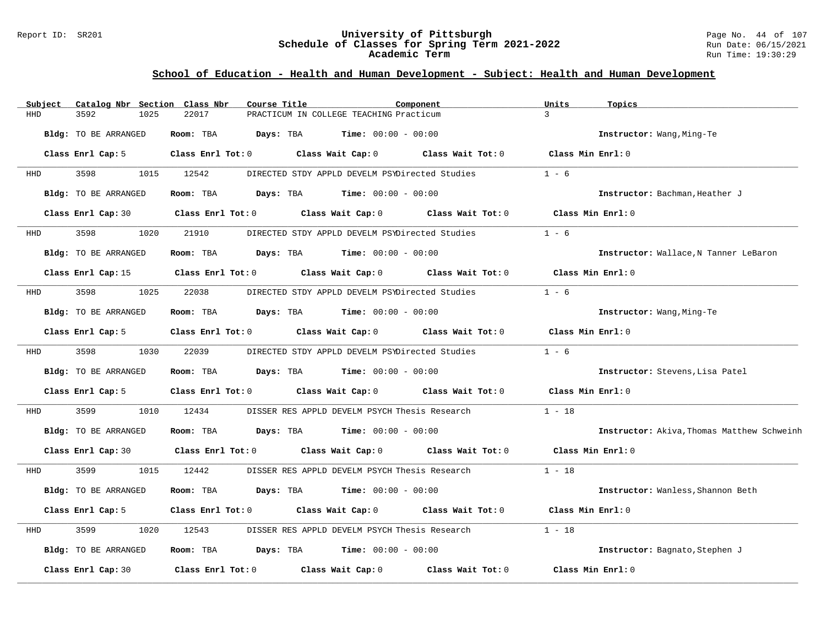#### Report ID: SR201 **University of Pittsburgh** Page No. 44 of 107 **Schedule of Classes for Spring Term 2021-2022** Run Date: 06/15/2021 **Academic Term** Run Time: 19:30:29

| Subject    | Catalog Nbr Section Class Nbr | Course Title                        |                                                                          | Component                                                               | Units             | Topics                                     |
|------------|-------------------------------|-------------------------------------|--------------------------------------------------------------------------|-------------------------------------------------------------------------|-------------------|--------------------------------------------|
| <b>HHD</b> | 3592<br>1025                  | 22017                               | PRACTICUM IN COLLEGE TEACHING Practicum                                  |                                                                         | $\overline{3}$    |                                            |
|            | Bldg: TO BE ARRANGED          | Room: TBA<br>Days: TBA              | $Time: 00:00 - 00:00$                                                    |                                                                         |                   | Instructor: Wang, Ming-Te                  |
|            | Class Enrl Cap: 5             |                                     |                                                                          | Class Enrl Tot: 0 Class Wait Cap: 0 Class Wait Tot: 0 Class Min Enrl: 0 |                   |                                            |
| HHD        | 3598<br>1015                  | 12542                               | DIRECTED STDY APPLD DEVELM PSYDirected Studies                           |                                                                         | $1 - 6$           |                                            |
|            | Bldg: TO BE ARRANGED          | Room: TBA                           | <b>Days:</b> TBA <b>Time:</b> $00:00 - 00:00$                            |                                                                         |                   | Instructor: Bachman, Heather J             |
|            | Class Enrl Cap: 30            | Class Enrl Tot: 0 Class Wait Cap: 0 |                                                                          | Class Wait Tot: 0                                                       |                   | Class Min Enrl: 0                          |
| HHD        | 3598<br>1020                  | 21910                               | DIRECTED STDY APPLD DEVELM PSYDirected Studies                           |                                                                         | $1 - 6$           |                                            |
|            | Bldg: TO BE ARRANGED          | Room: TBA                           | $\texttt{DayS:}$ TBA $\texttt{Time:}$ 00:00 - 00:00                      |                                                                         |                   | Instructor: Wallace, N Tanner LeBaron      |
|            |                               |                                     | Class Enrl Cap: 15 Class Enrl Tot: 0 Class Wait Cap: 0 Class Wait Tot: 0 |                                                                         | Class Min Enrl: 0 |                                            |
| HHD        | 3598<br>1025                  | 22038                               | DIRECTED STDY APPLD DEVELM PSYDirected Studies                           |                                                                         | $1 - 6$           |                                            |
|            | Bldg: TO BE ARRANGED          | Room: TBA                           | <b>Days:</b> TBA <b>Time:</b> $00:00 - 00:00$                            |                                                                         |                   | Instructor: Wang, Ming-Te                  |
|            | Class Enrl Cap: 5             | $Class$ $Enr1$ $Tot: 0$             | Class Wait Cap: 0                                                        | Class Wait Tot: 0                                                       | Class Min Enrl: 0 |                                            |
| HHD        | 3598<br>1030                  | 22039                               |                                                                          | DIRECTED STDY APPLD DEVELM PSYDirected Studies                          | $1 - 6$           |                                            |
|            | Bldg: TO BE ARRANGED          | Room: TBA                           | <b>Days:</b> TBA <b>Time:</b> $00:00 - 00:00$                            |                                                                         |                   | Instructor: Stevens, Lisa Patel            |
|            | Class Enrl Cap: 5             |                                     | Class Enrl Tot: 0 Class Wait Cap: 0 Class Wait Tot: 0                    |                                                                         | Class Min Enrl: 0 |                                            |
| HHD        | 3599<br>1010                  | 12434                               | DISSER RES APPLD DEVELM PSYCH Thesis Research                            |                                                                         | $1 - 18$          |                                            |
|            | Bldg: TO BE ARRANGED          | Room: TBA                           | <b>Days:</b> TBA <b>Time:</b> $00:00 - 00:00$                            |                                                                         |                   | Instructor: Akiva, Thomas Matthew Schweinh |
|            | Class Enrl Cap: 30            | Class Enrl Tot: 0                   | Class Wait Cap: $0$ Class Wait Tot: $0$                                  |                                                                         | Class Min Enrl: 0 |                                            |
| HHD        | 3599<br>1015                  | 12442                               | DISSER RES APPLD DEVELM PSYCH Thesis Research                            |                                                                         | $1 - 18$          |                                            |
|            | Bldg: TO BE ARRANGED          | Room: TBA                           | <b>Days:</b> TBA <b>Time:</b> $00:00 - 00:00$                            |                                                                         |                   | Instructor: Wanless, Shannon Beth          |
|            | Class Enrl Cap: 5             |                                     | Class Enrl Tot: 0 Class Wait Cap: 0 Class Wait Tot: 0                    |                                                                         | Class Min Enrl: 0 |                                            |
| HHD        | 3599<br>1020                  | 12543                               | DISSER RES APPLD DEVELM PSYCH Thesis Research                            |                                                                         | $1 - 18$          |                                            |
|            | Bldg: TO BE ARRANGED          | Room: TBA                           | $\texttt{Days:}$ TBA $\texttt{Time:}$ 00:00 - 00:00                      |                                                                         |                   | Instructor: Bagnato, Stephen J             |
|            | Class Enrl Cap: 30            | Class Enrl Tot: 0                   | Class Wait Cap: 0                                                        | Class Wait Tot: 0                                                       |                   | Class Min Enrl: 0                          |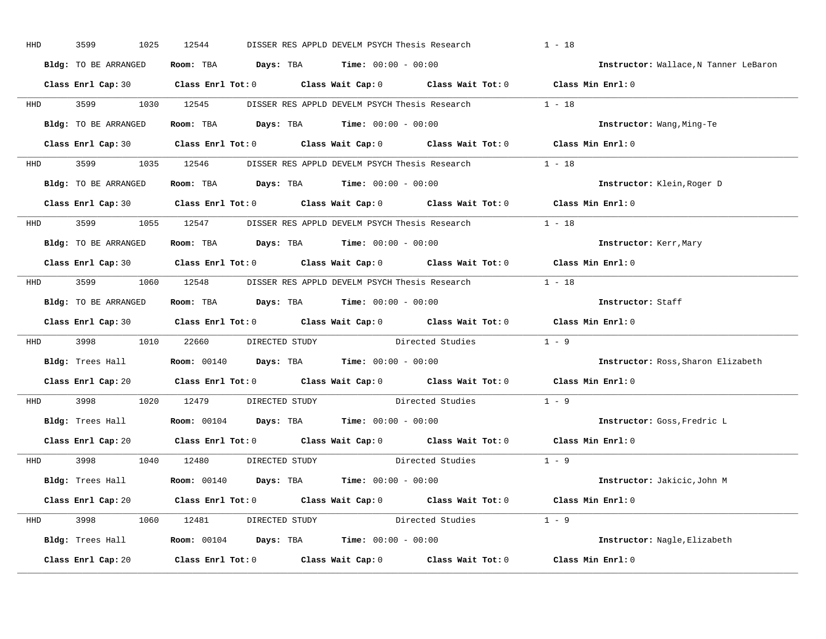| HHD        | 3599<br>1025         | 12544<br>DISSER RES APPLD DEVELM PSYCH Thesis Research                                                |                        | $1 - 18$                              |
|------------|----------------------|-------------------------------------------------------------------------------------------------------|------------------------|---------------------------------------|
|            | Bldg: TO BE ARRANGED | Room: TBA $Days:$ TBA $Time: 00:00 - 00:00$                                                           |                        | Instructor: Wallace, N Tanner LeBaron |
|            |                      | Class Enrl Cap: 30 Class Enrl Tot: 0 Class Wait Cap: 0 Class Wait Tot: 0 Class Min Enrl: 0            |                        |                                       |
|            |                      | HHD 3599 1030 12545 DISSER RES APPLD DEVELM PSYCH Thesis Research 1 - 18                              |                        |                                       |
|            | Bldg: TO BE ARRANGED | Room: TBA $Days:$ TBA $Time:$ $00:00 - 00:00$                                                         |                        | Instructor: Wang, Ming-Te             |
|            |                      | Class Enrl Cap: 30 Class Enrl Tot: 0 Class Wait Cap: 0 Class Wait Tot: 0 Class Min Enrl: 0            |                        |                                       |
|            |                      | HHD 3599 1035 12546 DISSER RES APPLD DEVELM PSYCH Thesis Research 1 - 18                              |                        |                                       |
|            |                      | Bldg: TO BE ARRANGED Room: TBA Days: TBA Time: 00:00 - 00:00                                          |                        | Instructor: Klein, Roger D            |
|            |                      | Class Enrl Cap: 30 Class Enrl Tot: 0 Class Wait Cap: 0 Class Wait Tot: 0                              |                        | Class Min Enrl: 0                     |
|            |                      | HHD 3599 1055 12547 DISSER RES APPLD DEVELM PSYCH Thesis Research 1 - 18                              |                        |                                       |
|            | Bldg: TO BE ARRANGED | Room: TBA $\rule{1em}{0.15mm}$ Days: TBA $\rule{1.15mm}]{0.15mm}$ Time: $0.000 - 0.0000$              |                        | Instructor: Kerr, Mary                |
|            |                      | Class Enrl Cap: 30 Class Enrl Tot: 0 Class Wait Cap: 0 Class Wait Tot: 0 Class Min Enrl: 0            |                        |                                       |
|            |                      | HHD 3599 1060 12548 DISSER RES APPLD DEVELM PSYCH Thesis Research 1 - 18                              |                        |                                       |
|            | Bldg: TO BE ARRANGED | Room: TBA $Days: TBA$ Time: $00:00 - 00:00$                                                           |                        | Instructor: Staff                     |
|            |                      | Class Enrl Cap: 30 Class Enrl Tot: 0 Class Wait Cap: 0 Class Wait Tot: 0 Class Min Enrl: 0            |                        |                                       |
|            |                      | HHD 3998 1010 22660 DIRECTED STUDY Directed Studies 1 - 9                                             |                        |                                       |
|            |                      | <b>Bldg:</b> Trees Hall $\blacksquare$ <b>Room:</b> 00140 <b>Days:</b> TBA <b>Time:</b> 00:00 - 00:00 |                        | Instructor: Ross, Sharon Elizabeth    |
|            |                      | Class Enrl Cap: 20 $\qquad$ Class Enrl Tot: 0 $\qquad$ Class Wait Cap: 0 $\qquad$ Class Wait Tot: 0   |                        | Class Min Enrl: 0                     |
| <b>HHD</b> |                      | 3998 1020 12479 DIRECTED STUDY Directed Studies                                                       |                        | $1 - 9$                               |
|            |                      | Bldg: Trees Hall <b>Room:</b> 00104 <b>Days: TBA Time:</b> 00:00 - 00:00                              |                        | Instructor: Goss, Fredric L           |
|            |                      | Class Enrl Cap: 20 Class Enrl Tot: 0 Class Wait Cap: 0 Class Wait Tot: 0 Class Min Enrl: 0            |                        |                                       |
|            |                      | HHD 3998 1040 12480 DIRECTED STUDY                                                                    | Directed Studies 1 - 9 |                                       |
|            |                      | <b>Bldg:</b> Trees Hall $\blacksquare$ <b>Room:</b> 00140 <b>Days:</b> TBA <b>Time:</b> 00:00 - 00:00 |                        | Instructor: Jakicic,John M            |
|            |                      | Class Enrl Cap: 20 Class Enrl Tot: 0 Class Wait Cap: 0 Class Wait Tot: 0 Class Min Enrl: 0            |                        |                                       |
|            |                      | HHD 3998 1060 12481 DIRECTED STUDY Directed Studies 1 - 9                                             |                        |                                       |
|            |                      | Bldg: Trees Hall <b>Room:</b> 00104 <b>Days: TBA Time:</b> 00:00 - 00:00                              |                        | Instructor: Nagle, Elizabeth          |
|            | Class Enrl Cap: 20   | Class Enrl Tot: $0$ Class Wait Cap: $0$ Class Wait Tot: $0$ Class Min Enrl: $0$                       |                        |                                       |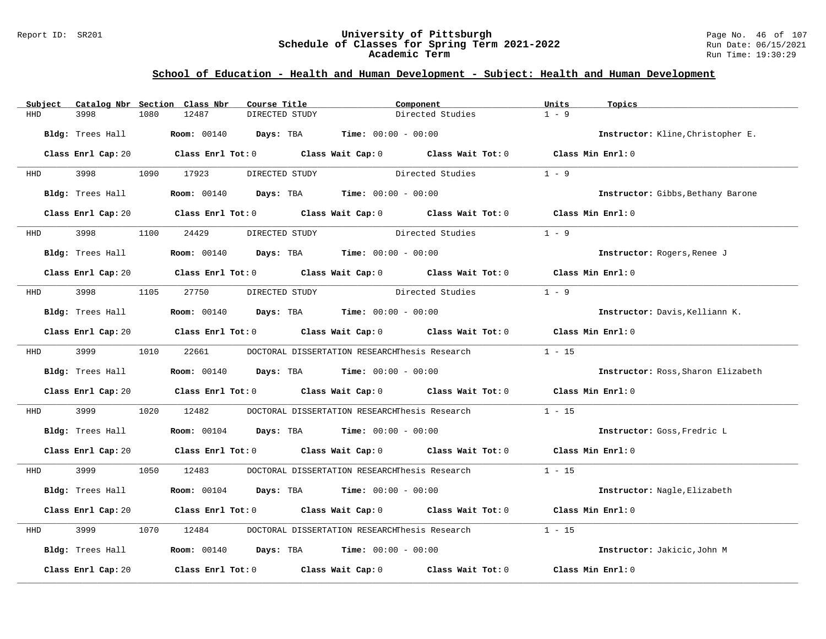#### Report ID: SR201 **University of Pittsburgh** Page No. 46 of 107 **Schedule of Classes for Spring Term 2021-2022** Run Date: 06/15/2021 **Academic Term** Run Time: 19:30:29

| Subject |                    |      | Catalog Nbr Section Class Nbr           | Course Title   | Component                                                          |                                                                                                     | Units             | Topics                             |
|---------|--------------------|------|-----------------------------------------|----------------|--------------------------------------------------------------------|-----------------------------------------------------------------------------------------------------|-------------------|------------------------------------|
| HHD     | 3998               | 1080 | 12487                                   | DIRECTED STUDY |                                                                    | Directed Studies                                                                                    | $1 - 9$           |                                    |
|         | Bldg: Trees Hall   |      | Room: 00140 Days: TBA                   |                | <b>Time:</b> $00:00 - 00:00$                                       |                                                                                                     |                   | Instructor: Kline, Christopher E.  |
|         | Class Enrl Cap: 20 |      |                                         |                |                                                                    | Class Enrl Tot: $0$ Class Wait Cap: $0$ Class Wait Tot: $0$ Class Min Enrl: $0$                     |                   |                                    |
| HHD     | 3998 3998          |      | 1090 17923                              | DIRECTED STUDY |                                                                    | Directed Studies                                                                                    | $1 - 9$           |                                    |
|         | Bldg: Trees Hall   |      |                                         |                | <b>Room:</b> $00140$ <b>Days:</b> TBA <b>Time:</b> $00:00 - 00:00$ |                                                                                                     |                   | Instructor: Gibbs, Bethany Barone  |
|         | Class Enrl Cap: 20 |      |                                         |                |                                                                    | Class Enrl Tot: $0$ Class Wait Cap: $0$ Class Wait Tot: $0$                                         | Class Min Enrl: 0 |                                    |
| HHD     | 3998               | 1100 | 24429                                   | DIRECTED STUDY |                                                                    | Directed Studies                                                                                    | $1 - 9$           |                                    |
|         | Bldg: Trees Hall   |      |                                         |                | <b>Room:</b> $00140$ <b>Days:</b> TBA <b>Time:</b> $00:00 - 00:00$ |                                                                                                     |                   | Instructor: Rogers, Renee J        |
|         |                    |      |                                         |                |                                                                    | Class Enrl Cap: 20 Class Enrl Tot: 0 Class Wait Cap: 0 Class Wait Tot: 0 Class Min Enrl: 0          |                   |                                    |
| HHD     | 3998               |      | 1105 27750                              | DIRECTED STUDY | Directed Studies                                                   |                                                                                                     | $1 - 9$           |                                    |
|         | Bldg: Trees Hall   |      |                                         |                | <b>Room:</b> 00140 <b>Days:</b> TBA <b>Time:</b> 00:00 - 00:00     |                                                                                                     |                   | Instructor: Davis, Kelliann K.     |
|         |                    |      |                                         |                |                                                                    | Class Enrl Cap: 20 $\qquad$ Class Enrl Tot: 0 $\qquad$ Class Wait Cap: 0 $\qquad$ Class Wait Tot: 0 | Class Min Enrl: 0 |                                    |
|         | HHD 3999           |      | 1010 22661                              |                |                                                                    | DOCTORAL DISSERTATION RESEARCHThesis Research                                                       | $1 - 15$          |                                    |
|         | Bldg: Trees Hall   |      |                                         |                | <b>Room:</b> $00140$ <b>Days:</b> TBA <b>Time:</b> $00:00 - 00:00$ |                                                                                                     |                   | Instructor: Ross, Sharon Elizabeth |
|         | Class Enrl Cap: 20 |      |                                         |                |                                                                    | Class Enrl Tot: $0$ Class Wait Cap: $0$ Class Wait Tot: $0$                                         | Class Min Enrl: 0 |                                    |
| HHD     | 3999               | 1020 | 12482                                   |                |                                                                    | DOCTORAL DISSERTATION RESEARCHThesis Research                                                       | $1 - 15$          |                                    |
|         | Bldg: Trees Hall   |      |                                         |                | <b>Room:</b> $00104$ <b>Days:</b> TBA <b>Time:</b> $00:00 - 00:00$ |                                                                                                     |                   | Instructor: Goss, Fredric L        |
|         |                    |      |                                         |                |                                                                    | Class Enrl Cap: 20 Class Enrl Tot: 0 Class Wait Cap: 0 Class Wait Tot: 0 Class Min Enrl: 0          |                   |                                    |
| HHD     | 3999               |      | 1050 12483                              |                |                                                                    | DOCTORAL DISSERTATION RESEARCHThesis Research                                                       | $1 - 15$          |                                    |
|         | Bldg: Trees Hall   |      | Room: 00104 Days: TBA                   |                | <b>Time:</b> $00:00 - 00:00$                                       |                                                                                                     |                   | Instructor: Nagle, Elizabeth       |
|         | Class Enrl Cap: 20 |      |                                         |                |                                                                    | Class Enrl Tot: $0$ Class Wait Cap: $0$ Class Wait Tot: $0$                                         | Class Min Enrl: 0 |                                    |
| HHD     | 3999               | 1070 | 12484                                   |                | DOCTORAL DISSERTATION RESEARCHThesis Research                      |                                                                                                     | $1 - 15$          |                                    |
|         | Bldg: Trees Hall   |      |                                         |                | <b>Room:</b> 00140 <b>Days:</b> TBA <b>Time:</b> 00:00 - 00:00     |                                                                                                     |                   | Instructor: Jakicic, John M        |
|         | Class Enrl Cap: 20 |      | Class Enrl Tot: $0$ Class Wait Cap: $0$ |                |                                                                    | Class Wait Tot: 0                                                                                   | Class Min Enrl: 0 |                                    |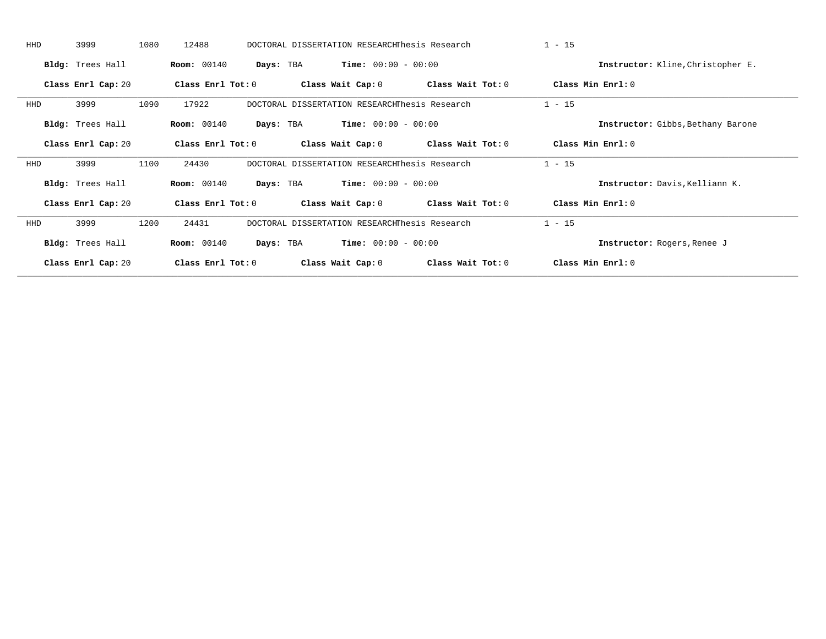| <b>HHD</b> | 3999               | 1080 | 12488              |           | DOCTORAL DISSERTATION RESEARCHThesis Research |                              |                   | $1 - 15$ |                                   |
|------------|--------------------|------|--------------------|-----------|-----------------------------------------------|------------------------------|-------------------|----------|-----------------------------------|
|            | Bldg: Trees Hall   |      | <b>Room:</b> 00140 | Days: TBA |                                               | <b>Time:</b> $00:00 - 00:00$ |                   |          | Instructor: Kline, Christopher E. |
|            | Class Enrl Cap: 20 |      | Class Enrl Tot: 0  |           | Class Wait Cap: 0                             |                              | Class Wait Tot: 0 |          | Class Min Enrl: 0                 |
| HHD        | 3999               | 1090 | 17922              |           | DOCTORAL DISSERTATION RESEARCHThesis Research |                              |                   | $1 - 15$ |                                   |
|            | Bldg: Trees Hall   |      | <b>Room:</b> 00140 | Days: TBA |                                               | $Time: 00:00 - 00:00$        |                   |          | Instructor: Gibbs, Bethany Barone |
|            | Class Enrl Cap: 20 |      | Class Enrl Tot: 0  |           | Class Wait Cap: 0                             |                              | Class Wait Tot: 0 |          | Class Min Enrl: 0                 |
| HHD        | 3999               | 1100 | 24430              |           | DOCTORAL DISSERTATION RESEARCHThesis Research |                              |                   | $1 - 15$ |                                   |
|            | Bldg: Trees Hall   |      | <b>Room:</b> 00140 | Days: TBA |                                               | $Time: 00:00 - 00:00$        |                   |          | Instructor: Davis, Kelliann K.    |
|            | Class Enrl Cap: 20 |      | Class Enrl Tot: 0  |           | Class Wait Cap: 0                             |                              | Class Wait Tot: 0 |          | Class Min Enrl: 0                 |
| HHD        | 3999               | 1200 | 24431              |           | DOCTORAL DISSERTATION RESEARCHThesis Research |                              |                   | $1 - 15$ |                                   |
|            | Bldg: Trees Hall   |      | <b>Room:</b> 00140 | Days: TBA |                                               | <b>Time:</b> $00:00 - 00:00$ |                   |          | Instructor: Rogers, Renee J       |
|            | Class Enrl Cap: 20 |      | Class Enrl Tot: 0  |           | Class Wait Cap: 0                             |                              | Class Wait Tot: 0 |          | Class Min Enrl: 0                 |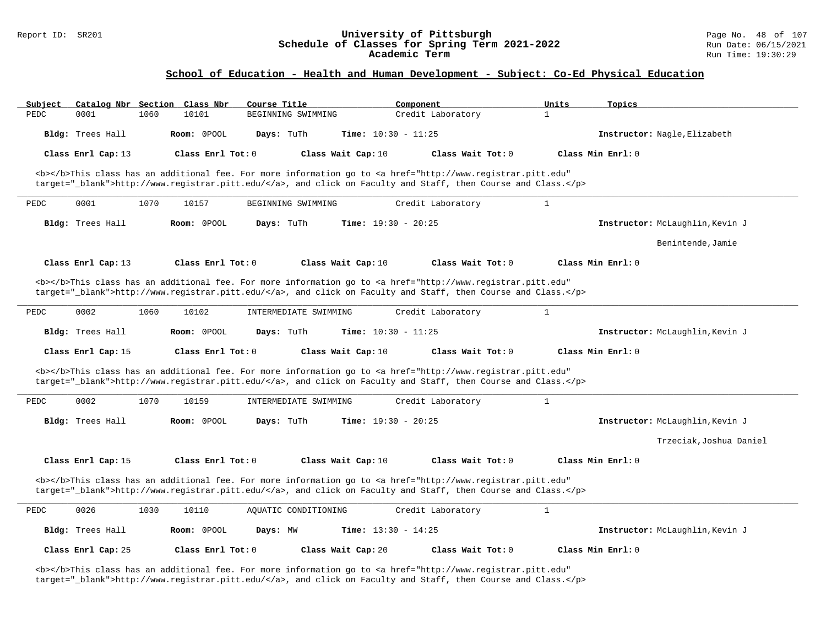# Report ID: SR201 **University of Pittsburgh University of Pittsburgh** Page No. 48 of 107<br>**Schedule of Classes for Spring Term 2021-2022** Run Date: 06/15/2021 Schedule of Classes for Spring Term 2021-2022<br>Academic Term

### **School of Education - Health and Human Development - Subject: Co-Ed Physical Education**

| Subject<br>Catalog Nbr Section Class Nbr                                                                                                                                                                                           | Course Title                                                                                                                                                                                                                       | Component                    | Topics<br>Units                 |  |  |  |
|------------------------------------------------------------------------------------------------------------------------------------------------------------------------------------------------------------------------------------|------------------------------------------------------------------------------------------------------------------------------------------------------------------------------------------------------------------------------------|------------------------------|---------------------------------|--|--|--|
| PEDC<br>0001<br>1060                                                                                                                                                                                                               | 10101<br>BEGINNING SWIMMING                                                                                                                                                                                                        | Credit Laboratory            | $\mathbf{1}$                    |  |  |  |
| Bldg: Trees Hall                                                                                                                                                                                                                   | Room: 0POOL<br>Days: TuTh                                                                                                                                                                                                          | Time: $10:30 - 11:25$        | Instructor: Nagle, Elizabeth    |  |  |  |
| Class Enrl Cap: 13                                                                                                                                                                                                                 | Class Enrl Tot: 0<br>Class Wait Cap: 10                                                                                                                                                                                            | Class Wait Tot: 0            | Class Min Enrl: 0               |  |  |  |
|                                                                                                                                                                                                                                    | <b></b> This class has an additional fee. For more information go to <a <br="" href="http://www.registrar.pitt.edu">target=" blank"&gt;http://www.registrar.pitt.edu/</a> , and click on Faculty and Staff, then Course and Class. |                              |                                 |  |  |  |
| 0001<br>1070<br>PEDC                                                                                                                                                                                                               | 10157<br>BEGINNING SWIMMING                                                                                                                                                                                                        | Credit Laboratory            | $\mathbf{1}$                    |  |  |  |
| Bldg: Trees Hall                                                                                                                                                                                                                   | Room: 0POOL<br>Days: TuTh                                                                                                                                                                                                          | Time: $19:30 - 20:25$        | Instructor: McLaughlin, Kevin J |  |  |  |
|                                                                                                                                                                                                                                    |                                                                                                                                                                                                                                    |                              | Benintende, Jamie               |  |  |  |
| Class Enrl Cap: 13                                                                                                                                                                                                                 | Class Enrl Tot: $0$<br>Class Wait Cap: 10                                                                                                                                                                                          | Class Wait Tot: 0            | Class Min Enrl: 0               |  |  |  |
|                                                                                                                                                                                                                                    | <b></b> This class has an additional fee. For more information go to <a <br="" href="http://www.registrar.pitt.edu">target="_blank"&gt;http://www.registrar.pitt.edu/</a> , and click on Faculty and Staff, then Course and Class. |                              |                                 |  |  |  |
| 0002<br>1060<br>PEDC                                                                                                                                                                                                               | 10102<br>INTERMEDIATE SWIMMING                                                                                                                                                                                                     | Credit Laboratory            | $\mathbf{1}$                    |  |  |  |
| Bldg: Trees Hall                                                                                                                                                                                                                   | Room: 0POOL<br>Days: TuTh                                                                                                                                                                                                          | <b>Time:</b> $10:30 - 11:25$ | Instructor: McLaughlin, Kevin J |  |  |  |
| Class Enrl Cap: 15                                                                                                                                                                                                                 | Class Enrl Tot: 0<br>Class Wait Cap: 10                                                                                                                                                                                            | Class Wait Tot: 0            | Class Min Enrl: 0               |  |  |  |
|                                                                                                                                                                                                                                    | <b></b> This class has an additional fee. For more information go to <a <br="" href="http://www.registrar.pitt.edu">target="_blank"&gt;http://www.registrar.pitt.edu/</a> , and click on Faculty and Staff, then Course and Class. |                              |                                 |  |  |  |
| 0002<br>PEDC<br>1070                                                                                                                                                                                                               | 10159<br>INTERMEDIATE SWIMMING                                                                                                                                                                                                     | Credit Laboratory            | $\mathbf{1}$                    |  |  |  |
| Bldg: Trees Hall                                                                                                                                                                                                                   | Room: OPOOL<br>Days: TuTh                                                                                                                                                                                                          | Time: $19:30 - 20:25$        | Instructor: McLaughlin, Kevin J |  |  |  |
|                                                                                                                                                                                                                                    |                                                                                                                                                                                                                                    |                              | Trzeciak, Joshua Daniel         |  |  |  |
| Class Enrl Cap: 15                                                                                                                                                                                                                 | Class Enrl Tot: 0<br>Class Wait Cap: 10                                                                                                                                                                                            | Class Wait Tot: 0            | Class Min Enrl: 0               |  |  |  |
| <b></b> This class has an additional fee. For more information go to <a <br="" href="http://www.registrar.pitt.edu">target="_blank"&gt;http://www.registrar.pitt.edu/</a> , and click on Faculty and Staff, then Course and Class. |                                                                                                                                                                                                                                    |                              |                                 |  |  |  |
| 0026<br>1030<br>PEDC                                                                                                                                                                                                               | 10110<br>AQUATIC CONDITIONING                                                                                                                                                                                                      | Credit Laboratory            | $\mathbf{1}$                    |  |  |  |
| Bldg: Trees Hall                                                                                                                                                                                                                   | Room: 0POOL<br>Days: MW                                                                                                                                                                                                            | <b>Time:</b> $13:30 - 14:25$ | Instructor: McLaughlin, Kevin J |  |  |  |
| Class Enrl Cap: 25                                                                                                                                                                                                                 | Class Enrl Tot: $0$<br>Class Wait Cap: 20                                                                                                                                                                                          | Class Wait Tot: 0            | Class Min Enrl: 0               |  |  |  |

<b></b>This class has an additional fee. For more information go to <a href="http://www.registrar.pitt.edu" target="\_blank">http://www.registrar.pitt.edu/</a>, and click on Faculty and Staff, then Course and Class.</p>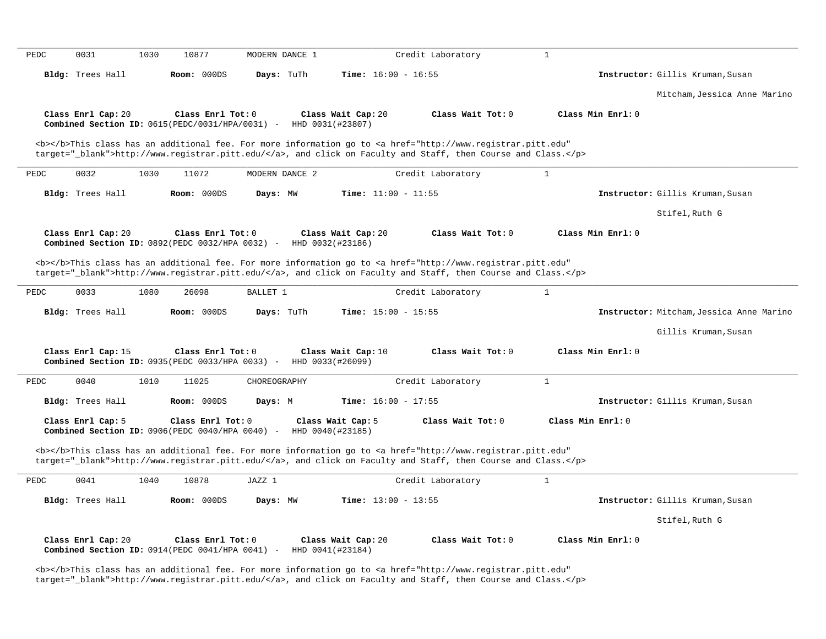| PEDC | 0031                                                                                          | 1030 | 10877             | MODERN DANCE 1 |                                       |                              | Credit Laboratory                                                                                                                                                                                                                  | $\mathbf{1}$      |                   |                                          |
|------|-----------------------------------------------------------------------------------------------|------|-------------------|----------------|---------------------------------------|------------------------------|------------------------------------------------------------------------------------------------------------------------------------------------------------------------------------------------------------------------------------|-------------------|-------------------|------------------------------------------|
|      | Bldg: Trees Hall                                                                              |      | Room: 000DS       | Days: TuTh     |                                       | <b>Time:</b> $16:00 - 16:55$ |                                                                                                                                                                                                                                    |                   |                   | Instructor: Gillis Kruman, Susan         |
|      |                                                                                               |      |                   |                |                                       |                              |                                                                                                                                                                                                                                    |                   |                   | Mitcham, Jessica Anne Marino             |
|      | Class Enrl Cap: 20<br>Combined Section ID: 0615(PEDC/0031/HPA/0031) -                         |      | Class Enrl Tot: 0 |                | HHD 0031(#23807)                      | Class Wait Cap: 20           | Class Wait Tot: 0                                                                                                                                                                                                                  |                   | Class Min Enrl: 0 |                                          |
|      |                                                                                               |      |                   |                |                                       |                              | <b></b> This class has an additional fee. For more information go to <a <br="" href="http://www.registrar.pitt.edu">target="_blank"&gt;http://www.registrar.pitt.edu/</a> , and click on Faculty and Staff, then Course and Class. |                   |                   |                                          |
| PEDC | 0032                                                                                          | 1030 | 11072             | MODERN DANCE 2 |                                       |                              | Credit Laboratory                                                                                                                                                                                                                  | $\mathbf{1}$      |                   |                                          |
|      | Bldg: Trees Hall                                                                              |      | Room: 000DS       | Days: MW       |                                       | Time: $11:00 - 11:55$        |                                                                                                                                                                                                                                    |                   |                   | Instructor: Gillis Kruman, Susan         |
|      |                                                                                               |      |                   |                |                                       |                              |                                                                                                                                                                                                                                    |                   |                   | Stifel, Ruth G                           |
|      | Class Enrl Cap: 20<br>Combined Section ID: 0892(PEDC 0032/HPA 0032) -                         |      | Class Enrl Tot: 0 |                | HHD 0032(#23186)                      | Class Wait Cap: 20           | Class Wait Tot: 0                                                                                                                                                                                                                  |                   | Class Min Enrl: 0 |                                          |
|      |                                                                                               |      |                   |                |                                       |                              | <b></b> This class has an additional fee. For more information go to <a <br="" href="http://www.registrar.pitt.edu">target="_blank"&gt;http://www.registrar.pitt.edu/</a> , and click on Faculty and Staff, then Course and Class. |                   |                   |                                          |
| PEDC | 0033                                                                                          | 1080 | 26098             | BALLET 1       |                                       |                              | Credit Laboratory                                                                                                                                                                                                                  | $\mathbf{1}$      |                   |                                          |
|      | Bldg: Trees Hall                                                                              |      | Room: 000DS       | Days: TuTh     |                                       | <b>Time:</b> $15:00 - 15:55$ |                                                                                                                                                                                                                                    |                   |                   | Instructor: Mitcham, Jessica Anne Marino |
|      |                                                                                               |      |                   |                |                                       |                              |                                                                                                                                                                                                                                    |                   |                   | Gillis Kruman, Susan                     |
|      | Class Enrl Cap: 15<br><b>Combined Section ID:</b> 0935(PEDC 0033/HPA 0033) - HHD 0033(#26099) |      | Class Enrl Tot: 0 |                |                                       | Class Wait Cap: 10           | Class Wait Tot: 0                                                                                                                                                                                                                  |                   | Class Min Enrl: 0 |                                          |
| PEDC | 0040                                                                                          | 1010 | 11025             | CHOREOGRAPHY   |                                       |                              | Credit Laboratory                                                                                                                                                                                                                  | $\mathbf{1}$      |                   |                                          |
|      | Bldg: Trees Hall                                                                              |      | Room: 000DS       | Days: M        |                                       | Time: $16:00 - 17:55$        |                                                                                                                                                                                                                                    |                   |                   | Instructor: Gillis Kruman, Susan         |
|      | Class Enrl Cap: 5                                                                             |      | Class Enrl Tot: 0 |                | Class Wait Cap: 5<br>HHD 0040(#23185) |                              | Class Wait Tot: 0                                                                                                                                                                                                                  | Class Min Enrl: 0 |                   |                                          |
|      | Combined Section ID: 0906(PEDC 0040/HPA 0040) -                                               |      |                   |                |                                       |                              |                                                                                                                                                                                                                                    |                   |                   |                                          |
|      |                                                                                               |      |                   |                |                                       |                              | <b></b> This class has an additional fee. For more information go to <a <br="" href="http://www.registrar.pitt.edu">target="_blank"&gt;http://www.registrar.pitt.edu/</a> , and click on Faculty and Staff, then Course and Class. |                   |                   |                                          |
| PEDC | 0041                                                                                          | 1040 | 10878             | JAZZ 1         |                                       |                              | Credit Laboratory                                                                                                                                                                                                                  | $\mathbf{1}$      |                   |                                          |
|      | Bldg: Trees Hall                                                                              |      | Room: 000DS       | Days: MW       |                                       | <b>Time:</b> $13:00 - 13:55$ |                                                                                                                                                                                                                                    |                   |                   | Instructor: Gillis Kruman, Susan         |
|      |                                                                                               |      |                   |                |                                       |                              |                                                                                                                                                                                                                                    |                   |                   | Stifel, Ruth G                           |

<b></b>This class has an additional fee. For more information go to <a href="http://www.registrar.pitt.edu" target="\_blank">http://www.registrar.pitt.edu/</a>, and click on Faculty and Staff, then Course and Class.</p>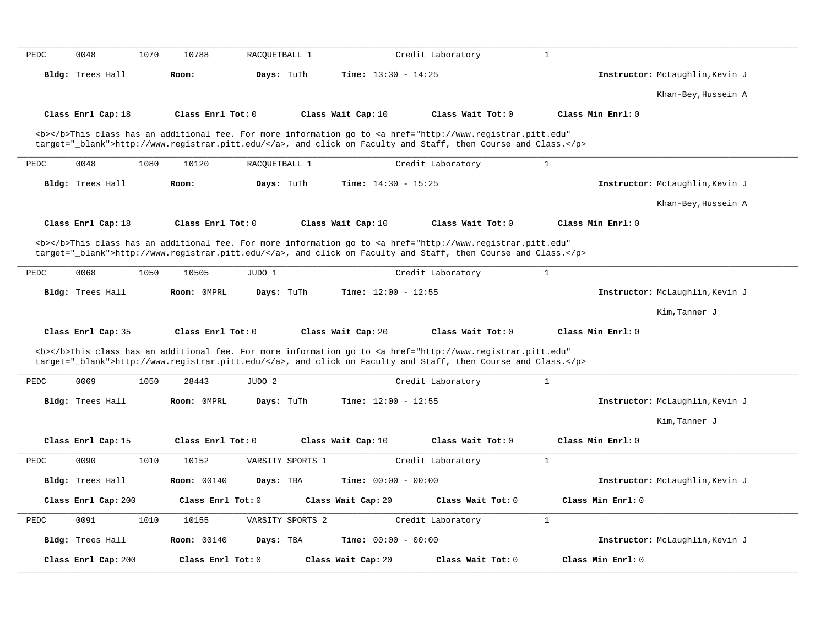| PEDC | 0048                    | 1070 | 10788               | RACOUETBALL 1 |                  |                              | Credit Laboratory                                                                                                                                                                                                                  | $\mathbf{1}$      |                                 |
|------|-------------------------|------|---------------------|---------------|------------------|------------------------------|------------------------------------------------------------------------------------------------------------------------------------------------------------------------------------------------------------------------------------|-------------------|---------------------------------|
|      | Bldg: Trees Hall        |      | Room:               | Days: TuTh    |                  | <b>Time:</b> $13:30 - 14:25$ |                                                                                                                                                                                                                                    |                   | Instructor: McLaughlin, Kevin J |
|      |                         |      |                     |               |                  |                              |                                                                                                                                                                                                                                    |                   | Khan-Bey, Hussein A             |
|      | Class Enrl Cap: 18      |      | Class Enrl Tot: 0   |               |                  | Class Wait Cap: 10           | Class Wait Tot: 0                                                                                                                                                                                                                  | Class Min Enrl: 0 |                                 |
|      |                         |      |                     |               |                  |                              |                                                                                                                                                                                                                                    |                   |                                 |
|      |                         |      |                     |               |                  |                              | <b></b> This class has an additional fee. For more information go to <a <br="" href="http://www.registrar.pitt.edu">target="_blank"&gt;http://www.registrar.pitt.edu/</a> , and click on Faculty and Staff, then Course and Class. |                   |                                 |
|      |                         |      |                     |               |                  |                              |                                                                                                                                                                                                                                    |                   |                                 |
| PEDC | 0048                    | 1080 | 10120               | RACQUETBALL 1 |                  |                              | Credit Laboratory                                                                                                                                                                                                                  | $\mathbf{1}$      |                                 |
|      | Bldg: Trees Hall        |      | Room:               | Days: TuTh    |                  | <b>Time:</b> $14:30 - 15:25$ |                                                                                                                                                                                                                                    |                   | Instructor: McLaughlin, Kevin J |
|      |                         |      |                     |               |                  |                              |                                                                                                                                                                                                                                    |                   | Khan-Bey, Hussein A             |
|      | Class Enrl Cap: 18      |      | Class Enrl Tot: 0   |               |                  | Class Wait Cap: 10           | Class Wait Tot: 0                                                                                                                                                                                                                  | Class Min Enrl: 0 |                                 |
|      |                         |      |                     |               |                  |                              |                                                                                                                                                                                                                                    |                   |                                 |
|      |                         |      |                     |               |                  |                              | <b></b> This class has an additional fee. For more information go to <a <br="" href="http://www.registrar.pitt.edu">target="_blank"&gt;http://www.registrar.pitt.edu/</a> , and click on Faculty and Staff, then Course and Class. |                   |                                 |
|      |                         |      |                     |               |                  |                              |                                                                                                                                                                                                                                    |                   |                                 |
| PEDC | 0068                    | 1050 | 10505               | JUDO 1        |                  |                              | Credit Laboratory                                                                                                                                                                                                                  | $\mathbf{1}$      |                                 |
|      | Bldg: Trees Hall        |      | Room: OMPRL         | Days: TuTh    |                  | <b>Time:</b> $12:00 - 12:55$ |                                                                                                                                                                                                                                    |                   | Instructor: McLaughlin, Kevin J |
|      |                         |      |                     |               |                  |                              |                                                                                                                                                                                                                                    |                   | Kim, Tanner J                   |
|      | Class Enrl Cap: 35      |      | Class $Enr1 Tot: 0$ |               |                  | Class Wait Cap: 20           | Class Wait Tot: 0                                                                                                                                                                                                                  | Class Min Enrl: 0 |                                 |
|      |                         |      |                     |               |                  |                              |                                                                                                                                                                                                                                    |                   |                                 |
|      |                         |      |                     |               |                  |                              | <b></b> This class has an additional fee. For more information go to <a <br="" href="http://www.registrar.pitt.edu">target="_blank"&gt;http://www.registrar.pitt.edu/</a> , and click on Faculty and Staff, then Course and Class. |                   |                                 |
|      |                         |      |                     |               |                  |                              |                                                                                                                                                                                                                                    |                   |                                 |
| PEDC | 0069                    | 1050 | 28443               | JUDO 2        |                  |                              | Credit Laboratory                                                                                                                                                                                                                  | $\mathbf{1}$      |                                 |
|      | Bldg: Trees Hall        |      | Room: 0MPRL         | Days: TuTh    |                  | Time: $12:00 - 12:55$        |                                                                                                                                                                                                                                    |                   | Instructor: McLaughlin, Kevin J |
|      |                         |      |                     |               |                  |                              |                                                                                                                                                                                                                                    |                   | Kim, Tanner J                   |
|      | Class Enrl Cap: 15      |      | Class Enrl Tot: 0   |               |                  | Class Wait Cap: 10           | Class Wait Tot: 0                                                                                                                                                                                                                  | Class Min Enrl: 0 |                                 |
| PEDC | 0090                    | 1010 | 10152               |               | VARSITY SPORTS 1 |                              | Credit Laboratory                                                                                                                                                                                                                  | $\mathbf{1}$      |                                 |
|      | <b>Bldg:</b> Trees Hall |      | Room: 00140         | Days: TBA     |                  | Time: $00:00 - 00:00$        |                                                                                                                                                                                                                                    |                   | Instructor: McLaughlin, Kevin J |
|      |                         |      |                     |               |                  |                              |                                                                                                                                                                                                                                    |                   |                                 |
|      | Class Enrl Cap: 200     |      | Class Enrl Tot: 0   |               |                  | Class Wait Cap: 20           | Class Wait Tot: 0                                                                                                                                                                                                                  | Class Min Enrl: 0 |                                 |
| PEDC | 0091                    | 1010 | 10155               |               | VARSITY SPORTS 2 |                              | Credit Laboratory                                                                                                                                                                                                                  | $\mathbf{1}$      |                                 |
|      | Bldg: Trees Hall        |      | <b>Room: 00140</b>  | Days: TBA     |                  | Time: $00:00 - 00:00$        |                                                                                                                                                                                                                                    |                   | Instructor: McLaughlin, Kevin J |
|      |                         |      |                     |               |                  |                              |                                                                                                                                                                                                                                    |                   |                                 |
|      | Class Enrl Cap: 200     |      | Class Enrl Tot: 0   |               |                  | Class Wait Cap: 20           | Class Wait Tot: 0                                                                                                                                                                                                                  | Class Min Enrl: 0 |                                 |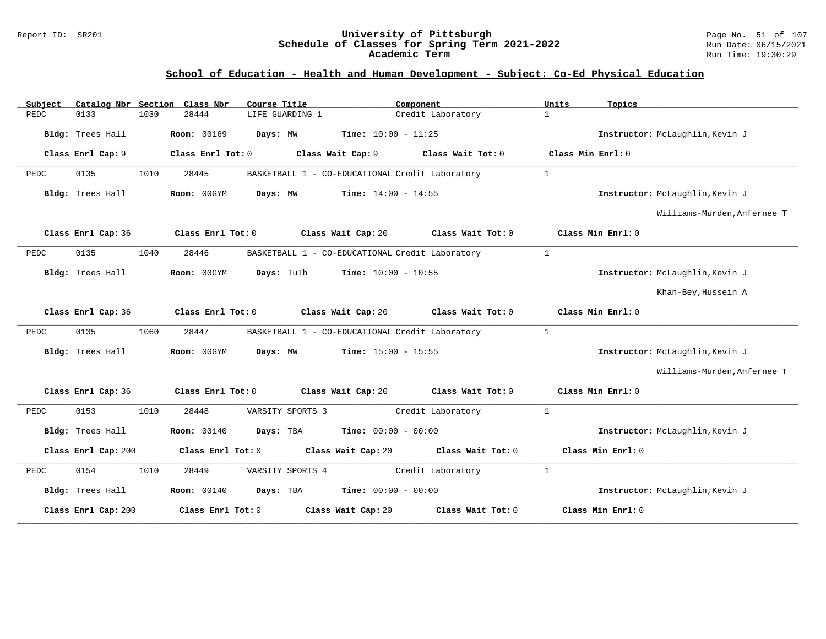#### Report ID: SR201 **University of Pittsburgh** Page No. 51 of 107 **Schedule of Classes for Spring Term 2021-2022** Run Date: 06/15/2021 **Academic Term** Run Time: 19:30:29

| Subject |                     |      | Catalog Nbr Section Class Nbr | Course Title |                  |                              | Component                                       | Units             | Topics                          |
|---------|---------------------|------|-------------------------------|--------------|------------------|------------------------------|-------------------------------------------------|-------------------|---------------------------------|
| PEDC    | 0133                | 1030 | 28444                         |              | LIFE GUARDING 1  |                              | Credit Laboratory                               | $\mathbf{1}$      |                                 |
|         | Bldg: Trees Hall    |      | <b>Room: 00169</b>            | Days: MW     |                  | Time: $10:00 - 11:25$        |                                                 |                   | Instructor: McLaughlin, Kevin J |
|         | Class Enrl Cap: 9   |      | Class Enrl Tot: 0             |              |                  | Class Wait Cap: 9            | Class Wait Tot: 0                               | Class Min Enrl: 0 |                                 |
| PEDC    | 0135                | 1010 | 28445                         |              |                  |                              | BASKETBALL 1 - CO-EDUCATIONAL Credit Laboratory | $\mathbf{1}$      |                                 |
|         | Bldg: Trees Hall    |      | Room: 00GYM                   | Days: MW     |                  | <b>Time:</b> $14:00 - 14:55$ |                                                 |                   | Instructor: McLaughlin, Kevin J |
|         |                     |      |                               |              |                  |                              |                                                 |                   | Williams-Murden, Anfernee T     |
|         | Class Enrl Cap: 36  |      | Class Enrl Tot: 0             |              |                  | Class Wait Cap: 20           | Class Wait Tot: 0                               |                   | Class Min Enrl: 0               |
| PEDC    | 0135                | 1040 | 28446                         |              |                  |                              | BASKETBALL 1 - CO-EDUCATIONAL Credit Laboratory | $\mathbf{1}$      |                                 |
|         | Bldg: Trees Hall    |      | Room: 00GYM                   | Days: TuTh   |                  | <b>Time:</b> $10:00 - 10:55$ |                                                 |                   | Instructor: McLaughlin, Kevin J |
|         |                     |      |                               |              |                  |                              |                                                 |                   | Khan-Bey, Hussein A             |
|         | Class Enrl Cap: 36  |      | Class Enrl Tot: 0             |              |                  | Class Wait Cap: 20           | Class Wait Tot: 0                               |                   | Class Min Enrl: 0               |
| PEDC    | 0135                | 1060 | 28447                         |              |                  |                              | BASKETBALL 1 - CO-EDUCATIONAL Credit Laboratory | 1                 |                                 |
|         | Bldg: Trees Hall    |      | Room: 00GYM                   | Days: MW     |                  | <b>Time:</b> $15:00 - 15:55$ |                                                 |                   | Instructor: McLaughlin, Kevin J |
|         |                     |      |                               |              |                  |                              |                                                 |                   | Williams-Murden, Anfernee T     |
|         | Class Enrl Cap: 36  |      | Class Enrl Tot: 0             |              |                  | Class Wait Cap: 20           | Class Wait Tot: 0                               |                   | Class Min Enrl: 0               |
| PEDC    | 0153                | 1010 | 28448                         |              | VARSITY SPORTS 3 |                              | Credit Laboratory                               | 1                 |                                 |
|         | Bldg: Trees Hall    |      | <b>Room: 00140</b>            | Days: TBA    |                  | <b>Time:</b> $00:00 - 00:00$ |                                                 |                   | Instructor: McLaughlin, Kevin J |
|         | Class Enrl Cap: 200 |      | Class Enrl Tot: 0             |              |                  | Class Wait Cap: 20           | Class Wait Tot: 0                               |                   | Class Min Enrl: 0               |
| PEDC    | 0154                | 1010 | 28449                         |              | VARSITY SPORTS 4 |                              | Credit Laboratory                               | $\mathbf{1}$      |                                 |
|         | Bldg: Trees Hall    |      | <b>Room: 00140</b>            | Days: TBA    |                  | <b>Time:</b> $00:00 - 00:00$ |                                                 |                   | Instructor: McLaughlin, Kevin J |
|         | Class Enrl Cap: 200 |      | Class Enrl Tot: 0             |              |                  | Class Wait Cap: 20           | Class Wait Tot: 0                               |                   | Class Min Enrl: 0               |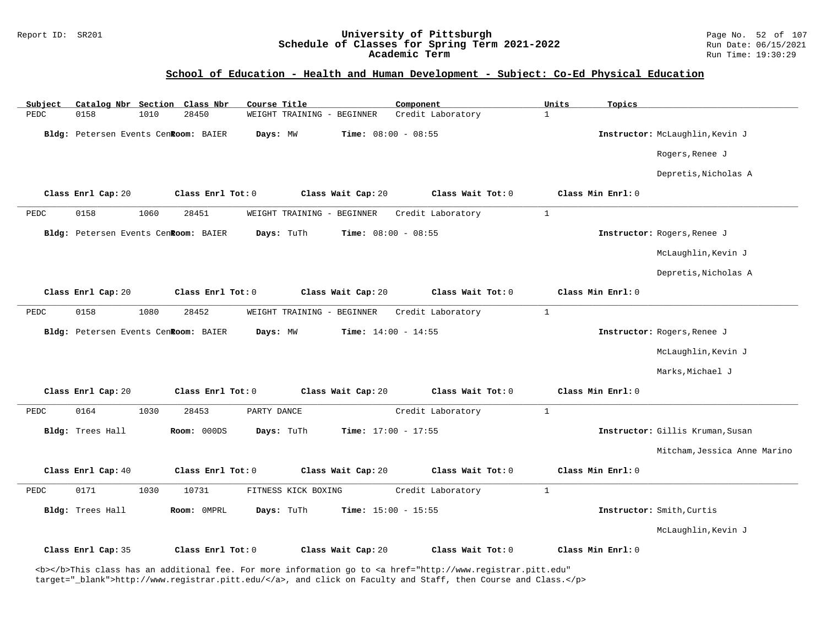# Report ID: SR201 **University of Pittsburgh University of Pittsburgh** Page No. 52 of 107<br>**Schedule of Classes for Spring Term 2021-2022** Run Date: 06/15/2021 Schedule of Classes for Spring Term 2021-2022<br>Academic Term

### **School of Education - Health and Human Development - Subject: Co-Ed Physical Education**

| Catalog Nbr Section Class Nbr<br>Subject | Course Title                                       | Component                         | Units<br>Topics                  |
|------------------------------------------|----------------------------------------------------|-----------------------------------|----------------------------------|
| 0158<br>1010<br>PEDC                     | 28450<br>WEIGHT TRAINING - BEGINNER                | Credit Laboratory<br>$\mathbf{1}$ |                                  |
| Bldg: Petersen Events Cenkoom: BAIER     | Days: MW<br><b>Time:</b> $08:00 - 08:55$           |                                   | Instructor: McLaughlin, Kevin J  |
|                                          |                                                    |                                   | Rogers, Renee J                  |
|                                          |                                                    |                                   | Depretis, Nicholas A             |
| Class Enrl Cap: 20                       | Class Enrl Tot: 0<br>Class Wait Cap: 20            | Class Wait Tot: 0                 | Class Min Enrl: 0                |
| 0158<br>1060<br>PEDC                     | 28451<br>WEIGHT TRAINING - BEGINNER                | $\mathbf{1}$<br>Credit Laboratory |                                  |
| Bldg: Petersen Events CenRoom: BAIER     | Time: $08:00 - 08:55$<br>Days: TuTh                |                                   | Instructor: Rogers, Renee J      |
|                                          |                                                    |                                   | McLaughlin, Kevin J              |
|                                          |                                                    |                                   | Depretis, Nicholas A             |
| Class Enrl Cap: 20                       | Class Enrl Tot: 0<br>Class Wait Cap: 20            | Class Wait Tot: 0                 | Class Min Enrl: 0                |
| 0158<br>1080<br>PEDC                     | 28452<br>WEIGHT TRAINING - BEGINNER                | $\mathbf{1}$<br>Credit Laboratory |                                  |
| Bldg: Petersen Events CenRoom: BAIER     | Days: MW<br>Time: $14:00 - 14:55$                  |                                   | Instructor: Rogers, Renee J      |
|                                          |                                                    |                                   | McLaughlin, Kevin J              |
|                                          |                                                    |                                   | Marks, Michael J                 |
| Class Enrl Cap: 20                       | Class Enrl Tot: 0<br>Class Wait Cap: 20            | Class Wait Tot: 0                 | Class Min Enrl: 0                |
| 0164<br>1030<br>PEDC                     | 28453<br>PARTY DANCE                               | $\mathbf{1}$<br>Credit Laboratory |                                  |
| Bldg: Trees Hall                         | Room: 000DS<br>Days: TuTh<br>Time: $17:00 - 17:55$ |                                   | Instructor: Gillis Kruman, Susan |
|                                          |                                                    |                                   | Mitcham, Jessica Anne Marino     |
| Class Enrl Cap: 40                       | Class Enrl Tot: 0<br>Class Wait Cap: 20            | Class Wait Tot: 0                 | Class Min Enrl: 0                |
| 0171<br>1030<br>PEDC                     | 10731<br>FITNESS KICK BOXING                       | Credit Laboratory<br>$\mathbf{1}$ |                                  |
| Bldg: Trees Hall                         | Days: TuTh<br>Room: OMPRL<br>Time: $15:00 - 15:55$ |                                   | Instructor: Smith, Curtis        |
|                                          |                                                    |                                   | McLaughlin, Kevin J              |
| Class Enrl Cap: 35                       | Class Enrl Tot: 0<br>Class Wait Cap: 20            | Class Wait Tot: 0                 | Class Min Enrl: 0                |

<b></b>This class has an additional fee. For more information go to <a href="http://www.registrar.pitt.edu" target="\_blank">http://www.registrar.pitt.edu/</a>, and click on Faculty and Staff, then Course and Class.</p>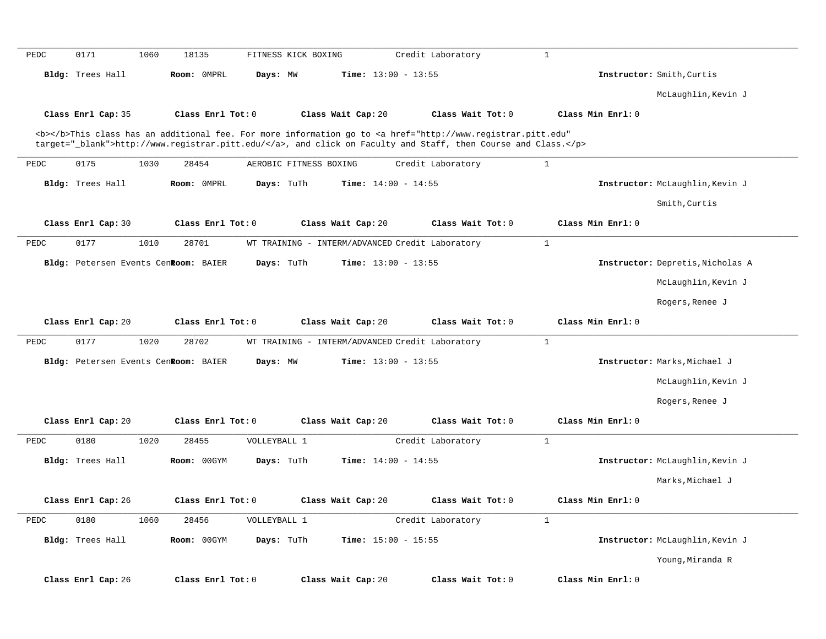| PEDC | 0171<br>1060                         | 18135             | FITNESS KICK BOXING    |                                                 | Credit Laboratory                                                                                                                                                                                                                  | $\mathbf{1}$      |                                  |
|------|--------------------------------------|-------------------|------------------------|-------------------------------------------------|------------------------------------------------------------------------------------------------------------------------------------------------------------------------------------------------------------------------------------|-------------------|----------------------------------|
|      | Bldg: Trees Hall                     | Room: OMPRL       | Days: MW               | <b>Time:</b> $13:00 - 13:55$                    |                                                                                                                                                                                                                                    |                   | Instructor: Smith, Curtis        |
|      |                                      |                   |                        |                                                 |                                                                                                                                                                                                                                    |                   | McLaughlin, Kevin J              |
|      | Class Enrl Cap: 35                   | Class Enrl Tot: 0 |                        | Class Wait Cap: 20                              | Class Wait Tot: 0                                                                                                                                                                                                                  | Class Min Enrl: 0 |                                  |
|      |                                      |                   |                        |                                                 | <b></b> This class has an additional fee. For more information go to <a <br="" href="http://www.registrar.pitt.edu">target="_blank"&gt;http://www.registrar.pitt.edu/</a> , and click on Faculty and Staff, then Course and Class. |                   |                                  |
| PEDC | 0175<br>1030                         | 28454             | AEROBIC FITNESS BOXING |                                                 | Credit Laboratory                                                                                                                                                                                                                  | $\mathbf{1}$      |                                  |
|      | Bldg: Trees Hall                     | Room: OMPRL       | Days: TuTh             | Time: $14:00 - 14:55$                           |                                                                                                                                                                                                                                    |                   | Instructor: McLaughlin, Kevin J  |
|      |                                      |                   |                        |                                                 |                                                                                                                                                                                                                                    |                   | Smith, Curtis                    |
|      | Class Enrl Cap: 30                   | Class Enrl Tot: 0 |                        | Class Wait Cap: 20                              | Class Wait Tot: 0                                                                                                                                                                                                                  | Class Min Enrl: 0 |                                  |
| PEDC | 0177<br>1010                         | 28701             |                        | WT TRAINING - INTERM/ADVANCED Credit Laboratory |                                                                                                                                                                                                                                    | $\mathbf{1}$      |                                  |
|      | Bldg: Petersen Events CenRoom: BAIER |                   | Days: TuTh             | <b>Time:</b> $13:00 - 13:55$                    |                                                                                                                                                                                                                                    |                   | Instructor: Depretis, Nicholas A |
|      |                                      |                   |                        |                                                 |                                                                                                                                                                                                                                    |                   | McLaughlin, Kevin J              |
|      |                                      |                   |                        |                                                 |                                                                                                                                                                                                                                    |                   | Rogers, Renee J                  |
|      | Class Enrl Cap: 20                   | Class Enrl Tot: 0 |                        | Class Wait Cap: 20                              | Class Wait Tot: 0                                                                                                                                                                                                                  | Class Min Enrl: 0 |                                  |
| PEDC | 0177<br>1020                         | 28702             |                        | WT TRAINING - INTERM/ADVANCED Credit Laboratory |                                                                                                                                                                                                                                    | $\mathbf{1}$      |                                  |
|      | Bldg: Petersen Events CenRoom: BAIER |                   | Days: MW               | Time: $13:00 - 13:55$                           |                                                                                                                                                                                                                                    |                   | Instructor: Marks, Michael J     |
|      |                                      |                   |                        |                                                 |                                                                                                                                                                                                                                    |                   | McLaughlin, Kevin J              |
|      |                                      |                   |                        |                                                 |                                                                                                                                                                                                                                    |                   | Rogers, Renee J                  |
|      | Class Enrl Cap: 20                   | Class Enrl Tot: 0 |                        | Class Wait Cap: 20                              | Class Wait Tot: 0                                                                                                                                                                                                                  | Class Min Enrl: 0 |                                  |
|      | 0180<br>1020                         |                   |                        |                                                 | Credit Laboratory                                                                                                                                                                                                                  | $\mathbf{1}$      |                                  |
|      |                                      | 28455             | VOLLEYBALL 1           |                                                 |                                                                                                                                                                                                                                    |                   |                                  |
| PEDC | Bldg: Trees Hall                     | Room: 00GYM       | Days: TuTh             | <b>Time:</b> $14:00 - 14:55$                    |                                                                                                                                                                                                                                    |                   | Instructor: McLaughlin, Kevin J  |
|      |                                      |                   |                        |                                                 |                                                                                                                                                                                                                                    |                   | Marks, Michael J                 |
|      | Class Enrl Cap: 26                   | Class Enrl Tot: 0 |                        | Class Wait Cap: 20                              | Class Wait Tot: 0                                                                                                                                                                                                                  | Class Min Enrl: 0 |                                  |
|      | 0180<br>1060                         | 28456             | VOLLEYBALL 1           |                                                 | Credit Laboratory                                                                                                                                                                                                                  | $\mathbf{1}$      |                                  |
|      | Bldg: Trees Hall                     | Room: 00GYM       | Days: TuTh             | Time: $15:00 - 15:55$                           |                                                                                                                                                                                                                                    |                   | Instructor: McLaughlin, Kevin J  |
| PEDC |                                      |                   |                        |                                                 |                                                                                                                                                                                                                                    |                   | Young, Miranda R                 |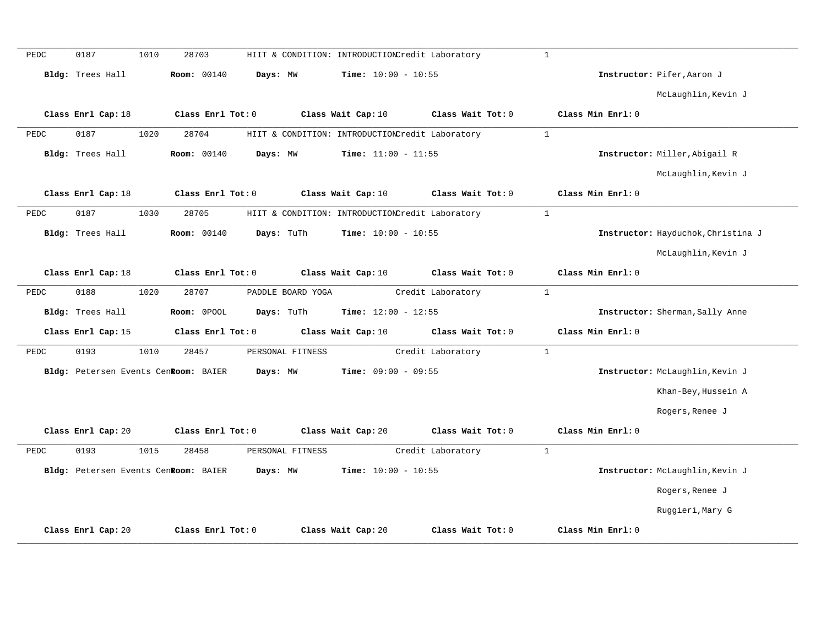| PEDC | 0187               | 1010 | 28703                                |                   | HIIT & CONDITION: INTRODUCTIONCredit Laboratory |                   | $\mathbf{1}$ |                   |                                    |
|------|--------------------|------|--------------------------------------|-------------------|-------------------------------------------------|-------------------|--------------|-------------------|------------------------------------|
|      | Bldg: Trees Hall   |      | <b>Room: 00140</b>                   | Days: MW          | Time: $10:00 - 10:55$                           |                   |              |                   | Instructor: Pifer, Aaron J         |
|      |                    |      |                                      |                   |                                                 |                   |              |                   | McLaughlin, Kevin J                |
|      | Class Enrl Cap: 18 |      | Class Enrl Tot: 0                    |                   | Class Wait Cap: 10                              | Class Wait Tot: 0 |              | Class Min Enrl: 0 |                                    |
| PEDC | 0187               | 1020 | 28704                                |                   | HIIT & CONDITION: INTRODUCTIONCredit Laboratory |                   | 1            |                   |                                    |
|      | Bldg: Trees Hall   |      | Room: 00140                          | Days: MW          | Time: $11:00 - 11:55$                           |                   |              |                   | Instructor: Miller, Abigail R      |
|      |                    |      |                                      |                   |                                                 |                   |              |                   | McLaughlin, Kevin J                |
|      | Class Enrl Cap: 18 |      | Class Enrl Tot: 0                    |                   | Class Wait Cap: 10                              | Class Wait Tot: 0 |              | Class Min Enrl: 0 |                                    |
| PEDC | 0187               | 1030 | 28705                                |                   | HIIT & CONDITION: INTRODUCTIONCredit Laboratory |                   | $\mathbf{1}$ |                   |                                    |
|      | Bldg: Trees Hall   |      | <b>Room: 00140</b>                   | Days: TuTh        | Time: $10:00 - 10:55$                           |                   |              |                   | Instructor: Hayduchok, Christina J |
|      |                    |      |                                      |                   |                                                 |                   |              |                   | McLaughlin, Kevin J                |
|      | Class Enrl Cap: 18 |      | Class Enrl Tot: 0                    |                   | Class Wait Cap: 10                              | Class Wait Tot: 0 |              | Class Min Enrl: 0 |                                    |
| PEDC | 0188               | 1020 | 28707                                | PADDLE BOARD YOGA |                                                 | Credit Laboratory | $\mathbf{1}$ |                   |                                    |
|      | Bldg: Trees Hall   |      | Room: 0POOL                          | Days: TuTh        | Time: $12:00 - 12:55$                           |                   |              |                   | Instructor: Sherman, Sally Anne    |
|      | Class Enrl Cap: 15 |      | Class Enrl Tot: 0                    |                   | Class Wait Cap: 10                              | Class Wait Tot: 0 |              | Class Min Enrl: 0 |                                    |
| PEDC | 0193               | 1010 | 28457                                | PERSONAL FITNESS  |                                                 | Credit Laboratory | $\mathbf{1}$ |                   |                                    |
|      |                    |      | Bldg: Petersen Events CenRoom: BAIER | Days: MW          | Time: $09:00 - 09:55$                           |                   |              |                   | Instructor: McLaughlin, Kevin J    |
|      |                    |      |                                      |                   |                                                 |                   |              |                   | Khan-Bey, Hussein A                |
|      |                    |      |                                      |                   |                                                 |                   |              |                   | Rogers, Renee J                    |
|      | Class Enrl Cap: 20 |      | Class Enrl Tot: 0                    |                   | Class Wait Cap: 20                              | Class Wait Tot: 0 |              | Class Min Enrl: 0 |                                    |
| PEDC | 0193               | 1015 | 28458                                | PERSONAL FITNESS  |                                                 | Credit Laboratory | $\mathbf{1}$ |                   |                                    |
|      |                    |      | Bldg: Petersen Events CenRoom: BAIER | Days: MW          | Time: $10:00 - 10:55$                           |                   |              |                   | Instructor: McLaughlin, Kevin J    |
|      |                    |      |                                      |                   |                                                 |                   |              |                   | Rogers, Renee J                    |
|      |                    |      |                                      |                   |                                                 |                   |              |                   | Ruggieri, Mary G                   |
|      | Class Enrl Cap: 20 |      | Class Enrl Tot: 0                    |                   | Class Wait Cap: 20                              | Class Wait Tot: 0 |              | Class Min Enrl: 0 |                                    |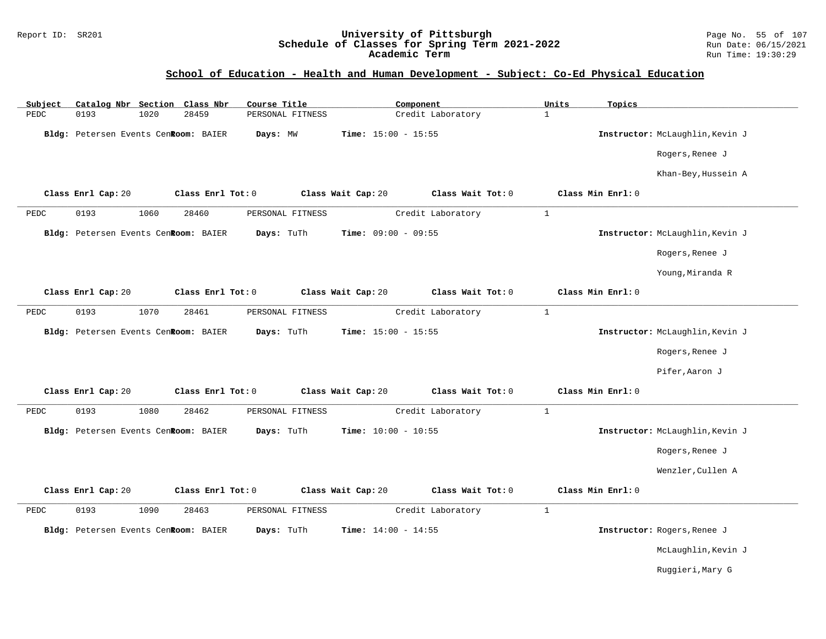### Report ID: SR201 **University of Pittsburgh** Page No. 55 of 107 **Schedule of Classes for Spring Term 2021-2022** Run Date: 06/15/2021 **Academic Term** Run Time: 19:30:29

| Subject | Catalog Nbr Section Class Nbr        |      |                   | Course Title     |                              | Component         | Units        | Topics            |                                 |
|---------|--------------------------------------|------|-------------------|------------------|------------------------------|-------------------|--------------|-------------------|---------------------------------|
| PEDC    | 0193                                 | 1020 | 28459             | PERSONAL FITNESS |                              | Credit Laboratory | $\mathbf{1}$ |                   |                                 |
|         | Bldg: Petersen Events CenRoom: BAIER |      |                   | Days: MW         | <b>Time:</b> $15:00 - 15:55$ |                   |              |                   | Instructor: McLaughlin, Kevin J |
|         |                                      |      |                   |                  |                              |                   |              |                   | Rogers, Renee J                 |
|         |                                      |      |                   |                  |                              |                   |              |                   | Khan-Bey, Hussein A             |
|         | Class Enrl Cap: 20                   |      | Class Enrl Tot: 0 |                  | Class Wait Cap: 20           | Class Wait Tot: 0 |              | Class Min Enrl: 0 |                                 |
| PEDC    | 0193                                 | 1060 | 28460             | PERSONAL FITNESS |                              | Credit Laboratory | $\mathbf{1}$ |                   |                                 |
|         | Bldg: Petersen Events CenRoom: BAIER |      |                   | Days: TuTh       | <b>Time:</b> $09:00 - 09:55$ |                   |              |                   | Instructor: McLaughlin, Kevin J |
|         |                                      |      |                   |                  |                              |                   |              |                   | Rogers, Renee J                 |
|         |                                      |      |                   |                  |                              |                   |              |                   | Young, Miranda R                |
|         | Class Enrl Cap: 20                   |      | Class Enrl Tot: 0 |                  | Class Wait Cap: 20           | Class Wait Tot: 0 |              | Class Min Enrl: 0 |                                 |
| PEDC    | 0193                                 | 1070 | 28461             | PERSONAL FITNESS |                              | Credit Laboratory | $\mathbf{1}$ |                   |                                 |
|         | Bldg: Petersen Events CenRoom: BAIER |      |                   | Days: TuTh       | Time: $15:00 - 15:55$        |                   |              |                   | Instructor: McLaughlin, Kevin J |
|         |                                      |      |                   |                  |                              |                   |              |                   | Rogers, Renee J                 |
|         |                                      |      |                   |                  |                              |                   |              |                   | Pifer, Aaron J                  |
|         | Class Enrl Cap: 20                   |      | Class Enrl Tot: 0 |                  | Class Wait Cap: 20           | Class Wait Tot: 0 |              | Class Min Enrl: 0 |                                 |
| PEDC    | 0193                                 | 1080 | 28462             | PERSONAL FITNESS |                              | Credit Laboratory | $\mathbf{1}$ |                   |                                 |
|         | Bldg: Petersen Events CenRoom: BAIER |      |                   | Days: TuTh       | Time: $10:00 - 10:55$        |                   |              |                   | Instructor: McLaughlin, Kevin J |
|         |                                      |      |                   |                  |                              |                   |              |                   | Rogers, Renee J                 |
|         |                                      |      |                   |                  |                              |                   |              |                   | Wenzler, Cullen A               |
|         | Class Enrl Cap: 20                   |      | Class Enrl Tot: 0 |                  | Class Wait Cap: 20           | Class Wait Tot: 0 |              | Class Min Enrl: 0 |                                 |
| PEDC    | 0193                                 | 1090 | 28463             | PERSONAL FITNESS |                              | Credit Laboratory | $\mathbf{1}$ |                   |                                 |
|         | Bldg: Petersen Events CenRoom: BAIER |      |                   | Days: TuTh       | <b>Time:</b> $14:00 - 14:55$ |                   |              |                   | Instructor: Rogers, Renee J     |
|         |                                      |      |                   |                  |                              |                   |              |                   | McLaughlin, Kevin J             |
|         |                                      |      |                   |                  |                              |                   |              |                   | Ruggieri, Mary G                |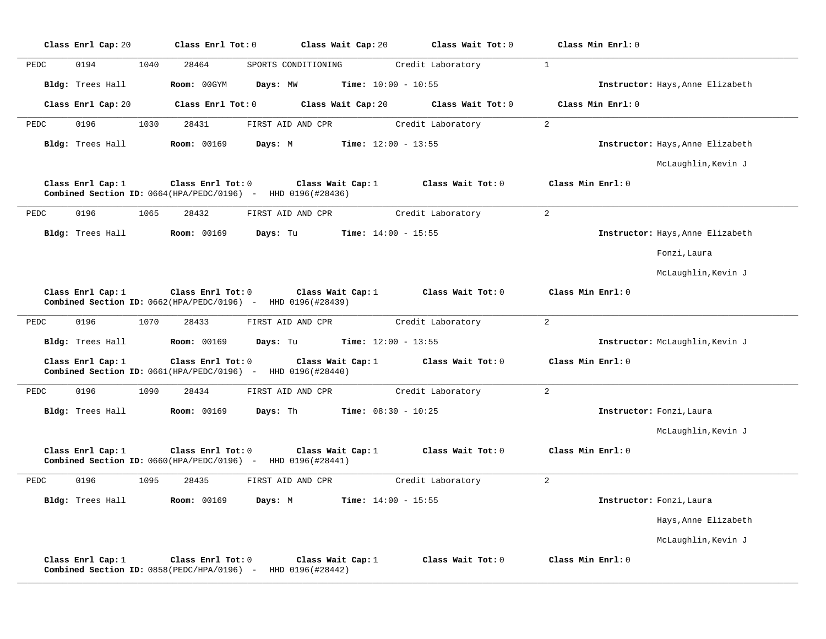|      | Class Enrl Cap: 20 | Class Enrl Tot: 0  | Class Wait Cap: 20                                                                            |                              | Class Wait Tot: 0 | Class Min Enrl: 0 |                                  |
|------|--------------------|--------------------|-----------------------------------------------------------------------------------------------|------------------------------|-------------------|-------------------|----------------------------------|
| PEDC | 0194               | 1040<br>28464      | SPORTS CONDITIONING                                                                           |                              | Credit Laboratory | <sup>1</sup>      |                                  |
|      | Bldg: Trees Hall   | Room: 00GYM        | Days: MW                                                                                      | Time: $10:00 - 10:55$        |                   |                   | Instructor: Hays, Anne Elizabeth |
|      | Class Enrl Cap: 20 | Class Enrl Tot: 0  | Class Wait Cap: 20                                                                            |                              | Class Wait Tot: 0 | Class Min Enrl: 0 |                                  |
| PEDC | 0196               | 28431<br>1030      | FIRST AID AND CPR                                                                             |                              | Credit Laboratory | $\overline{2}$    |                                  |
|      | Bldg: Trees Hall   | <b>Room: 00169</b> | Days: M                                                                                       | <b>Time:</b> $12:00 - 13:55$ |                   |                   | Instructor: Hays, Anne Elizabeth |
|      |                    |                    |                                                                                               |                              |                   |                   | McLaughlin, Kevin J              |
|      | Class Enrl Cap: 1  | Class Enrl Tot: 0  | Class Wait Cap: 1<br><b>Combined Section ID:</b> $0664(HPA/PEDC/0196)$ - HHD $0196(H28436)$   |                              | Class Wait Tot: 0 | Class Min Enrl: 0 |                                  |
| PEDC | 0196               | 1065<br>28432      | FIRST AID AND CPR                                                                             |                              | Credit Laboratory | 2                 |                                  |
|      | Bldg: Trees Hall   | <b>Room: 00169</b> | Days: Tu                                                                                      | <b>Time:</b> $14:00 - 15:55$ |                   |                   | Instructor: Hays, Anne Elizabeth |
|      |                    |                    |                                                                                               |                              |                   |                   | Fonzi, Laura                     |
|      |                    |                    |                                                                                               |                              |                   |                   | McLaughlin, Kevin J              |
|      | Class Enrl Cap: 1  | Class Enrl Tot: 0  | Class Wait Cap: 1<br>Combined Section ID: 0662(HPA/PEDC/0196) - HHD 0196(#28439)              |                              | Class Wait Tot: 0 | Class Min Enrl: 0 |                                  |
| PEDC | 0196               | 1070<br>28433      | FIRST AID AND CPR                                                                             |                              | Credit Laboratory | 2                 |                                  |
|      | Bldg: Trees Hall   | <b>Room: 00169</b> | Days: Tu                                                                                      | <b>Time:</b> $12:00 - 13:55$ |                   |                   | Instructor: McLaughlin, Kevin J  |
|      | Class Enrl Cap: 1  | Class Enrl Tot: 0  | Class Wait Cap: 1<br>Combined Section ID: 0661(HPA/PEDC/0196) - HHD 0196(#28440)              |                              | Class Wait Tot: 0 | Class Min Enrl: 0 |                                  |
| PEDC | 0196               | 28434<br>1090      | FIRST AID AND CPR                                                                             |                              | Credit Laboratory | 2                 |                                  |
|      | Bldg: Trees Hall   | <b>Room: 00169</b> | Days: Th                                                                                      | <b>Time:</b> $08:30 - 10:25$ |                   |                   | Instructor: Fonzi, Laura         |
|      |                    |                    |                                                                                               |                              |                   |                   | McLaughlin, Kevin J              |
|      | Class Enrl Cap: 1  | Class Enrl Tot: 0  | Class Wait Cap: 1<br>Combined Section ID: 0660(HPA/PEDC/0196) - HHD 0196(#28441)              |                              | Class Wait Tot: 0 | Class Min Enrl: 0 |                                  |
| PEDC | 0196               | 1095<br>28435      | FIRST AID AND CPR                                                                             |                              | Credit Laboratory | 2                 |                                  |
|      | Bldg: Trees Hall   | <b>Room: 00169</b> | Days: M                                                                                       | <b>Time:</b> $14:00 - 15:55$ |                   |                   | Instructor: Fonzi, Laura         |
|      |                    |                    |                                                                                               |                              |                   |                   | Hays, Anne Elizabeth             |
|      |                    |                    |                                                                                               |                              |                   |                   | McLaughlin, Kevin J              |
|      | Class Enrl Cap: 1  | Class Enrl Tot: 0  | Class Wait Cap: 1<br><b>Combined Section ID:</b> $0858$ (PEDC/HPA/0196) - HHD $0196$ (#28442) |                              | Class Wait Tot: 0 | Class Min Enrl: 0 |                                  |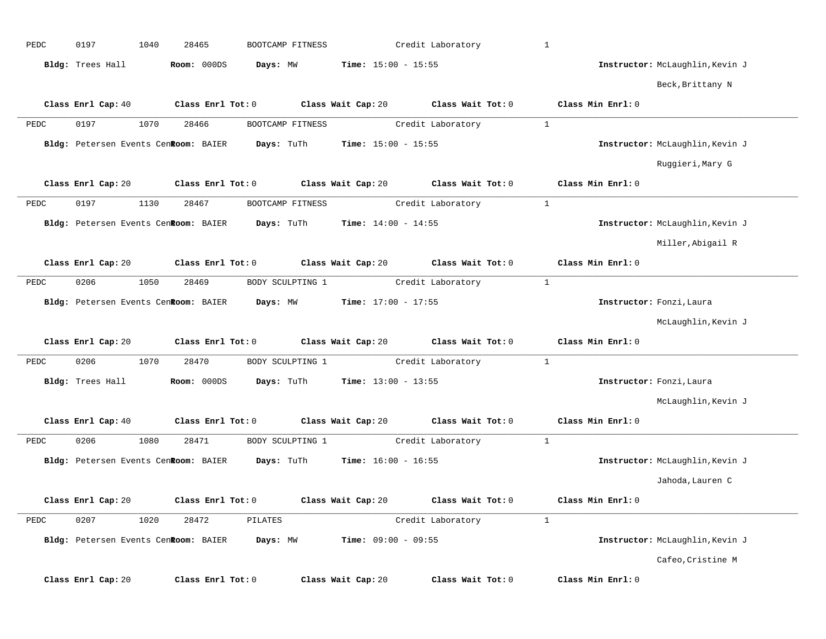| PEDC | 0197                                 | 1040 | 28465               | BOOTCAMP FITNESS                                                          |                              | Credit Laboratory                                      | $\mathbf{1}$ |                                 |
|------|--------------------------------------|------|---------------------|---------------------------------------------------------------------------|------------------------------|--------------------------------------------------------|--------------|---------------------------------|
|      | Bldg: Trees Hall                     |      | Room: 000DS         | Days: MW                                                                  | <b>Time:</b> $15:00 - 15:55$ |                                                        |              | Instructor: McLaughlin, Kevin J |
|      |                                      |      |                     |                                                                           |                              |                                                        |              | Beck, Brittany N                |
|      |                                      |      |                     | Class Enrl Cap: 40 Class Enrl Tot: 0 Class Wait Cap: 20                   |                              | Class Wait Tot: 0                                      |              | Class Min Enrl: 0               |
| PEDC | 0197                                 | 1070 | 28466               | BOOTCAMP FITNESS                                                          |                              | Credit Laboratory                                      | $\mathbf{1}$ |                                 |
|      | Bldg: Petersen Events Cenkoom: BAIER |      |                     | Days: TuTh                                                                | <b>Time:</b> $15:00 - 15:55$ |                                                        |              | Instructor: McLaughlin, Kevin J |
|      |                                      |      |                     |                                                                           |                              |                                                        |              | Ruggieri, Mary G                |
|      | Class Enrl Cap: 20                   |      | Class Enrl Tot: 0   | Class Wait Cap: 20                                                        |                              | Class Wait Tot: 0                                      |              | Class Min Enrl: 0               |
| PEDC | 0197                                 | 1130 | 28467               | BOOTCAMP FITNESS                                                          |                              | Credit Laboratory                                      | $\mathbf{1}$ |                                 |
|      |                                      |      |                     | Bldg: Petersen Events Cenkoom: BAIER Days: TuTh                           | <b>Time:</b> $14:00 - 14:55$ |                                                        |              | Instructor: McLaughlin, Kevin J |
|      |                                      |      |                     |                                                                           |                              |                                                        |              | Miller, Abigail R               |
|      | Class Enrl Cap: 20                   |      |                     |                                                                           |                              | Class Enrl Tot: 0 Class Wait Cap: 20 Class Wait Tot: 0 |              | Class Min Enrl: 0               |
| PEDC | 0206                                 | 1050 | 28469               | BODY SCULPTING 1                                                          |                              | Credit Laboratory                                      | $\mathbf{1}$ |                                 |
|      |                                      |      |                     | Bldg: Petersen Events Cen <b>Room:</b> BAIER Days: MW Time: 17:00 - 17:55 |                              |                                                        |              | Instructor: Fonzi, Laura        |
|      |                                      |      |                     |                                                                           |                              |                                                        |              | McLaughlin, Kevin J             |
|      | Class Enrl Cap: 20                   |      |                     | Class Enrl Tot: 0 Class Wait Cap: 20                                      |                              | Class Wait Tot: 0                                      |              | Class Min Enrl: 0               |
| PEDC | 0206                                 | 1070 | 28470               | BODY SCULPTING 1                                                          |                              | Credit Laboratory                                      | $\mathbf{1}$ |                                 |
|      | Bldg: Trees Hall                     |      | Room: 000DS         | Days: TuTh                                                                | <b>Time:</b> $13:00 - 13:55$ |                                                        |              | Instructor: Fonzi, Laura        |
|      |                                      |      |                     |                                                                           |                              |                                                        |              | McLaughlin, Kevin J             |
|      | Class Enrl Cap: 40                   |      | Class Enrl Tot: 0   | Class Wait Cap: 20                                                        |                              | Class Wait Tot: 0                                      |              | Class Min Enrl: 0               |
| PEDC | 0206                                 | 1080 | 28471               | BODY SCULPTING 1                                                          |                              | Credit Laboratory                                      | $\mathbf{1}$ |                                 |
|      |                                      |      |                     | Bldg: Petersen Events CenRoom: BAIER Days: TuTh                           | <b>Time:</b> $16:00 - 16:55$ |                                                        |              | Instructor: McLaughlin, Kevin J |
|      |                                      |      |                     |                                                                           |                              |                                                        |              |                                 |
|      |                                      |      |                     |                                                                           |                              |                                                        |              | Jahoda, Lauren C                |
|      | Class Enrl Cap: 20                   |      | Class Enrl Tot: $0$ |                                                                           | Class Wait Cap: 20           | Class Wait $Tot: 0$                                    |              | Class Min Enrl: 0               |
| PEDC | 0207                                 | 1020 | 28472               | PILATES                                                                   |                              | Credit Laboratory                                      | 1            |                                 |
|      | Bldg: Petersen Events CenRoom: BAIER |      |                     | Days: MW                                                                  | Time: $09:00 - 09:55$        |                                                        |              | Instructor: McLaughlin, Kevin J |
|      |                                      |      |                     |                                                                           |                              |                                                        |              | Cafeo, Cristine M               |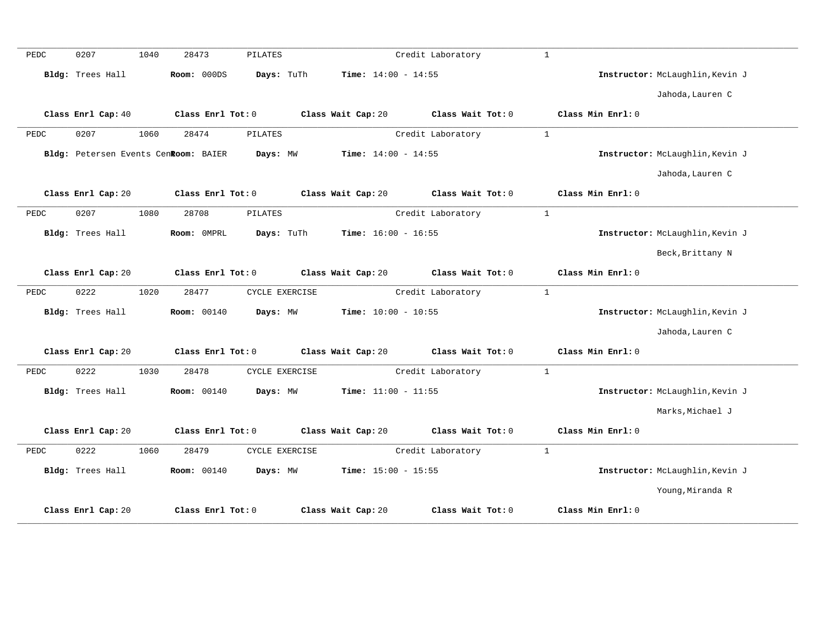| PEDC | 0207               | 1040 | 28473                                | PILATES        |                              | Credit Laboratory | $\mathbf{1}$ |                   |                                 |
|------|--------------------|------|--------------------------------------|----------------|------------------------------|-------------------|--------------|-------------------|---------------------------------|
|      | Bldg: Trees Hall   |      | Room: 000DS                          | Days: TuTh     | <b>Time:</b> $14:00 - 14:55$ |                   |              |                   | Instructor: McLaughlin, Kevin J |
|      |                    |      |                                      |                |                              |                   |              |                   | Jahoda, Lauren C                |
|      | Class Enrl Cap: 40 |      | Class Enrl Tot: 0                    |                | Class Wait Cap: 20           | Class Wait Tot: 0 |              | Class Min Enrl: 0 |                                 |
| PEDC | 0207               | 1060 | 28474                                | <b>PILATES</b> |                              | Credit Laboratory | $\mathbf{1}$ |                   |                                 |
|      |                    |      | Bldg: Petersen Events CenRoom: BAIER | Days: MW       | <b>Time:</b> $14:00 - 14:55$ |                   |              |                   | Instructor: McLaughlin, Kevin J |
|      |                    |      |                                      |                |                              |                   |              |                   | Jahoda, Lauren C                |
|      | Class Enrl Cap: 20 |      | Class Enrl Tot: 0                    |                | Class Wait Cap: 20           | Class Wait Tot: 0 |              | Class Min Enrl: 0 |                                 |
| PEDC | 0207               | 1080 | 28708                                | <b>PILATES</b> |                              | Credit Laboratory | $\mathbf{1}$ |                   |                                 |
|      | Bldg: Trees Hall   |      | Room: OMPRL                          | Days: TuTh     | <b>Time:</b> $16:00 - 16:55$ |                   |              |                   | Instructor: McLaughlin, Kevin J |
|      |                    |      |                                      |                |                              |                   |              |                   | Beck, Brittany N                |
|      | Class Enrl Cap: 20 |      | Class Enrl Tot: 0                    |                | Class Wait Cap: 20           | Class Wait Tot: 0 |              | Class Min Enrl: 0 |                                 |
| PEDC | 0222               | 1020 | 28477                                | CYCLE EXERCISE |                              | Credit Laboratory | $\mathbf{1}$ |                   |                                 |
|      | Bldg: Trees Hall   |      | <b>Room: 00140</b>                   | Days: MW       | <b>Time:</b> $10:00 - 10:55$ |                   |              |                   | Instructor: McLaughlin, Kevin J |
|      |                    |      |                                      |                |                              |                   |              |                   | Jahoda, Lauren C                |
|      | Class Enrl Cap: 20 |      | Class Enrl Tot: 0                    |                | Class Wait Cap: 20           | Class Wait Tot: 0 |              | Class Min Enrl: 0 |                                 |
| PEDC | 0222               | 1030 | 28478                                | CYCLE EXERCISE |                              | Credit Laboratory | $\mathbf{1}$ |                   |                                 |
|      | Bldg: Trees Hall   |      | <b>Room: 00140</b>                   | Days: MW       | <b>Time:</b> $11:00 - 11:55$ |                   |              |                   | Instructor: McLaughlin, Kevin J |
|      |                    |      |                                      |                |                              |                   |              |                   | Marks, Michael J                |
|      | Class Enrl Cap: 20 |      | Class Enrl Tot: 0                    |                | Class Wait Cap: 20           | Class Wait Tot: 0 |              | Class Min Enrl: 0 |                                 |
| PEDC | 0222               | 1060 | 28479                                | CYCLE EXERCISE |                              | Credit Laboratory | <sup>1</sup> |                   |                                 |
|      | Bldg: Trees Hall   |      | <b>Room: 00140</b>                   | Days: MW       | Time: $15:00 - 15:55$        |                   |              |                   | Instructor: McLaughlin, Kevin J |
|      |                    |      |                                      |                |                              |                   |              |                   | Young, Miranda R                |
|      | Class Enrl Cap: 20 |      | Class Enrl Tot: 0                    |                | Class Wait Cap: 20           | Class Wait Tot: 0 |              | Class Min Enrl: 0 |                                 |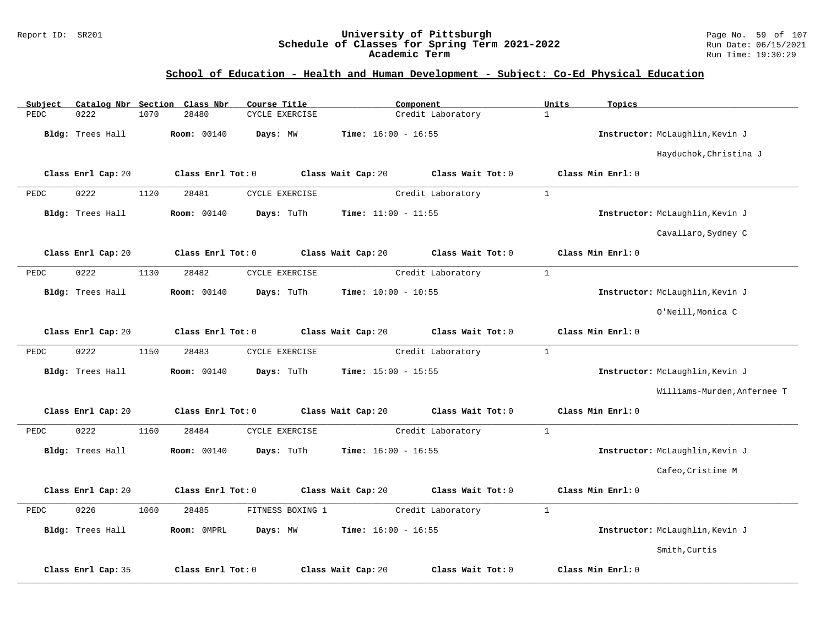### Report ID: SR201 **University of Pittsburgh** Page No. 59 of 107 **Schedule of Classes for Spring Term 2021-2022** Run Date: 06/15/2021 **Academic Term** Run Time: 19:30:29

| Subject |                    |      | Catalog Nbr Section Class Nbr | Course Title     |                              | Component         | Units        | Topics                          |
|---------|--------------------|------|-------------------------------|------------------|------------------------------|-------------------|--------------|---------------------------------|
| PEDC    | 0222               | 1070 | 28480                         | CYCLE EXERCISE   |                              | Credit Laboratory | $\mathbf{1}$ |                                 |
|         | Bldg: Trees Hall   |      | <b>Room: 00140</b>            | Days: MW         | Time: $16:00 - 16:55$        |                   |              | Instructor: McLaughlin, Kevin J |
|         |                    |      |                               |                  |                              |                   |              | Hayduchok, Christina J          |
|         | Class Enrl Cap: 20 |      | Class Enrl Tot: 0             |                  | Class Wait Cap: 20           | Class Wait Tot: 0 |              | Class Min Enrl: 0               |
| PEDC    | 0222               | 1120 | 28481                         | CYCLE EXERCISE   |                              | Credit Laboratory | $\mathbf{1}$ |                                 |
|         | Bldg: Trees Hall   |      | <b>Room: 00140</b>            | Days: TuTh       | <b>Time:</b> $11:00 - 11:55$ |                   |              | Instructor: McLaughlin, Kevin J |
|         |                    |      |                               |                  |                              |                   |              | Cavallaro, Sydney C             |
|         | Class Enrl Cap: 20 |      | Class Enrl Tot: 0             |                  | Class Wait Cap: 20           | Class Wait Tot: 0 |              | Class Min Enrl: 0               |
| PEDC    | 0222               | 1130 | 28482                         | CYCLE EXERCISE   |                              | Credit Laboratory | $\mathbf{1}$ |                                 |
|         | Bldg: Trees Hall   |      | <b>Room: 00140</b>            | Days: TuTh       | <b>Time:</b> $10:00 - 10:55$ |                   |              | Instructor: McLaughlin, Kevin J |
|         |                    |      |                               |                  |                              |                   |              | O'Neill, Monica C               |
|         | Class Enrl Cap: 20 |      | Class Enrl Tot: 0             |                  | Class Wait Cap: 20           | Class Wait Tot: 0 |              | Class Min Enrl: 0               |
| PEDC    | 0222               | 1150 | 28483                         | CYCLE EXERCISE   |                              | Credit Laboratory | $\mathbf{1}$ |                                 |
|         | Bldg: Trees Hall   |      | <b>Room: 00140</b>            | Days: TuTh       | <b>Time:</b> $15:00 - 15:55$ |                   |              | Instructor: McLaughlin, Kevin J |
|         |                    |      |                               |                  |                              |                   |              | Williams-Murden, Anfernee T     |
|         | Class Enrl Cap: 20 |      | Class Enrl Tot: 0             |                  | Class Wait Cap: 20           | Class Wait Tot: 0 |              | Class Min Enrl: 0               |
| PEDC    | 0222               | 1160 | 28484                         | CYCLE EXERCISE   |                              | Credit Laboratory | $\mathbf{1}$ |                                 |
|         | Bldg: Trees Hall   |      | Room: 00140                   | Days: TuTh       | Time: $16:00 - 16:55$        |                   |              | Instructor: McLaughlin, Kevin J |
|         |                    |      |                               |                  |                              |                   |              | Cafeo, Cristine M               |
|         | Class Enrl Cap: 20 |      | Class Enrl Tot: 0             |                  | Class Wait Cap: 20           | Class Wait Tot: 0 |              | Class Min Enrl: 0               |
| PEDC    | 0226               | 1060 | 28485                         | FITNESS BOXING 1 |                              | Credit Laboratory | $\mathbf{1}$ |                                 |
|         | Bldg: Trees Hall   |      | Room: OMPRL                   | Days: MW         | Time: $16:00 - 16:55$        |                   |              | Instructor: McLaughlin, Kevin J |
|         |                    |      |                               |                  |                              |                   |              | Smith, Curtis                   |
|         | Class Enrl Cap: 35 |      | Class Enrl Tot: 0             |                  | Class Wait Cap: 20           | Class Wait Tot: 0 |              | Class Min Enrl: 0               |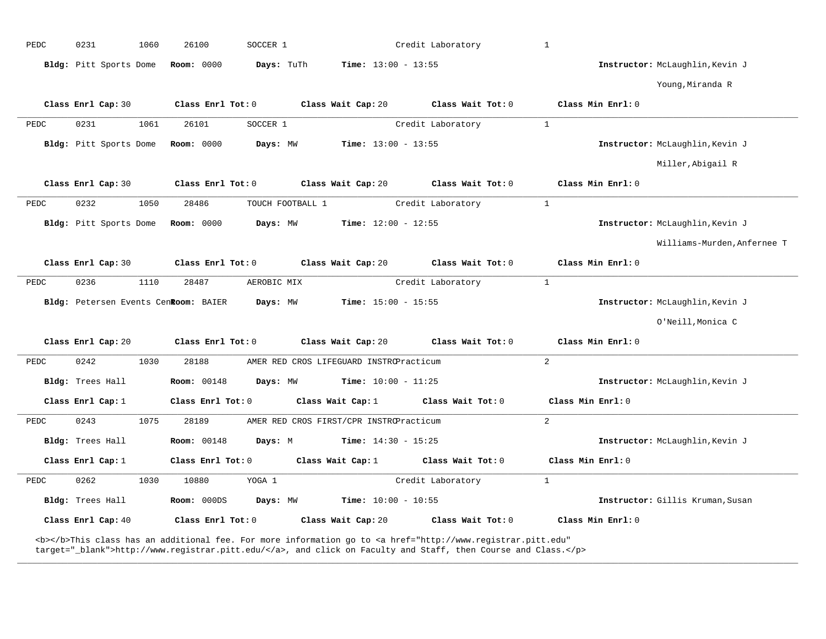| PEDC | 0231                   | 1060 | 26100                                | SOCCER 1         |                                         | Credit Laboratory                                                                                                                                                                                                                  | $\mathbf{1}$      |                                  |
|------|------------------------|------|--------------------------------------|------------------|-----------------------------------------|------------------------------------------------------------------------------------------------------------------------------------------------------------------------------------------------------------------------------------|-------------------|----------------------------------|
|      | Bldg: Pitt Sports Dome |      | <b>Room: 0000</b>                    | Days: TuTh       | <b>Time:</b> $13:00 - 13:55$            |                                                                                                                                                                                                                                    |                   | Instructor: McLaughlin, Kevin J  |
|      |                        |      |                                      |                  |                                         |                                                                                                                                                                                                                                    |                   | Young, Miranda R                 |
|      | Class Enrl Cap: 30     |      | Class Enrl Tot: 0                    |                  | Class Wait Cap: 20                      | Class Wait Tot: 0                                                                                                                                                                                                                  | Class Min Enrl: 0 |                                  |
| PEDC | 0231                   | 1061 | 26101                                | SOCCER 1         |                                         | Credit Laboratory                                                                                                                                                                                                                  | $\mathbf{1}$      |                                  |
|      | Bldg: Pitt Sports Dome |      | <b>Room: 0000</b>                    | Days: MW         | <b>Time:</b> $13:00 - 13:55$            |                                                                                                                                                                                                                                    |                   | Instructor: McLaughlin, Kevin J  |
|      |                        |      |                                      |                  |                                         |                                                                                                                                                                                                                                    |                   | Miller, Abigail R                |
|      | Class Enrl Cap: 30     |      | Class Enrl Tot: 0                    |                  | Class Wait Cap: 20                      | Class Wait Tot: 0                                                                                                                                                                                                                  | Class Min Enrl: 0 |                                  |
| PEDC | 0232                   | 1050 | 28486                                | TOUCH FOOTBALL 1 |                                         | Credit Laboratory                                                                                                                                                                                                                  | $\mathbf{1}$      |                                  |
|      | Bldg: Pitt Sports Dome |      | <b>Room: 0000</b>                    | Days: MW         | <b>Time:</b> $12:00 - 12:55$            |                                                                                                                                                                                                                                    |                   | Instructor: McLaughlin, Kevin J  |
|      |                        |      |                                      |                  |                                         |                                                                                                                                                                                                                                    |                   | Williams-Murden, Anfernee T      |
|      | Class Enrl Cap: 30     |      | Class Enrl Tot: 0                    |                  | Class Wait Cap: 20                      | Class Wait Tot: 0                                                                                                                                                                                                                  | Class Min Enrl: 0 |                                  |
| PEDC | 0236                   | 1110 | 28487                                | AEROBIC MIX      |                                         | Credit Laboratory                                                                                                                                                                                                                  | $\mathbf{1}$      |                                  |
|      |                        |      | Bldg: Petersen Events Cenkoom: BAIER | Days: MW         | <b>Time:</b> $15:00 - 15:55$            |                                                                                                                                                                                                                                    |                   | Instructor: McLaughlin, Kevin J  |
|      |                        |      |                                      |                  |                                         |                                                                                                                                                                                                                                    |                   | O'Neill, Monica C                |
|      | Class Enrl Cap: 20     |      | Class Enrl Tot: 0                    |                  | Class Wait Cap: 20                      | Class Wait Tot: 0                                                                                                                                                                                                                  | Class Min Enrl: 0 |                                  |
| PEDC | 0242                   | 1030 | 28188                                |                  | AMER RED CROS LIFEGUARD INSTROPracticum |                                                                                                                                                                                                                                    | 2                 |                                  |
|      | Bldg: Trees Hall       |      | <b>Room: 00148</b>                   | Days: MW         | <b>Time:</b> $10:00 - 11:25$            |                                                                                                                                                                                                                                    |                   | Instructor: McLaughlin, Kevin J  |
|      | Class Enrl Cap: 1      |      | Class Enrl Tot: 0                    |                  | Class Wait Cap: 1                       | Class Wait Tot: 0                                                                                                                                                                                                                  | Class Min Enrl: 0 |                                  |
| PEDC | 0243                   | 1075 | 28189                                |                  | AMER RED CROS FIRST/CPR INSTROPracticum |                                                                                                                                                                                                                                    | $\overline{2}$    |                                  |
|      | Bldg: Trees Hall       |      | <b>Room: 00148</b>                   | Days: M          | <b>Time:</b> $14:30 - 15:25$            |                                                                                                                                                                                                                                    |                   | Instructor: McLaughlin, Kevin J  |
|      | Class Enrl Cap: 1      |      | Class Enrl Tot: 0                    |                  | Class Wait Cap: 1                       | Class Wait Tot: 0                                                                                                                                                                                                                  | Class Min Enrl: 0 |                                  |
| PEDC | 0262                   | 1030 | 10880                                | YOGA 1           |                                         | Credit Laboratory                                                                                                                                                                                                                  | $\mathbf{1}$      |                                  |
|      | Bldg: Trees Hall       |      | Room: 000DS                          | Days: MW         | <b>Time:</b> $10:00 - 10:55$            |                                                                                                                                                                                                                                    |                   | Instructor: Gillis Kruman, Susan |
|      | Class Enrl Cap: 40     |      | Class Enrl Tot: 0                    |                  | Class Wait Cap: 20                      | Class Wait Tot: 0                                                                                                                                                                                                                  | Class Min Enrl: 0 |                                  |
|      |                        |      |                                      |                  |                                         | <b></b> This class has an additional fee. For more information go to <a <br="" href="http://www.registrar.pitt.edu">target="_blank"&gt;http://www.registrar.pitt.edu/</a> , and click on Faculty and Staff, then Course and Class. |                   |                                  |

**\_\_\_\_\_\_\_\_\_\_\_\_\_\_\_\_\_\_\_\_\_\_\_\_\_\_\_\_\_\_\_\_\_\_\_\_\_\_\_\_\_\_\_\_\_\_\_\_\_\_\_\_\_\_\_\_\_\_\_\_\_\_\_\_\_\_\_\_\_\_\_\_\_\_\_\_\_\_\_\_\_\_\_\_\_\_\_\_\_\_\_\_\_\_\_\_\_\_\_\_\_\_\_\_\_\_\_\_\_\_\_\_\_\_\_\_\_\_\_\_\_\_\_\_\_\_\_\_\_\_\_\_\_\_\_\_\_\_\_\_\_\_\_\_\_\_\_\_\_\_\_\_\_\_\_\_**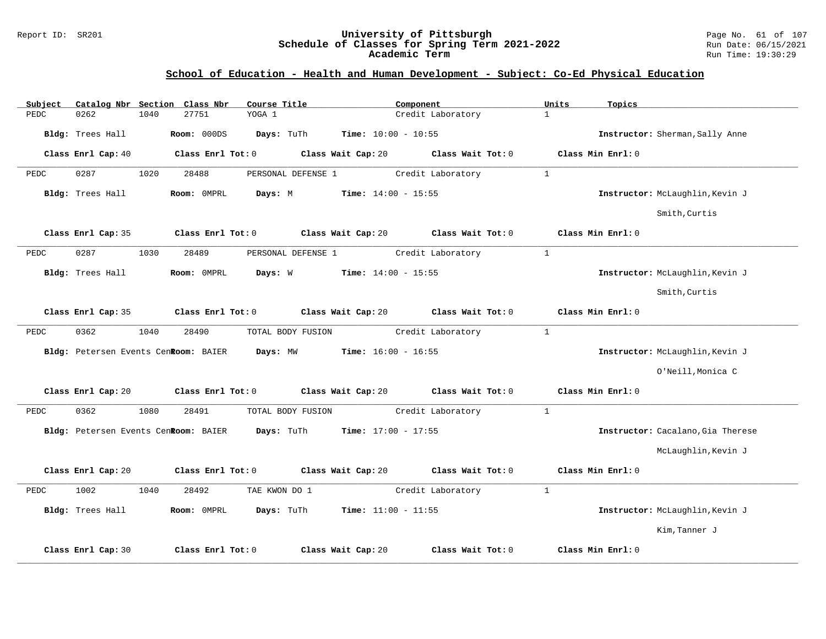#### Report ID: SR201 **University of Pittsburgh** Page No. 61 of 107 **Schedule of Classes for Spring Term 2021-2022** Run Date: 06/15/2021 **Academic Term** Run Time: 19:30:29

| Subject |                                      |      | Catalog Nbr Section Class Nbr        | Course Title       |                              | Component         | Units        | Topics                            |
|---------|--------------------------------------|------|--------------------------------------|--------------------|------------------------------|-------------------|--------------|-----------------------------------|
| PEDC    | 0262                                 | 1040 | 27751                                | YOGA 1             |                              | Credit Laboratory | $\mathbf{1}$ |                                   |
|         | Bldg: Trees Hall                     |      | Room: 000DS                          | Days: TuTh         | <b>Time:</b> $10:00 - 10:55$ |                   |              | Instructor: Sherman, Sally Anne   |
|         | Class Enrl Cap: 40                   |      | Class Enrl Tot: 0                    |                    | Class Wait Cap: 20           | Class Wait Tot: 0 |              | Class Min Enrl: 0                 |
| PEDC    | 0287                                 | 1020 | 28488                                | PERSONAL DEFENSE 1 |                              | Credit Laboratory | $\mathbf{1}$ |                                   |
|         | Bldg: Trees Hall                     |      | Room: OMPRL                          | Days: M            | Time: $14:00 - 15:55$        |                   |              | Instructor: McLaughlin, Kevin J   |
|         |                                      |      |                                      |                    |                              |                   |              | Smith, Curtis                     |
|         | Class Enrl Cap: 35                   |      | Class Enrl Tot: 0                    |                    | Class Wait Cap: 20           | Class Wait Tot: 0 |              | Class Min Enrl: 0                 |
| PEDC    | 0287                                 | 1030 | 28489                                | PERSONAL DEFENSE 1 |                              | Credit Laboratory | $\mathbf{1}$ |                                   |
|         | Bldg: Trees Hall                     |      | Room: OMPRL                          | Days: W            | <b>Time:</b> $14:00 - 15:55$ |                   |              | Instructor: McLaughlin, Kevin J   |
|         |                                      |      |                                      |                    |                              |                   |              | Smith, Curtis                     |
|         | Class Enrl Cap: 35                   |      | Class Enrl Tot: 0                    |                    | Class Wait Cap: 20           | Class Wait Tot: 0 |              | Class Min Enrl: 0                 |
| PEDC    | 0362                                 | 1040 | 28490                                | TOTAL BODY FUSION  |                              | Credit Laboratory | $\mathbf{1}$ |                                   |
|         | Bldg: Petersen Events CenRoom: BAIER |      |                                      | Days: MW           | <b>Time:</b> $16:00 - 16:55$ |                   |              | Instructor: McLaughlin, Kevin J   |
|         |                                      |      |                                      |                    |                              |                   |              | O'Neill, Monica C                 |
|         | Class Enrl Cap: 20                   |      | Class Enrl Tot: 0                    |                    | Class Wait Cap: 20           | Class Wait Tot: 0 |              | Class Min Enrl: 0                 |
| PEDC    | 0362                                 | 1080 | 28491                                | TOTAL BODY FUSION  |                              | Credit Laboratory | $\mathbf{1}$ |                                   |
|         |                                      |      | Bldg: Petersen Events CenRoom: BAIER | Days: TuTh         | <b>Time:</b> $17:00 - 17:55$ |                   |              | Instructor: Cacalano, Gia Therese |
|         |                                      |      |                                      |                    |                              |                   |              | McLaughlin, Kevin J               |
|         | Class Enrl Cap: 20                   |      | Class Enrl Tot: 0                    |                    | Class Wait Cap: 20           | Class Wait Tot: 0 |              | Class Min Enrl: 0                 |
| PEDC    | 1002                                 | 1040 | 28492                                | TAE KWON DO 1      |                              | Credit Laboratory | $\mathbf{1}$ |                                   |
|         | Bldg: Trees Hall                     |      | Room: OMPRL                          | Days: TuTh         | $Time: 11:00 - 11:55$        |                   |              | Instructor: McLaughlin, Kevin J   |
|         |                                      |      |                                      |                    |                              |                   |              | Kim, Tanner J                     |
|         | Class Enrl Cap: 30                   |      | Class Enrl Tot: 0                    |                    | Class Wait Cap: 20           | Class Wait Tot: 0 |              | Class Min Enrl: 0                 |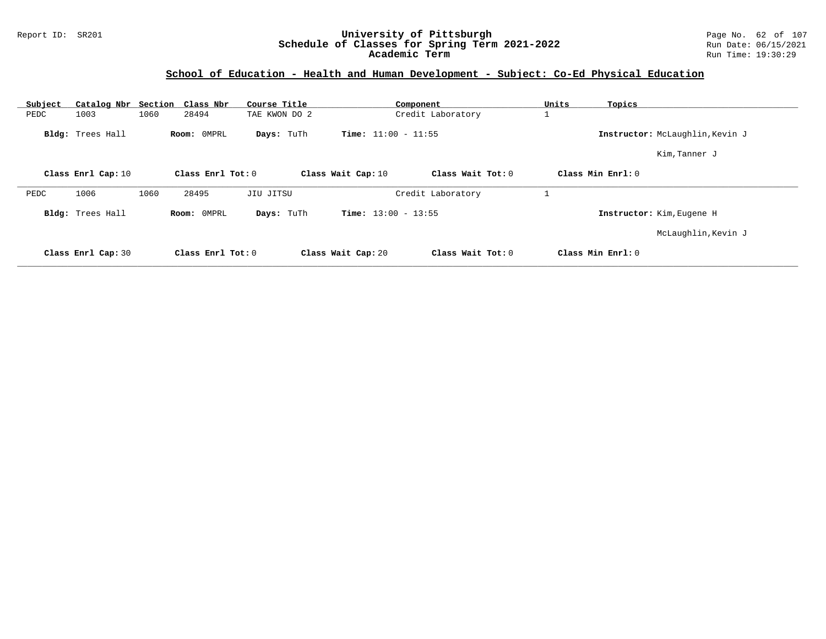### Report ID: SR201 **University of Pittsburgh** Page No. 62 of 107 **Schedule of Classes for Spring Term 2021-2022** Run Date: 06/15/2021 **Academic Term** Run Time: 19:30:29

| Subject<br>PEDC | Catalog Nbr Section<br>1003 | 1060 | Class Nbr<br>28494 | Course Title<br>TAE KWON DO 2 |                              | Component<br>Credit Laboratory | Units | Topics                          |
|-----------------|-----------------------------|------|--------------------|-------------------------------|------------------------------|--------------------------------|-------|---------------------------------|
|                 | Bldg: Trees Hall            |      | Room: 0MPRL        | Days: TuTh                    | <b>Time:</b> $11:00 - 11:55$ |                                |       | Instructor: McLaughlin, Kevin J |
|                 |                             |      |                    |                               |                              |                                |       | Kim, Tanner J                   |
|                 | Class Enrl Cap: 10          |      | Class Enrl Tot: 0  |                               | Class Wait Cap: 10           | Class Wait Tot: 0              |       | Class Min Enrl: 0               |
| PEDC            | 1006                        | 1060 | 28495              | JIU JITSU                     |                              | Credit Laboratory              |       |                                 |
|                 | Bldg: Trees Hall            |      | Room: OMPRL        | Days: TuTh                    | <b>Time:</b> $13:00 - 13:55$ |                                |       | Instructor: Kim, Eugene H       |
|                 |                             |      |                    |                               |                              |                                |       | McLaughlin, Kevin J             |
|                 | Class Enrl Cap: 30          |      | Class Enrl Tot: 0  |                               | Class Wait Cap: 20           | Class Wait Tot: 0              |       | Class Min Enrl: 0               |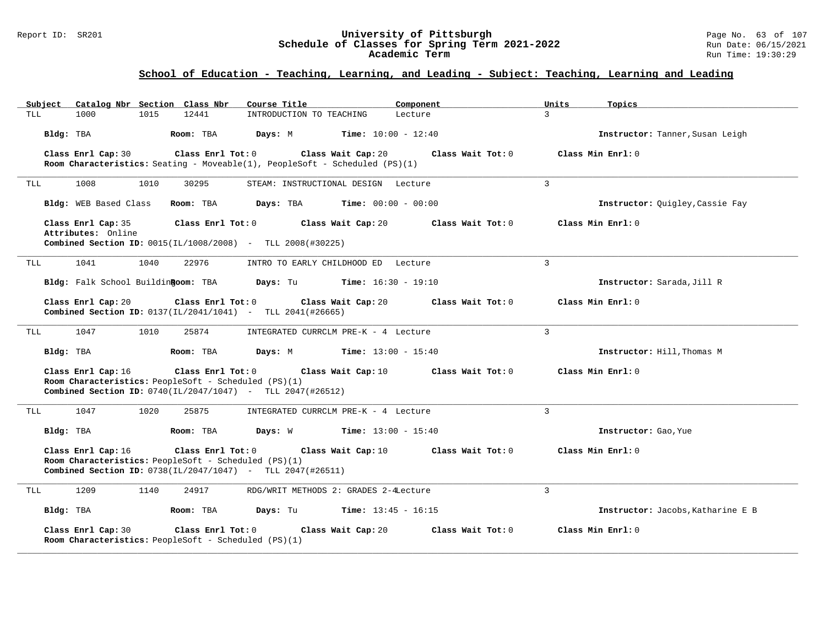#### Report ID: SR201 **University of Pittsburgh** Page No. 63 of 107 **Schedule of Classes for Spring Term 2021-2022** Run Date: 06/15/2021 **Academic Term** Run Time: 19:30:29

| Catalog Nbr Section Class Nbr<br>Subject                                                                                                                        | Course Title<br>Component                                        | Topics<br>Units                        |
|-----------------------------------------------------------------------------------------------------------------------------------------------------------------|------------------------------------------------------------------|----------------------------------------|
| 1015<br>12441<br>TLL<br>1000                                                                                                                                    | INTRODUCTION TO TEACHING<br>Lecture                              | $\mathbf{R}$                           |
| Room: TBA<br>Bldg: TBA                                                                                                                                          | Days: M<br><b>Time:</b> $10:00 - 12:40$                          | Instructor: Tanner, Susan Leigh        |
| Class Enrl Cap: 30<br>Class Enrl Tot: 0<br><b>Room Characteristics:</b> Seating - Moveable(1), PeopleSoft - Scheduled (PS)(1)                                   | Class Wait Cap: 20                                               | Class Wait Tot: 0<br>Class Min Enrl: 0 |
| 1008<br>1010<br>30295<br>TLL                                                                                                                                    | STEAM: INSTRUCTIONAL DESIGN Lecture                              | $\overline{3}$                         |
| Bldg: WEB Based Class<br>Room: TBA                                                                                                                              | <b>Days:</b> TBA <b>Time:</b> $00:00 - 00:00$                    | Instructor: Quigley, Cassie Fay        |
| Class Enrl Tot: 0<br>Class Enrl Cap: 35<br>Attributes: Online                                                                                                   | Class Wait Cap: 20                                               | Class Min Enrl: 0<br>Class Wait Tot: 0 |
| <b>Combined Section ID:</b> $0015(IL/1008/2008)$ - TLL $2008(#30225)$                                                                                           |                                                                  |                                        |
| 1041<br>1040<br>22976<br>TLL                                                                                                                                    | INTRO TO EARLY CHILDHOOD ED Lecture                              | $\overline{3}$                         |
|                                                                                                                                                                 | Bldg: Falk School Buildin Room: TBA Days: Tu Time: 16:30 - 19:10 | Instructor: Sarada, Jill R             |
| Class Enrl Tot: 0<br>Class Enrl Cap: 20<br>Combined Section ID: 0137(IL/2041/1041) - TLL 2041(#26665)                                                           | Class Wait Cap: 20                                               | Class Wait Tot: 0<br>Class Min Enrl: 0 |
| 1010<br>1047<br>25874<br>TLL                                                                                                                                    | INTEGRATED CURRCLM PRE-K - 4 Lecture                             | $\overline{3}$                         |
| Bldg: TBA<br>Room: TBA                                                                                                                                          | Days: M<br><b>Time:</b> $13:00 - 15:40$                          | Instructor: Hill, Thomas M             |
| Class Enrl Cap: 16<br>Class Enrl Tot: 0<br>Room Characteristics: PeopleSoft - Scheduled (PS)(1)<br>Combined Section ID: 0740(IL/2047/1047) - TLL 2047(#26512)   | Class Wait Cap: 10                                               | Class Wait Tot: 0<br>Class Min Enrl: 0 |
| 1047<br>1020<br>25875<br>TLL                                                                                                                                    | INTEGRATED CURRCLM PRE-K - 4 Lecture                             | $\mathbf{3}$                           |
| Bldg: TBA<br>Room: TBA                                                                                                                                          | <b>Days:</b> W <b>Time:</b> $13:00 - 15:40$                      | Instructor: Gao, Yue                   |
| Class Enrl Cap: 16<br>Class Enrl Tot: $0$<br>Room Characteristics: PeopleSoft - Scheduled (PS)(1)<br>Combined Section ID: 0738(IL/2047/1047) - TLL 2047(#26511) | Class Wait Cap: 10<br>Class Wait Tot: 0                          | Class Min Enrl: 0                      |
| 1209<br>1140<br>24917<br>TLL                                                                                                                                    | RDG/WRIT METHODS 2: GRADES 2-4Lecture                            | $\overline{3}$                         |
| Bldg: TBA<br>Room: TBA                                                                                                                                          | <b>Days:</b> Tu <b>Time:</b> $13:45 - 16:15$                     | Instructor: Jacobs, Katharine E B      |
| Class Enrl Cap: 30<br>Class Enrl Tot: 0<br>Room Characteristics: PeopleSoft - Scheduled (PS)(1)                                                                 | Class Wait Cap: 20                                               | Class Min Enrl: 0<br>Class Wait Tot: 0 |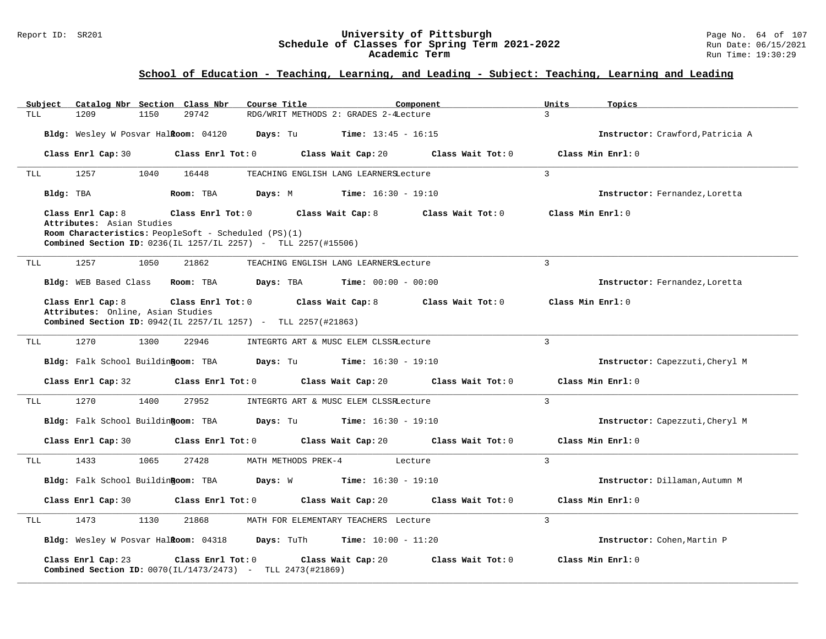#### Report ID: SR201 **University of Pittsburgh** Page No. 64 of 107 **Schedule of Classes for Spring Term 2021-2022** Run Date: 06/15/2021 **Academic Term** Run Time: 19:30:29

| Catalog Nbr Section Class Nbr<br>Subject<br>TLL<br>1209<br>1150<br>29742                                                                                                                     | Course Title<br>Component<br>RDG/WRIT METHODS 2: GRADES 2-4Lecture             | Units<br>Topics<br>3                   |
|----------------------------------------------------------------------------------------------------------------------------------------------------------------------------------------------|--------------------------------------------------------------------------------|----------------------------------------|
|                                                                                                                                                                                              |                                                                                |                                        |
| Bldg: Wesley W Posvar Halkoom: 04120                                                                                                                                                         | Days: Tu<br><b>Time:</b> $13:45 - 16:15$                                       | Instructor: Crawford, Patricia A       |
| Class Enrl Cap: 30<br>$Class$ $Enrl$ $Tot: 0$                                                                                                                                                | Class Wait Cap: 20 Class Wait Tot: 0                                           | Class Min Enrl: 0                      |
| 1257<br>1040<br>16448<br>TLL                                                                                                                                                                 | TEACHING ENGLISH LANG LEARNERSLecture                                          | 3                                      |
| Bldg: TBA<br>Room: TBA                                                                                                                                                                       | <b>Days:</b> M <b>Time:</b> $16:30 - 19:10$                                    | Instructor: Fernandez, Loretta         |
| Class Enrl Cap: 8<br>Class Enrl Tot: 0<br>Attributes: Asian Studies<br>Room Characteristics: PeopleSoft - Scheduled (PS)(1)<br>Combined Section ID: 0236(IL 1257/IL 2257) - TLL 2257(#15506) | Class Wait Cap: 8<br>Class Wait Tot: 0                                         | Class Min Enrl: 0                      |
| 1257<br>1050<br>21862<br>TLL                                                                                                                                                                 | TEACHING ENGLISH LANG LEARNERSLecture                                          | 3                                      |
| Bldg: WEB Based Class<br>Room: TBA                                                                                                                                                           | Days: TBA<br><b>Time:</b> $00:00 - 00:00$                                      | Instructor: Fernandez, Loretta         |
| Class Enrl Cap: 8<br>Attributes: Online, Asian Studies<br>Combined Section ID: 0942(IL 2257/IL 1257) - TLL 2257(#21863)                                                                      | Class Enrl Tot: 0 Class Wait Cap: 8<br>Class Wait Tot: 0                       | Class Min Enrl: 0                      |
| 1270<br>1300<br>22946<br>TLL                                                                                                                                                                 | INTEGRTG ART & MUSC ELEM CLSSRLecture                                          | $\overline{3}$                         |
| Bldg: Falk School Buildingoom: TBA                                                                                                                                                           | <b>Days:</b> Tu <b>Time:</b> $16:30 - 19:10$                                   | Instructor: Capezzuti, Cheryl M        |
| Class Enrl Cap: 32<br>$Class$ $Enrl$ $Tot: 0$                                                                                                                                                | Class Wait Cap: 20<br>Class Wait Tot: 0                                        | Class Min Enrl: 0                      |
| 1270<br>1400<br>27952<br>TLL                                                                                                                                                                 | INTEGRTG ART & MUSC ELEM CLSSRLecture                                          | 3                                      |
| Bldg: Falk School BuildinRoom: TBA                                                                                                                                                           | <b>Days:</b> Tu <b>Time:</b> $16:30 - 19:10$                                   | Instructor: Capezzuti, Cheryl M        |
| Class Enrl Cap: 30                                                                                                                                                                           | Class Enrl Tot: 0 Class Wait Cap: 20 Class Wait Tot: 0                         | Class Min Enrl: 0                      |
| 1433<br>1065<br>27428<br>TLL                                                                                                                                                                 | MATH METHODS PREK-4 Lecture                                                    | $\overline{3}$                         |
|                                                                                                                                                                                              | Bldg: Falk School Buildin Room: TBA Days: W Time: 16:30 - 19:10                | Instructor: Dillaman, Autumn M         |
| Class Enrl Cap: 30<br>$Class$ $Enr1$ $Tot: 0$                                                                                                                                                | Class Wait Cap: 20                                                             | Class Wait Tot: 0<br>Class Min Enrl: 0 |
| 1473<br>1130<br>21868<br>TLL                                                                                                                                                                 | MATH FOR ELEMENTARY TEACHERS Lecture                                           | 3                                      |
|                                                                                                                                                                                              | <b>Bldg:</b> Wesley W Posvar Halkoom: $04318$ Days: TuTh Time: $10:00 - 11:20$ | Instructor: Cohen, Martin P            |
| Class Enrl Cap: 23<br>Class Enrl Tot: 0<br><b>Combined Section ID:</b> $0070(L1/1473/2473)$ - TLL $2473(H21869)$                                                                             | Class Wait Cap: 20                                                             | Class Wait Tot: 0<br>Class Min Enrl: 0 |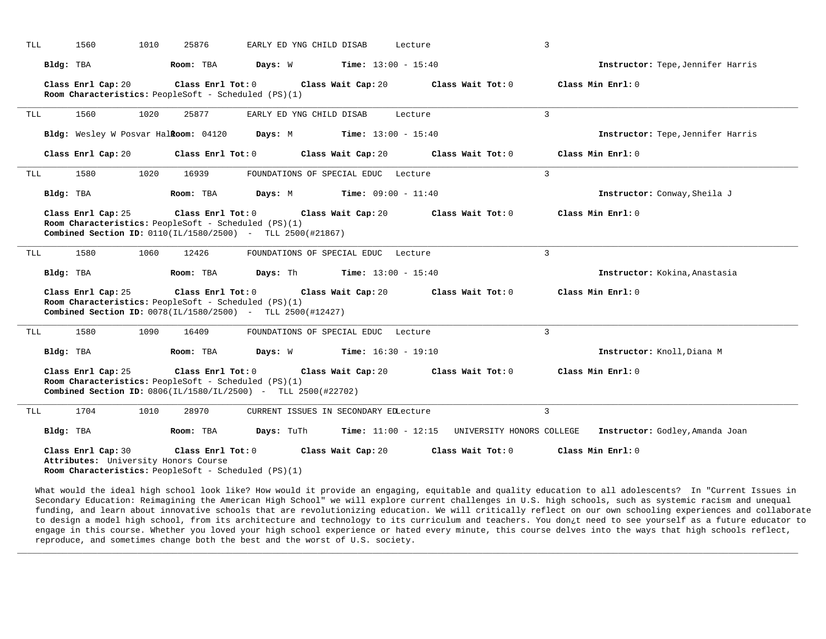| TLL | 1560                                                                                                               | 1010 | 25876               | EARLY ED YNG CHILD DISAB                                                                                                           |                                       | Lecture                      |                                                 | 3              |                                   |
|-----|--------------------------------------------------------------------------------------------------------------------|------|---------------------|------------------------------------------------------------------------------------------------------------------------------------|---------------------------------------|------------------------------|-------------------------------------------------|----------------|-----------------------------------|
|     | Bldg: TBA                                                                                                          |      | Room: TBA           | Days: W                                                                                                                            |                                       | <b>Time:</b> $13:00 - 15:40$ |                                                 |                | Instructor: Tepe, Jennifer Harris |
|     | Class Enrl Cap: 20                                                                                                 |      | Class Enrl Tot: 0   | Room Characteristics: PeopleSoft - Scheduled (PS)(1)                                                                               | Class Wait Cap: 20                    |                              | Class Wait Tot: 0                               |                | Class Min Enrl: 0                 |
| TLL | 1560                                                                                                               | 1020 | 25877               | EARLY ED YNG CHILD DISAB                                                                                                           |                                       | Lecture                      |                                                 | 3              |                                   |
|     | Bldg: Wesley W Posvar Halkoom: 04120                                                                               |      |                     | Days: M                                                                                                                            |                                       | <b>Time:</b> $13:00 - 15:40$ |                                                 |                | Instructor: Tepe, Jennifer Harris |
|     | Class Enrl Cap: 20                                                                                                 |      | Class Enrl Tot: 0   |                                                                                                                                    | Class Wait Cap: 20                    |                              | Class Wait Tot: 0                               |                | Class Min Enrl: 0                 |
| TLL | 1580                                                                                                               | 1020 | 16939               |                                                                                                                                    | FOUNDATIONS OF SPECIAL EDUC Lecture   |                              |                                                 | 3              |                                   |
|     | Bldg: TBA                                                                                                          |      | Room: TBA           | Days: M                                                                                                                            |                                       | <b>Time:</b> $09:00 - 11:40$ |                                                 |                | Instructor: Conway, Sheila J      |
|     | Class Enrl Cap: 25                                                                                                 |      | Class Enrl Tot: 0   | Room Characteristics: PeopleSoft - Scheduled (PS)(1)<br>Combined Section ID: 0110(IL/1580/2500) - TLL 2500(#21867)                 | Class Wait Cap: 20                    |                              | Class Wait Tot: 0                               |                | Class Min Enrl: 0                 |
| TLL | 1580                                                                                                               | 1060 | 12426               |                                                                                                                                    | FOUNDATIONS OF SPECIAL EDUC Lecture   |                              |                                                 | $\overline{3}$ |                                   |
|     | Bldg: TBA                                                                                                          |      | Room: TBA           | <b>Days:</b> Th <b>Time:</b> $13:00 - 15:40$                                                                                       |                                       |                              |                                                 |                | Instructor: Kokina, Anastasia     |
|     | Class Enrl Cap: 25                                                                                                 |      | Class Enrl Tot: 0   | Room Characteristics: PeopleSoft - Scheduled (PS)(1)<br>Combined Section ID: 0078(IL/1580/2500) - TLL 2500(#12427)                 | Class Wait Cap: 20                    |                              | Class Wait Tot: 0                               |                | Class Min Enrl: 0                 |
| TLL | 1580                                                                                                               | 1090 | 16409               |                                                                                                                                    | FOUNDATIONS OF SPECIAL EDUC Lecture   |                              |                                                 | 3              |                                   |
|     | Bldg: TBA                                                                                                          |      | Room: TBA           | <b>Days:</b> W <b>Time:</b> $16:30 - 19:10$                                                                                        |                                       |                              |                                                 |                | Instructor: Knoll, Diana M        |
|     | Class Enrl Cap: 25                                                                                                 |      | Class Enrl Tot: $0$ | Room Characteristics: PeopleSoft - Scheduled (PS)(1)<br><b>Combined Section ID:</b> $0806 (IL/1580/IL/2500)$ - TLL $2500 (#22702)$ | Class Wait Cap: 20                    |                              | Class Wait Tot: 0                               |                | Class Min Enrl: 0                 |
| TLL | 1704                                                                                                               | 1010 | 28970               |                                                                                                                                    | CURRENT ISSUES IN SECONDARY EDLecture |                              |                                                 | $\overline{3}$ |                                   |
|     | Bldg: TBA                                                                                                          |      | Room: TBA           | Days: TuTh                                                                                                                         |                                       |                              | $Time: 11:00 - 12:15$ UNIVERSITY HONORS COLLEGE |                | Instructor: Godley, Amanda Joan   |
|     | Class Enrl Cap: 30<br>Attributes: University Honors Course<br>Room Characteristics: PeopleSoft - Scheduled (PS)(1) |      | Class Enrl Tot: 0   |                                                                                                                                    | Class Wait Cap: 20                    |                              | Class Wait Tot: 0                               |                | Class Min Enrl: 0                 |

What would the ideal high school look like? How would it provide an engaging, equitable and quality education to all adolescents? In "Current Issues in Secondary Education: Reimagining the American High School" we will explore current challenges in U.S. high schools, such as systemic racism and unequal funding, and learn about innovative schools that are revolutionizing education. We will critically reflect on our own schooling experiences and collaborate to design a model high school, from its architecture and technology to its curriculum and teachers. You don¿t need to see yourself as a future educator to engage in this course. Whether you loved your high school experience or hated every minute, this course delves into the ways that high schools reflect, reproduce, and sometimes change both the best and the worst of U.S. society.

**\_\_\_\_\_\_\_\_\_\_\_\_\_\_\_\_\_\_\_\_\_\_\_\_\_\_\_\_\_\_\_\_\_\_\_\_\_\_\_\_\_\_\_\_\_\_\_\_\_\_\_\_\_\_\_\_\_\_\_\_\_\_\_\_\_\_\_\_\_\_\_\_\_\_\_\_\_\_\_\_\_\_\_\_\_\_\_\_\_\_\_\_\_\_\_\_\_\_\_\_\_\_\_\_\_\_\_\_\_\_\_\_\_\_\_\_\_\_\_\_\_\_\_\_\_\_\_\_\_\_\_\_\_\_\_\_\_\_\_\_\_\_\_\_\_\_\_\_\_\_\_\_\_\_\_\_**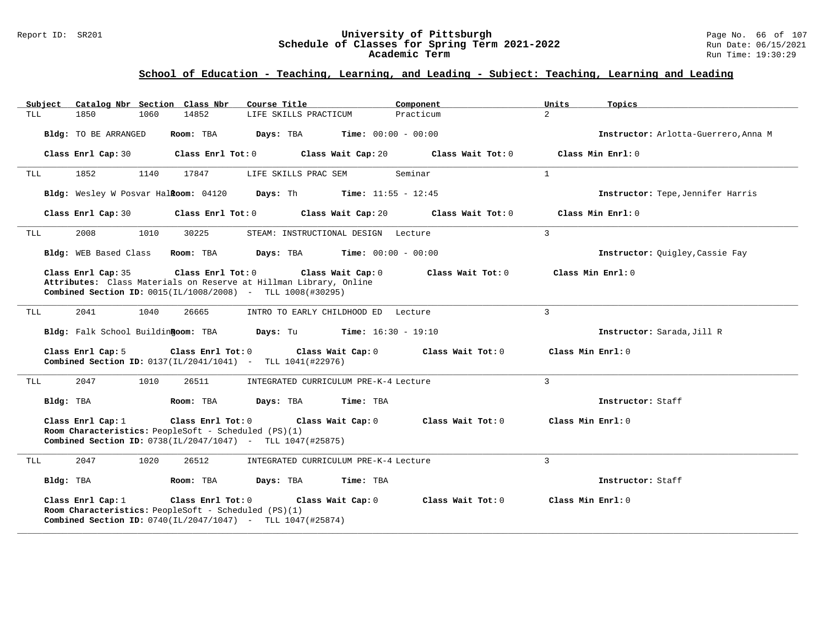#### Report ID: SR201 **University of Pittsburgh** Page No. 66 of 107 **Schedule of Classes for Spring Term 2021-2022** Run Date: 06/15/2021 **Academic Term** Run Time: 19:30:29

| Catalog Nbr Section Class Nbr<br>Subject                                                                                                                                | Course Title                                  | Component                    | Units<br>Topics                      |
|-------------------------------------------------------------------------------------------------------------------------------------------------------------------------|-----------------------------------------------|------------------------------|--------------------------------------|
| 1850<br>1060<br>14852<br>TLL                                                                                                                                            | LIFE SKILLS PRACTICUM                         | Practicum                    | $\overline{2}$                       |
| Bldg: TO BE ARRANGED<br>Room: TBA                                                                                                                                       | Days: TBA                                     | <b>Time:</b> $00:00 - 00:00$ | Instructor: Arlotta-Guerrero, Anna M |
| Class Enrl Tot: 0<br>Class Enrl Cap: 30                                                                                                                                 | Class Wait Cap: 20                            | Class Wait Tot: 0            | Class Min Enrl: 0                    |
| 1852<br>1140<br>17847<br>TLL                                                                                                                                            | LIFE SKILLS PRAC SEM                          | Seminar                      | 1                                    |
| Bldg: Wesley W Posvar Halkoom: 04120 Days: Th Time: 11:55 - 12:45                                                                                                       |                                               |                              | Instructor: Tepe, Jennifer Harris    |
| Class Enrl Tot: 0<br>Class Enrl Cap: 30                                                                                                                                 | Class Wait Cap: 20                            | Class Wait Tot: 0            | Class Min Enrl: 0                    |
| 2008<br>1010<br>30225<br>TLL                                                                                                                                            | STEAM: INSTRUCTIONAL DESIGN Lecture           |                              | 3                                    |
| Bldg: WEB Based Class<br>Room: TBA                                                                                                                                      | <b>Days:</b> TBA <b>Time:</b> $00:00 - 00:00$ |                              | Instructor: Quigley, Cassie Fay      |
| Class Enrl Cap: 35<br>Attributes: Class Materials on Reserve at Hillman Library, Online                                                                                 | Class Enrl Tot: 0 Class Wait Cap: 0           | Class Wait Tot: 0            | Class Min Enrl: 0                    |
| <b>Combined Section ID:</b> $0015(IL/1008/2008)$ - TLL 1008(#30295)                                                                                                     |                                               |                              |                                      |
| 2041<br>1040<br>26665<br>TLL                                                                                                                                            | INTRO TO EARLY CHILDHOOD ED Lecture           |                              | 3                                    |
| Bldg: Falk School Buildin Room: TBA Days: Tu                                                                                                                            |                                               | <b>Time:</b> $16:30 - 19:10$ | Instructor: Sarada, Jill R           |
| Class $Enrl$ Tot: $0$<br>Class Enrl Cap: 5<br><b>Combined Section ID:</b> $0137(IL/2041/1041)$ - TLL $1041(#22976)$                                                     | Class Wait Cap: 0                             | Class Wait Tot: 0            | Class Min Enrl: 0                    |
| 2047<br>1010<br>26511<br>TLL                                                                                                                                            | INTEGRATED CURRICULUM PRE-K-4 Lecture         |                              | 3                                    |
| Bldg: TBA<br>Room: TBA                                                                                                                                                  | Days: TBA<br>Time: TBA                        |                              | Instructor: Staff                    |
| Class Enrl Cap: 1<br>Class Enrl Tot: 0<br>Room Characteristics: PeopleSoft - Scheduled (PS)(1)<br><b>Combined Section ID:</b> $0738(IL/2047/1047)$ - TLL $1047(#25875)$ | Class Wait Cap: 0                             | Class Wait Tot: 0            | Class Min $Err1:0$                   |
| 2047<br>1020<br>26512<br>TLL                                                                                                                                            | INTEGRATED CURRICULUM PRE-K-4 Lecture         |                              | $\overline{3}$                       |
| Bldg: TBA<br>Room: TBA                                                                                                                                                  | Days: TBA<br>Time: TBA                        |                              | Instructor: Staff                    |
| Class Enrl Cap: 1<br>Class Enrl Tot: 0<br>Room Characteristics: PeopleSoft - Scheduled (PS)(1)<br><b>Combined Section ID:</b> $0740(IL/2047/1047)$ - TLL $1047(#25874)$ | Class Wait Cap: 0                             | Class Wait Tot: 0            | Class Min Enrl: 0                    |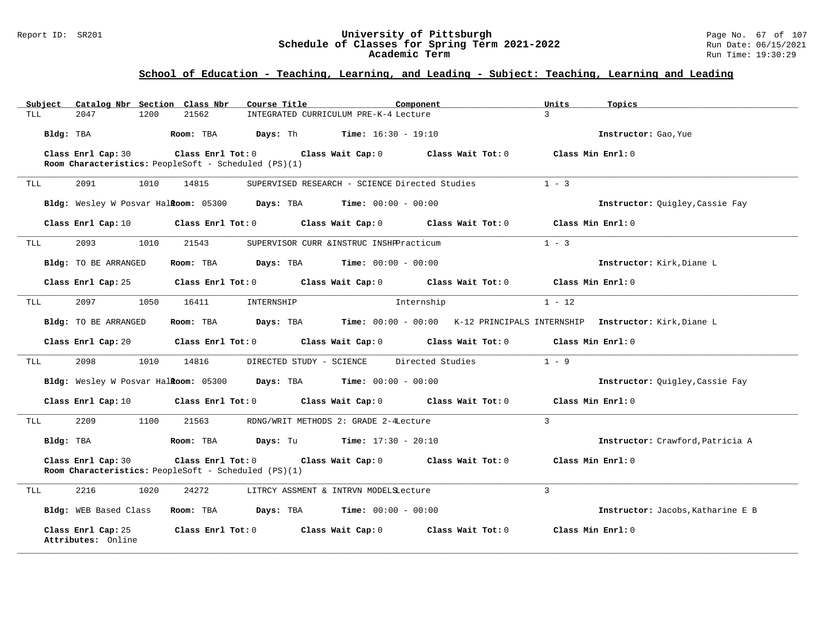#### Report ID: SR201 **University of Pittsburgh** Page No. 67 of 107 **Schedule of Classes for Spring Term 2021-2022** Run Date: 06/15/2021 **Academic Term** Run Time: 19:30:29

| Subject | Catalog Nbr Section Class Nbr                                              |       | Course Title                                                                                        | Component |                                                                                                                                | Units         | Topics                                                                                       |
|---------|----------------------------------------------------------------------------|-------|-----------------------------------------------------------------------------------------------------|-----------|--------------------------------------------------------------------------------------------------------------------------------|---------------|----------------------------------------------------------------------------------------------|
| TLL     | 2047<br>1200                                                               | 21562 | INTEGRATED CURRICULUM PRE-K-4 Lecture                                                               |           |                                                                                                                                | $\mathbf{z}$  |                                                                                              |
|         | Bldg: TBA                                                                  |       | Room: TBA $Days:$ Th Time: $16:30 - 19:10$                                                          |           |                                                                                                                                |               | Instructor: Gao, Yue                                                                         |
|         | Class Enrl Cap: 30                                                         |       |                                                                                                     |           | Class Enrl Tot: $0$ Class Wait Cap: $0$ Class Wait Tot: $0$                                                                    |               | Class Min Enrl: 0                                                                            |
|         | Room Characteristics: PeopleSoft - Scheduled (PS)(1)                       |       |                                                                                                     |           |                                                                                                                                |               |                                                                                              |
| TLL     | 2091<br>1010                                                               | 14815 | SUPERVISED RESEARCH - SCIENCE Directed Studies                                                      |           |                                                                                                                                | $1 - 3$       |                                                                                              |
|         |                                                                            |       | <b>Bldg:</b> Wesley W Posvar Hal <b>Room:</b> $05300$ <b>Days:</b> TBA <b>Time:</b> $00:00 - 00:00$ |           |                                                                                                                                |               | Instructor: Quigley, Cassie Fay                                                              |
|         |                                                                            |       |                                                                                                     |           | Class Enrl Cap: 10 $\qquad$ Class Enrl Tot: 0 $\qquad$ Class Wait Cap: 0 $\qquad$ Class Wait Tot: 0 $\qquad$ Class Min Enrl: 0 |               |                                                                                              |
| TLL     | 2093<br>1010                                                               | 21543 | SUPERVISOR CURR & INSTRUC INSHPPracticum                                                            |           |                                                                                                                                | $1 - 3$       |                                                                                              |
|         | Bldg: TO BE ARRANGED                                                       |       | Room: TBA $Days:$ TBA $Time: 00:00 - 00:00$                                                         |           |                                                                                                                                |               | Instructor: Kirk, Diane L                                                                    |
|         |                                                                            |       |                                                                                                     |           | Class Enrl Cap: 25 Class Enrl Tot: 0 Class Wait Cap: 0 Class Wait Tot: 0 Class Min Enrl: 0                                     |               |                                                                                              |
| TLL     | 2097<br>1050                                                               | 16411 | INTERNSHIP                                                                                          |           | Internship                                                                                                                     | $1 - 12$      |                                                                                              |
|         | Bldg: TO BE ARRANGED                                                       |       |                                                                                                     |           |                                                                                                                                |               | Room: TBA Days: TBA Time: 00:00 - 00:00 K-12 PRINCIPALS INTERNSHIP Instructor: Kirk, Diane L |
|         |                                                                            |       |                                                                                                     |           | Class Enrl Cap: 20 Class Enrl Tot: 0 Class Wait Cap: 0 Class Wait Tot: 0 Class Min Enrl: 0                                     |               |                                                                                              |
| TLL     | 2098<br>1010                                                               | 14816 | DIRECTED STUDY - SCIENCE Directed Studies                                                           |           |                                                                                                                                | $1 - 9$       |                                                                                              |
|         |                                                                            |       | Bldg: Wesley W Posvar Halkoom: 05300 Days: TBA Time: 00:00 - 00:00                                  |           |                                                                                                                                |               | Instructor: Ouigley, Cassie Fay                                                              |
|         |                                                                            |       |                                                                                                     |           | Class Enrl Cap: 10 $\qquad$ Class Enrl Tot: 0 $\qquad$ Class Wait Cap: 0 $\qquad$ Class Wait Tot: 0                            |               | Class Min Enrl: 0                                                                            |
| TLL     | 2209<br>1100                                                               | 21563 | RDNG/WRIT METHODS 2: GRADE 2-4Lecture                                                               |           |                                                                                                                                | $\mathcal{L}$ |                                                                                              |
|         | Bldg: TBA                                                                  |       | <b>Room:</b> TBA <b>Days:</b> Tu <b>Time:</b> $17:30 - 20:10$                                       |           |                                                                                                                                |               | Instructor: Crawford, Patricia A                                                             |
|         | Class Enrl Cap: 30<br>Room Characteristics: PeopleSoft - Scheduled (PS)(1) |       |                                                                                                     |           | Class Enrl Tot: $0$ Class Wait Cap: $0$ Class Wait Tot: $0$                                                                    |               | Class Min Enrl: 0                                                                            |
| TLL     | 2216<br>1020                                                               | 24272 | LITRCY ASSMENT & INTRVN MODELSLecture                                                               |           |                                                                                                                                | 3             |                                                                                              |
|         | Bldg: WEB Based Class                                                      |       | Room: TBA $Days:$ TBA $Time: 00:00 - 00:00$                                                         |           |                                                                                                                                |               | Instructor: Jacobs, Katharine E B                                                            |
|         | Class Enrl Cap: 25<br>Attributes: Online                                   |       |                                                                                                     |           | Class Enrl Tot: 0 Class Wait Cap: 0 Class Wait Tot: 0                                                                          |               | Class Min Enrl: 0                                                                            |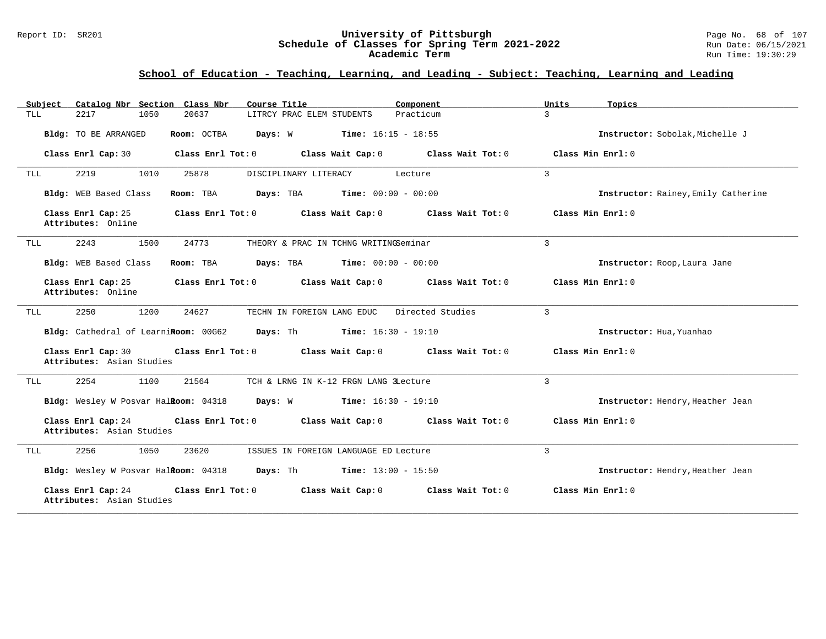#### Report ID: SR201 **University of Pittsburgh** Page No. 68 of 107 **Schedule of Classes for Spring Term 2021-2022** Run Date: 06/15/2021 **Academic Term** Run Time: 19:30:29

| Subject    | Catalog Nbr Section Class Nbr                   |                   | Course Title                                                                                    |         | Component                                                   | Units             | Topics                              |
|------------|-------------------------------------------------|-------------------|-------------------------------------------------------------------------------------------------|---------|-------------------------------------------------------------|-------------------|-------------------------------------|
| <b>TLL</b> | 2217<br>1050                                    | 20637             | LITRCY PRAC ELEM STUDENTS                                                                       |         | Practicum                                                   | $\mathcal{L}$     |                                     |
|            | Bldg: TO BE ARRANGED                            |                   | Room: OCTBA $Days: W$ Time: $16:15 - 18:55$                                                     |         |                                                             |                   | Instructor: Sobolak. Michelle J     |
|            | Class Enrl Cap: 30                              | Class Enrl Tot: 0 | Class Wait Cap: 0                                                                               |         | Class Wait Tot: 0                                           | Class Min Enrl: 0 |                                     |
| TLL        | 2219<br>1010                                    | 25878             | DISCIPLINARY LITERACY                                                                           | Lecture |                                                             | $\overline{3}$    |                                     |
|            | Bldg: WEB Based Class                           | Room: TBA         | <b>Days:</b> TBA <b>Time:</b> $00:00 - 00:00$                                                   |         |                                                             |                   | Instructor: Rainey, Emily Catherine |
|            | Class Enrl Cap: 25<br>Attributes: Online        |                   | Class Enrl Tot: 0 Class Wait Cap: 0 Class Wait Tot: 0                                           |         |                                                             | Class Min Enrl: 0 |                                     |
| TLL        | 1500<br>2243                                    | 24773             | THEORY & PRAC IN TCHNG WRITINGSeminar                                                           |         |                                                             | $\overline{3}$    |                                     |
|            | Bldg: WEB Based Class                           | Room: TBA         | <b>Days:</b> TBA <b>Time:</b> $00:00 - 00:00$                                                   |         |                                                             |                   | Instructor: Roop, Laura Jane        |
|            | Class Enrl Cap: 25<br>Attributes: Online        |                   |                                                                                                 |         | Class Enrl Tot: $0$ Class Wait Cap: $0$ Class Wait Tot: $0$ | Class Min Enrl: 0 |                                     |
| TLL        | 2250<br>1200                                    | 24627             | TECHN IN FOREIGN LANG EDUC                                                                      |         | Directed Studies                                            | 3                 |                                     |
|            |                                                 |                   | Bldg: Cathedral of LearniRoom: 00G62 Days: Th Time: 16:30 - 19:10                               |         |                                                             |                   | Instructor: Hua, Yuanhao            |
|            | Class Enrl Cap: 30<br>Attributes: Asian Studies |                   | Class Enrl Tot: 0 Class Wait Cap: 0 Class Wait Tot: 0                                           |         |                                                             | Class Min Enrl: 0 |                                     |
| TLL        | 2254<br>1100                                    | 21564             | TCH & LRNG IN K-12 FRGN LANG 3Lecture                                                           |         |                                                             | 3                 |                                     |
|            |                                                 |                   | <b>Bldg:</b> Wesley W Posvar Hal <b>Room:</b> 04318 <b>Days:</b> W <b>Time:</b> $16:30 - 19:10$ |         |                                                             |                   | Instructor: Hendry, Heather Jean    |
|            | Class Enrl Cap: 24<br>Attributes: Asian Studies |                   | Class Enrl Tot: 0 Class Wait Cap: 0 Class Wait Tot: 0                                           |         |                                                             | Class Min Enrl: 0 |                                     |
| TLL        | 1050<br>2256                                    | 23620             | ISSUES IN FOREIGN LANGUAGE ED Lecture                                                           |         |                                                             | 3                 |                                     |
|            |                                                 |                   | Bldg: Wesley W Posvar Halkoom: 04318 Days: Th Time: 13:00 - 15:50                               |         |                                                             |                   | Instructor: Hendry, Heather Jean    |
|            | Class Enrl Cap: 24<br>Attributes: Asian Studies | Class Enrl Tot: 0 | Class Wait Cap: 0                                                                               |         | Class Wait Tot: 0                                           | Class Min Enrl: 0 |                                     |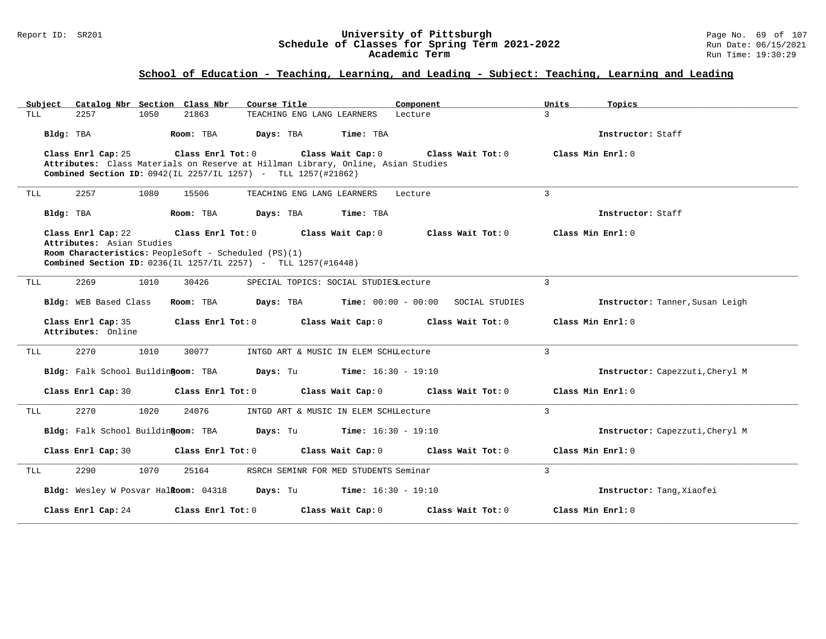#### Report ID: SR201 **University of Pittsburgh** Page No. 69 of 107 **Schedule of Classes for Spring Term 2021-2022** Run Date: 06/15/2021 **Academic Term** Run Time: 19:30:29

| Subiect<br>Catalog Nbr Section Class Nbr | Course Title                                                                                                                                      | Component                                 | Units<br>Topics                 |
|------------------------------------------|---------------------------------------------------------------------------------------------------------------------------------------------------|-------------------------------------------|---------------------------------|
| 2257<br>1050<br>TLL                      | 21863<br>TEACHING ENG LANG LEARNERS                                                                                                               | Lecture                                   | $\mathbf{3}$                    |
| Bldg: TBA                                | Days: TBA<br>Time: TBA<br>Room: TBA                                                                                                               |                                           | Instructor: Staff               |
| Class Enrl Cap: 25                       | Class Enrl Tot: $0$ Class Wait Cap: $0$                                                                                                           | Class Wait Tot: 0                         | Class Min $Enr1:0$              |
|                                          | Attributes: Class Materials on Reserve at Hillman Library, Online, Asian Studies<br>Combined Section ID: 0942(IL 2257/IL 1257) - TLL 1257(#21862) |                                           |                                 |
|                                          |                                                                                                                                                   |                                           |                                 |
| 2257<br>1080<br>TLL                      | 15506<br>TEACHING ENG LANG LEARNERS                                                                                                               | Lecture                                   | 3                               |
| Bldg: TBA                                | Room: TBA<br>Time: TBA<br>Days: TBA                                                                                                               |                                           | Instructor: Staff               |
| Class Enrl Cap: 22                       | Class Enrl Tot: $0$ Class Wait Cap: $0$ Class Wait Tot: $0$ Class Min Enrl: $0$                                                                   |                                           |                                 |
| Attributes: Asian Studies                | Room Characteristics: PeopleSoft - Scheduled (PS)(1)                                                                                              |                                           |                                 |
|                                          | Combined Section ID: 0236(IL 1257/IL 2257) - TLL 1257(#16448)                                                                                     |                                           |                                 |
|                                          |                                                                                                                                                   |                                           |                                 |
| 2269<br>1010<br>TLL                      | 30426<br>SPECIAL TOPICS: SOCIAL STUDIESLecture                                                                                                    |                                           | $\overline{3}$                  |
| Bldg: WEB Based Class                    | Days: TBA Time: 00:00 - 00:00 SOCIAL STUDIES<br>Room: TBA                                                                                         |                                           | Instructor: Tanner, Susan Leigh |
| Class Enrl Cap: 35                       | Class Enrl Tot: 0 Class Wait Cap: 0                                                                                                               | Class Wait Tot: $0$ . Class Min Enrl: $0$ |                                 |
| Attributes: Online                       |                                                                                                                                                   |                                           |                                 |
| 2270<br>1010<br>TLL                      | 30077<br>INTGD ART & MUSIC IN ELEM SCHILECTUre                                                                                                    |                                           | 3                               |
|                                          | Bldg: Falk School Buildin Room: TBA Days: Tu Time: 16:30 - 19:10                                                                                  |                                           | Instructor: Capezzuti, Cheryl M |
| Class Enrl Cap: 30                       | Class Enrl Tot: $0$ Class Wait Cap: $0$ Class Wait Tot: $0$                                                                                       |                                           | Class Min Enrl: 0               |
| 2270<br>1020<br>TLL                      | 24076<br>INTGD ART & MUSIC IN ELEM SCHILECTUre                                                                                                    |                                           | $\overline{3}$                  |
| Bldg: Falk School BuildinRoom: TBA       | <b>Days:</b> Tu <b>Time:</b> $16:30 - 19:10$                                                                                                      |                                           | Instructor: Capezzuti, Cheryl M |
| Class Enrl Cap: 30                       | Class Enrl Tot: 0<br>Class Wait Cap: 0                                                                                                            | Class Wait Tot: 0                         | Class Min Enrl: 0               |
| 2290<br>1070<br>TLL                      | 25164<br>RSRCH SEMINR FOR MED STUDENTS Seminar                                                                                                    |                                           | $\overline{3}$                  |
|                                          | <b>Bldg:</b> Wesley W Posvar Hal <b>Room:</b> $04318$ <b>Days:</b> Tu <b>Time:</b> $16:30 - 19:10$                                                |                                           | Instructor: Tang, Xiaofei       |
| Class Enrl Cap: 24                       | Class Enrl Tot: 0<br>Class Wait Cap: 0                                                                                                            | Class Wait Tot: 0                         | Class Min Enrl: 0               |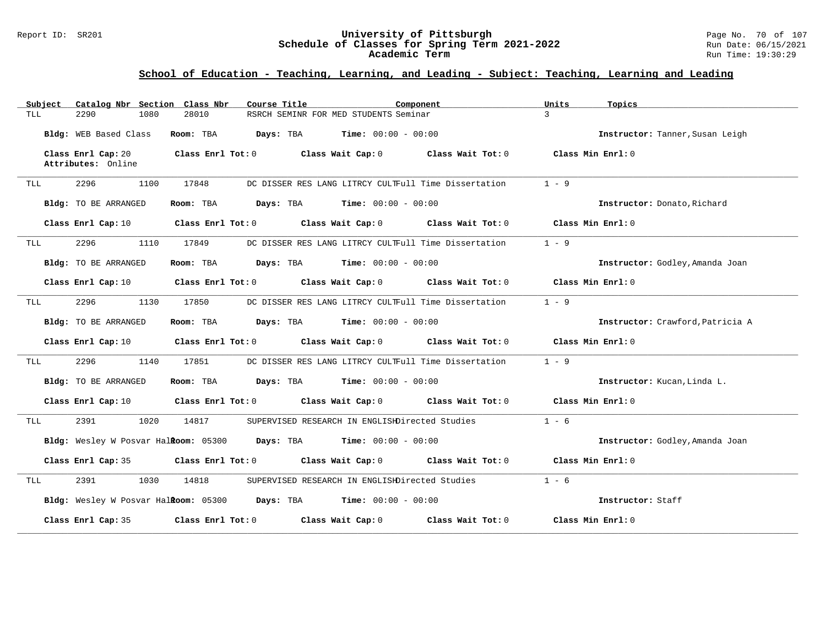#### Report ID: SR201 **University of Pittsburgh** Page No. 70 of 107 **Schedule of Classes for Spring Term 2021-2022** Run Date: 06/15/2021 **Academic Term** Run Time: 19:30:29

| Catalog Nbr Section<br>Subject           | Class Nbr<br>Course Title<br>Component                             | Units<br>Topics                  |
|------------------------------------------|--------------------------------------------------------------------|----------------------------------|
| TLL<br>2290<br>1080                      | RSRCH SEMINR FOR MED STUDENTS Seminar<br>28010                     | $\mathcal{L}$                    |
| Bldg: WEB Based Class                    | Room: TBA<br>Days: TBA<br>$Time: 00:00 - 00:00$                    | Instructor: Tanner, Susan Leigh  |
| Class Enrl Cap: 20<br>Attributes: Online | Class Enrl Tot: $0$ Class Wait Cap: $0$ Class Wait Tot: $0$        | Class Min Enrl: 0                |
| 2296<br>1100<br>TLL                      | 17848<br>DC DISSER RES LANG LITRCY CULTFull Time Dissertation      | $1 - 9$                          |
| Bldg: TO BE ARRANGED                     | Room: TBA<br>Days: TBA<br><b>Time:</b> $00:00 - 00:00$             | Instructor: Donato, Richard      |
| Class Enrl Cap: 10                       | Class Enrl Tot: 0<br>Class Wait Cap: 0 Class Wait Tot: 0           | Class Min Enrl: 0                |
| 2296<br>1110<br>TLL                      | DC DISSER RES LANG LITRCY CULTFull Time Dissertation<br>17849      | $1 - 9$                          |
| Bldg: TO BE ARRANGED                     | Room: TBA<br>Days: TBA<br><b>Time:</b> $00:00 - 00:00$             | Instructor: Godley, Amanda Joan  |
| Class Enrl Cap: 10                       | Class Enrl Tot: 0<br>Class Wait Cap: 0 Class Wait Tot: 0           | Class Min Enrl: 0                |
| 2296<br>1130<br>TLL                      | 17850<br>DC DISSER RES LANG LITRCY CULTFull Time Dissertation      | $1 - 9$                          |
| Bldg: TO BE ARRANGED                     | Days: TBA<br><b>Time:</b> $00:00 - 00:00$<br>Room: TBA             | Instructor: Crawford, Patricia A |
| Class Enrl Cap: 10                       | Class Enrl Tot: 0<br>Class Wait Cap: 0<br>Class Wait Tot: 0        | Class Min Enrl: 0                |
| 2296<br>1140<br>TLL                      | 17851<br>DC DISSER RES LANG LITRCY CULTFull Time Dissertation      | $1 - 9$                          |
| Bldg: TO BE ARRANGED                     | <b>Days:</b> TBA <b>Time:</b> $00:00 - 00:00$<br>Room: TBA         | Instructor: Kucan, Linda L.      |
| Class Enrl Cap: 10                       | $Class$ $Enrl$ $Tot: 0$<br>Class Wait Cap: 0 Class Wait Tot: 0     | Class Min Enrl: 0                |
| 2391<br>1020<br>TLL                      | 14817<br>SUPERVISED RESEARCH IN ENGLISHDirected Studies            | $1 - 6$                          |
|                                          | Bldg: Wesley W Posvar Halkoom: 05300 Days: TBA Time: 00:00 - 00:00 | Instructor: Godley, Amanda Joan  |
| Class Enrl Cap: 35                       | Class Enrl Tot: 0 Class Wait Cap: 0 Class Wait Tot: 0              | Class Min Enrl: 0                |
| 2391<br>1030<br>TLL                      | 14818<br>SUPERVISED RESEARCH IN ENGLISHDirected Studies            | $1 - 6$                          |
|                                          | Bldg: Wesley W Posvar Halkoom: 05300 Days: TBA Time: 00:00 - 00:00 | Instructor: Staff                |
| Class Enrl Cap: 35                       | Class Enrl Tot: 0<br>Class Wait Cap: 0<br>Class Wait Tot: 0        | Class Min Enrl: 0                |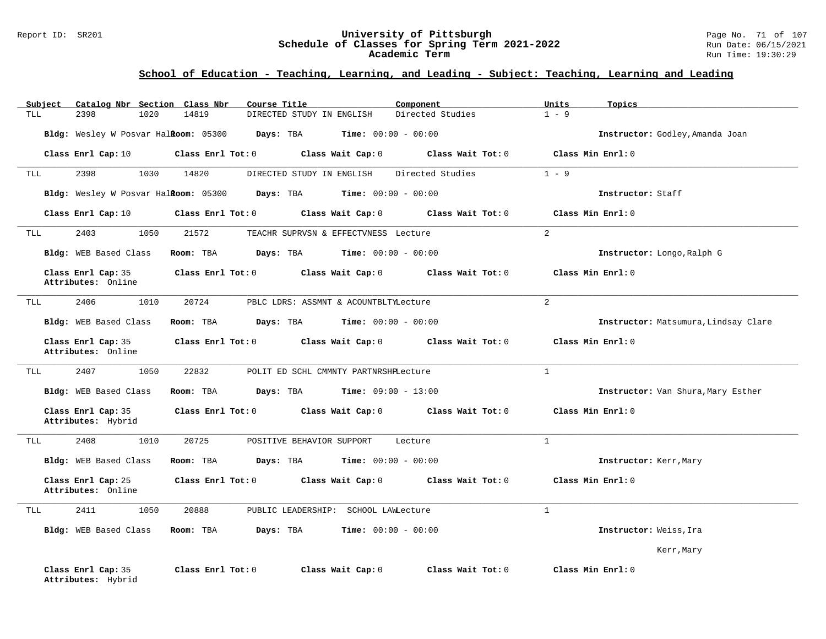#### Report ID: SR201 **University of Pittsburgh** Page No. 71 of 107 **Schedule of Classes for Spring Term 2021-2022** Run Date: 06/15/2021 **Academic Term** Run Time: 19:30:29

| Subject<br>Catalog Nbr Section Class Nbr | Course Title                                                | Component                               | Units<br>Topics                      |
|------------------------------------------|-------------------------------------------------------------|-----------------------------------------|--------------------------------------|
| <b>TLL</b><br>2398<br>1020               | 14819<br>DIRECTED STUDY IN ENGLISH                          | Directed Studies                        | $1 - 9$                              |
| Bldg: Wesley W Posvar Halkoom: 05300     | Days: TBA                                                   | <b>Time:</b> $00:00 - 00:00$            | Instructor: Godley, Amanda Joan      |
|                                          | Class Enrl Cap: $10$ Class Enrl Tot: 0<br>Class Wait Cap: 0 | Class Wait Tot: $0$ Class Min Enrl: $0$ |                                      |
| 2398<br>1030<br>TLL                      | 14820<br>DIRECTED STUDY IN ENGLISH                          | Directed Studies                        | $1 - 9$                              |
| Bldg: Wesley W Posvar Halkoom: 05300     | <b>Days:</b> TBA <b>Time:</b> $00:00 - 00:00$               |                                         | Instructor: Staff                    |
| Class Enrl Cap: 10                       | $Class$ $Enr1$ $Tot: 0$<br>Class Wait Cap: 0                | Class Wait Tot: 0                       | Class Min Enrl: 0                    |
| 2403<br>1050<br>TLL                      | 21572<br>TEACHR SUPRVSN & EFFECTVNESS Lecture               |                                         | $\overline{2}$                       |
| Bldg: WEB Based Class                    | Room: TBA<br>Days: TBA<br>$Time: 00:00 - 00:00$             |                                         | Instructor: Longo, Ralph G           |
| Class Enrl Cap: 35<br>Attributes: Online | Class Enrl Tot: 0<br>Class Wait Cap: 0                      | Class Wait Tot: 0                       | Class Min Enrl: 0                    |
| 2406<br>1010<br>TLL                      | 20724<br>PBLC LDRS: ASSMNT & ACOUNTBLTYLecture              |                                         | $\overline{2}$                       |
| Bldg: WEB Based Class                    | Room: TBA<br>Days: TBA                                      | <b>Time:</b> $00:00 - 00:00$            | Instructor: Matsumura, Lindsay Clare |
| Class Enrl Cap: 35<br>Attributes: Online | Class Enrl Tot: 0 Class Wait Cap: 0                         | Class Wait Tot: 0                       | Class Min $Err1:0$                   |
| 2407<br>1050<br>TLL                      | 22832<br>POLIT ED SCHL CMMNTY PARTNRSHPLecture              |                                         | $\mathbf{1}$                         |
| Bldg: WEB Based Class                    | Room: TBA<br>Days: TBA<br>$Time: 09:00 - 13:00$             |                                         | Instructor: Van Shura, Mary Esther   |
| Class Enrl Cap: 35<br>Attributes: Hybrid | Class Enrl Tot: 0 Class Wait Cap: 0 Class Wait Tot: 0       |                                         | Class Min Enrl: 0                    |
| 2408<br>1010<br>TLL                      | 20725<br>POSITIVE BEHAVIOR SUPPORT                          | Lecture                                 | $\mathbf{1}$                         |
| Bldg: WEB Based Class                    | Room: TBA<br><b>Days:</b> TBA <b>Time:</b> $00:00 - 00:00$  |                                         | Instructor: Kerr, Mary               |
| Class Enrl Cap: 25<br>Attributes: Online | Class Enrl Tot: 0 Class Wait Cap: 0 Class Wait Tot: 0       |                                         | Class Min Enrl: 0                    |
| 2411<br>1050<br>TLL                      | 20888<br>PUBLIC LEADERSHIP: SCHOOL LAWLecture               |                                         | $\mathbf{1}$                         |
| Bldg: WEB Based Class                    | Days: TBA<br>Room: TBA                                      | <b>Time:</b> $00:00 - 00:00$            | Instructor: Weiss, Ira               |
|                                          |                                                             |                                         | Kerr, Mary                           |
| Class Enrl Cap: 35<br>Attributes: Hybrid | Class Enrl Tot: 0<br>Class Wait Cap: 0                      | Class Wait Tot: 0                       | Class Min Enrl: 0                    |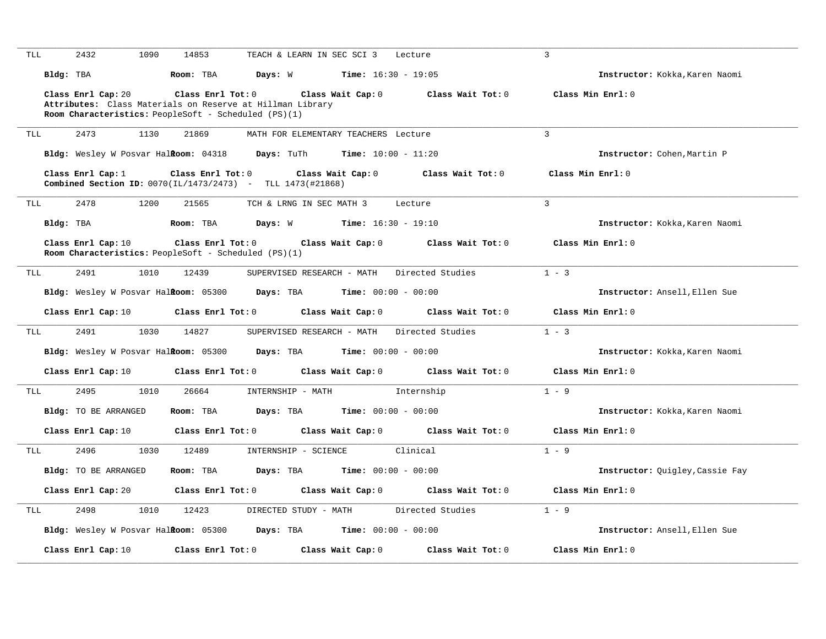| TLL | 2432                                                        | 1090<br>14853     | TEACH & LEARN IN SEC SCI 3                                 | Lecture                      | 3                                      |                                        |
|-----|-------------------------------------------------------------|-------------------|------------------------------------------------------------|------------------------------|----------------------------------------|----------------------------------------|
|     | Bldg: TBA                                                   | Room: TBA         | Days: W                                                    | <b>Time:</b> $16:30 - 19:05$ |                                        | Instructor: Kokka, Karen Naomi         |
|     | Class Enrl Cap: 20                                          | Class Enrl Tot: 0 | Class Wait Cap: 0                                          |                              | Class Min Enrl: 0<br>Class Wait Tot: 0 |                                        |
|     |                                                             |                   | Attributes: Class Materials on Reserve at Hillman Library  |                              |                                        |                                        |
|     | Room Characteristics: PeopleSoft - Scheduled (PS)(1)        |                   |                                                            |                              |                                        |                                        |
| TLL | 2473                                                        | 1130<br>21869     | MATH FOR ELEMENTARY TEACHERS Lecture                       |                              | $\overline{3}$                         |                                        |
|     | Bldg: Wesley W Posvar Halkoom: 04318                        |                   | <b>Days:</b> TuTh                                          | $Time: 10:00 - 11:20$        |                                        | Instructor: Cohen, Martin P            |
|     | Class Enrl Cap: $1$                                         | Class Enrl Tot: 0 | Class Wait Cap: 0                                          | Class Wait Tot: 0            | Class Min Enrl: 0                      |                                        |
|     |                                                             |                   | Combined Section ID: 0070(IL/1473/2473) - TLL 1473(#21868) |                              |                                        |                                        |
|     |                                                             |                   |                                                            |                              |                                        |                                        |
| TLL | 2478                                                        | 21565<br>1200     | TCH & LRNG IN SEC MATH 3                                   | Lecture                      | 3                                      |                                        |
|     | Bldg: TBA                                                   | Room: TBA         | Days: W                                                    | $Time: 16:30 - 19:10$        |                                        | Instructor: Kokka, Karen Naomi         |
|     | Class Enrl Cap: 10                                          | Class Enrl Tot: 0 | Class Wait Cap: 0                                          | Class Wait Tot: 0            | Class Min Enrl: 0                      |                                        |
|     | <b>Room Characteristics:</b> PeopleSoft - Scheduled (PS)(1) |                   |                                                            |                              |                                        |                                        |
| TLL | 2491                                                        | 12439<br>1010     | SUPERVISED RESEARCH - MATH                                 | Directed Studies             | $1 - 3$                                |                                        |
|     | Bldg: Wesley W Posvar Halkoom: 05300                        |                   | Days: TBA                                                  | Time: $00:00 - 00:00$        |                                        | Instructor: Ansell, Ellen Sue          |
|     |                                                             |                   |                                                            |                              |                                        |                                        |
|     |                                                             |                   |                                                            |                              |                                        |                                        |
|     | Class Enrl Cap: 10                                          | Class Enrl Tot: 0 | Class Wait Cap: 0                                          |                              | Class Wait Tot: 0<br>Class Min Enrl: 0 |                                        |
| TLL | 2491                                                        | 1030<br>14827     | SUPERVISED RESEARCH - MATH                                 | Directed Studies             | $1 - 3$                                |                                        |
|     | Bldg: Wesley W Posvar Halkoom: 05300                        |                   | Days: TBA                                                  | <b>Time:</b> $00:00 - 00:00$ |                                        | Instructor: Kokka, Karen Naomi         |
|     | Class Enrl Cap: 10                                          | Class Enrl Tot: 0 | Class Wait Cap: 0                                          | Class Wait Tot: 0            | Class Min Enrl: 0                      |                                        |
| TLL | 2495                                                        | 1010<br>26664     | INTERNSHIP - MATH                                          | Internship                   | $1 - 9$                                |                                        |
|     | <b>Bldg:</b> TO BE ARRANGED                                 | Room: TBA         | Days: TBA                                                  | <b>Time:</b> $00:00 - 00:00$ |                                        | Instructor: Kokka, Karen Naomi         |
|     | Class Enrl Cap: 10                                          | Class Enrl Tot: 0 | Class Wait Cap: 0                                          | Class Wait Tot: 0            | Class Min Enrl: 0                      |                                        |
| TLL | 2496                                                        | 1030<br>12489     | INTERNSHIP - SCIENCE                                       | Clinical                     | $1 - 9$                                |                                        |
|     | <b>Bldg:</b> TO BE ARRANGED                                 | Room: TBA         | Days: TBA                                                  | <b>Time:</b> $00:00 - 00:00$ |                                        | <b>Instructor:</b> Quigley, Cassie Fay |
|     | Class Enrl Cap: 20                                          | Class Enrl Tot: 0 | Class Wait Cap: 0                                          |                              | Class Wait Tot: 0<br>Class Min Enrl: 0 |                                        |
| TLL | 2498                                                        | 1010<br>12423     | DIRECTED STUDY - MATH                                      | Directed Studies             | $1 - 9$                                |                                        |
|     |                                                             |                   |                                                            |                              |                                        |                                        |
|     | Bldg: Wesley W Posvar Halkoom: 05300                        |                   | Days: TBA                                                  | <b>Time:</b> $00:00 - 00:00$ |                                        | Instructor: Ansell, Ellen Sue          |
|     | Class Enrl Cap: 10                                          | Class Enrl Tot: 0 | Class Wait Cap: 0                                          |                              | Class Wait Tot: 0<br>Class Min Enrl: 0 |                                        |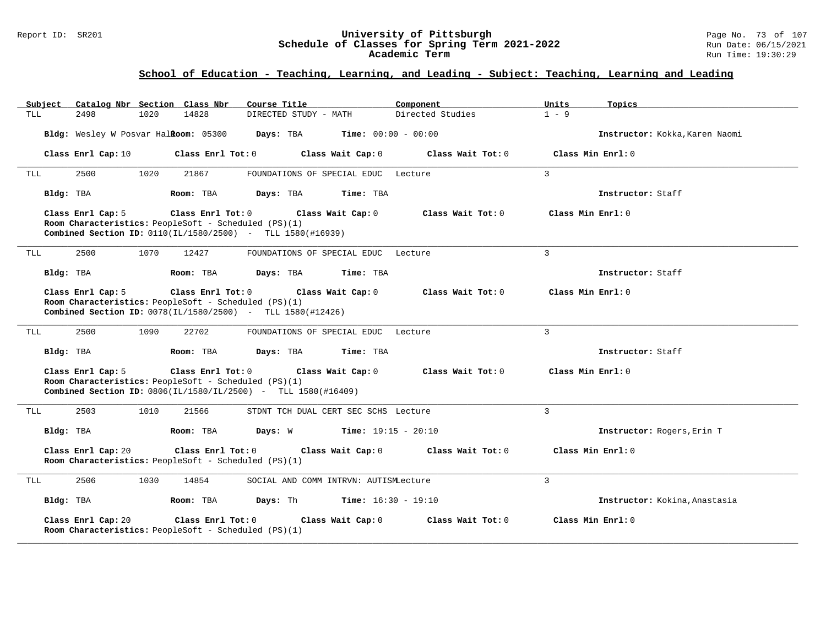#### Report ID: SR201 **University of Pittsburgh** Page No. 73 of 107 **Schedule of Classes for Spring Term 2021-2022** Run Date: 06/15/2021 **Academic Term** Run Time: 19:30:29

| Subject Catalog Nbr Section Class Nbr | Course Title                                                                                                                                                    | Component<br>Units          | Topics                         |
|---------------------------------------|-----------------------------------------------------------------------------------------------------------------------------------------------------------------|-----------------------------|--------------------------------|
| <b>TLL</b><br>2498<br>1020            | 14828<br>DIRECTED STUDY - MATH                                                                                                                                  | Directed Studies<br>$1 - 9$ |                                |
| Bldg: Wesley W Posvar Halkoom: 05300  | Days: TBA<br><b>Time:</b> $00:00 - 00:00$                                                                                                                       |                             | Instructor: Kokka, Karen Naomi |
| Class Enrl Cap: 10                    | Class Enrl Tot: 0<br>Class Wait Cap: 0                                                                                                                          | Class Wait Tot: 0           | Class Min Enrl: 0              |
| 2500<br>1020<br>TLL                   | 21867<br>FOUNDATIONS OF SPECIAL EDUC Lecture                                                                                                                    | $\mathbf{3}$                |                                |
| Bldg: TBA                             | Room: TBA<br>Days: TBA<br>Time: TBA                                                                                                                             |                             | Instructor: Staff              |
| Class Enrl Cap: 5                     | Class Enrl Tot: 0<br>Class Wait Cap: 0<br>Room Characteristics: PeopleSoft - Scheduled (PS)(1)<br>Combined Section ID: $0110(IL/1580/2500)$ - TLL 1580(#16939)  | Class Wait Tot: 0           | Class Min Enrl: 0              |
| 2500<br>1070<br>TLL                   | 12427<br>FOUNDATIONS OF SPECIAL EDUC Lecture                                                                                                                    | $\overline{3}$              |                                |
| Bldg: TBA                             | Time: TBA<br>Room: TBA<br>Days: TBA                                                                                                                             |                             | Instructor: Staff              |
| Class Enrl Cap: 5                     | Class Enrl Tot: 0 Class Wait Cap: 0<br>Room Characteristics: PeopleSoft - Scheduled (PS)(1)<br>Combined Section ID: 0078(IL/1580/2500) - TLL 1580(#12426)       | Class Wait Tot: 0           | Class Min Enrl: 0              |
| 2500<br>1090<br>TLL                   | 22702<br>FOUNDATIONS OF SPECIAL EDUC Lecture                                                                                                                    | $\overline{3}$              |                                |
| Bldg: TBA                             | Room: TBA<br>Days: TBA<br>Time: TBA                                                                                                                             |                             | Instructor: Staff              |
| Class Enrl Cap: 5                     | Class Enrl Tot: 0<br>Class Wait Cap: 0<br>Room Characteristics: PeopleSoft - Scheduled (PS)(1)<br>Combined Section ID: 0806(IL/1580/IL/2500) - TLL 1580(#16409) | Class Wait Tot: 0           | Class Min Enrl: 0              |
| 2503<br>1010<br>TLL                   | 21566<br>STDNT TCH DUAL CERT SEC SCHS Lecture                                                                                                                   | 3                           |                                |
| Bldg: TBA                             | $Time: 19:15 - 20:10$<br>Room: TBA<br>Days: W                                                                                                                   |                             | Instructor: Rogers, Erin T     |
| Class Enrl Cap: 20                    | Class Enrl Tot: 0<br>Class Wait Cap: 0<br>Room Characteristics: PeopleSoft - Scheduled (PS)(1)                                                                  | Class Wait Tot: 0           | Class Min $Enrl: 0$            |
| 2506<br>1030<br>TLL                   | 14854<br>SOCIAL AND COMM INTRVN: AUTISMLecture                                                                                                                  | $\overline{3}$              |                                |
| Bldg: TBA                             | Room: TBA<br>Days: Th<br><b>Time:</b> $16:30 - 19:10$                                                                                                           |                             | Instructor: Kokina, Anastasia  |
| Class Enrl Cap: 20                    | Class Enrl Tot: 0<br>Class Wait Cap: 0<br>Room Characteristics: PeopleSoft - Scheduled (PS)(1)                                                                  | Class Wait Tot: 0           | Class Min Enrl: 0              |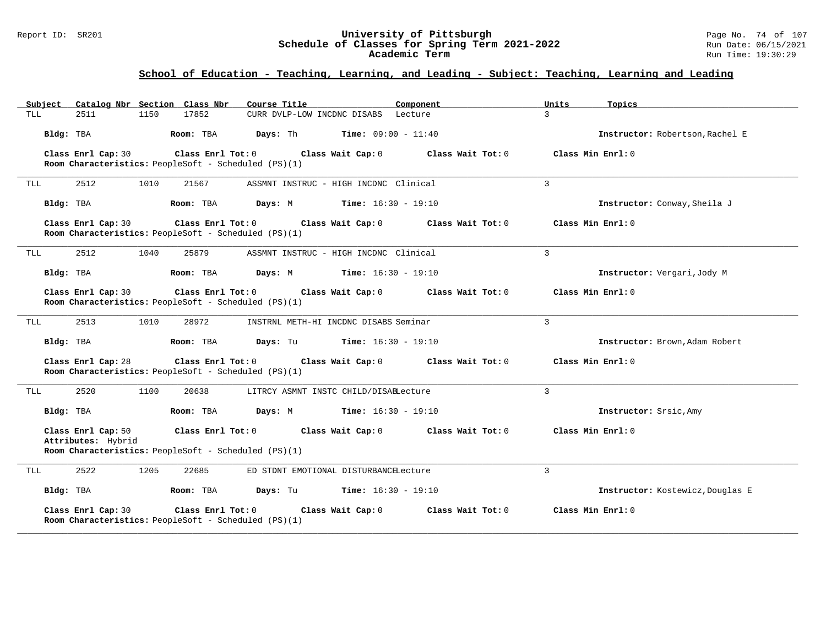#### Report ID: SR201 **University of Pittsburgh** Page No. 74 of 107 **Schedule of Classes for Spring Term 2021-2022** Run Date: 06/15/2021 **Academic Term** Run Time: 19:30:29

| Subject                                  | Catalog Nbr Section Class Nbr                                                   | Course Title                                 | Component                                                   | Units<br>Topics                  |
|------------------------------------------|---------------------------------------------------------------------------------|----------------------------------------------|-------------------------------------------------------------|----------------------------------|
| 2511<br>TLL                              | 1150<br>17852                                                                   | CURR DVLP-LOW INCDNC DISABS Lecture          |                                                             | $\mathcal{L}$                    |
| Bldg: TBA                                | Room: TBA                                                                       | Days: Th                                     | <b>Time:</b> $09:00 - 11:40$                                | Instructor: Robertson, Rachel E  |
| Class Enrl Cap: 30                       | Class Enrl Tot: $0$<br>Room Characteristics: PeopleSoft - Scheduled (PS)(1)     | Class Wait Cap: 0                            | Class Wait Tot: 0                                           | Class Min Enrl: 0                |
| 2512<br>TLL                              | 1010<br>21567                                                                   | ASSMNT INSTRUC - HIGH INCDNC Clinical        |                                                             | $\mathbf{R}$                     |
| Bldg: TBA                                | Room: TBA                                                                       | Days: M                                      | $Time: 16:30 - 19:10$                                       | Instructor: Conway, Sheila J     |
| Class Enrl Cap: 30                       | Room Characteristics: PeopleSoft - Scheduled (PS)(1)                            |                                              | Class Enrl Tot: $0$ Class Wait Cap: $0$ Class Wait Tot: $0$ | Class Min Enrl: 0                |
| 2512<br>TLL                              | 1040<br>25879                                                                   | ASSMNT INSTRUC - HIGH INCDNC Clinical        |                                                             | 3                                |
| Bldg: TBA                                | Room: TBA                                                                       | Days: M                                      | $Time: 16:30 - 19:10$                                       | Instructor: Vergari, Jody M      |
| Class Enrl Cap: 30                       | Room Characteristics: PeopleSoft - Scheduled (PS)(1)                            |                                              | Class Enrl Tot: $0$ Class Wait Cap: $0$ Class Wait Tot: $0$ | Class Min Enrl: 0                |
| 2513<br>TLL                              | 1010<br>28972                                                                   | INSTRNL METH-HI INCDNC DISABS Seminar        |                                                             | 3                                |
| Bldg: TBA                                | Room: TBA                                                                       | <b>Days:</b> Tu <b>Time:</b> $16:30 - 19:10$ |                                                             | Instructor: Brown, Adam Robert   |
| Class Enrl Cap: 28                       | Class Enrl Tot: 0<br>Room Characteristics: PeopleSoft - Scheduled (PS)(1)       |                                              | Class Wait Cap: $0$ Class Wait Tot: $0$                     | Class Min Enrl: 0                |
| 2520<br>TLL                              | 1100<br>20638                                                                   | LITRCY ASMNT INSTC CHILD/DISABLecture        |                                                             | 3                                |
| Bldg: TBA                                | Room: TBA                                                                       | <b>Days:</b> M <b>Time:</b> $16:30 - 19:10$  |                                                             | Instructor: Srsic, Amy           |
| Class Enrl Cap: 50<br>Attributes: Hybrid | Room Characteristics: PeopleSoft - Scheduled (PS)(1)                            |                                              | Class Enrl Tot: $0$ Class Wait Cap: $0$ Class Wait Tot: $0$ | Class Min Enrl: 0                |
| 2522<br>TLL                              | 1205<br>22685                                                                   | ED STDNT EMOTIONAL DISTURBANCELecture        |                                                             | 3                                |
| Bldg: TBA                                | Room: TBA                                                                       | <b>Days:</b> Tu <b>Time:</b> $16:30 - 19:10$ |                                                             | Instructor: Kostewicz, Douglas E |
| Class Enrl Cap: 30                       | $Class$ $Enrl$ $Tot: 0$<br>Room Characteristics: PeopleSoft - Scheduled (PS)(1) | Class Wait Cap: 0                            | Class Wait Tot: 0                                           | Class Min Enrl: 0                |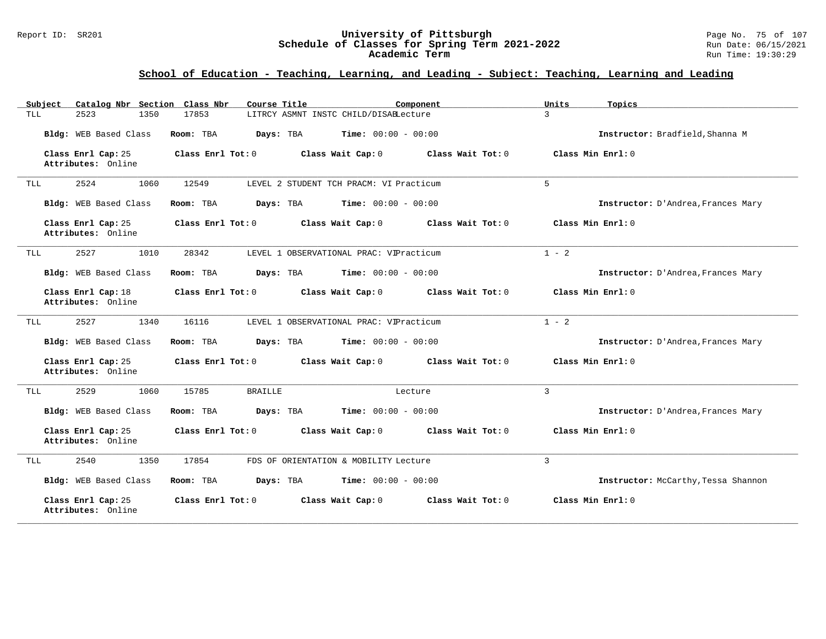#### Report ID: SR201 **University of Pittsburgh** Page No. 75 of 107 **Schedule of Classes for Spring Term 2021-2022** Run Date: 06/15/2021 **Academic Term** Run Time: 19:30:29

| Catalog Nbr Section Class Nbr<br>Subject | Course Title<br>Component                              | Topics<br>Units                            |
|------------------------------------------|--------------------------------------------------------|--------------------------------------------|
| TLL<br>2523<br>1350                      | LITRCY ASMNT INSTC CHILD/DISABLecture<br>17853         | $\mathbf{R}$                               |
| Bldg: WEB Based Class                    | Time: $00:00 - 00:00$<br>Room: TBA<br>Days: TBA        | Instructor: Bradfield, Shanna M            |
| Class Enrl Cap: 25<br>Attributes: Online | Class Enrl Tot: $0$<br>Class Wait Cap: 0               | Class Wait Tot: $0$<br>Class Min $Enrl: 0$ |
| 2524<br>1060<br>TLL                      | 12549<br>LEVEL 2 STUDENT TCH PRACM: VI Practicum       | 5                                          |
| Bldg: WEB Based Class                    | <b>Time:</b> $00:00 - 00:00$<br>Room: TBA<br>Days: TBA | Instructor: D'Andrea, Frances Mary         |
| Class Enrl Cap: 25<br>Attributes: Online | Class Enrl Tot: 0<br>Class Wait Cap: 0                 | Class Wait Tot: 0<br>Class Min Enrl: 0     |
| 2527<br>1010<br>TLL                      | 28342<br>LEVEL 1 OBSERVATIONAL PRAC: VIPracticum       | $1 - 2$                                    |
| Bldg: WEB Based Class                    | Room: TBA<br><b>Time:</b> $00:00 - 00:00$<br>Days: TBA | Instructor: D'Andrea, Frances Mary         |
| Class Enrl Cap: 18<br>Attributes: Online | Class Enrl Tot: 0<br>Class Wait Cap: 0                 | Class Wait Tot: 0<br>Class Min Enrl: 0     |
| 2527<br>1340<br>TLL                      | 16116<br>LEVEL 1 OBSERVATIONAL PRAC: VIPracticum       | $1 - 2$                                    |
| Bldg: WEB Based Class                    | <b>Time:</b> $00:00 - 00:00$<br>Room: TBA<br>Days: TBA | Instructor: D'Andrea, Frances Mary         |
| Class Enrl Cap: 25<br>Attributes: Online | Class Enrl Tot: 0<br>Class Wait Cap: 0                 | Class Min Enrl: 0<br>Class Wait $Tot: 0$   |
| 2529<br>1060<br>TLL                      | 15785<br><b>BRAILLE</b><br>Lecture                     | 3                                          |
| Bldg: WEB Based Class                    | <b>Time:</b> $00:00 - 00:00$<br>Room: TBA<br>Days: TBA | Instructor: D'Andrea, Frances Mary         |
| Class Enrl Cap: 25<br>Attributes: Online | Class Enrl Tot: 0<br>Class Wait Cap: 0                 | Class Min Enrl: 0<br>Class Wait Tot: 0     |
| 2540<br>1350<br>TLL                      | 17854<br>FDS OF ORIENTATION & MOBILITY Lecture         | 3                                          |
| Bldg: WEB Based Class                    | Time: $00:00 - 00:00$<br>Room: TBA<br>Days: TBA        | Instructor: McCarthy, Tessa Shannon        |
| Class Enrl Cap: 25<br>Attributes: Online | Class Enrl Tot: 0<br>Class Wait Cap: 0                 | Class Min Enrl: 0<br>Class Wait Tot: 0     |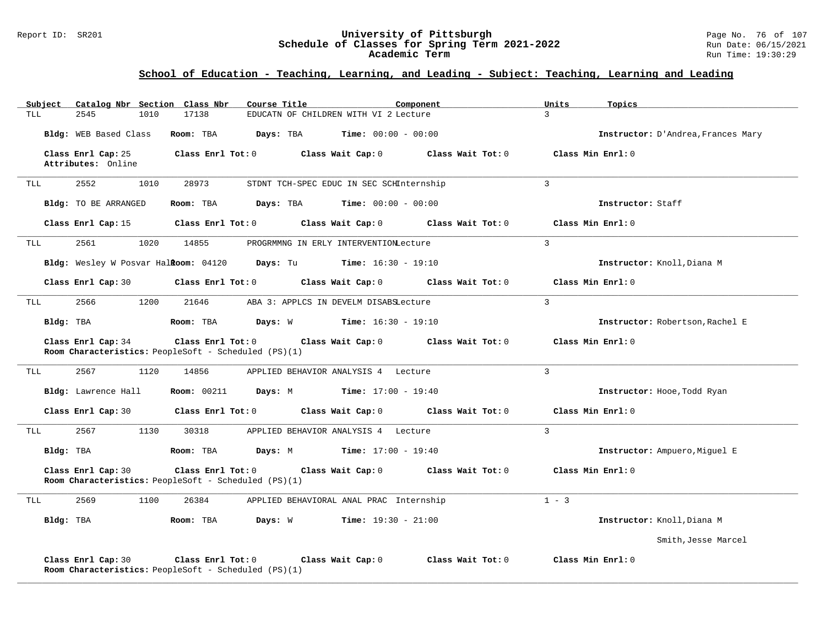#### Report ID: SR201 **University of Pittsburgh** Page No. 76 of 107 **Schedule of Classes for Spring Term 2021-2022** Run Date: 06/15/2021 **Academic Term** Run Time: 19:30:29

| Subject    | Catalog Nbr Section Class Nbr            |                                                                           | Course Title                                                                                       | Component                    | Units<br>Topics                    |  |
|------------|------------------------------------------|---------------------------------------------------------------------------|----------------------------------------------------------------------------------------------------|------------------------------|------------------------------------|--|
| <b>TLL</b> | 2545<br>1010                             | 17138                                                                     | EDUCATN OF CHILDREN WITH VI 2 Lecture                                                              |                              | $\mathcal{L}$                      |  |
|            | Bldg: WEB Based Class                    | Room: TBA                                                                 | Days: TBA<br>$Time: 00:00 - 00:00$                                                                 |                              | Instructor: D'Andrea, Frances Mary |  |
|            | Class Enrl Cap: 25<br>Attributes: Online | Class Enrl Tot: 0                                                         | Class Wait Cap: 0                                                                                  | Class Wait Tot: 0            | Class Min Enrl: 0                  |  |
| TLL.       | 2552<br>1010                             | 28973                                                                     | STDNT TCH-SPEC EDUC IN SEC SCHInternship                                                           |                              | $\mathbf{3}$                       |  |
|            | Bldg: TO BE ARRANGED                     | Room: TBA                                                                 | Days: TBA                                                                                          | <b>Time:</b> $00:00 - 00:00$ | Instructor: Staff                  |  |
|            | Class Enrl Cap: 15                       | Class Enrl Tot: 0                                                         | Class Wait Cap: 0                                                                                  | Class Wait Tot: 0            | Class Min Enrl: 0                  |  |
| TLL        | 2561<br>1020                             | 14855                                                                     | PROGRMMNG IN ERLY INTERVENTIONLecture                                                              |                              | $\overline{3}$                     |  |
|            |                                          |                                                                           | <b>Bldg:</b> Wesley W Posvar Hal <b>Room:</b> $04120$ <b>Days:</b> Tu <b>Time:</b> $16:30 - 19:10$ |                              | Instructor: Knoll, Diana M         |  |
|            | Class Enrl Cap: 30                       | $Class$ $Enr1$ $Tot: 0$                                                   | Class Wait Cap: 0                                                                                  | Class Wait Tot: 0            | Class Min Enrl: 0                  |  |
| TLL        | 2566<br>1200                             | 21646                                                                     | ABA 3: APPLCS IN DEVELM DISABSLecture                                                              |                              | $\overline{3}$                     |  |
| Bldg: TBA  |                                          | Room: TBA                                                                 | <b>Days:</b> W <b>Time:</b> $16:30 - 19:10$                                                        |                              | Instructor: Robertson, Rachel E    |  |
|            | Class Enrl Cap: 34                       | Class Enrl Tot: 0<br>Room Characteristics: PeopleSoft - Scheduled (PS)(1) | Class Wait Cap: 0                                                                                  | Class Wait Tot: 0            | Class Min Enrl: 0                  |  |
| TLL        | 2567<br>1120                             | 14856                                                                     | APPLIED BEHAVIOR ANALYSIS 4 Lecture                                                                |                              | $\overline{3}$                     |  |
|            | Bldg: Lawrence Hall                      |                                                                           | <b>Room:</b> 00211 <b>Days:</b> M <b>Time:</b> 17:00 - 19:40                                       |                              | Instructor: Hooe, Todd Ryan        |  |
|            | Class Enrl Cap: 30                       | Class Enrl Tot: 0                                                         | Class Wait Cap: 0                                                                                  | Class Wait Tot: 0            | Class Min Enrl: 0                  |  |
| TLL        | 2567<br>1130                             | 30318                                                                     | APPLIED BEHAVIOR ANALYSIS 4 Lecture                                                                |                              | $\overline{3}$                     |  |
|            | Bldg: TBA                                | Room: TBA                                                                 | Days: M Time: 17:00 - 19:40                                                                        |                              | Instructor: Ampuero, Miguel E      |  |
|            | Class Enrl Cap: 30                       | Class Enrl Tot: 0<br>Room Characteristics: PeopleSoft - Scheduled (PS)(1) | Class Wait Cap: 0                                                                                  | Class Wait Tot: 0            | Class Min Enrl: 0                  |  |
| TLL        | 2569<br>1100                             | 26384                                                                     | APPLIED BEHAVIORAL ANAL PRAC Internship                                                            |                              | $1 - 3$                            |  |
| Bldg: TBA  |                                          | Days: W<br>Room: TBA                                                      | $Time: 19:30 - 21:00$                                                                              |                              | Instructor: Knoll, Diana M         |  |
|            |                                          |                                                                           |                                                                                                    |                              | Smith, Jesse Marcel                |  |
|            | Class Enrl Cap: 30                       | Class Enrl Tot: 0<br>Room Characteristics: PeopleSoft - Scheduled (PS)(1) | Class Wait Cap: 0                                                                                  | Class Wait Tot: 0            | Class Min Enrl: 0                  |  |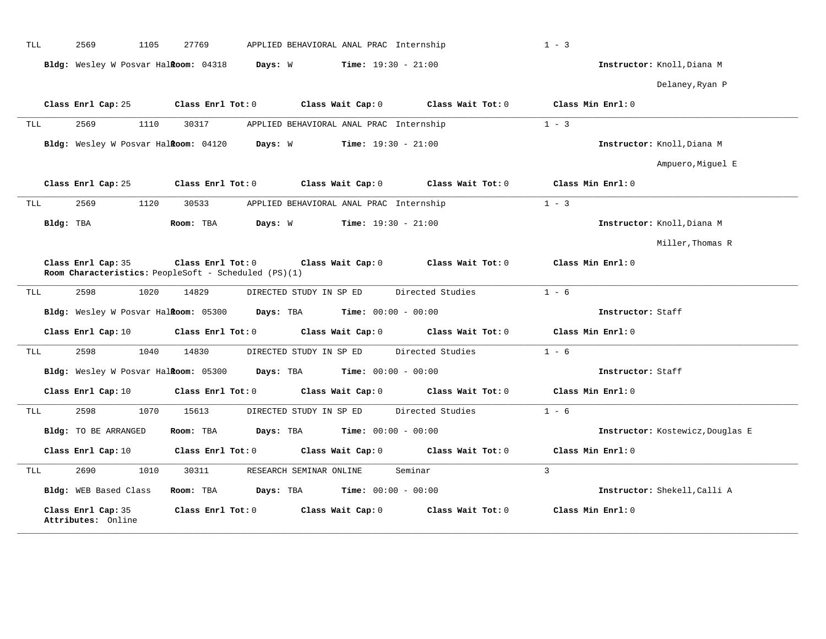|                          | 2569<br>1105                                                               |                   |           |                                         |                   |                                  |
|--------------------------|----------------------------------------------------------------------------|-------------------|-----------|-----------------------------------------|-------------------|----------------------------------|
|                          | Bldg: Wesley W Posvar Halkoom: 04318 Days: W                               |                   |           | <b>Time:</b> $19:30 - 21:00$            |                   | Instructor: Knoll, Diana M       |
|                          |                                                                            |                   |           |                                         |                   | Delaney, Ryan P                  |
|                          | Class Enrl Cap: 25                                                         | Class Enrl Tot: 0 |           | Class Wait Cap: 0                       | Class Wait Tot: 0 | Class Min Enrl: 0                |
| TLL                      | 2569<br>1110                                                               | 30317             |           | APPLIED BEHAVIORAL ANAL PRAC Internship |                   | $1 - 3$                          |
|                          | Bldg: Wesley W Posvar Halkoom: 04120 Days: W                               |                   |           | $Time: 19:30 - 21:00$                   |                   | Instructor: Knoll, Diana M       |
|                          |                                                                            |                   |           |                                         |                   | Ampuero, Miguel E                |
|                          | Class Enrl Cap: 25                                                         | Class Enrl Tot: 0 |           | Class Wait Cap: 0                       | Class Wait Tot: 0 | Class Min Enrl: 0                |
| TLL                      | 2569<br>1120                                                               | 30533             |           | APPLIED BEHAVIORAL ANAL PRAC Internship |                   | $1 - 3$                          |
| Bldg: TBA                |                                                                            | Room: TBA         | Days: W   | <b>Time:</b> $19:30 - 21:00$            |                   | Instructor: Knoll, Diana M       |
|                          |                                                                            |                   |           |                                         |                   | Miller, Thomas R                 |
|                          |                                                                            |                   |           |                                         |                   |                                  |
|                          | Class Enrl Cap: 35<br>Room Characteristics: PeopleSoft - Scheduled (PS)(1) | Class Enrl Tot: 0 |           | Class Wait Cap: 0                       | Class Wait Tot: 0 | Class Min Enrl: 0                |
|                          | 1020<br>2598                                                               | 14829             |           | DIRECTED STUDY IN SP ED                 | Directed Studies  | $1 - 6$                          |
|                          | Bldg: Wesley W Posvar Halkoom: 05300                                       |                   | Days: TBA | <b>Time:</b> $00:00 - 00:00$            |                   | Instructor: Staff                |
|                          | Class Enrl Cap: 10                                                         | Class Enrl Tot: 0 |           | Class Wait Cap: 0                       | Class Wait Tot: 0 | Class Min Enrl: 0                |
|                          | 2598<br>1040                                                               | 14830             |           | DIRECTED STUDY IN SP ED                 | Directed Studies  | $1 - 6$                          |
|                          | Bldg: Wesley W Posvar Halkoom: 05300                                       |                   | Days: TBA | <b>Time:</b> $00:00 - 00:00$            |                   | Instructor: Staff                |
|                          | Class Enrl Cap: 10                                                         | Class Enrl Tot: 0 |           | Class Wait Cap: 0                       | Class Wait Tot: 0 | Class Min Enrl: 0                |
|                          | 2598<br>1070                                                               | 15613             |           | DIRECTED STUDY IN SP ED                 | Directed Studies  | $1 - 6$                          |
|                          | Bldg: TO BE ARRANGED                                                       | Room: TBA         | Days: TBA | <b>Time:</b> $00:00 - 00:00$            |                   | Instructor: Kostewicz, Douglas E |
|                          | Class Enrl Cap: 10                                                         | Class Enrl Tot: 0 |           | Class Wait Cap: 0                       | Class Wait Tot: 0 | Class Min Enrl: 0                |
|                          | 2690<br>1010                                                               | 30311             |           | RESEARCH SEMINAR ONLINE                 | Seminar           | $\overline{3}$                   |
| TLL<br>TLL<br>TLL<br>TLL | Bldg: WEB Based Class                                                      | Room: TBA         | Days: TBA | <b>Time:</b> $00:00 - 00:00$            |                   | Instructor: Shekell, Calli A     |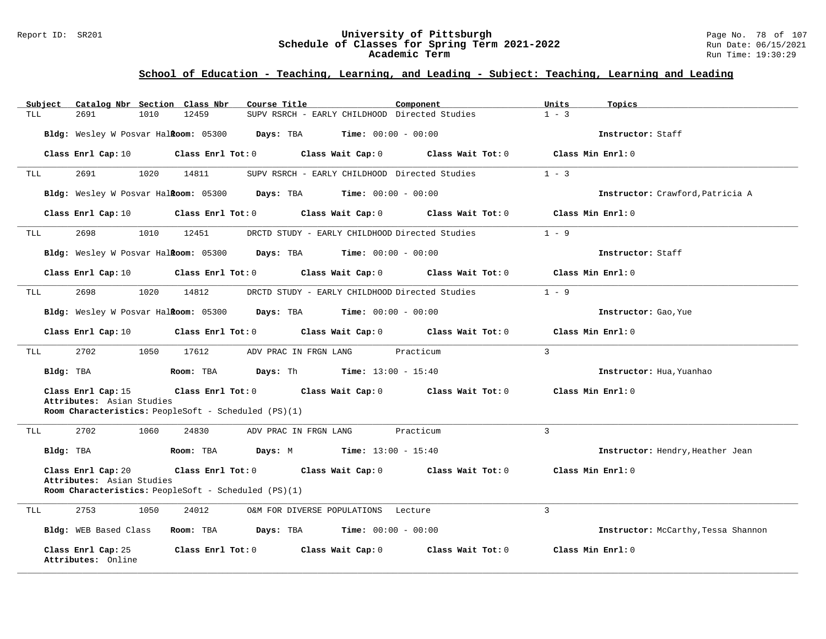#### Report ID: SR201 **University of Pittsburgh** Page No. 78 of 107 **Schedule of Classes for Spring Term 2021-2022** Run Date: 06/15/2021 **Academic Term** Run Time: 19:30:29

| Subject                                         | Catalog Nbr Section Class Nbr<br>Course Title                                                                                  | Component                                            | Units<br>Topics                     |
|-------------------------------------------------|--------------------------------------------------------------------------------------------------------------------------------|------------------------------------------------------|-------------------------------------|
| TLL<br>2691                                     | 1010<br>12459                                                                                                                  | SUPV RSRCH - EARLY CHILDHOOD Directed Studies        | $1 - 3$                             |
|                                                 | Bldg: Wesley W Posvar Halioom: 05300 Days: TBA                                                                                 | <b>Time:</b> $00:00 - 00:00$                         | Instructor: Staff                   |
|                                                 | Class Enrl Cap: 10 $\qquad$ Class Enrl Tot: 0 $\qquad$ Class Wait Cap: 0 $\qquad$ Class Wait Tot: 0                            |                                                      | Class Min Enrl: 0                   |
| 2691<br>TLL                                     | 1020<br>14811                                                                                                                  | SUPV RSRCH - EARLY CHILDHOOD Directed Studies        | $1 - 3$                             |
|                                                 | Bldg: Wesley W Posvar Halkoom: 05300 Days: TBA Time: 00:00 - 00:00                                                             |                                                      | Instructor: Crawford, Patricia A    |
|                                                 | Class Enrl Cap: 10 $\qquad$ Class Enrl Tot: 0 $\qquad$ Class Wait Cap: 0 $\qquad$ Class Wait Tot: 0 $\qquad$ Class Min Enrl: 0 |                                                      |                                     |
| 2698<br>TLL                                     | 1010 12451                                                                                                                     | DRCTD STUDY - EARLY CHILDHOOD Directed Studies 1 - 9 |                                     |
|                                                 | Bldg: Wesley W Posvar Hal <b>Room:</b> 05300 Days: TBA                                                                         | <b>Time:</b> $00:00 - 00:00$                         | Instructor: Staff                   |
|                                                 | Class Enrl Cap: 10 $\qquad$ Class Enrl Tot: 0 $\qquad$ Class Wait Cap: 0 $\qquad$ Class Wait Tot: 0                            |                                                      | Class Min Enrl: 0                   |
| 2698<br>TLL                                     | 1020<br>14812                                                                                                                  | DRCTD STUDY - EARLY CHILDHOOD Directed Studies       | $1 - 9$                             |
|                                                 | Bldg: Wesley W Posvar Halkoom: 05300 Days: TBA Time: 00:00 - 00:00                                                             |                                                      | Instructor: Gao, Yue                |
|                                                 | Class Enrl Cap: 10 $\qquad$ Class Enrl Tot: 0 $\qquad$ Class Wait Cap: 0 $\qquad$ Class Wait Tot: 0 $\qquad$ Class Min Enrl: 0 |                                                      |                                     |
| 2702<br>TLL                                     | 1050<br>17612                                                                                                                  | ADV PRAC IN FRGN LANG Dracticum                      | $\mathcal{L}$                       |
| Bldg: TBA                                       | Room: TBA $Days: Th$ Time: $13:00 - 15:40$                                                                                     |                                                      | Instructor: Hua, Yuanhao            |
| Class Enrl Cap: 15<br>Attributes: Asian Studies | Class Enrl Tot: $0$ Class Wait Cap: $0$ Class Wait Tot: $0$ Class Min Enrl: $0$                                                |                                                      |                                     |
|                                                 | Room Characteristics: PeopleSoft - Scheduled (PS)(1)                                                                           |                                                      |                                     |
| 2702<br>TLL                                     | 1060<br>24830<br>ADV PRAC IN FRGN LANG                                                                                         | Practicum                                            | $\overline{3}$                      |
| Bldg: TBA                                       | <b>Room:</b> TBA <b>Days:</b> M <b>Time:</b> $13:00 - 15:40$                                                                   |                                                      | Instructor: Hendry, Heather Jean    |
| Class Enrl Cap: 20                              | Class Enrl Tot: 0 Class Wait Cap: 0 Class Wait Tot: 0                                                                          |                                                      | Class Min Enrl: 0                   |
| Attributes: Asian Studies                       | Room Characteristics: PeopleSoft - Scheduled (PS)(1)                                                                           |                                                      |                                     |
| 2753<br>TLL                                     | 1050<br>24012                                                                                                                  | O&M FOR DIVERSE POPULATIONS Lecture                  | $\mathcal{L}$                       |
|                                                 | Bldg: WEB Based Class Room: TBA Days: TBA Time: 00:00 - 00:00                                                                  |                                                      | Instructor: McCarthy, Tessa Shannon |
| Class Enrl Cap: 25<br>Attributes: Online        | Class Enrl Tot: $0$ Class Wait Cap: $0$ Class Wait Tot: $0$                                                                    |                                                      | Class Min Enrl: 0                   |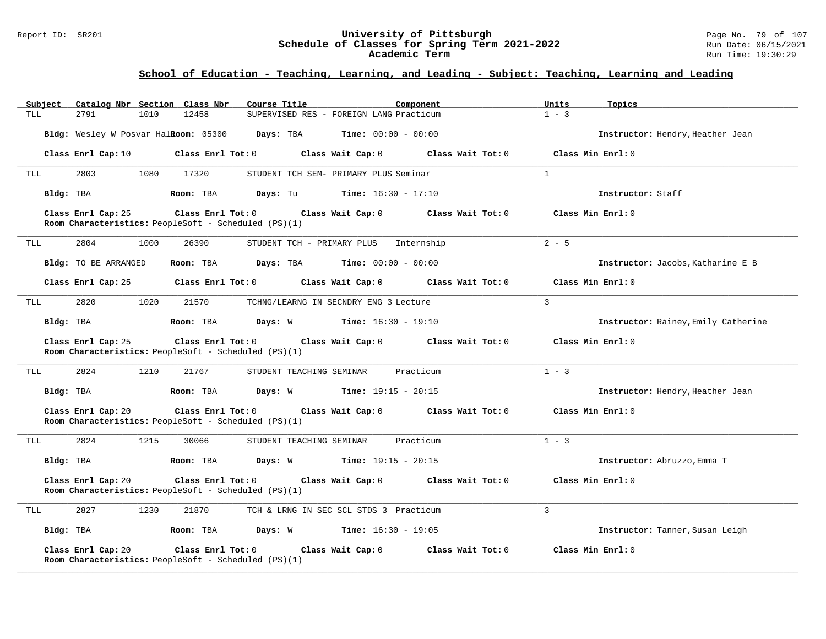#### Report ID: SR201 **University of Pittsburgh** Page No. 79 of 107 **Schedule of Classes for Spring Term 2021-2022** Run Date: 06/15/2021 **Academic Term** Run Time: 19:30:29

| Catalog Nbr Section Class Nbr<br>Subject                                                              | Course Title<br>Component                     | Units<br>Topics                     |
|-------------------------------------------------------------------------------------------------------|-----------------------------------------------|-------------------------------------|
| 2791<br>12458<br>TLL<br>1010                                                                          | SUPERVISED RES - FOREIGN LANG Practicum       | $1 - 3$                             |
| Bldg: Wesley W Posvar Halkoom: 05300                                                                  | <b>Days:</b> TBA <b>Time:</b> $00:00 - 00:00$ | Instructor: Hendry, Heather Jean    |
| Class Enrl Cap: 10<br>Class Enrl Tot: 0                                                               | Class Wait Cap: 0<br>$Class$ Wait Tot: $0$    | Class Min Enrl: 0                   |
| 2803<br>1080<br>17320<br>TLL                                                                          | STUDENT TCH SEM- PRIMARY PLUS Seminar         | $\mathbf{1}$                        |
| Bldg: TBA<br>Room: TBA                                                                                | Days: Tu<br>$Time: 16:30 - 17:10$             | Instructor: Staff                   |
| Class Enrl Cap: 25<br>$Class$ $Enr1$ $Tot: 0$<br>Room Characteristics: PeopleSoft - Scheduled (PS)(1) | Class Wait Cap: 0<br>Class Wait Tot: 0        | Class Min Enrl: 0                   |
| 2804<br>26390<br>1000<br>TLL                                                                          | STUDENT TCH - PRIMARY PLUS Internship         | $2 - 5$                             |
| Bldg: TO BE ARRANGED<br>Room: TBA                                                                     | $Time: 00:00 - 00:00$<br>Days: TBA            | Instructor: Jacobs, Katharine E B   |
| Class Enrl Cap: 25<br>$Class$ $Enr1$ $Tot: 0$                                                         | Class Wait Cap: 0<br>Class Wait Tot: 0        | Class Min Enrl: 0                   |
| 2820<br>1020<br>21570<br>TLL                                                                          | TCHNG/LEARNG IN SECNDRY ENG 3 Lecture         | $\overline{3}$                      |
| Bldg: TBA<br>Room: TBA                                                                                | <b>Days:</b> W <b>Time:</b> $16:30 - 19:10$   | Instructor: Rainey, Emily Catherine |
| Class Enrl Tot: 0<br>Class Enrl Cap: 25<br>Room Characteristics: PeopleSoft - Scheduled (PS)(1)       | Class Wait Cap: 0<br>Class Wait Tot: 0        | Class Min Enrl: 0                   |
| 2824<br>1210<br>21767<br>TLL                                                                          | STUDENT TEACHING SEMINAR<br>Practicum         | $1 - 3$                             |
| Bldg: TBA<br>Room: TBA                                                                                | <b>Days:</b> W <b>Time:</b> $19:15 - 20:15$   | Instructor: Hendry, Heather Jean    |
| Class Enrl Cap: 20<br>Class Enrl Tot: 0<br>Room Characteristics: PeopleSoft - Scheduled (PS)(1)       | Class Wait Cap: 0<br>Class Wait Tot: 0        | Class Min Enrl: 0                   |
| 2824<br>1215<br>TLL<br>30066                                                                          | STUDENT TEACHING SEMINAR<br>Practicum         | $1 - 3$                             |
| Bldg: TBA<br>Room: TBA                                                                                | <b>Days:</b> W <b>Time:</b> $19:15 - 20:15$   | Instructor: Abruzzo, Emma T         |
| Class Enrl Cap: 20<br>Class Enrl Tot: 0<br>Room Characteristics: PeopleSoft - Scheduled (PS)(1)       | Class Wait Cap: 0<br>Class Wait Tot: 0        | Class Min Enrl: 0                   |
| 2827<br>1230<br>21870<br>TLL                                                                          | TCH & LRNG IN SEC SCL STDS 3 Practicum        | $\mathbf{3}$                        |
| Bldg: TBA<br>Room: TBA                                                                                | Days: W Time: 16:30 - 19:05                   | Instructor: Tanner, Susan Leigh     |
| Class Enrl Cap: 20<br>Class Enrl Tot: 0<br>Room Characteristics: PeopleSoft - Scheduled (PS)(1)       | Class Wait Cap: 0<br>Class Wait Tot: 0        | Class Min Enrl: 0                   |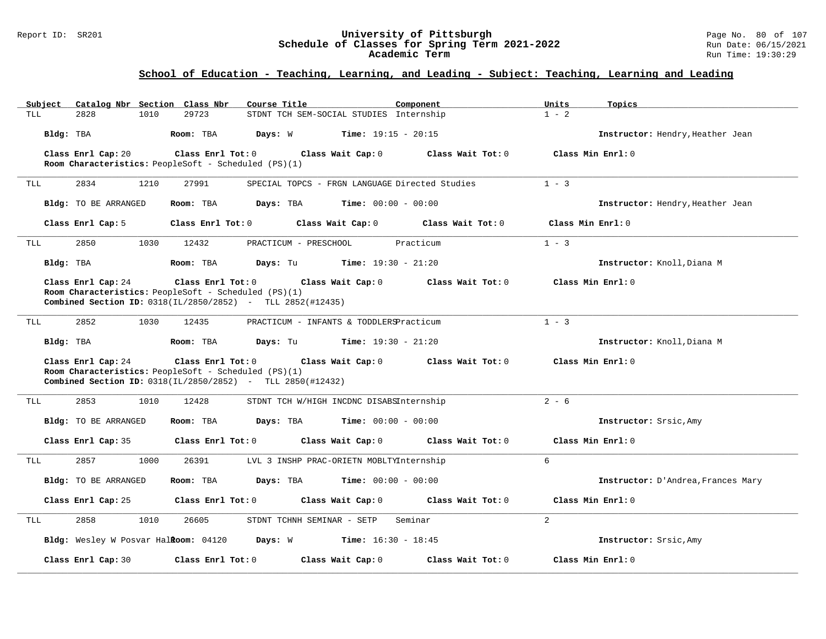#### Report ID: SR201 **University of Pittsburgh** Page No. 80 of 107 **Schedule of Classes for Spring Term 2021-2022** Run Date: 06/15/2021 **Academic Term** Run Time: 19:30:29

| $1 - 2$<br>2828<br>1010<br>29723<br>STDNT TCH SEM-SOCIAL STUDIES Internship<br>TLL<br><b>Time:</b> $19:15 - 20:15$<br>Bldg: TBA<br>Room: TBA<br>Days: W<br>Instructor: Hendry, Heather Jean<br>Class Enrl Cap: 20<br>Class Enrl Tot: 0<br>Class Min Enrl: 0<br>Class Wait Cap: 0<br>Class Wait Tot: 0<br>Room Characteristics: PeopleSoft - Scheduled (PS)(1)<br>$1 - 3$<br>2834<br>27991<br>1210<br>SPECIAL TOPCS - FRGN LANGUAGE Directed Studies<br>TLL |  |
|------------------------------------------------------------------------------------------------------------------------------------------------------------------------------------------------------------------------------------------------------------------------------------------------------------------------------------------------------------------------------------------------------------------------------------------------------------|--|
|                                                                                                                                                                                                                                                                                                                                                                                                                                                            |  |
|                                                                                                                                                                                                                                                                                                                                                                                                                                                            |  |
|                                                                                                                                                                                                                                                                                                                                                                                                                                                            |  |
|                                                                                                                                                                                                                                                                                                                                                                                                                                                            |  |
|                                                                                                                                                                                                                                                                                                                                                                                                                                                            |  |
| Bldg: TO BE ARRANGED<br>Room: TBA<br>Days: TBA<br><b>Time:</b> $00:00 - 00:00$<br>Instructor: Hendry, Heather Jean                                                                                                                                                                                                                                                                                                                                         |  |
| Class Enrl Tot: 0<br>Class Wait Cap: 0<br>Class Min Enrl: 0<br>Class Enrl Cap: 5<br>Class Wait Tot: 0                                                                                                                                                                                                                                                                                                                                                      |  |
| 2850<br>1030<br>12432<br>Practicum<br>$1 - 3$<br>PRACTICUM - PRESCHOOL<br>TLL                                                                                                                                                                                                                                                                                                                                                                              |  |
| Bldg: TBA<br>Room: TBA<br>Days: Tu<br><b>Time:</b> $19:30 - 21:20$<br>Instructor: Knoll, Diana M                                                                                                                                                                                                                                                                                                                                                           |  |
| Class Enrl Cap: 24<br>Class Enrl Tot: 0<br>Class Wait Cap: 0<br>Class Wait Tot: 0<br>Class Min Enrl: 0                                                                                                                                                                                                                                                                                                                                                     |  |
| Room Characteristics: PeopleSoft - Scheduled (PS)(1)                                                                                                                                                                                                                                                                                                                                                                                                       |  |
| Combined Section ID: 0318(IL/2850/2852) - TLL 2852(#12435)                                                                                                                                                                                                                                                                                                                                                                                                 |  |
| $1 - 3$<br>2852<br><b>TLL</b><br>1030<br>12435<br>PRACTICUM - INFANTS & TODDLERSPracticum                                                                                                                                                                                                                                                                                                                                                                  |  |
| Bldg: TBA<br><b>Time:</b> $19:30 - 21:20$<br>Instructor: Knoll, Diana M<br>Room: TBA<br>Days: Tu                                                                                                                                                                                                                                                                                                                                                           |  |
| Class Enrl Cap: 24<br>Class Enrl Tot: 0<br>Class Wait Cap: 0<br>Class Wait Tot: 0<br>Class Min Enrl: 0                                                                                                                                                                                                                                                                                                                                                     |  |
| Room Characteristics: PeopleSoft - Scheduled (PS)(1)<br>Combined Section ID: 0318(IL/2850/2852) - TLL 2850(#12432)                                                                                                                                                                                                                                                                                                                                         |  |
|                                                                                                                                                                                                                                                                                                                                                                                                                                                            |  |
| $2 - 6$<br>2853<br>12428<br>STDNT TCH W/HIGH INCDNC DISABSInternship<br>TLL<br>1010                                                                                                                                                                                                                                                                                                                                                                        |  |
| Bldg: TO BE ARRANGED<br>Room: TBA<br><b>Days:</b> TBA <b>Time:</b> $00:00 - 00:00$<br>Instructor: Srsic, Amy                                                                                                                                                                                                                                                                                                                                               |  |
| Class Enrl Cap: 35<br>Class Enrl Tot: 0<br>Class Wait Cap: 0<br>Class Wait Tot: 0<br>Class Min Enrl: 0                                                                                                                                                                                                                                                                                                                                                     |  |
| 6<br>2857<br>1000<br>26391<br>LVL 3 INSHP PRAC-ORIETN MOBLTYInternship<br>TLL                                                                                                                                                                                                                                                                                                                                                                              |  |
| <b>Time:</b> $00:00 - 00:00$<br>Bldg: TO BE ARRANGED<br>Room: TBA<br>Days: TBA<br>Instructor: D'Andrea, Frances Mary                                                                                                                                                                                                                                                                                                                                       |  |
| Class Enrl Cap: 25<br>Class Enrl Tot: 0<br>Class Wait Cap: 0<br>Class Wait Tot: 0<br>Class Min Enrl: 0                                                                                                                                                                                                                                                                                                                                                     |  |
| 2<br>2858<br>1010<br>26605<br>STDNT TCHNH SEMINAR - SETP<br>Seminar<br>TLL                                                                                                                                                                                                                                                                                                                                                                                 |  |
| Bldg: Wesley W Posvar Halkoom: 04120 Days: W Time: 16:30 - 18:45<br>Instructor: Srsic, Amy                                                                                                                                                                                                                                                                                                                                                                 |  |
| Class Enrl Cap: 30<br>Class Enrl Tot: 0<br>Class Wait Cap: 0<br>Class Wait Tot: 0<br>Class Min Enrl: 0                                                                                                                                                                                                                                                                                                                                                     |  |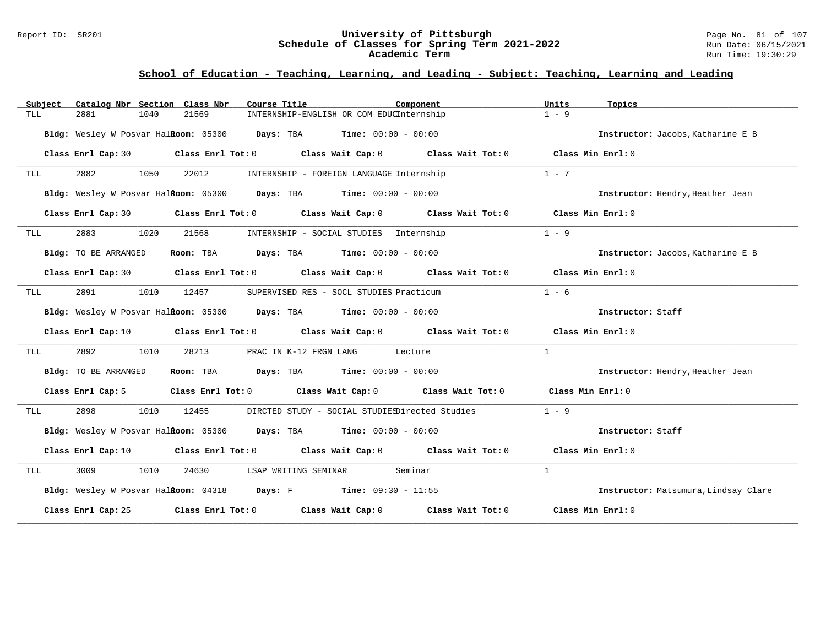#### Report ID: SR201 **University of Pittsburgh** Page No. 81 of 107 **Schedule of Classes for Spring Term 2021-2022** Run Date: 06/15/2021 **Academic Term** Run Time: 19:30:29

| Subject |                      | Catalog Nbr Section Class Nbr | Course Title                                                                                        | Component                                                                                                                      | Units<br>Topics                      |
|---------|----------------------|-------------------------------|-----------------------------------------------------------------------------------------------------|--------------------------------------------------------------------------------------------------------------------------------|--------------------------------------|
| TLL     | 2881                 | 1040<br>21569                 | INTERNSHIP-ENGLISH OR COM EDUCInternship                                                            |                                                                                                                                | $1 - 9$                              |
|         |                      |                               | Bldg: Wesley W Posvar Halkoom: 05300 Days: TBA Time: 00:00 - 00:00                                  |                                                                                                                                | Instructor: Jacobs, Katharine E B    |
|         |                      |                               |                                                                                                     | Class Enrl Cap: 30 Class Enrl Tot: 0 Class Wait Cap: 0 Class Wait Tot: 0 Class Min Enrl: 0                                     |                                      |
| TLL     | 2882                 | 1050<br>22012                 | INTERNSHIP - FOREIGN LANGUAGE Internship                                                            |                                                                                                                                | $1 - 7$                              |
|         |                      |                               | Bldg: Wesley W Posvar Halkoom: 05300 Days: TBA Time: 00:00 - 00:00                                  |                                                                                                                                | Instructor: Hendry, Heather Jean     |
|         |                      |                               |                                                                                                     | Class Enrl Cap: 30 Class Enrl Tot: 0 Class Wait Cap: 0 Class Wait Tot: 0 Class Min Enrl: 0                                     |                                      |
| TLL     | 2883                 | 1020                          | 21568 INTERNSHIP - SOCIAL STUDIES Internship                                                        |                                                                                                                                | $1 - 9$                              |
|         | Bldg: TO BE ARRANGED |                               | Room: TBA Days: TBA Time: $00:00 - 00:00$                                                           |                                                                                                                                | Instructor: Jacobs, Katharine E B    |
|         |                      |                               |                                                                                                     | Class Enrl Cap: 30 Class Enrl Tot: 0 Class Wait Cap: 0 Class Wait Tot: 0 Class Min Enrl: 0                                     |                                      |
| TLL     | 2891                 | 1010<br>12457                 | SUPERVISED RES - SOCL STUDIES Practicum                                                             |                                                                                                                                | $1 - 6$                              |
|         |                      |                               | <b>Bldg:</b> Wesley W Posvar Hal <b>Room:</b> $05300$ <b>Days:</b> TBA <b>Time:</b> $00:00 - 00:00$ |                                                                                                                                | Instructor: Staff                    |
|         |                      |                               |                                                                                                     | Class Enrl Cap: 10 Class Enrl Tot: 0 Class Wait Cap: 0 Class Wait Tot: 0 Class Min Enrl: 0                                     |                                      |
| TLL     | 2892                 | 1010<br>28213                 | PRAC IN K-12 FRGN LANG Lecture                                                                      |                                                                                                                                | $\mathbf{1}$                         |
|         | Bldg: TO BE ARRANGED |                               | Room: TBA $Days: TBA$ Time: $00:00 - 00:00$                                                         |                                                                                                                                | Instructor: Hendry, Heather Jean     |
|         |                      |                               |                                                                                                     | Class Enrl Cap: 5 Class Enrl Tot: 0 Class Wait Cap: 0 Class Wait Tot: 0 Class Min Enrl: 0                                      |                                      |
| TLL     | 2898                 | 1010<br>12455                 |                                                                                                     | DIRCTED STUDY - SOCIAL STUDIESDirected Studies                                                                                 | $1 - 9$                              |
|         |                      |                               | Bldg: Wesley W Posvar Halkoom: 05300 Days: TBA Time: 00:00 - 00:00                                  |                                                                                                                                | Instructor: Staff                    |
|         |                      |                               |                                                                                                     | Class Enrl Cap: 10 $\qquad$ Class Enrl Tot: 0 $\qquad$ Class Wait Cap: 0 $\qquad$ Class Wait Tot: 0 $\qquad$ Class Min Enrl: 0 |                                      |
| TLL     | 3009 300             | 1010                          | 24630 LSAP WRITING SEMINAR Seminar                                                                  |                                                                                                                                | $\mathbf{1}$                         |
|         |                      |                               | Bldg: Wesley W Posvar Halkoom: 04318 Days: F Time: 09:30 - 11:55                                    |                                                                                                                                | Instructor: Matsumura, Lindsay Clare |
|         |                      |                               |                                                                                                     | Class Enrl Cap: 25 Class Enrl Tot: 0 Class Wait Cap: 0 Class Wait Tot: 0 Class Min Enrl: 0                                     |                                      |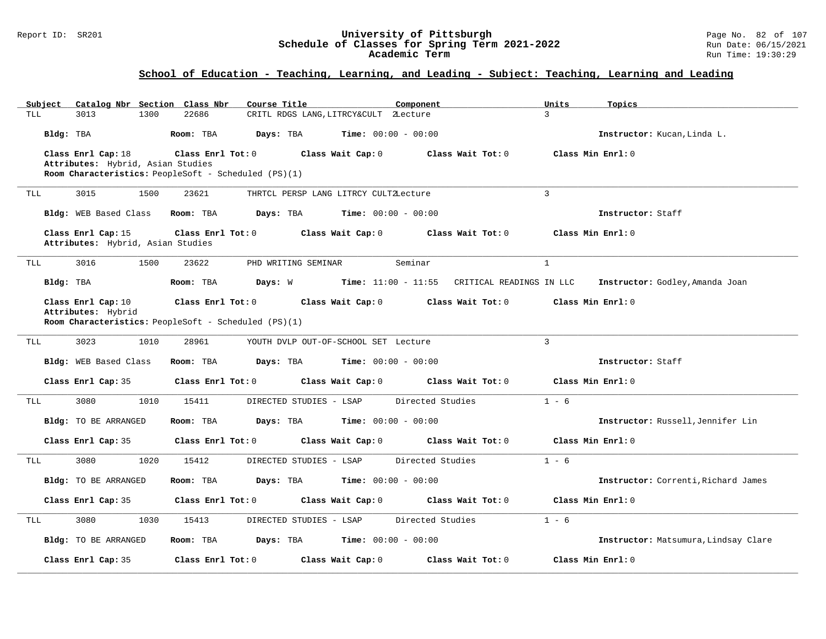#### Report ID: SR201 **University of Pittsburgh** Page No. 82 of 107 **Schedule of Classes for Spring Term 2021-2022** Run Date: 06/15/2021 **Academic Term** Run Time: 19:30:29

| Subject    | Catalog Nbr Section Class Nbr                           | Course Title                                         |                                       | Component                                    | Topics<br>Units                      |
|------------|---------------------------------------------------------|------------------------------------------------------|---------------------------------------|----------------------------------------------|--------------------------------------|
| TLL        | 1300<br>3013                                            | 22686                                                | CRITL RDGS LANG, LITRCY&CULT 2Lecture |                                              | 3                                    |
| Bldg: TBA  |                                                         | Room: TBA<br>Days: TBA                               | <b>Time:</b> $00:00 - 00:00$          |                                              | Instructor: Kucan, Linda L.          |
|            | Class Enrl Cap: 18                                      | Class Enrl Tot: 0                                    | Class Wait Cap: 0                     | Class Wait Tot: 0                            | Class Min Enrl: 0                    |
|            | Attributes: Hybrid, Asian Studies                       |                                                      |                                       |                                              |                                      |
|            |                                                         | Room Characteristics: PeopleSoft - Scheduled (PS)(1) |                                       |                                              |                                      |
| TLL        | 3015<br>1500                                            | 23621                                                | THRTCL PERSP LANG LITRCY CULTZLecture |                                              | $\overline{3}$                       |
|            | Bldg: WEB Based Class                                   | Room: TBA<br>Days: TBA                               | <b>Time:</b> $00:00 - 00:00$          |                                              | Instructor: Staff                    |
|            | Class Enrl Cap: 15<br>Attributes: Hybrid, Asian Studies | Class Enrl Tot: 0                                    | Class Wait Cap: 0                     | Class Wait Tot: 0                            | Class Min Enrl: 0                    |
| TLL        | 3016<br>1500                                            | 23622                                                | PHD WRITING SEMINAR                   | Seminar                                      | $\mathbf{1}$                         |
| Bldg: TBA  |                                                         | Room: TBA<br>Days: W                                 |                                       | Time: 11:00 - 11:55 CRITICAL READINGS IN LLC | Instructor: Godley, Amanda Joan      |
|            |                                                         |                                                      |                                       |                                              |                                      |
|            | Class Enrl Cap: 10<br>Attributes: Hybrid                | Class Enrl Tot: 0                                    | Class Wait Cap: 0                     | Class Wait Tot: 0                            | Class Min Enrl: 0                    |
|            |                                                         | Room Characteristics: PeopleSoft - Scheduled (PS)(1) |                                       |                                              |                                      |
|            |                                                         |                                                      |                                       |                                              |                                      |
| <b>TLL</b> | 1010<br>3023                                            | 28961                                                | YOUTH DVLP OUT-OF-SCHOOL SET Lecture  |                                              | 3                                    |
|            | Bldg: WEB Based Class                                   | Room: TBA<br>Days: TBA                               | <b>Time:</b> $00:00 - 00:00$          |                                              | Instructor: Staff                    |
|            | Class Enrl Cap: 35                                      | Class Enrl Tot: 0                                    | Class Wait Cap: 0                     | Class Wait Tot: 0                            | Class Min Enrl: 0                    |
| TLL        | 1010<br>3080                                            | 15411                                                | DIRECTED STUDIES - LSAP               | Directed Studies                             | $1 - 6$                              |
|            | Bldg: TO BE ARRANGED                                    | Room: TBA<br>Days: TBA                               | $Time: 00:00 - 00:00$                 |                                              | Instructor: Russell, Jennifer Lin    |
|            | Class Enrl Cap: 35                                      | Class Enrl Tot: 0                                    | Class Wait Cap: 0                     | Class Wait Tot: 0                            | Class Min Enrl: 0                    |
| TLL        | 1020<br>3080                                            | 15412                                                | DIRECTED STUDIES - LSAP               | Directed Studies                             | $1 - 6$                              |
|            | Bldg: TO BE ARRANGED                                    | Room: TBA<br>Days: TBA                               | $Time: 00:00 - 00:00$                 |                                              | Instructor: Correnti, Richard James  |
|            | Class Enrl Cap: 35                                      | Class Enrl Tot: 0                                    | Class Wait Cap: 0                     | Class Wait Tot: 0                            | Class Min Enrl: 0                    |
| TLL        | 3080<br>1030                                            | 15413                                                | DIRECTED STUDIES - LSAP               | Directed Studies                             | $1 - 6$                              |
|            | Bldg: TO BE ARRANGED                                    | Room: TBA<br>Days: TBA                               | <b>Time:</b> $00:00 - 00:00$          |                                              | Instructor: Matsumura, Lindsay Clare |
|            | Class Enrl Cap: 35                                      | Class Enrl Tot: 0                                    | Class Wait Cap: 0                     | Class Wait Tot: 0                            | Class Min Enrl: 0                    |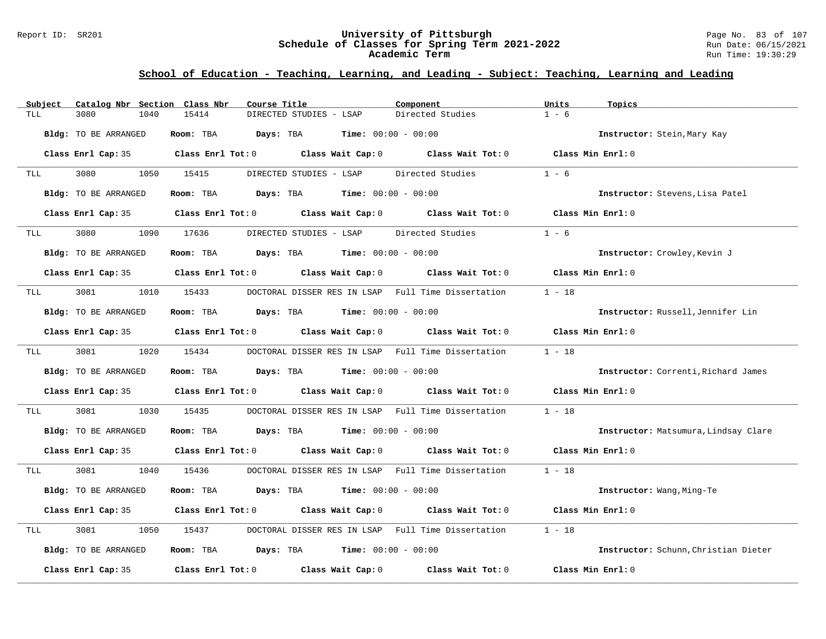#### Report ID: SR201 **University of Pittsburgh** Page No. 83 of 107 **Schedule of Classes for Spring Term 2021-2022** Run Date: 06/15/2021 **Academic Term** Run Time: 19:30:29

| Subject | Catalog Nbr Section Class Nbr | Course Title                                                                                        | Component              | Units<br>Topics                      |
|---------|-------------------------------|-----------------------------------------------------------------------------------------------------|------------------------|--------------------------------------|
| TLL     | 3080<br>1040                  | 15414<br>DIRECTED STUDIES - LSAP                                                                    | Directed Studies       | $1 - 6$                              |
|         | Bldg: TO BE ARRANGED          | Room: TBA<br>Days: TBA<br><b>Time:</b> $00:00 - 00:00$                                              |                        | Instructor: Stein, Mary Kay          |
|         |                               | Class Enrl Cap: 35 Class Enrl Tot: 0 Class Wait Cap: 0 Class Wait Tot: 0 Class Min Enrl: 0          |                        |                                      |
| TLL     | 3080                          | 1050 15415<br>DIRECTED STUDIES - LSAP                                                               | Directed Studies       | $1 - 6$                              |
|         | Bldg: TO BE ARRANGED          | $\texttt{Days:}$ TBA $\texttt{Time:}$ 00:00 - 00:00<br>Room: TBA                                    |                        | Instructor: Stevens, Lisa Patel      |
|         | Class Enrl Cap: 35            | Class Enrl Tot: 0 Class Wait Cap: 0 Class Wait Tot: 0                                               |                        | Class Min Enrl: 0                    |
| TLL     | 3080<br>1090                  | 17636<br>DIRECTED STUDIES - LSAP                                                                    | Directed Studies       | $1 - 6$                              |
|         | Bldg: TO BE ARRANGED          | Room: TBA $Days:$ TBA $Time: 00:00 - 00:00$                                                         |                        | Instructor: Crowley, Kevin J         |
|         |                               | Class Enrl Cap: 35 Class Enrl Tot: 0 Class Wait Cap: 0 Class Wait Tot: 0 Class Min Enrl: 0          |                        |                                      |
| TLL     | 3081<br>1010                  | DOCTORAL DISSER RES IN LSAP Full Time Dissertation<br>15433                                         |                        | $1 - 18$                             |
|         | Bldg: TO BE ARRANGED          | Room: TBA $Days:$ TBA $Time: 00:00 - 00:00$                                                         |                        | Instructor: Russell, Jennifer Lin    |
|         | Class Enrl Cap: 35            | Class Enrl Tot: 0 Class Wait Cap: 0                                                                 | Class Wait Tot: 0      | Class Min Enrl: 0                    |
| TLL     | 3081<br>1020                  | 15434<br>DOCTORAL DISSER RES IN LSAP Full Time Dissertation                                         |                        | $1 - 18$                             |
|         | Bldg: TO BE ARRANGED          | Room: TBA $Days:$ TBA $Time: 00:00 - 00:00$                                                         |                        | Instructor: Correnti, Richard James  |
|         | Class Enrl Cap: 35            | Class Enrl Tot: $0$ Class Wait Cap: $0$ Class Wait Tot: $0$                                         |                        | Class Min Enrl: 0                    |
| TLL     | 3081<br>1030                  | 15435<br>DOCTORAL DISSER RES IN LSAP                                                                | Full Time Dissertation | $1 - 18$                             |
|         | Bldg: TO BE ARRANGED          | Room: TBA $Days:$ TBA $Time: 00:00 - 00:00$                                                         |                        | Instructor: Matsumura, Lindsay Clare |
|         |                               | Class Enrl Cap: 35 $\qquad$ Class Enrl Tot: 0 $\qquad$ Class Wait Cap: 0 $\qquad$ Class Wait Tot: 0 |                        | Class Min Enrl: 0                    |
| TLL     | 3081 308<br>1040              | 15436<br>DOCTORAL DISSER RES IN LSAP Full Time Dissertation                                         |                        | $1 - 18$                             |
|         | Bldg: TO BE ARRANGED          | Room: TBA<br><b>Days:</b> TBA <b>Time:</b> $00:00 - 00:00$                                          |                        | Instructor: Wang, Ming-Te            |
|         |                               | Class Enrl Cap: 35 Class Enrl Tot: 0 Class Wait Cap: 0 Class Wait Tot: 0                            |                        | Class Min $Err1:0$                   |
| TLL     | 3081<br>1050                  | DOCTORAL DISSER RES IN LSAP Full Time Dissertation<br>15437                                         |                        | $1 - 18$                             |
|         | Bldg: TO BE ARRANGED          | Room: TBA $\rule{1em}{0.15mm}$ Days: TBA $\rule{1.15mm}]{0.15mm}$ Time: $0.000 - 0.0000$            |                        | Instructor: Schunn, Christian Dieter |
|         | Class Enrl Cap: 35            | Class Enrl Tot: $0$ Class Wait Cap: $0$ Class Wait Tot: $0$                                         |                        | Class Min Enrl: 0                    |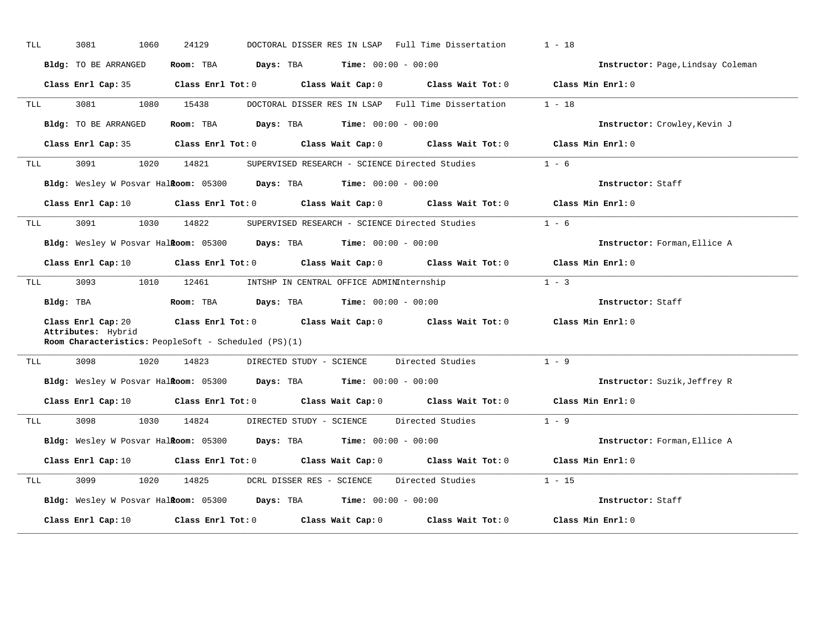| TLL | 3081<br>1060                             | 24129                                                                                               | DOCTORAL DISSER RES IN LSAP Full Time Dissertation                                                                             | $1 - 18$                          |
|-----|------------------------------------------|-----------------------------------------------------------------------------------------------------|--------------------------------------------------------------------------------------------------------------------------------|-----------------------------------|
|     | Bldg: TO BE ARRANGED                     | <b>Days:</b> TBA <b>Time:</b> $00:00 - 00:00$<br>Room: TBA                                          |                                                                                                                                | Instructor: Page, Lindsay Coleman |
|     | Class Enrl Cap: 35                       |                                                                                                     | Class Enrl Tot: 0 Class Wait Cap: 0 Class Wait Tot: 0 Class Min Enrl: 0                                                        |                                   |
| TLL | 3081<br>1080                             | 15438                                                                                               | DOCTORAL DISSER RES IN LSAP Full Time Dissertation                                                                             | $1 - 18$                          |
|     | Bldg: TO BE ARRANGED                     | Room: TBA $Days:$ TBA $Time: 00:00 - 00:00$                                                         |                                                                                                                                | Instructor: Crowley, Kevin J      |
|     | Class Enrl Cap: 35                       |                                                                                                     | Class Enrl Tot: 0 Class Wait Cap: 0 Class Wait Tot: 0                                                                          | Class Min Enrl: 0                 |
| TLL | 3091<br>1020                             | 14821                                                                                               | SUPERVISED RESEARCH - SCIENCE Directed Studies                                                                                 | $1 - 6$                           |
|     |                                          | Bldg: Wesley W Posvar Halitoom: 05300 Days: TBA Time: 00:00 - 00:00                                 |                                                                                                                                | Instructor: Staff                 |
|     | Class Enrl Cap: 10                       |                                                                                                     | Class Enrl Tot: 0 Class Wait Cap: 0 Class Wait Tot: 0 Class Min Enrl: 0                                                        |                                   |
| TLL | 3091                                     | 1030 14822                                                                                          | SUPERVISED RESEARCH - SCIENCE Directed Studies                                                                                 | $1 - 6$                           |
|     |                                          | Bldg: Wesley W Posvar Halkoom: 05300 Days: TBA Time: 00:00 - 00:00                                  |                                                                                                                                | Instructor: Forman, Ellice A      |
|     | Class Enrl Cap: 10                       |                                                                                                     | Class Enrl Tot: 0 Class Wait Cap: 0 Class Wait Tot: 0                                                                          | Class Min Enrl: 0                 |
| TLL | 3093<br>1010                             | 12461                                                                                               | INTSHP IN CENTRAL OFFICE ADMINInternship                                                                                       | $1 - 3$                           |
|     | Bldg: TBA                                | <b>Room:</b> TBA $\qquad \qquad$ Days: TBA $\qquad \qquad$ Time: $00:00 - 00:00$                    |                                                                                                                                | Instructor: Staff                 |
|     | Class Enrl Cap: 20<br>Attributes: Hybrid |                                                                                                     | Class Enrl Tot: $0$ Class Wait Cap: $0$ Class Wait Tot: $0$ Class Min Enrl: $0$                                                |                                   |
|     |                                          | Room Characteristics: PeopleSoft - Scheduled (PS)(1)                                                |                                                                                                                                |                                   |
| TLL | 3098<br>1020                             | 14823<br>DIRECTED STUDY - SCIENCE                                                                   | Directed Studies                                                                                                               | $1 - 9$                           |
|     |                                          | Bldg: Wesley W Posvar Halkoom: 05300 Days: TBA Time: 00:00 - 00:00                                  |                                                                                                                                | Instructor: Suzik, Jeffrey R      |
|     |                                          |                                                                                                     | Class Enrl Cap: 10 $\qquad$ Class Enrl Tot: 0 $\qquad$ Class Wait Cap: 0 $\qquad$ Class Wait Tot: 0 $\qquad$ Class Min Enrl: 0 |                                   |
| TLL | 1030<br>3098 300                         | 14824                                                                                               | DIRECTED STUDY - SCIENCE Directed Studies                                                                                      | $1 - 9$                           |
|     |                                          | <b>Bldg:</b> Wesley W Posvar Hal <b>Room:</b> $05300$ <b>Days:</b> TBA <b>Time:</b> $00:00 - 00:00$ |                                                                                                                                | Instructor: Forman, Ellice A      |
|     | Class Enrl Cap: 10                       |                                                                                                     | Class Enrl Tot: 0 Class Wait Cap: 0 Class Wait Tot: 0 Class Min Enrl: 0                                                        |                                   |
| TLL | 3099<br>1020                             | 14825<br>DCRL DISSER RES - SCIENCE                                                                  | Directed Studies                                                                                                               | $1 - 15$                          |
|     |                                          | <b>Bldg:</b> Wesley W Posvar Halkoom: $05300$ Days: TBA Time: $00:00 - 00:00$                       |                                                                                                                                | Instructor: Staff                 |
|     | Class Enrl Cap: 10                       |                                                                                                     | Class Enrl Tot: $0$ Class Wait Cap: $0$ Class Wait Tot: $0$                                                                    | Class Min Enrl: 0                 |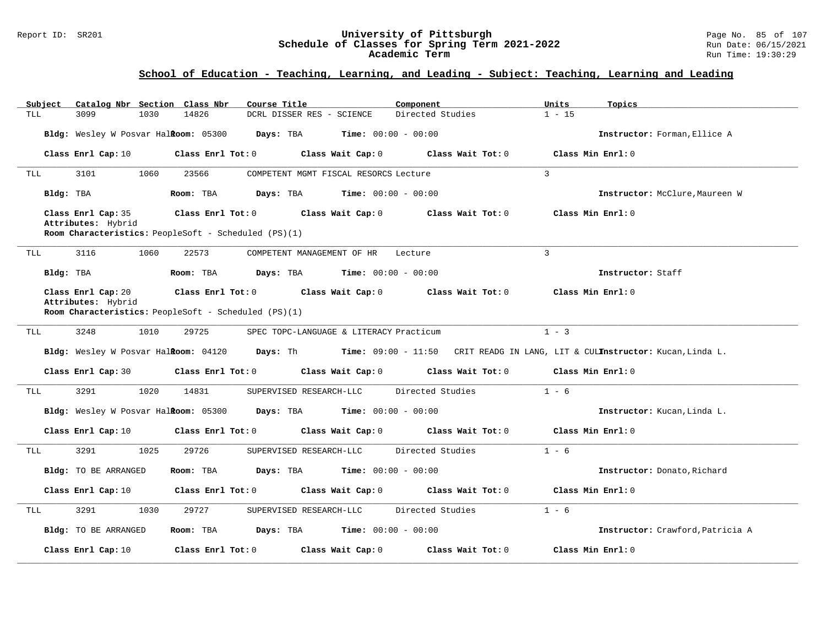#### Report ID: SR201 **University of Pittsburgh** Page No. 85 of 107 **Schedule of Classes for Spring Term 2021-2022** Run Date: 06/15/2021 **Academic Term** Run Time: 19:30:29

| Subject   | Catalog Nbr Section Class Nbr                                                                                                                                                           |      |                   | Course Title                                           |                              | Component                           | Units          | Topics                                                                                                                     |  |  |
|-----------|-----------------------------------------------------------------------------------------------------------------------------------------------------------------------------------------|------|-------------------|--------------------------------------------------------|------------------------------|-------------------------------------|----------------|----------------------------------------------------------------------------------------------------------------------------|--|--|
| TLL       | 3099                                                                                                                                                                                    | 1030 | 14826             | DCRL DISSER RES - SCIENCE                              |                              | Directed Studies                    | $1 - 15$       |                                                                                                                            |  |  |
|           | Bldg: Wesley W Posvar Halkoom: 05300                                                                                                                                                    |      |                   | Days: TBA                                              | <b>Time:</b> $00:00 - 00:00$ |                                     |                | Instructor: Forman, Ellice A                                                                                               |  |  |
|           | Class Enrl Cap: 10                                                                                                                                                                      |      | Class Enrl Tot: 0 |                                                        | Class Wait Cap: 0            | Class Wait Tot: 0                   |                | Class Min Enrl: 0                                                                                                          |  |  |
| TLL       | 3101                                                                                                                                                                                    | 1060 | 23566             | COMPETENT MGMT FISCAL RESORCS Lecture                  |                              |                                     | $\overline{3}$ |                                                                                                                            |  |  |
| Bldg: TBA |                                                                                                                                                                                         |      | Room: TBA         | Days: TBA                                              | <b>Time:</b> $00:00 - 00:00$ |                                     |                | Instructor: McClure, Maureen W                                                                                             |  |  |
|           | Class Enrl Cap: 35<br>Attributes: Hybrid<br>Room Characteristics: PeopleSoft - Scheduled (PS)(1)                                                                                        |      | Class Enrl Tot: 0 |                                                        | Class Wait Cap: 0            | Class Wait Tot: 0                   |                | Class Min Enrl: 0                                                                                                          |  |  |
|           |                                                                                                                                                                                         |      |                   |                                                        |                              |                                     |                |                                                                                                                            |  |  |
| TLL       | 3116                                                                                                                                                                                    | 1060 | 22573             | COMPETENT MANAGEMENT OF HR                             |                              | Lecture                             | $\mathcal{L}$  |                                                                                                                            |  |  |
|           | Bldg: TBA                                                                                                                                                                               |      | Room: TBA         | Days: TBA                                              | <b>Time:</b> $00:00 - 00:00$ |                                     |                | Instructor: Staff                                                                                                          |  |  |
|           | Class Enrl Cap: 20<br>$Class$ $Enr1$ $Tot: 0$<br>Class Wait Cap: 0 Class Wait Tot: 0<br>Class Min Enrl: 0<br>Attributes: Hybrid<br>Room Characteristics: PeopleSoft - Scheduled (PS)(1) |      |                   |                                                        |                              |                                     |                |                                                                                                                            |  |  |
| TLL       | 3248                                                                                                                                                                                    | 1010 | 29725             | SPEC TOPC-LANGUAGE & LITERACY Practicum                |                              |                                     | $1 - 3$        |                                                                                                                            |  |  |
|           |                                                                                                                                                                                         |      |                   |                                                        |                              |                                     |                | Bldg: Wesley W Posvar Halkoom: 04120 Days: Th Time: 09:00 - 11:50 CRIT READG IN LANG, LIT & CULInstructor: Kucan, Linda L. |  |  |
|           | Class Enrl Cap: 30                                                                                                                                                                      |      | Class Enrl Tot: 0 |                                                        | Class Wait Cap: 0            | Class Wait Tot: 0                   |                | Class Min Enrl: 0                                                                                                          |  |  |
| TLL       | 3291                                                                                                                                                                                    | 1020 | 14831             | SUPERVISED RESEARCH-LLC                                |                              | Directed Studies                    | $1 - 6$        |                                                                                                                            |  |  |
|           |                                                                                                                                                                                         |      |                   | Bldg: Wesley W Posvar Hal <b>Room:</b> 05300 Days: TBA | <b>Time:</b> $00:00 - 00:00$ |                                     |                | Instructor: Kucan, Linda L.                                                                                                |  |  |
|           | Class Enrl Cap: 10                                                                                                                                                                      |      | Class Enrl Tot: 0 |                                                        | Class Wait Cap: 0            | Class Wait Tot: 0                   |                | Class Min Enrl: 0                                                                                                          |  |  |
| TLL       | 3291                                                                                                                                                                                    | 1025 | 29726             | SUPERVISED RESEARCH-LLC                                |                              | Directed Studies                    | $1 - 6$        |                                                                                                                            |  |  |
|           | Bldg: TO BE ARRANGED                                                                                                                                                                    |      | Room: TBA         | Days: TBA                                              | <b>Time:</b> $00:00 - 00:00$ |                                     |                | Instructor: Donato, Richard                                                                                                |  |  |
|           | Class Enrl Cap: 10                                                                                                                                                                      |      | Class Enrl Tot: 0 |                                                        |                              | Class Wait Cap: 0 Class Wait Tot: 0 |                | Class Min Enrl: 0                                                                                                          |  |  |
| TLL       | 3291                                                                                                                                                                                    | 1030 | 29727             | SUPERVISED RESEARCH-LLC                                |                              | Directed Studies                    | $1 - 6$        |                                                                                                                            |  |  |
|           | Bldg: TO BE ARRANGED                                                                                                                                                                    |      | Room: TBA         | Days: TBA                                              | <b>Time:</b> $00:00 - 00:00$ |                                     |                | Instructor: Crawford, Patricia A                                                                                           |  |  |
|           | Class Enrl Cap: 10                                                                                                                                                                      |      | Class Enrl Tot: 0 |                                                        | Class Wait Cap: 0            | Class Wait Tot: 0                   |                | Class Min Enrl: 0                                                                                                          |  |  |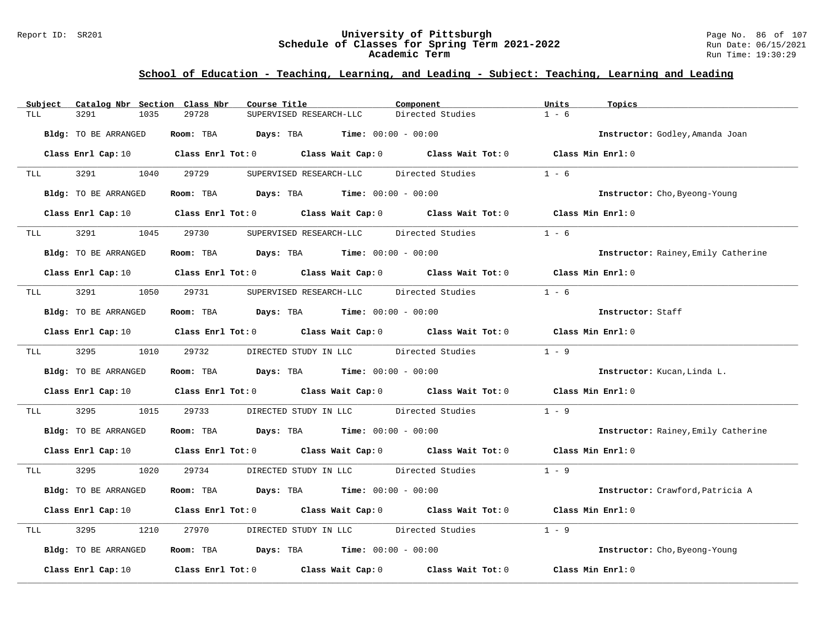#### Report ID: SR201 **University of Pittsburgh** Page No. 86 of 107 **Schedule of Classes for Spring Term 2021-2022** Run Date: 06/15/2021 **Academic Term** Run Time: 19:30:29

| Catalog Nbr Section Class Nbr<br>Subject | Course Title                                                                                                                   | Component                              | Units<br>Topics                     |
|------------------------------------------|--------------------------------------------------------------------------------------------------------------------------------|----------------------------------------|-------------------------------------|
| 3291<br>1035<br>TLL                      | 29728<br>SUPERVISED RESEARCH-LLC                                                                                               | Directed Studies                       | $1 - 6$                             |
| Bldg: TO BE ARRANGED                     | Room: TBA $Days:$ TBA $Time: 00:00 - 00:00$                                                                                    |                                        | Instructor: Godley, Amanda Joan     |
|                                          | Class Enrl Cap: 10 $\qquad$ Class Enrl Tot: 0 $\qquad$ Class Wait Cap: 0 $\qquad$ Class Wait Tot: 0 $\qquad$ Class Min Enrl: 0 |                                        |                                     |
| 3291 320<br>1040<br>TLL                  | 29729<br>SUPERVISED RESEARCH-LLC                                                                                               | Directed Studies                       | $1 - 6$                             |
| Bldg: TO BE ARRANGED                     | <b>Room:</b> TBA <b>Days:</b> TBA <b>Time:</b> 00:00 - 00:00                                                                   |                                        | Instructor: Cho, Byeong-Young       |
|                                          | Class Enrl Cap: 10 Class Enrl Tot: 0 Class Wait Cap: 0 Class Wait Tot: 0 Class Min Enrl: 0                                     |                                        |                                     |
| 3291<br>1045<br>TLL <b>TLL</b>           | 29730<br>SUPERVISED RESEARCH-LLC Directed Studies                                                                              |                                        | $1 - 6$                             |
| Bldg: TO BE ARRANGED                     | Room: TBA $Days:$ TBA $Time: 00:00 - 00:00$                                                                                    |                                        | Instructor: Rainey, Emily Catherine |
|                                          | Class Enrl Cap: 10 $\qquad$ Class Enrl Tot: 0 $\qquad$ Class Wait Cap: 0 $\qquad$ Class Wait Tot: 0 $\qquad$ Class Min Enrl: 0 |                                        |                                     |
| 3291<br>TLL                              | 1050 29731 SUPERVISED RESEARCH-LLC Directed Studies                                                                            |                                        | $1 - 6$                             |
| Bldg: TO BE ARRANGED                     | Room: TBA $Days:$ TBA $Time: 00:00 - 00:00$                                                                                    |                                        | Instructor: Staff                   |
|                                          | Class Enrl Cap: 10 $\qquad$ Class Enrl Tot: 0 $\qquad$ Class Wait Cap: 0 $\qquad$ Class Wait Tot: 0 $\qquad$ Class Min Enrl: 0 |                                        |                                     |
| TLL 3295                                 | 1010 29732                                                                                                                     | DIRECTED STUDY IN LLC Directed Studies | $1 - 9$                             |
| Bldg: TO BE ARRANGED                     | Room: TBA $Days:$ TBA $Time: 00:00 - 00:00$                                                                                    |                                        | Instructor: Kucan, Linda L.         |
|                                          | Class Enrl Cap: 10 Class Enrl Tot: 0 Class Wait Cap: 0 Class Wait Tot: 0 Class Min Enrl: 0                                     |                                        |                                     |
| 3295<br>1015<br>TLL                      | 29733                                                                                                                          | DIRECTED STUDY IN LLC Directed Studies | $1 - 9$                             |
| Bldg: TO BE ARRANGED                     | Room: TBA $Days:$ TBA $Time: 00:00 - 00:00$                                                                                    |                                        | Instructor: Rainey, Emily Catherine |
|                                          | Class Enrl Cap: 10 $\qquad$ Class Enrl Tot: 0 $\qquad$ Class Wait Cap: 0 $\qquad$ Class Wait Tot: 0 $\qquad$ Class Min Enrl: 0 |                                        |                                     |
| 3295 320<br>1020<br>TLL                  | 29734                                                                                                                          | DIRECTED STUDY IN LLC Directed Studies | $1 - 9$                             |
| Bldg: TO BE ARRANGED                     | Room: TBA $Days:$ TBA $Time: 00:00 - 00:00$                                                                                    |                                        | Instructor: Crawford, Patricia A    |
|                                          | Class Enrl Cap: 10 $\qquad$ Class Enrl Tot: 0 $\qquad$ Class Wait Cap: 0 $\qquad$ Class Wait Tot: 0 $\qquad$ Class Min Enrl: 0 |                                        |                                     |
| 3295<br>1210<br>TLL                      | 27970                                                                                                                          | DIRECTED STUDY IN LLC Directed Studies | $1 - 9$                             |
| Bldg: TO BE ARRANGED                     | Room: TBA $\rule{1em}{0.15mm}$ Days: TBA $\rule{1.5mm}{0.15mm}$ Time: $00:00 - 00:00$                                          |                                        | Instructor: Cho, Byeong-Young       |
| Class Enrl Cap: 10                       | Class Enrl Tot: $0$ Class Wait Cap: $0$ Class Wait Tot: $0$                                                                    |                                        | Class Min Enrl: 0                   |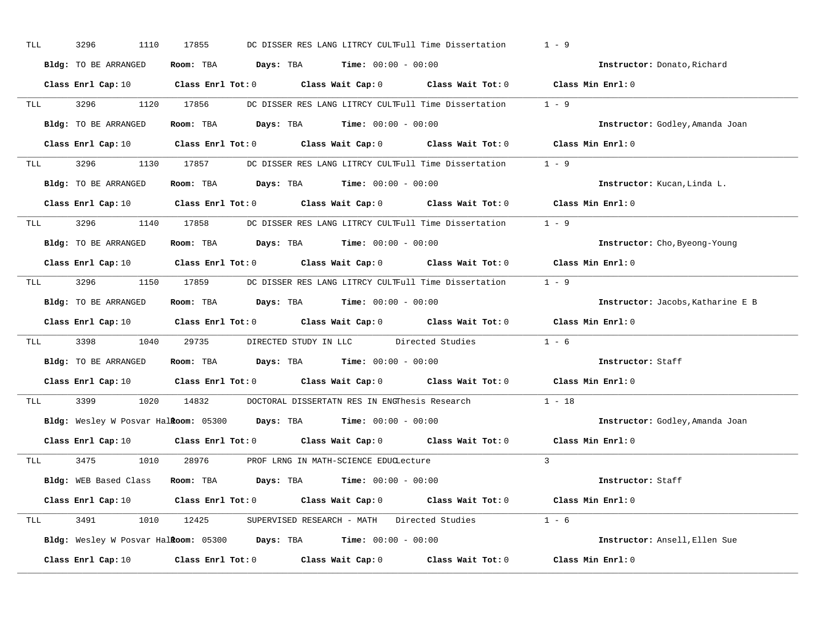| TLL |         | 3296<br>1110         | 17855      | DC DISSER RES LANG LITRCY CULTFull Time Dissertation                                                                           | $1 - 9$                           |
|-----|---------|----------------------|------------|--------------------------------------------------------------------------------------------------------------------------------|-----------------------------------|
|     |         | Bldg: TO BE ARRANGED |            | Room: TBA $\rule{1em}{0.15mm}$ Days: TBA $\rule{1.15mm}]{0.15mm}$ Time: $0.000 - 0.0000$                                       | Instructor: Donato, Richard       |
|     |         |                      |            | Class Enrl Cap: 10 $\qquad$ Class Enrl Tot: 0 $\qquad$ Class Wait Cap: 0 $\qquad$ Class Wait Tot: 0 $\qquad$ Class Min Enrl: 0 |                                   |
|     |         |                      |            | TLL 3296 1120 17856 DC DISSER RES LANG LITRCY CULTFull Time Dissertation 1 - 9                                                 |                                   |
|     |         | Bldg: TO BE ARRANGED |            | Room: TBA $Days:$ TBA $Time: 00:00 - 00:00$                                                                                    | Instructor: Godley, Amanda Joan   |
|     |         |                      |            | Class Enrl Cap: 10 $\qquad$ Class Enrl Tot: 0 $\qquad$ Class Wait Cap: 0 $\qquad$ Class Wait Tot: 0 $\qquad$ Class Min Enrl: 0 |                                   |
|     |         |                      |            | TLL 3296 1130 17857 DC DISSER RES LANG LITRCY CULTFull Time Dissertation 1 - 9                                                 |                                   |
|     |         | Bldg: TO BE ARRANGED |            | Room: TBA $Days:$ TBA Time: $00:00 - 00:00$                                                                                    | Instructor: Kucan, Linda L.       |
|     |         |                      |            | Class Enrl Cap: 10 Class Enrl Tot: 0 Class Wait Cap: 0 Class Wait Tot: 0                                                       | Class Min Enrl: 0                 |
|     |         |                      |            | TLL 3296 1140 17858 DC DISSER RES LANG LITRCY CULTFull Time Dissertation 1 - 9                                                 |                                   |
|     |         | Bldg: TO BE ARRANGED |            | Room: TBA $\rule{1em}{0.15mm}$ Days: TBA $\rule{1.15mm}]{0.15mm}$ Time: $0.000 - 0.0000$                                       | Instructor: Cho, Byeong-Young     |
|     |         |                      |            | Class Enrl Cap: 10 $\qquad$ Class Enrl Tot: 0 $\qquad$ Class Wait Cap: 0 $\qquad$ Class Wait Tot: 0                            | Class Min Enrl: 0                 |
|     |         |                      |            | TLL 3296 1150 17859 DC DISSER RES LANG LITRCY CULTFull Time Dissertation 1 - 9                                                 |                                   |
|     |         | Bldg: TO BE ARRANGED |            | Room: TBA $Days:$ TBA $Time:$ $00:00 - 00:00$                                                                                  | Instructor: Jacobs, Katharine E B |
|     |         |                      |            | Class Enrl Cap: 10 $\qquad$ Class Enrl Tot: 0 $\qquad$ Class Wait Cap: 0 $\qquad$ Class Wait Tot: 0 $\qquad$ Class Min Enrl: 0 |                                   |
| TLL |         |                      |            | 3398 1040 29735 DIRECTED STUDY IN LLC Directed Studies                                                                         | $1 - 6$                           |
|     |         | Bldg: TO BE ARRANGED |            | Room: TBA $\rule{1em}{0.15mm}$ Days: TBA Time: $00:00 - 00:00$                                                                 | Instructor: Staff                 |
|     |         |                      |            | Class Enrl Cap: 10 $\qquad$ Class Enrl Tot: 0 $\qquad$ Class Wait Cap: 0 $\qquad$ Class Wait Tot: 0                            | Class Min Enrl: 0                 |
|     | TLL TLL | 3399 731             | 1020 14832 | DOCTORAL DISSERTATN RES IN ENGThesis Research                                                                                  | $1 - 18$                          |
|     |         |                      |            | Bldg: Wesley W Posvar Halkoom: 05300 Days: TBA Time: 00:00 - 00:00                                                             | Instructor: Godley, Amanda Joan   |
|     |         |                      |            | Class Enrl Cap: 10 $\qquad$ Class Enrl Tot: 0 $\qquad$ Class Wait Cap: 0 $\qquad$ Class Wait Tot: 0                            | Class Min Enrl: 0                 |
|     |         |                      |            | TLL 3475 1010 28976 PROF LRNG IN MATH-SCIENCE EDUCLecture                                                                      | $\overline{3}$                    |
|     |         |                      |            | Bldg: WEB Based Class Room: TBA Days: TBA Time: 00:00 - 00:00                                                                  | Instructor: Staff                 |
|     |         |                      |            | Class Enrl Cap: 10 $\qquad$ Class Enrl Tot: 0 $\qquad$ Class Wait Cap: 0 $\qquad$ Class Wait Tot: 0 $\qquad$ Class Min Enrl: 0 |                                   |
|     |         |                      |            | TLL 3491 1010 12425 SUPERVISED RESEARCH - MATH Directed Studies 1 - 6                                                          |                                   |
|     |         |                      |            | <b>Bldg:</b> Wesley W Posvar Hal <b>Room:</b> $05300$ <b>Days:</b> TBA <b>Time:</b> $00:00 - 00:00$                            | Instructor: Ansell, Ellen Sue     |
|     |         |                      |            | Class Enrl Cap: 10 $\qquad$ Class Enrl Tot: 0 $\qquad$ Class Wait Cap: 0 $\qquad$ Class Wait Tot: 0                            | Class Min Enrl: 0                 |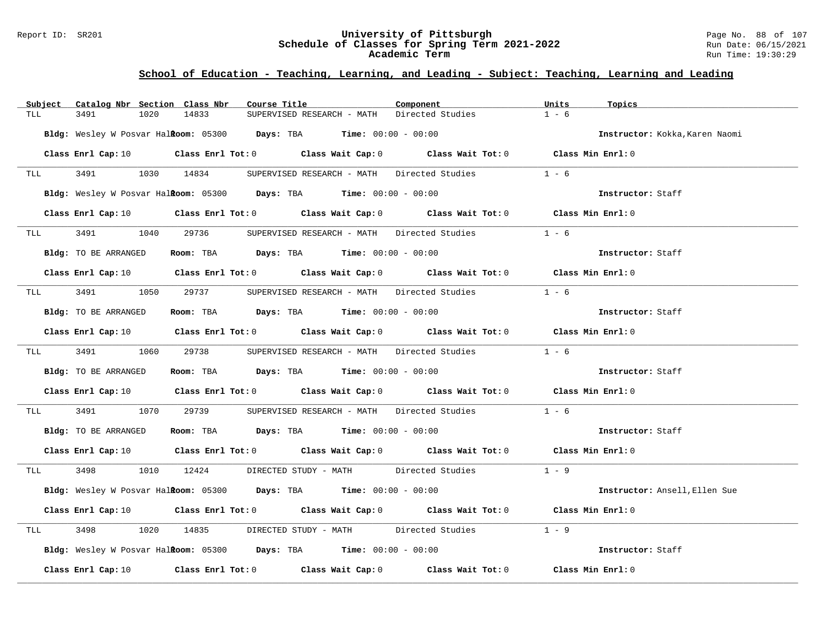#### Report ID: SR201 **University of Pittsburgh** Page No. 88 of 107 **Schedule of Classes for Spring Term 2021-2022** Run Date: 06/15/2021 **Academic Term** Run Time: 19:30:29

| Subject                                                                                                        | Catalog Nbr Section Class Nbr | Course Title                                                                                                                   |                                             | Component | Units<br>Topics                |
|----------------------------------------------------------------------------------------------------------------|-------------------------------|--------------------------------------------------------------------------------------------------------------------------------|---------------------------------------------|-----------|--------------------------------|
| TLL                                                                                                            | 3491<br>1020                  | 14833                                                                                                                          | SUPERVISED RESEARCH - MATH Directed Studies |           | $1 - 6$                        |
|                                                                                                                |                               | <b>Bldg:</b> Wesley W Posvar Halkoom: $05300$ Days: TBA Time: $00:00 - 00:00$                                                  |                                             |           | Instructor: Kokka, Karen Naomi |
|                                                                                                                |                               | Class Enrl Cap: 10 $\qquad$ Class Enrl Tot: 0 $\qquad$ Class Wait Cap: 0 $\qquad$ Class Wait Tot: 0 $\qquad$ Class Min Enrl: 0 |                                             |           |                                |
| TLL <b>TLL</b>                                                                                                 | 3491 1030 14834               |                                                                                                                                | SUPERVISED RESEARCH - MATH Directed Studies |           | $1 - 6$                        |
|                                                                                                                |                               | Bldg: Wesley W Posvar Halkoom: 05300 Days: TBA Time: 00:00 - 00:00                                                             |                                             |           | Instructor: Staff              |
|                                                                                                                |                               | Class Enrl Cap: 10 Class Enrl Tot: 0 Class Wait Cap: 0 Class Wait Tot: 0 Class Min Enrl: 0                                     |                                             |           |                                |
|                                                                                                                |                               | TLL 3491 1040 29736 SUPERVISED RESEARCH - MATH Directed Studies                                                                |                                             |           | $1 - 6$                        |
|                                                                                                                | Bldg: TO BE ARRANGED          | Room: TBA $Days:$ TBA $Time:$ 00:00 - 00:00                                                                                    |                                             |           | Instructor: Staff              |
|                                                                                                                |                               | Class Enrl Cap: 10 $\qquad$ Class Enrl Tot: 0 $\qquad$ Class Wait Cap: 0 $\qquad$ Class Wait Tot: 0 $\qquad$ Class Min Enrl: 0 |                                             |           |                                |
| TLL TURE OF THE TRUE OF THE TRUE OF TRUE OF TRUE OF TRUE OF TRUE OF TRUE OF TRUE OF TRUE OF TRUE OF TRUE OF TR | 3491                          | 1050 29737 SUPERVISED RESEARCH - MATH Directed Studies                                                                         |                                             |           | $1 - 6$                        |
|                                                                                                                | Bldg: TO BE ARRANGED          | Room: TBA $\rule{1em}{0.15mm}$ Days: TBA Time: $00:00 - 00:00$                                                                 |                                             |           | Instructor: Staff              |
|                                                                                                                |                               | Class Enrl Cap: 10 $\qquad$ Class Enrl Tot: 0 $\qquad$ Class Wait Cap: 0 $\qquad$ Class Wait Tot: 0 $\qquad$ Class Min Enrl: 0 |                                             |           |                                |
|                                                                                                                |                               | TLL 3491 1060 29738 SUPERVISED RESEARCH - MATH Directed Studies 1 - 6                                                          |                                             |           |                                |
|                                                                                                                | Bldg: TO BE ARRANGED          | Room: TBA $Days:$ TBA $Time: 00:00 - 00:00$                                                                                    |                                             |           | Instructor: Staff              |
|                                                                                                                |                               | Class Enrl Cap: 10 Class Enrl Tot: 0 Class Wait Cap: 0 Class Wait Tot: 0 Class Min Enrl: 0                                     |                                             |           |                                |
| TLL                                                                                                            | 3491 349                      | 1070 29739 SUPERVISED RESEARCH - MATH Directed Studies                                                                         |                                             |           | $1 - 6$                        |
|                                                                                                                | Bldg: TO BE ARRANGED          | Room: TBA $\rule{1em}{0.15mm}$ Days: TBA Time: $00:00 - 00:00$                                                                 |                                             |           | Instructor: Staff              |
|                                                                                                                |                               | Class Enrl Cap: 10 $\qquad$ Class Enrl Tot: 0 $\qquad$ Class Wait Cap: 0 $\qquad$ Class Wait Tot: 0 $\qquad$ Class Min Enrl: 0 |                                             |           |                                |
| <b>TLL</b>                                                                                                     |                               | 3498 1010 12424 DIRECTED STUDY - MATH Directed Studies 1 - 9                                                                   |                                             |           |                                |
|                                                                                                                |                               | Bldg: Wesley W Posvar Halkoom: 05300 Days: TBA Time: 00:00 - 00:00                                                             |                                             |           | Instructor: Ansell, Ellen Sue  |
|                                                                                                                |                               | Class Enrl Cap: 10 Class Enrl Tot: 0 Class Wait Cap: 0 Class Wait Tot: 0 Class Min Enrl: 0                                     |                                             |           |                                |
| TLL                                                                                                            | 3498                          | 1020 14835 DIRECTED STUDY - MATH Directed Studies                                                                              |                                             |           | $1 - 9$                        |
|                                                                                                                |                               | Bldg: Wesley W Posvar Halkoom: 05300 Days: TBA Time: 00:00 - 00:00                                                             |                                             |           | Instructor: Staff              |
|                                                                                                                |                               | Class Enrl Cap: 10 Class Enrl Tot: 0 Class Wait Cap: 0 Class Wait Tot: 0 Class Min Enrl: 0                                     |                                             |           |                                |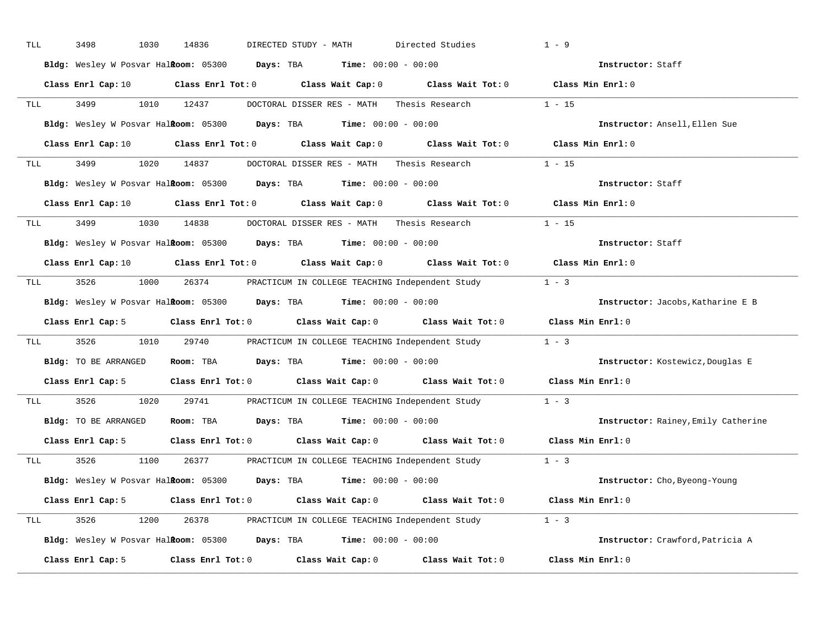| TLL |                                                                                                                                                                                                                                | 3498<br>1030         | 14836      | DIRECTED STUDY - MATH                                                                              | Directed Studies                                                                                                               | $1 - 9$                             |  |
|-----|--------------------------------------------------------------------------------------------------------------------------------------------------------------------------------------------------------------------------------|----------------------|------------|----------------------------------------------------------------------------------------------------|--------------------------------------------------------------------------------------------------------------------------------|-------------------------------------|--|
|     |                                                                                                                                                                                                                                |                      |            | Bldg: Wesley W Posvar Halkoom: 05300 Days: TBA Time: 00:00 - 00:00                                 |                                                                                                                                | Instructor: Staff                   |  |
|     |                                                                                                                                                                                                                                |                      |            |                                                                                                    | Class Enrl Cap: 10 $\qquad$ Class Enrl Tot: 0 $\qquad$ Class Wait Cap: 0 $\qquad$ Class Wait Tot: 0 $\qquad$ Class Min Enrl: 0 |                                     |  |
| TLL |                                                                                                                                                                                                                                | 3499                 | 1010 12437 |                                                                                                    | DOCTORAL DISSER RES - MATH Thesis Research 1 - 15                                                                              |                                     |  |
|     |                                                                                                                                                                                                                                |                      |            | Bldg: Wesley W Posvar Halkoom: 05300 Days: TBA Time: 00:00 - 00:00                                 |                                                                                                                                | Instructor: Ansell, Ellen Sue       |  |
|     |                                                                                                                                                                                                                                |                      |            |                                                                                                    | Class Enrl Cap: 10 $\qquad$ Class Enrl Tot: 0 $\qquad$ Class Wait Cap: 0 $\qquad$ Class Wait Tot: 0 $\qquad$ Class Min Enrl: 0 |                                     |  |
| TLL |                                                                                                                                                                                                                                |                      |            |                                                                                                    | 3499 1020 14837 DOCTORAL DISSER RES - MATH Thesis Research 1 - 15                                                              |                                     |  |
|     |                                                                                                                                                                                                                                |                      |            | <b>Bldg:</b> Wesley W Posvar Halkoom: $05300$ Days: TBA Time: $00:00 - 00:00$                      |                                                                                                                                | Instructor: Staff                   |  |
|     |                                                                                                                                                                                                                                |                      |            |                                                                                                    | Class Enrl Cap: 10 Class Enrl Tot: 0 Class Wait Cap: 0 Class Wait Tot: 0 Class Min Enrl: 0                                     |                                     |  |
| TLL |                                                                                                                                                                                                                                | 3499                 |            |                                                                                                    | 1030 14838 DOCTORAL DISSER RES - MATH Thesis Research 1 - 15                                                                   |                                     |  |
|     |                                                                                                                                                                                                                                |                      |            | Bldg: Wesley W Posvar Halkoom: 05300 Days: TBA Time: 00:00 - 00:00                                 |                                                                                                                                | Instructor: Staff                   |  |
|     |                                                                                                                                                                                                                                |                      |            |                                                                                                    | Class Enrl Cap: 10 $\qquad$ Class Enrl Tot: 0 $\qquad$ Class Wait Cap: 0 $\qquad$ Class Wait Tot: 0 $\qquad$ Class Min Enrl: 0 |                                     |  |
| TLL |                                                                                                                                                                                                                                |                      |            |                                                                                                    | 3526 1000 26374 PRACTICUM IN COLLEGE TEACHING Independent Study 1 - 3                                                          |                                     |  |
|     |                                                                                                                                                                                                                                |                      |            | Bldg: Wesley W Posvar Halkoom: 05300 Days: TBA Time: 00:00 - 00:00                                 |                                                                                                                                | Instructor: Jacobs, Katharine E B   |  |
|     |                                                                                                                                                                                                                                |                      |            |                                                                                                    | Class Enrl Cap: 5 Class Enrl Tot: 0 Class Wait Cap: 0 Class Wait Tot: 0 Class Min Enrl: 0                                      |                                     |  |
| TLL |                                                                                                                                                                                                                                | 3526                 |            |                                                                                                    | 1010 29740 PRACTICUM IN COLLEGE TEACHING Independent Study                                                                     | $1 - 3$                             |  |
|     |                                                                                                                                                                                                                                | Bldg: TO BE ARRANGED |            | Room: TBA $Days:$ TBA $Time: 00:00 - 00:00$                                                        |                                                                                                                                | Instructor: Kostewicz, Douglas E    |  |
|     |                                                                                                                                                                                                                                |                      |            | Class Enrl Cap: 5 $\qquad$ Class Enrl Tot: 0 $\qquad$ Class Wait Cap: 0 $\qquad$ Class Wait Tot: 0 |                                                                                                                                | Class Min Enrl: 0                   |  |
|     | TLL <b>TLL</b>                                                                                                                                                                                                                 | 3526<br>1020         | 29741      |                                                                                                    | PRACTICUM IN COLLEGE TEACHING Independent Study                                                                                | $1 - 3$                             |  |
|     |                                                                                                                                                                                                                                | Bldg: TO BE ARRANGED |            | Room: TBA $Days:$ TBA $Time: 00:00 - 00:00$                                                        |                                                                                                                                | Instructor: Rainey, Emily Catherine |  |
|     |                                                                                                                                                                                                                                |                      |            | Class Enrl Cap: 5 Class Enrl Tot: 0 Class Wait Cap: 0 Class Wait Tot: 0                            |                                                                                                                                | Class Min Enrl: 0                   |  |
|     | TLL the set of the set of the set of the set of the set of the set of the set of the set of the set of the set of the set of the set of the set of the set of the set of the set of the set of the set of the set of the set o | 3526<br>1100         |            |                                                                                                    | 26377 PRACTICUM IN COLLEGE TEACHING Independent Study                                                                          | $1 - 3$                             |  |
|     |                                                                                                                                                                                                                                |                      |            | Bldg: Wesley W Posvar Halkoom: 05300 Days: TBA Time: 00:00 - 00:00                                 |                                                                                                                                | Instructor: Cho, Byeong-Young       |  |
|     |                                                                                                                                                                                                                                |                      |            |                                                                                                    | Class Enrl Cap: 5 Class Enrl Tot: 0 Class Wait Cap: 0 Class Wait Tot: 0 Class Min Enrl: 0                                      |                                     |  |
| TLL |                                                                                                                                                                                                                                |                      |            |                                                                                                    | 3526 1200 26378 PRACTICUM IN COLLEGE TEACHING Independent Study 1 - 3                                                          |                                     |  |
|     |                                                                                                                                                                                                                                |                      |            |                                                                                                    |                                                                                                                                |                                     |  |
|     |                                                                                                                                                                                                                                |                      |            | <b>Bldg:</b> Wesley W Posvar Halkoom: $05300$ Days: TBA Time: $00:00 - 00:00$                      |                                                                                                                                | Instructor: Crawford, Patricia A    |  |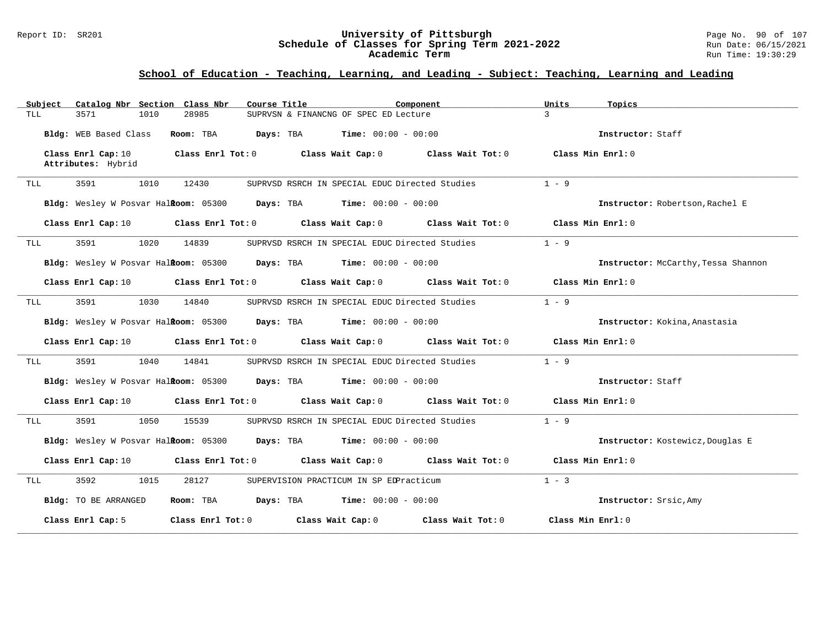#### Report ID: SR201 **University of Pittsburgh** Page No. 90 of 107 **Schedule of Classes for Spring Term 2021-2022** Run Date: 06/15/2021 **Academic Term** Run Time: 19:30:29

| Subject | Catalog Nbr Section Class Nbr |       | Course Title                                                                                                                   | Component | Units<br>Topics                     |
|---------|-------------------------------|-------|--------------------------------------------------------------------------------------------------------------------------------|-----------|-------------------------------------|
| TLL     | 3571<br>1010                  | 28985 | SUPRVSN & FINANCNG OF SPEC ED Lecture                                                                                          |           | $\mathcal{L}$                       |
|         | Bldg: WEB Based Class         |       | <b>Room:</b> TBA <b>Days:</b> TBA <b>Time:</b> 00:00 - 00:00                                                                   |           | Instructor: Staff                   |
|         | Class Enrl Cap: 10            |       | Class Enrl Tot: $0$ Class Wait Cap: $0$ Class Wait Tot: $0$ Class Min Enrl: $0$                                                |           |                                     |
|         | Attributes: Hybrid            |       |                                                                                                                                |           |                                     |
| TLL     | 3591<br>1010                  | 12430 | SUPRVSD RSRCH IN SPECIAL EDUC Directed Studies                                                                                 |           | $1 - 9$                             |
|         |                               |       | <b>Bldg:</b> Wesley W Posvar Hal <b>Room:</b> $05300$ <b>Days:</b> TBA <b>Time:</b> $00:00 - 00:00$                            |           | Instructor: Robertson, Rachel E     |
|         | Class Enrl Cap: 10            |       | Class Enrl Tot: 0 Class Wait Cap: 0 Class Wait Tot: 0                                                                          |           | Class Min Enrl: 0                   |
| TLL     | 3591<br>1020                  | 14839 | SUPRVSD RSRCH IN SPECIAL EDUC Directed Studies                                                                                 |           | $1 - 9$                             |
|         |                               |       | <b>Bldg:</b> Wesley W Posvar Hal <b>Room:</b> $05300$ <b>Days:</b> TBA <b>Time:</b> $00:00 - 00:00$                            |           | Instructor: McCarthy, Tessa Shannon |
|         |                               |       | Class Enrl Cap: 10 $\qquad$ Class Enrl Tot: 0 $\qquad$ Class Wait Cap: 0 $\qquad$ Class Wait Tot: 0                            |           | Class Min Enrl: 0                   |
| TLL     | 3591<br>1030                  | 14840 | SUPRVSD RSRCH IN SPECIAL EDUC Directed Studies                                                                                 |           | $1 - 9$                             |
|         |                               |       | Bldg: Wesley W Posvar Halkoom: 05300 Days: TBA Time: 00:00 - 00:00                                                             |           | Instructor: Kokina, Anastasia       |
|         |                               |       | Class Enrl Cap: 10 $\qquad$ Class Enrl Tot: 0 $\qquad$ Class Wait Cap: 0 $\qquad$ Class Wait Tot: 0                            |           | Class Min Enrl: 0                   |
| TLL     | 3591 359<br>1040              | 14841 | SUPRVSD RSRCH IN SPECIAL EDUC Directed Studies                                                                                 |           | $1 - 9$                             |
|         |                               |       | Bldg: Wesley W Posvar Halkoom: 05300 Days: TBA Time: 00:00 - 00:00                                                             |           | Instructor: Staff                   |
|         |                               |       | Class Enrl Cap: 10 $\qquad$ Class Enrl Tot: 0 $\qquad$ Class Wait Cap: 0 $\qquad$ Class Wait Tot: 0 $\qquad$ Class Min Enrl: 0 |           |                                     |
| TLL     | 3591 200<br>1050              | 15539 | SUPRVSD RSRCH IN SPECIAL EDUC Directed Studies                                                                                 |           | $1 - 9$                             |
|         |                               |       | Bldg: Wesley W Posvar Halkoom: 05300 Days: TBA Time: 00:00 - 00:00                                                             |           | Instructor: Kostewicz, Douglas E    |
|         |                               |       | Class Enrl Cap: 10 $\qquad$ Class Enrl Tot: 0 $\qquad$ Class Wait Cap: 0 $\qquad$ Class Wait Tot: 0 $\qquad$ Class Min Enrl: 0 |           |                                     |
| TLL     | 3592<br>1015                  | 28127 | SUPERVISION PRACTICUM IN SP EDPracticum                                                                                        |           | $1 - 3$                             |
|         | Bldg: TO BE ARRANGED          |       | Room: TBA $Days: TBA$ Time: $00:00 - 00:00$                                                                                    |           | Instructor: Srsic, Amy              |
|         | Class Enrl Cap: 5             |       | Class Enrl Tot: 0 Class Wait Cap: 0 Class Wait Tot: 0                                                                          |           | Class Min Enrl: 0                   |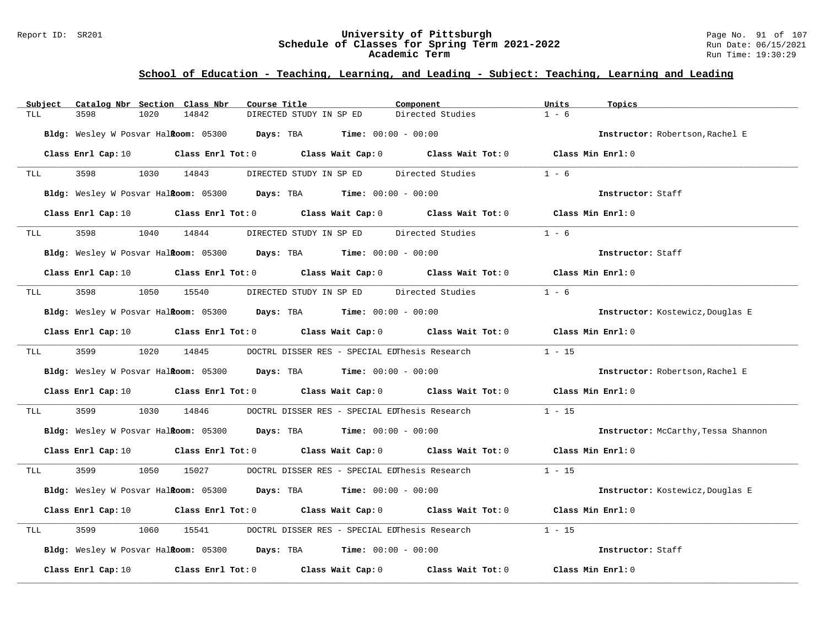#### Report ID: SR201 **University of Pittsburgh** Page No. 91 of 107 **Schedule of Classes for Spring Term 2021-2022** Run Date: 06/15/2021 **Academic Term** Run Time: 19:30:29

| Subject         | Catalog Nbr Section Class Nbr<br>Course Title                                                                                  |                                                     | Component                                            | Units<br>Topics                     |
|-----------------|--------------------------------------------------------------------------------------------------------------------------------|-----------------------------------------------------|------------------------------------------------------|-------------------------------------|
| 3598<br>TLL     | 1020<br>14842                                                                                                                  | DIRECTED STUDY IN SP ED                             | Directed Studies                                     | $1 - 6$                             |
|                 | Bldg: Wesley W Posvar Halkoom: 05300 Days: TBA Time: 00:00 - 00:00                                                             |                                                     |                                                      | Instructor: Robertson, Rachel E     |
|                 | Class Enrl Cap: 10 $\qquad$ Class Enrl Tot: 0 $\qquad$ Class Wait Cap: 0 $\qquad$ Class Wait Tot: 0 $\qquad$ Class Min Enrl: 0 |                                                     |                                                      |                                     |
| 3598<br>TLL     | 1030 14843                                                                                                                     | DIRECTED STUDY IN SP ED Directed Studies            |                                                      | $1 - 6$                             |
|                 | <b>Bldg:</b> Wesley W Posvar Hal <b>Room:</b> $05300$ <b>Days:</b> TBA <b>Time:</b> $00:00 - 00:00$                            |                                                     |                                                      | Instructor: Staff                   |
|                 | Class Enrl Cap: 10 $\qquad$ Class Enrl Tot: 0 $\qquad$ Class Wait Cap: 0 $\qquad$ Class Wait Tot: 0 $\qquad$ Class Min Enrl: 0 |                                                     |                                                      |                                     |
| 3598<br>TLL     | 1040 14844                                                                                                                     | DIRECTED STUDY IN SP ED Directed Studies            |                                                      | $1 - 6$                             |
|                 | <b>Bldg:</b> Wesley W Posvar Hal <b>ftoom:</b> $05300$ <b>Days:</b> TBA <b>Time:</b> $00:00 - 00:00$                           |                                                     |                                                      | Instructor: Staff                   |
|                 | Class Enrl Cap: 10 $\qquad$ Class Enrl Tot: 0 $\qquad$ Class Wait Cap: 0 $\qquad$ Class Wait Tot: 0 $\qquad$ Class Min Enrl: 0 |                                                     |                                                      |                                     |
| 3598<br>TLL     | 1050 15540                                                                                                                     |                                                     | DIRECTED STUDY IN SP ED Directed Studies             | $1 - 6$                             |
|                 | Bldg: Wesley W Posvar Halkoom: 05300 Days: TBA Time: 00:00 - 00:00                                                             |                                                     |                                                      | Instructor: Kostewicz, Douglas E    |
|                 | Class Enrl Cap: 10 $\qquad$ Class Enrl Tot: 0 $\qquad$ Class Wait Cap: 0 $\qquad$ Class Wait Tot: 0 $\qquad$ Class Min Enrl: 0 |                                                     |                                                      |                                     |
| 3599 35<br>TLL  | 1020 14845                                                                                                                     |                                                     | DOCTRL DISSER RES - SPECIAL EDThesis Research 1 - 15 |                                     |
|                 | Bldg: Wesley W Posvar Halkoom: 05300 Days: TBA Time: 00:00 - 00:00                                                             |                                                     |                                                      | Instructor: Robertson, Rachel E     |
|                 | Class Enrl Cap: 10 $\qquad$ Class Enrl Tot: 0 $\qquad$ Class Wait Cap: 0 $\qquad$ Class Wait Tot: 0 $\qquad$ Class Min Enrl: 0 |                                                     |                                                      |                                     |
| 3599<br>TLL     | 1030<br>14846                                                                                                                  |                                                     | DOCTRL DISSER RES - SPECIAL EDThesis Research        | $1 - 15$                            |
|                 | Bldg: Wesley W Posvar Halkoom: 05300 Days: TBA Time: 00:00 - 00:00                                                             |                                                     |                                                      | Instructor: McCarthy, Tessa Shannon |
|                 | Class Enrl Cap: 10 $\qquad$ Class Enrl Tot: 0 $\qquad$ Class Wait Cap: 0 $\qquad$ Class Wait Tot: 0 $\qquad$ Class Min Enrl: 0 |                                                     |                                                      |                                     |
| 3599 359<br>TLL | 1050 15027 DOCTRL DISSER RES - SPECIAL EDThesis Research 1 - 15                                                                |                                                     |                                                      |                                     |
|                 | <b>Bldg:</b> Wesley W Posvar Hal <b>ftoom:</b> $05300$ <b>Days:</b> TBA <b>Time:</b> $00:00 - 00:00$                           |                                                     |                                                      | Instructor: Kostewicz, Douglas E    |
|                 | Class Enrl Cap: 10 $\qquad$ Class Enrl Tot: 0 $\qquad$ Class Wait Cap: 0 $\qquad$ Class Wait Tot: 0 $\qquad$ Class Min Enrl: 0 |                                                     |                                                      |                                     |
| 3599<br>TLL     | 1060                                                                                                                           | 15541 DOCTRL DISSER RES - SPECIAL EDThesis Research |                                                      | $1 - 15$                            |
|                 | Bldg: Wesley W Posvar Halkoom: 05300 Days: TBA Time: 00:00 - 00:00                                                             |                                                     |                                                      | Instructor: Staff                   |
|                 | Class Enrl Cap: 10 $\qquad$ Class Enrl Tot: 0 $\qquad$ Class Wait Cap: 0 $\qquad$ Class Wait Tot: 0                            |                                                     |                                                      | Class Min Enrl: 0                   |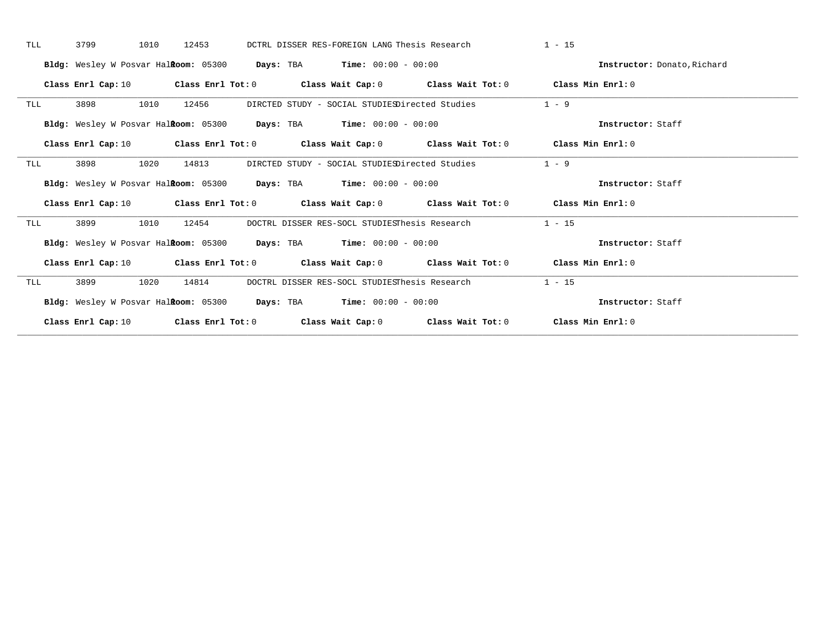| TLL | 3799<br>1010       | 12453 | DCTRL DISSER RES-FOREIGN LANG Thesis Research                                                                                  | $1 - 15$                    |
|-----|--------------------|-------|--------------------------------------------------------------------------------------------------------------------------------|-----------------------------|
|     |                    |       | Bldg: Wesley W Posvar Halkoom: 05300 Days: TBA Time: 00:00 - 00:00                                                             | Instructor: Donato, Richard |
|     | Class Enrl Cap: 10 |       | Class Enrl Tot: 0 $\qquad$ Class Wait Cap: 0 $\qquad$ Class Wait Tot: 0 $\qquad$ Class Min Enrl: 0                             |                             |
| TLL | 1010<br>3898       | 12456 | DIRCTED STUDY - SOCIAL STUDIESDirected Studies                                                                                 | $1 - 9$                     |
|     |                    |       | Bldg: Wesley W Posvar Halkoom: 05300 Days: TBA Time: 00:00 - 00:00                                                             | Instructor: Staff           |
|     |                    |       | Class Enrl Cap: 10 Class Enrl Tot: 0 Class Wait Cap: 0 Class Wait Tot: 0 Class Min Enrl: 0                                     |                             |
| TLL | 3898<br>1020       | 14813 | DIRCTED STUDY - SOCIAL STUDIESDirected Studies                                                                                 | $1 - 9$                     |
|     |                    |       | Bldg: Wesley W Posvar Halkoom: 05300 Days: TBA Time: 00:00 - 00:00                                                             | Instructor: Staff           |
|     |                    |       | Class Enrl Cap: 10 $\qquad$ Class Enrl Tot: 0 $\qquad$ Class Wait Cap: 0 $\qquad$ Class Wait Tot: 0 $\qquad$ Class Min Enrl: 0 |                             |
| TLL | 3899<br>1010       | 12454 | DOCTRL DISSER RES-SOCL STUDIESThesis Research                                                                                  | $1 - 15$                    |
|     |                    |       | Bldg: Wesley W Posvar Halkoom: 05300 Days: TBA Time: 00:00 - 00:00                                                             | Instructor: Staff           |
|     |                    |       | Class Enrl Cap: 10 $\qquad$ Class Enrl Tot: 0 $\qquad$ Class Wait Cap: 0 $\qquad$ Class Wait Tot: 0 $\qquad$ Class Min Enrl: 0 |                             |
| TLL | 3899<br>1020       | 14814 | DOCTRL DISSER RES-SOCL STUDIESThesis Research                                                                                  | $1 - 15$                    |
|     |                    |       | Bldg: Wesley W Posvar Halkoom: 05300 Days: TBA Time: 00:00 - 00:00                                                             | Instructor: Staff           |
|     |                    |       | Class Enrl Cap: 10 $\qquad$ Class Enrl Tot: 0 $\qquad$ Class Wait Cap: 0 $\qquad$ Class Wait Tot: 0 $\qquad$ Class Min Enrl: 0 |                             |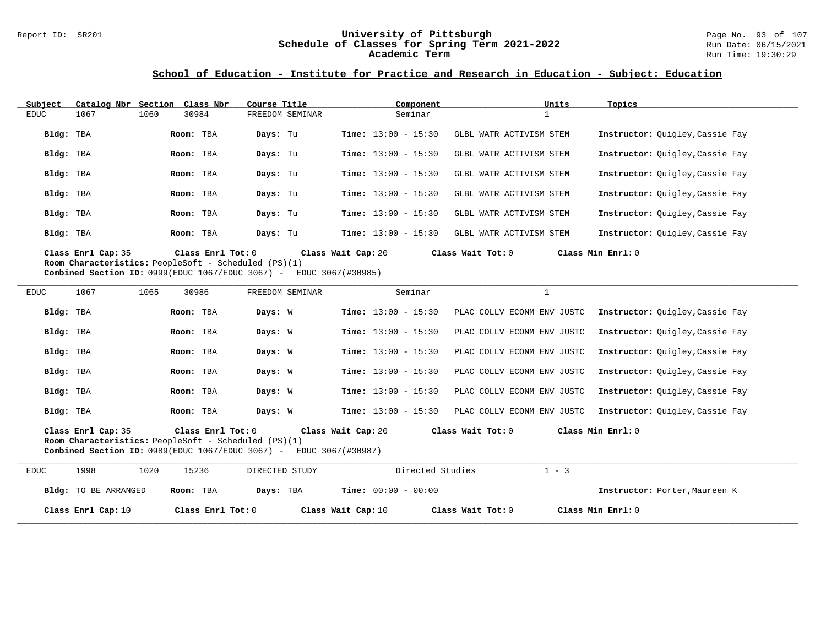#### Report ID: SR201 **University of Pittsburgh** Page No. 93 of 107 **Schedule of Classes for Spring Term 2021-2022** Run Date: 06/15/2021 **Academic Term** Run Time: 19:30:29

### **School of Education - Institute for Practice and Research in Education - Subject: Education**

| Subject   |                                                                                   | Catalog Nbr Section Class Nbr |                   | Course Title |                    |                              | Component |                         | Units        | Topics                          |
|-----------|-----------------------------------------------------------------------------------|-------------------------------|-------------------|--------------|--------------------|------------------------------|-----------|-------------------------|--------------|---------------------------------|
| EDUC      | 1067                                                                              | 1060<br>30984                 |                   |              | FREEDOM SEMINAR    |                              | Seminar   |                         | $\mathbf{a}$ |                                 |
| Bldg: TBA |                                                                                   | Room: TBA                     |                   | Days: Tu     |                    | <b>Time:</b> $13:00 - 15:30$ |           | GLBL WATR ACTIVISM STEM |              | Instructor: Ouigley, Cassie Fay |
| Bldg: TBA |                                                                                   | Room: TBA                     |                   | Days: Tu     |                    | <b>Time:</b> $13:00 - 15:30$ |           | GLBL WATR ACTIVISM STEM |              | Instructor: Ouigley, Cassie Fay |
| Bldg: TBA |                                                                                   | Room: TBA                     |                   | Days: Tu     |                    | <b>Time:</b> $13:00 - 15:30$ |           | GLBL WATR ACTIVISM STEM |              | Instructor: Quigley, Cassie Fay |
| Bldg: TBA |                                                                                   | Room: TBA                     |                   | Days: Tu     |                    | <b>Time:</b> $13:00 - 15:30$ |           | GLBL WATR ACTIVISM STEM |              | Instructor: Ouigley, Cassie Fay |
| Bldg: TBA |                                                                                   | Room: TBA                     |                   | Days: Tu     |                    | <b>Time:</b> $13:00 - 15:30$ |           | GLBL WATR ACTIVISM STEM |              | Instructor: Ouigley, Cassie Fay |
| Bldg: TBA |                                                                                   | Room: TBA                     |                   | Days: Tu     |                    | <b>Time:</b> $13:00 - 15:30$ |           | GLBL WATR ACTIVISM STEM |              | Instructor: Ouigley, Cassie Fay |
|           | Class Enrl Cap: 35<br><b>Room Characteristics:</b> PeopleSoft - Scheduled (PS)(1) |                               | Class Enrl Tot: 0 |              | Class Wait Cap: 20 |                              |           | Class Wait Tot: 0       |              | Class Min Enrl: 0               |

**Combined Section ID:** 0999(EDUC 1067/EDUC 3067) - EDUC 3067(#30985)

| <b>EDUC</b> | 1067                        | 1065<br>30986                                                                                                                           | FREEDOM SEMINAR | Seminar                                 |                            |                                 |
|-------------|-----------------------------|-----------------------------------------------------------------------------------------------------------------------------------------|-----------------|-----------------------------------------|----------------------------|---------------------------------|
| Bldg: TBA   |                             | Room: TBA                                                                                                                               | Days: W         | <b>Time:</b> $13:00 - 15:30$            | PLAC COLLV ECONM ENV JUSTC | Instructor: Quigley, Cassie Fay |
| Bldg: TBA   |                             | Room: TBA                                                                                                                               | Days: W         | <b>Time:</b> $13:00 - 15:30$            | PLAC COLLV ECONM ENV JUSTC | Instructor: Ouigley, Cassie Fay |
| Bldg: TBA   |                             | Room: TBA                                                                                                                               | Days: W         | <b>Time:</b> $13:00 - 15:30$            | PLAC COLLV ECONM ENV JUSTC | Instructor: Quigley, Cassie Fay |
| Bldg: TBA   |                             | Room: TBA                                                                                                                               | Days: W         | <b>Time:</b> $13:00 - 15:30$            | PLAC COLLV ECONM ENV JUSTC | Instructor: Quigley, Cassie Fay |
| Bldg: TBA   |                             | Room: TBA                                                                                                                               | Days: W         | <b>Time:</b> $13:00 - 15:30$            | PLAC COLLV ECONM ENV JUSTC | Instructor: Quigley, Cassie Fay |
| Bldg: TBA   |                             | Room: TBA                                                                                                                               | Days: W         | <b>Time:</b> $13:00 - 15:30$            | PLAC COLLV ECONM ENV JUSTC | Instructor: Quigley, Cassie Fay |
|             | Class Enrl Cap: 35          | Class Enrl Tot: 0<br><b>Room Characteristics:</b> PeopleSoft - Scheduled (PS)(1)<br>Combined Section ID: $0989$ (EDUC 1067/EDUC 3067) - |                 | Class Wait Cap: 20<br>EDUC 3067(#30987) | Class Wait Tot: 0          | Class Min Enrl: 0               |
| <b>EDUC</b> | 1998                        | 1020<br>15236                                                                                                                           | DIRECTED STUDY  | Directed Studies                        | $1 - 3$                    |                                 |
|             | <b>Bldg:</b> TO BE ARRANGED | Room: TBA                                                                                                                               | Days: TBA       | <b>Time:</b> $00:00 - 00:00$            |                            | Instructor: Porter, Maureen K   |
|             | Class Enrl Cap: 10          | Class Enrl Tot: 0                                                                                                                       |                 | Class Wait Cap: 10                      | Class Wait Tot: 0          | Class Min Enrl: 0               |

**\_\_\_\_\_\_\_\_\_\_\_\_\_\_\_\_\_\_\_\_\_\_\_\_\_\_\_\_\_\_\_\_\_\_\_\_\_\_\_\_\_\_\_\_\_\_\_\_\_\_\_\_\_\_\_\_\_\_\_\_\_\_\_\_\_\_\_\_\_\_\_\_\_\_\_\_\_\_\_\_\_\_\_\_\_\_\_\_\_\_\_\_\_\_\_\_\_\_\_\_\_\_\_\_\_\_\_\_\_\_\_\_\_\_\_\_\_\_\_\_\_\_\_\_\_\_\_\_\_\_\_\_\_\_\_\_\_\_\_\_\_\_\_\_\_\_\_\_\_\_\_\_\_\_\_\_**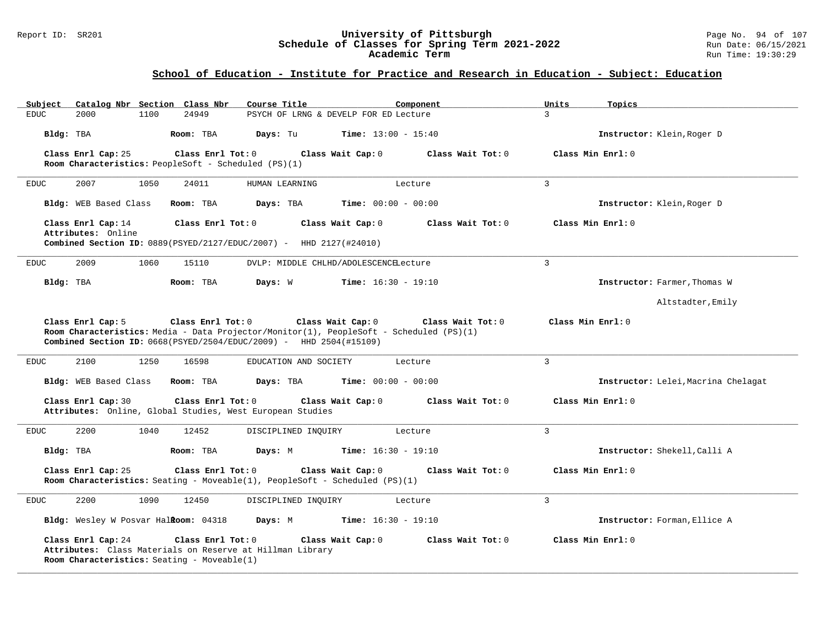### Report ID: SR201 **University of Pittsburgh** Page No. 94 of 107 **Schedule of Classes for Spring Term 2021-2022** Run Date: 06/15/2021 **Academic Term** Run Time: 19:30:29

### **School of Education - Institute for Practice and Research in Education - Subject: Education**

| Catalog Nbr Section Class Nbr<br>Subject                                                                                                            | Course Title<br>Component                                                               | Units<br>Topics                     |
|-----------------------------------------------------------------------------------------------------------------------------------------------------|-----------------------------------------------------------------------------------------|-------------------------------------|
| <b>EDUC</b><br>2000<br>1100<br>24949                                                                                                                | PSYCH OF LRNG & DEVELP FOR ED Lecture                                                   | $\mathcal{L}$                       |
| Bldg: TBA<br>Room: TBA                                                                                                                              | <b>Time:</b> $13:00 - 15:40$<br>Days: Tu                                                | Instructor: Klein, Roger D          |
| Class Enrl Cap: 25<br>Class Enrl Tot: 0                                                                                                             | Class Wait Cap: 0<br>Class Wait $Tot: 0$                                                | Class Min Enrl: 0                   |
| Room Characteristics: PeopleSoft - Scheduled (PS)(1)                                                                                                |                                                                                         |                                     |
| 2007<br>1050<br>24011<br><b>EDUC</b>                                                                                                                | HUMAN LEARNING<br>Lecture                                                               | $\mathbf{3}$                        |
| Bldg: WEB Based Class<br>Room: TBA                                                                                                                  | Days: TBA<br><b>Time:</b> $00:00 - 00:00$                                               | Instructor: Klein, Roger D          |
| Class Enrl Cap: 14<br>Class Enrl Tot: 0<br>Attributes: Online                                                                                       | Class Wait Cap: 0<br>Class Wait Tot: 0                                                  | Class Min Enrl: 0                   |
| Combined Section ID: 0889(PSYED/2127/EDUC/2007) - HHD 2127(#24010)                                                                                  |                                                                                         |                                     |
| 2009<br>1060<br><b>EDUC</b><br>15110                                                                                                                | DVLP: MIDDLE CHLHD/ADOLESCENCELecture                                                   | $\overline{3}$                      |
| Bldg: TBA<br>Room: TBA                                                                                                                              | Days: W<br><b>Time:</b> $16:30 - 19:10$                                                 | Instructor: Farmer, Thomas W        |
|                                                                                                                                                     |                                                                                         | Altstadter, Emily                   |
| Class Enrl Tot: 0<br>Class Enrl Cap: 5                                                                                                              | Class Wait Cap: 0<br>Class Wait Tot: 0                                                  | Class Min Enrl: 0                   |
|                                                                                                                                                     | Room Characteristics: Media - Data Projector/Monitor(1), PeopleSoft - Scheduled (PS)(1) |                                     |
| <b>Combined Section ID:</b> $0668(PSYED/2504/EDUC/2009)$ - HHD 2504(#15109)                                                                         |                                                                                         |                                     |
| 2100<br>1250<br><b>EDUC</b><br>16598                                                                                                                | EDUCATION AND SOCIETY<br>Lecture                                                        | 3                                   |
| Bldg: WEB Based Class<br>Room: TBA                                                                                                                  | Days: TBA<br><b>Time:</b> $00:00 - 00:00$                                               | Instructor: Lelei, Macrina Chelagat |
| Class Enrl Cap: 30<br>Class Enrl Tot: 0                                                                                                             | Class Wait Cap: 0<br>Class Wait Tot:0                                                   | Class Min Enrl: 0                   |
| Attributes: Online, Global Studies, West European Studies                                                                                           |                                                                                         |                                     |
| 2200<br>1040<br>12452<br><b>EDUC</b>                                                                                                                | DISCIPLINED INQUIRY<br>Lecture                                                          | $\overline{3}$                      |
| Bldg: TBA<br>Room: TBA                                                                                                                              | Days: M<br><b>Time:</b> $16:30 - 19:10$                                                 | Instructor: Shekell, Calli A        |
| Class Enrl Cap: 25<br>Class Enrl Tot: 0                                                                                                             | Class Wait Cap: 0<br>Class Wait Tot: 0                                                  | Class Min Enrl: 0                   |
|                                                                                                                                                     | Room Characteristics: Seating - Moveable(1), PeopleSoft - Scheduled $(PS)(1)$           |                                     |
| 2200<br>1090<br><b>EDUC</b><br>12450                                                                                                                | DISCIPLINED INQUIRY<br>Lecture                                                          | $\mathbf{3}$                        |
| Bldg: Wesley W Posvar Halkoom: 04318                                                                                                                | Days: M<br><b>Time:</b> $16:30 - 19:10$                                                 | Instructor: Forman, Ellice A        |
| Class Enrl Cap: 24<br>Class Enrl Tot: 0<br>Attributes: Class Materials on Reserve at Hillman Library<br>Room Characteristics: Seating - Moveable(1) | Class Wait Cap: 0<br>Class Wait $Tot: 0$                                                | Class Min Enrl: 0                   |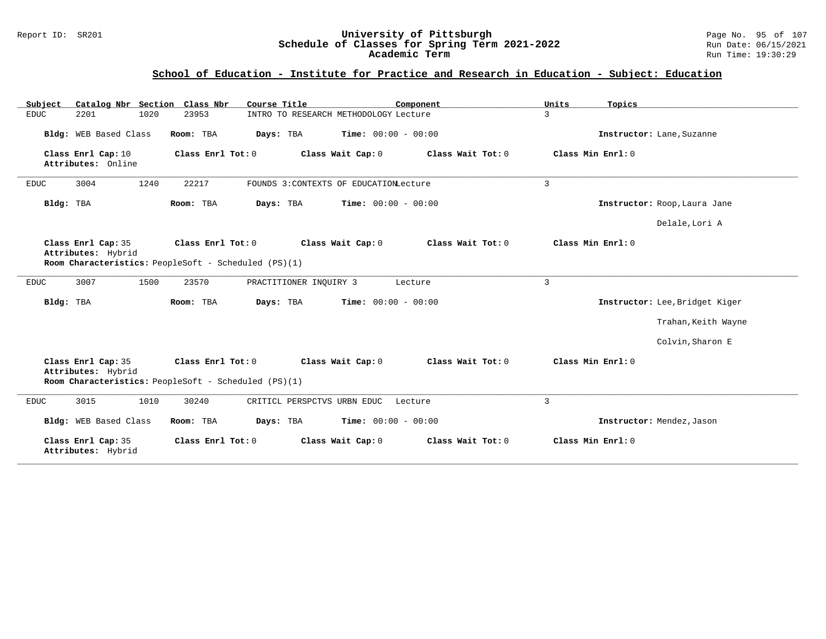### Report ID: SR201 **University of Pittsburgh** Page No. 95 of 107 **Schedule of Classes for Spring Term 2021-2022** Run Date: 06/15/2021 **Academic Term** Run Time: 19:30:29

# **School of Education - Institute for Practice and Research in Education - Subject: Education**

| Catalog Nbr Section Class Nbr<br>Subject | Course Title                                                              | Component                              | Units<br>Topics                |  |
|------------------------------------------|---------------------------------------------------------------------------|----------------------------------------|--------------------------------|--|
| 2201<br>1020<br><b>EDUC</b>              | 23953                                                                     | INTRO TO RESEARCH METHODOLOGY Lecture  | $\overline{3}$                 |  |
| Bldg: WEB Based Class                    | Room: TBA<br>Days: TBA                                                    | <b>Time:</b> $00:00 - 00:00$           | Instructor: Lane, Suzanne      |  |
| Class Enrl Cap: 10<br>Attributes: Online | Class Enrl Tot: 0                                                         | Class Wait Tot: 0<br>Class Wait Cap: 0 | Class Min Enrl: 0              |  |
| 1240<br>3004<br><b>EDUC</b>              | 22217                                                                     | FOUNDS 3:CONTEXTS OF EDUCATIONLecture  | $\mathbf{3}$                   |  |
| Bldg: TBA                                | Room: TBA<br>Days: TBA                                                    | <b>Time:</b> $00:00 - 00:00$           | Instructor: Roop, Laura Jane   |  |
|                                          |                                                                           |                                        | Delale, Lori A                 |  |
| Class Enrl Cap: 35<br>Attributes: Hybrid | Class Enrl Tot: 0<br>Room Characteristics: PeopleSoft - Scheduled (PS)(1) | Class Wait Cap: 0<br>Class Wait Tot: 0 | Class Min Enrl: 0              |  |
|                                          |                                                                           |                                        |                                |  |
| 3007<br>1500<br><b>EDUC</b>              | 23570<br>PRACTITIONER INQUIRY 3                                           | Lecture                                | 3                              |  |
| Bldg: TBA                                | Room: TBA<br>Days: TBA                                                    | <b>Time:</b> $00:00 - 00:00$           | Instructor: Lee, Bridget Kiger |  |
|                                          |                                                                           |                                        | Trahan, Keith Wayne            |  |
|                                          |                                                                           |                                        | Colvin, Sharon E               |  |
| Class Enrl Cap: 35<br>Attributes: Hybrid | Class Enrl Tot: 0<br>Room Characteristics: PeopleSoft - Scheduled (PS)(1) | Class Wait Tot: 0<br>Class Wait Cap: 0 | Class Min Enrl: 0              |  |
| 1010<br>3015<br><b>EDUC</b>              | 30240<br>CRITICL PERSPCTVS URBN EDUC                                      | Lecture                                | 3                              |  |
| Bldg: WEB Based Class                    | Room: TBA<br>Days: TBA                                                    | Time: $00:00 - 00:00$                  | Instructor: Mendez, Jason      |  |
| Class Enrl Cap: 35<br>Attributes: Hybrid | Class Enrl Tot: 0                                                         | Class Wait Cap: 0<br>Class Wait Tot: 0 | Class Min Enrl: 0              |  |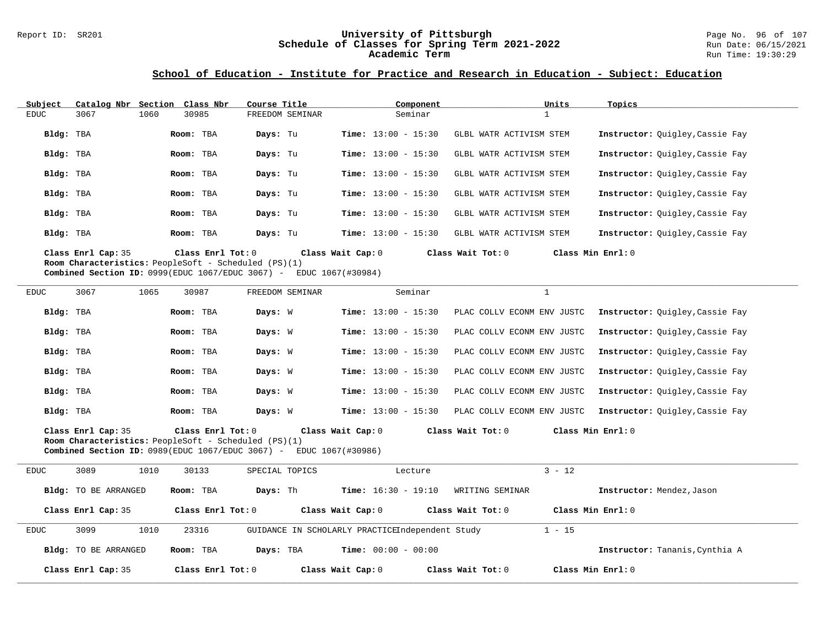# Report ID: SR201 **University of Pittsburgh University of Pittsburgh** Page No. 96 of 107<br>**Schedule of Classes for Spring Term 2021-2022** Run Date: 06/15/2021 Schedule of Classes for Spring Term 2021-2022<br>Academic Term

**Academic Term** Run Time: 19:30:29

### **School of Education - Institute for Practice and Research in Education - Subject: Education**

| Subject   | Catalog Nbr                                                                       | Section Class Nbr |                   | Course Title |                   |                              | Component |                         | Units             | Topics                          |
|-----------|-----------------------------------------------------------------------------------|-------------------|-------------------|--------------|-------------------|------------------------------|-----------|-------------------------|-------------------|---------------------------------|
| EDUC      | 3067                                                                              | 1060<br>30985     |                   |              | FREEDOM SEMINAR   |                              | Seminar   |                         |                   |                                 |
| Bldg: TBA |                                                                                   | Room: TBA         |                   | Days: Tu     |                   | <b>Time:</b> $13:00 - 15:30$ |           | GLBL WATR ACTIVISM STEM |                   | Instructor: Ouigley, Cassie Fay |
| Bldg: TBA |                                                                                   | Room: TBA         |                   | Days: Tu     |                   | <b>Time:</b> $13:00 - 15:30$ |           | GLBL WATR ACTIVISM STEM |                   | Instructor: Ouigley, Cassie Fay |
| Bldg: TBA |                                                                                   | Room: TBA         |                   | Days: Tu     |                   | <b>Time:</b> $13:00 - 15:30$ |           | GLBL WATR ACTIVISM STEM |                   | Instructor: Ouigley, Cassie Fay |
| Bldg: TBA |                                                                                   | Room: TBA         |                   | Days: Tu     |                   | <b>Time:</b> $13:00 - 15:30$ |           | GLBL WATR ACTIVISM STEM |                   | Instructor: Ouigley, Cassie Fay |
| Bldg: TBA |                                                                                   | Room: TBA         |                   | Days: Tu     |                   | <b>Time:</b> $13:00 - 15:30$ |           | GLBL WATR ACTIVISM STEM |                   | Instructor: Ouigley, Cassie Fay |
| Bldg: TBA |                                                                                   | Room: TBA         |                   | Days: Tu     |                   | <b>Time:</b> $13:00 - 15:30$ |           | GLBL WATR ACTIVISM STEM |                   | Instructor: Ouigley, Cassie Fay |
|           | Class Enrl Cap: 35<br><b>Room Characteristics:</b> PeopleSoft - Scheduled (PS)(1) |                   | Class Enrl Tot: 0 |              | Class Wait Cap: 0 |                              |           | Class Wait Tot: 0       | Class Min Enrl: 0 |                                 |

**Combined Section ID:** 0999(EDUC 1067/EDUC 3067) - EDUC 1067(#30984)

| <b>EDUC</b> | 3067 | 1065 | 30987     | FREEDOM SEMINAR |  |                              | Seminar |                            |       |           |                                 |
|-------------|------|------|-----------|-----------------|--|------------------------------|---------|----------------------------|-------|-----------|---------------------------------|
| Bldg: TBA   |      |      | Room: TBA | Days: W         |  | <b>Time:</b> $13:00 - 15:30$ |         | PLAC COLLV ECONM ENV JUSTC |       |           | Instructor: Ouigley, Cassie Fay |
| Bldg: TBA   |      |      | Room: TBA | Days: W         |  | <b>Time:</b> $13:00 - 15:30$ |         | PLAC COLLV ECONM ENV JUSTC |       |           | Instructor: Ouigley, Cassie Fay |
| Bldg: TBA   |      |      | Room: TBA | Days: W         |  | <b>Time:</b> $13:00 - 15:30$ |         | PLAC COLLV ECONM ENV JUSTC |       |           | Instructor: Ouigley, Cassie Fay |
| Bldg: TBA   |      |      | Room: TBA | Days: W         |  | <b>Time:</b> $13:00 - 15:30$ |         | PLAC COLLV ECONM ENV JUSTC |       |           | Instructor: Ouigley, Cassie Fay |
| Bldg: TBA   |      |      | Room: TBA | Days: W         |  | <b>Time:</b> $13:00 - 15:30$ |         | PLAC COLLV                 | ECONM | ENV JUSTC | Instructor: Ouigley, Cassie Fay |
| Bldg: TBA   |      |      | Room: TBA | Days: W         |  | <b>Time:</b> $13:00 - 15:30$ |         | PLAC COLLV ECONM ENV JUSTC |       |           | Instructor: Ouigley, Cassie Fay |
|             |      |      |           |                 |  |                              |         |                            |       |           |                                 |

**Class Enrl Cap:** 35 **Class Enrl Tot:** 0 **Class Wait Cap:** 0 **Class Wait Tot:** 0 **Class Min Enrl:** 0 **Room Characteristics:** PeopleSoft - Scheduled (PS)(1)

**Combined Section ID:** 0989(EDUC 1067/EDUC 3067) - EDUC 1067(#30986)

| <b>EDUC</b> | 3089<br>1010         | 30133               | SPECIAL TOPICS | Lecture                                         |                     | $3 - 12$                       |
|-------------|----------------------|---------------------|----------------|-------------------------------------------------|---------------------|--------------------------------|
|             | Bldg: TO BE ARRANGED | Room: TBA           | Days: Th       | <b>Time:</b> $16:30 - 19:10$                    | WRITING SEMINAR     | Instructor: Mendez, Jason      |
|             | Class Enrl Cap: 35   | Class Enrl Tot: $0$ |                | Class Wait Cap: 0                               | Class Wait $Tot: 0$ | Class Min $Enrl: 0$            |
| <b>EDUC</b> | 3099<br>1010         | 23316               |                | GUIDANCE IN SCHOLARLY PRACTICEIndependent Study |                     | $1 - 15$                       |
|             | Bldg: TO BE ARRANGED | Room: TBA           | Days: TBA      | <b>Time:</b> $00:00 - 00:00$                    |                     | Instructor: Tananis, Cynthia A |
|             | Class Enrl Cap: 35   | Class Enrl Tot: $0$ |                | Class Wait Cap: 0                               | Class Wait $Tot: 0$ | Class Min Enrl: 0              |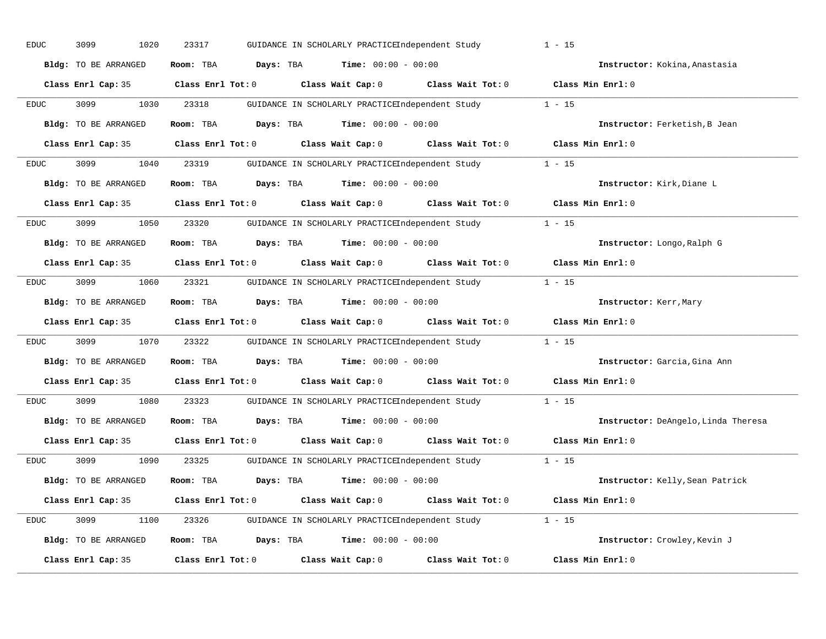| <b>EDUC</b> | 3099<br>1020         | 23317<br>GUIDANCE IN SCHOLARLY PRACTICEIndependent Study                         |                   | $1 - 15$                            |
|-------------|----------------------|----------------------------------------------------------------------------------|-------------------|-------------------------------------|
|             | Bldg: TO BE ARRANGED | <b>Days:</b> TBA <b>Time:</b> $00:00 - 00:00$<br>Room: TBA                       |                   | Instructor: Kokina, Anastasia       |
|             | Class Enrl Cap: 35   | Class Wait Cap: 0 Class Wait Tot: 0 Class Min Enrl: 0<br>$Class$ $Enr1$ $Tot: 0$ |                   |                                     |
| <b>EDUC</b> | 3099<br>1030         | 23318<br>GUIDANCE IN SCHOLARLY PRACTICEIndependent Study                         |                   | $1 - 15$                            |
|             | Bldg: TO BE ARRANGED | Room: TBA<br>Days: TBA<br>$Time: 00:00 - 00:00$                                  |                   | Instructor: Ferketish, B Jean       |
|             | Class Enrl Cap: 35   | Class Enrl Tot: 0 Class Wait Cap: 0 Class Wait Tot: 0                            |                   | Class Min Enrl: 0                   |
| <b>EDUC</b> | 3099                 | 1040 23319<br>GUIDANCE IN SCHOLARLY PRACTICEIndependent Study 1 - 15             |                   |                                     |
|             | Bldg: TO BE ARRANGED | Room: TBA Days: TBA<br>$Time: 00:00 - 00:00$                                     |                   | Instructor: Kirk, Diane L           |
|             | Class Enrl Cap: 35   | $Class$ $Enr1$ $Tot: 0$<br>Class Wait Cap: 0 Class Wait Tot: 0                   |                   | Class Min Enrl: 0                   |
| EDUC        | 3099<br>1050         | 23320<br>GUIDANCE IN SCHOLARLY PRACTICEIndependent Study                         |                   | $1 - 15$                            |
|             | Bldg: TO BE ARRANGED | <b>Days:</b> TBA <b>Time:</b> $00:00 - 00:00$<br>Room: TBA                       |                   | Instructor: Longo, Ralph G          |
|             | Class Enrl Cap: 35   | Class Wait Cap: 0 Class Wait Tot: 0<br>$Class$ $Enr1$ $Tot: 0$                   |                   | Class Min Enrl: 0                   |
| EDUC        | 3099<br>1060         | 23321<br>GUIDANCE IN SCHOLARLY PRACTICEIndependent Study                         |                   | $1 - 15$                            |
|             | Bldg: TO BE ARRANGED | Room: TBA<br><b>Days:</b> TBA <b>Time:</b> $00:00 - 00:00$                       |                   | Instructor: Kerr, Mary              |
|             | Class Enrl Cap: 35   | Class Enrl Tot: 0 Class Wait Cap: 0 Class Wait Tot: 0                            |                   | Class Min Enrl: 0                   |
| EDUC        | 3099<br>1070         | 23322<br>GUIDANCE IN SCHOLARLY PRACTICEIndependent Study                         |                   | $1 - 15$                            |
|             | Bldg: TO BE ARRANGED | Room: TBA<br><b>Days:</b> TBA <b>Time:</b> $00:00 - 00:00$                       |                   | Instructor: Garcia, Gina Ann        |
|             | Class Enrl Cap: 35   | Class Enrl Tot: 0 Class Wait Cap: 0 Class Wait Tot: 0                            |                   | Class Min Enrl: 0                   |
| EDUC        | 3099<br>1080         | 23323<br>GUIDANCE IN SCHOLARLY PRACTICEIndependent Study                         |                   | $1 - 15$                            |
|             | Bldg: TO BE ARRANGED | Room: TBA<br><b>Days:</b> TBA <b>Time:</b> $00:00 - 00:00$                       |                   | Instructor: DeAngelo, Linda Theresa |
|             | Class Enrl Cap: 35   | Class Wait Cap: 0 Class Wait Tot: 0<br>Class Enrl Tot: 0                         |                   | Class Min Enrl: 0                   |
| EDUC        | 3099<br>1090         | 23325<br>GUIDANCE IN SCHOLARLY PRACTICEIndependent Study                         |                   | $1 - 15$                            |
|             | Bldg: TO BE ARRANGED | <b>Days:</b> TBA <b>Time:</b> $00:00 - 00:00$<br>Room: TBA                       |                   | Instructor: Kelly, Sean Patrick     |
|             | Class Enrl Cap: 35   | Class Enrl Tot: 0 Class Wait Cap: 0                                              | Class Wait Tot: 0 | Class Min Enrl: 0                   |
| EDUC        | 3099                 | 1100 23326 GUIDANCE IN SCHOLARLY PRACTICEIndependent Study 1 - 15                |                   |                                     |
|             | Bldg: TO BE ARRANGED | Room: TBA $Days:$ TBA $Time: 00:00 - 00:00$                                      |                   | Instructor: Crowley, Kevin J        |
|             | Class Enrl Cap: 35   | Class Enrl Tot: 0<br>Class Wait Cap: 0                                           | Class Wait Tot: 0 | Class Min Enrl: 0                   |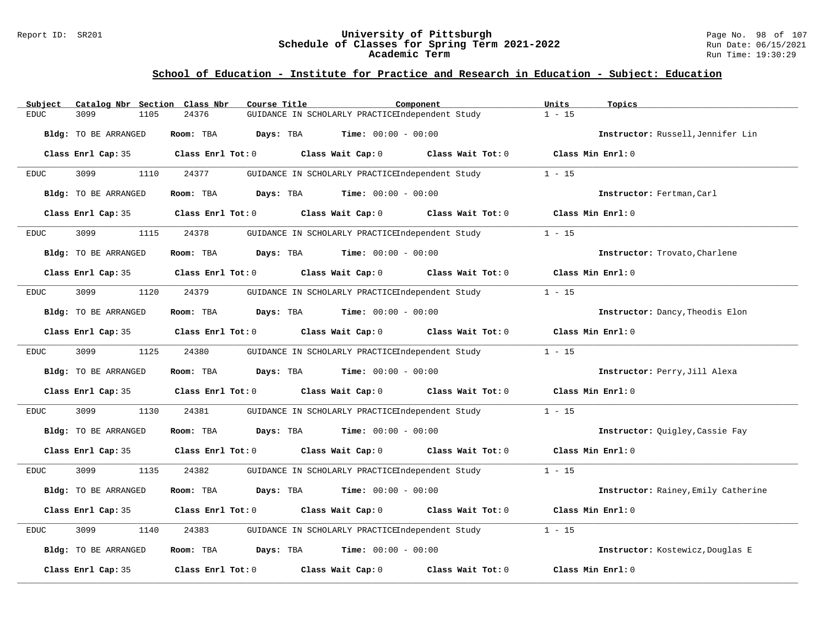#### Report ID: SR201 **University of Pittsburgh** Page No. 98 of 107 **Schedule of Classes for Spring Term 2021-2022** Run Date: 06/15/2021 **Academic Term** Run Time: 19:30:29

### **School of Education - Institute for Practice and Research in Education - Subject: Education**

| Catalog Nbr Section Class Nbr<br>Subject | Course Title<br>Component                                  | Units<br>Topics                        |
|------------------------------------------|------------------------------------------------------------|----------------------------------------|
| 3099<br><b>EDUC</b><br>1105              | 24376<br>GUIDANCE IN SCHOLARLY PRACTICEIndependent Study   | $1 - 15$                               |
| Bldg: TO BE ARRANGED                     | Room: TBA<br>Days: TBA<br><b>Time:</b> $00:00 - 00:00$     | Instructor: Russell, Jennifer Lin      |
| Class Enrl Cap: 35                       | Class Wait Cap: 0<br>Class Enrl Tot: 0                     | Class Wait Tot: 0<br>Class Min Enrl: 0 |
| 3099<br>1110<br><b>EDUC</b>              | 24377<br>GUIDANCE IN SCHOLARLY PRACTICEIndependent Study   | $1 - 15$                               |
| Bldg: TO BE ARRANGED                     | Days: TBA<br><b>Time:</b> $00:00 - 00:00$<br>Room: TBA     | Instructor: Fertman, Carl              |
| Class Enrl Cap: 35                       | Class Enrl Tot: 0<br>Class Wait Cap: 0                     | Class Min Enrl: 0<br>Class Wait Tot: 0 |
| 3099<br>1115<br><b>EDUC</b>              | 24378<br>GUIDANCE IN SCHOLARLY PRACTICEIndependent Study   | $1 - 15$                               |
| Bldg: TO BE ARRANGED                     | <b>Time:</b> $00:00 - 00:00$<br>Room: TBA<br>Days: TBA     | Instructor: Trovato, Charlene          |
| Class Enrl Cap: 35                       | Class Enrl Tot: 0<br>Class Wait Cap: 0 Class Wait Tot: 0   | Class Min Enrl: 0                      |
| 3099<br>1120<br><b>EDUC</b>              | 24379<br>GUIDANCE IN SCHOLARLY PRACTICEIndependent Study   | $1 - 15$                               |
| Bldg: TO BE ARRANGED                     | Room: TBA<br><b>Days:</b> TBA <b>Time:</b> $00:00 - 00:00$ | Instructor: Dancy, Theodis Elon        |
| Class Enrl Cap: 35                       | Class Enrl Tot: 0<br>Class Wait Cap: 0                     | Class Min Enrl: 0<br>Class Wait Tot: 0 |
| 3099<br>1125<br><b>EDUC</b>              | 24380<br>GUIDANCE IN SCHOLARLY PRACTICEIndependent Study   | $1 - 15$                               |
| Bldg: TO BE ARRANGED                     | Room: TBA<br>Days: TBA<br><b>Time:</b> $00:00 - 00:00$     | Instructor: Perry, Jill Alexa          |
| Class Enrl Cap: 35                       | Class Enrl Tot: 0<br>Class Wait Cap: 0 Class Wait Tot: 0   | Class Min Enrl: 0                      |
| 3099<br>1130<br><b>EDUC</b>              | 24381<br>GUIDANCE IN SCHOLARLY PRACTICEIndependent Study   | $1 - 15$                               |
| Bldg: TO BE ARRANGED                     | Room: TBA<br>Days: TBA<br><b>Time:</b> $00:00 - 00:00$     | Instructor: Ouigley, Cassie Fay        |
| Class Enrl Cap: 35                       | Class Wait Cap: 0<br>Class Enrl Tot: 0                     | Class Min Enrl: 0<br>Class Wait Tot: 0 |
| 3099<br>1135<br><b>EDUC</b>              | 24382<br>GUIDANCE IN SCHOLARLY PRACTICEIndependent Study   | $1 - 15$                               |
| Bldg: TO BE ARRANGED                     | Room: TBA<br>Days: TBA<br><b>Time:</b> $00:00 - 00:00$     | Instructor: Rainey, Emily Catherine    |
| Class Enrl Cap: 35                       | Class Enrl Tot: 0<br>Class Wait Cap: 0 Class Wait Tot: 0   | Class Min Enrl: 0                      |
| 3099<br><b>EDUC</b><br>1140              | GUIDANCE IN SCHOLARLY PRACTICEIndependent Study<br>24383   | $1 - 15$                               |
| Bldg: TO BE ARRANGED                     | <b>Time:</b> $00:00 - 00:00$<br>Room: TBA<br>Days: TBA     | Instructor: Kostewicz, Douglas E       |
| Class Enrl Cap: 35                       | Class Enrl Tot: 0<br>Class Wait Cap: 0                     | Class Min Enrl: 0<br>Class Wait Tot: 0 |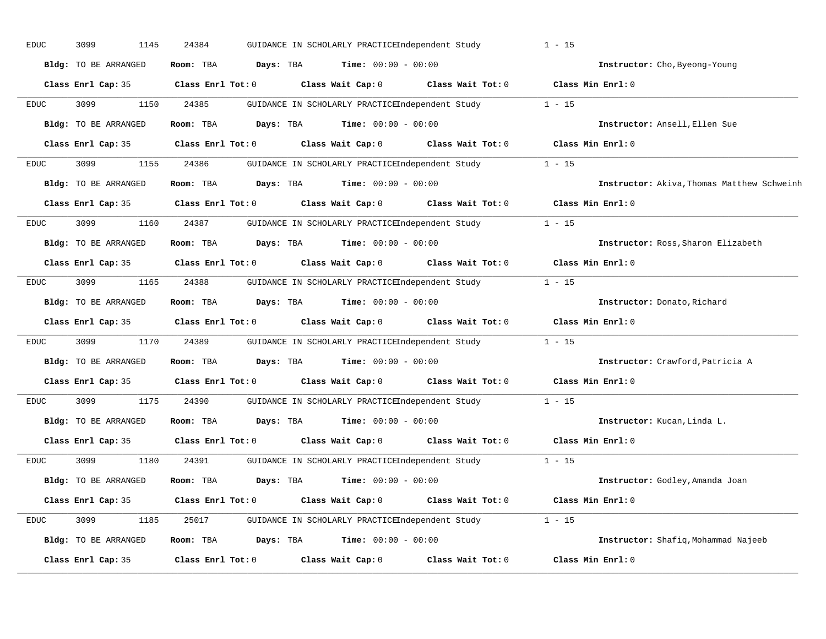| <b>EDUC</b> | 3099<br>1145                | 24384             |           | GUIDANCE IN SCHOLARLY PRACTICEIndependent Study |                                                 | $1 - 15$                                   |
|-------------|-----------------------------|-------------------|-----------|-------------------------------------------------|-------------------------------------------------|--------------------------------------------|
|             | Bldg: TO BE ARRANGED        | Room: TBA         | Days: TBA | <b>Time:</b> $00:00 - 00:00$                    |                                                 | Instructor: Cho, Byeong-Young              |
|             | Class Enrl Cap: 35          | Class Enrl Tot: 0 |           | Class Wait Cap: 0                               | Class Wait Tot: 0                               | Class Min Enrl: 0                          |
| <b>EDUC</b> | 3099<br>1150                | 24385             |           | GUIDANCE IN SCHOLARLY PRACTICEIndependent Study |                                                 | $1 - 15$                                   |
|             | Bldg: TO BE ARRANGED        | Room: TBA         | Days: TBA | <b>Time:</b> $00:00 - 00:00$                    |                                                 | Instructor: Ansell, Ellen Sue              |
|             | Class Enrl Cap: 35          | Class Enrl Tot: 0 |           | Class Wait Cap: 0                               | Class Wait Tot: 0                               | Class Min Enrl: 0                          |
| <b>EDUC</b> | 3099<br>1155                | 24386             |           | GUIDANCE IN SCHOLARLY PRACTICEIndependent Study |                                                 | $1 - 15$                                   |
|             | <b>Bldg:</b> TO BE ARRANGED | Room: TBA         | Days: TBA | <b>Time:</b> $00:00 - 00:00$                    |                                                 | Instructor: Akiva, Thomas Matthew Schweinh |
|             | Class Enrl Cap: 35          | Class Enrl Tot: 0 |           | Class Wait Cap: 0                               | Class Wait Tot: 0                               | Class Min Enrl: 0                          |
| <b>EDUC</b> | 3099<br>1160                | 24387             |           | GUIDANCE IN SCHOLARLY PRACTICEIndependent Study |                                                 | $1 - 15$                                   |
|             | <b>Bldg:</b> TO BE ARRANGED | Room: TBA         | Days: TBA | <b>Time:</b> $00:00 - 00:00$                    |                                                 | Instructor: Ross, Sharon Elizabeth         |
|             | Class Enrl Cap: 35          | Class Enrl Tot: 0 |           | Class Wait Cap: 0                               | Class Wait Tot: 0                               | Class Min Enrl: 0                          |
| EDUC        | 3099<br>1165                | 24388             |           | GUIDANCE IN SCHOLARLY PRACTICEIndependent Study |                                                 | $1 - 15$                                   |
|             | Bldg: TO BE ARRANGED        | Room: TBA         | Days: TBA | <b>Time:</b> $00:00 - 00:00$                    |                                                 | Instructor: Donato, Richard                |
|             | Class Enrl Cap: 35          | Class Enrl Tot: 0 |           | Class Wait Cap: 0                               | Class Wait Tot: 0                               | Class Min Enrl: 0                          |
| <b>EDUC</b> | 3099<br>1170                | 24389             |           | GUIDANCE IN SCHOLARLY PRACTICEIndependent Study |                                                 | $1 - 15$                                   |
|             | Bldg: TO BE ARRANGED        | Room: TBA         | Days: TBA | <b>Time:</b> $00:00 - 00:00$                    |                                                 | Instructor: Crawford, Patricia A           |
|             | Class Enrl Cap: 35          | Class Enrl Tot: 0 |           | Class Wait Cap: 0                               | Class Wait Tot: 0                               | Class Min Enrl: 0                          |
| EDUC        | 3099<br>1175                | 24390             |           | GUIDANCE IN SCHOLARLY PRACTICEIndependent Study |                                                 | $1 - 15$                                   |
|             | Bldg: TO BE ARRANGED        | Room: TBA         | Days: TBA | <b>Time:</b> $00:00 - 00:00$                    |                                                 | Instructor: Kucan, Linda L.                |
|             | Class Enrl Cap: 35          | Class Enrl Tot: 0 |           | Class Wait Cap: 0                               | Class Wait Tot: 0                               | Class Min Enrl: 0                          |
| <b>EDUC</b> | 3099<br>1180                | 24391             |           | GUIDANCE IN SCHOLARLY PRACTICEIndependent Study |                                                 | $1 - 15$                                   |
|             | <b>Bldg:</b> TO BE ARRANGED | Room: TBA         | Days: TBA | <b>Time:</b> $00:00 - 00:00$                    |                                                 | Instructor: Godley, Amanda Joan            |
|             | Class Enrl Cap: 35          | Class Enrl Tot: 0 |           | Class Wait Cap: 0                               | Class Wait Tot: 0                               | Class Min Enrl: 0                          |
| <b>EDUC</b> | 3099<br>1185                | 25017             |           |                                                 | GUIDANCE IN SCHOLARLY PRACTICEIndependent Study | $1 - 15$                                   |
|             | Bldg: TO BE ARRANGED        | Room: TBA         | Days: TBA | <b>Time:</b> $00:00 - 00:00$                    |                                                 | Instructor: Shafiq, Mohammad Najeeb        |
|             | Class Enrl Cap: 35          | Class Enrl Tot: 0 |           | Class Wait Cap: 0                               | Class Wait Tot: 0                               | Class Min Enrl: 0                          |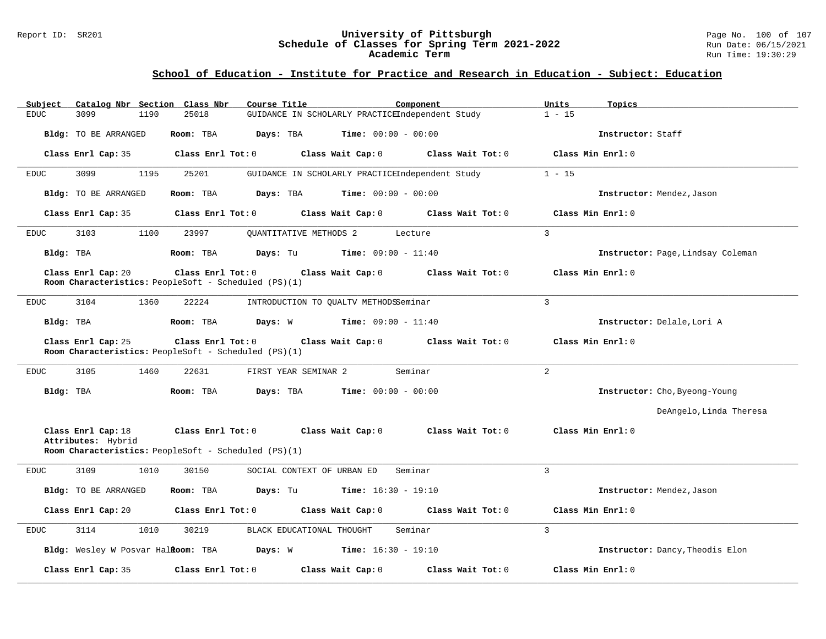#### Report ID: SR201 **University of Pittsburgh** Page No. 100 of 107 **Schedule of Classes for Spring Term 2021-2022** Run Date: 06/15/2021 **Academic Term** Run Time: 19:30:29

# **School of Education - Institute for Practice and Research in Education - Subject: Education**

| Catalog Nbr Section Class Nbr<br>Subject | Course Title<br>Component                                                                                        | Units<br>Topics                        |
|------------------------------------------|------------------------------------------------------------------------------------------------------------------|----------------------------------------|
| <b>EDUC</b><br>3099<br>1190              | 25018<br>GUIDANCE IN SCHOLARLY PRACTICEIndependent Study                                                         | $1 - 15$                               |
| Bldg: TO BE ARRANGED                     | Room: TBA<br>Days: TBA<br><b>Time:</b> $00:00 - 00:00$                                                           | Instructor: Staff                      |
| Class Enrl Cap: 35                       | Class Wait Cap: 0<br>Class Enrl Tot: 0<br>Class Wait Tot: $0$                                                    | Class Min Enrl: 0                      |
| 3099<br>1195<br><b>EDUC</b>              | 25201<br>GUIDANCE IN SCHOLARLY PRACTICEIndependent Study                                                         | $1 - 15$                               |
| Bldg: TO BE ARRANGED                     | <b>Days:</b> TBA <b>Time:</b> $00:00 - 00:00$<br>Room: TBA                                                       | Instructor: Mendez, Jason              |
| Class Enrl Cap: 35                       | Class Enrl Tot: 0<br>Class Wait Cap: 0<br>Class Wait Tot: 0                                                      | Class Min $Enrl: 0$                    |
| 3103<br>1100<br><b>EDUC</b>              | 23997<br>OUANTITATIVE METHODS 2<br>Lecture                                                                       | $\mathcal{L}$                          |
| Bldg: TBA                                | <b>Days:</b> Tu <b>Time:</b> $09:00 - 11:40$<br>Room: TBA                                                        | Instructor: Page, Lindsay Coleman      |
| Class Enrl Cap: 20                       | Class Enrl Tot: 0<br>Class Wait Cap: 0 Class Wait Tot: 0<br>Room Characteristics: PeopleSoft - Scheduled (PS)(1) | Class Min Enrl: 0                      |
| 3104<br><b>EDUC</b><br>1360              | 22224<br>INTRODUCTION TO QUALTV METHODSSeminar                                                                   | $\overline{3}$                         |
| Bldg: TBA                                | Room: TBA<br><b>Days:</b> W <b>Time:</b> $09:00 - 11:40$                                                         | Instructor: Delale, Lori A             |
| Class Enrl Cap: 25                       | Class Wait Cap: 0 Class Wait Tot: 0<br>Class Enrl Tot: 0<br>Room Characteristics: PeopleSoft - Scheduled (PS)(1) | Class Min Enrl: 0                      |
| 3105<br>1460<br>EDUC                     | Seminar<br>22631<br>FIRST YEAR SEMINAR 2                                                                         | $\overline{a}$                         |
| Bldg: TBA                                | Room: TBA<br><b>Days:</b> TBA <b>Time:</b> $00:00 - 00:00$                                                       | Instructor: Cho, Byeong-Young          |
|                                          |                                                                                                                  | DeAngelo, Linda Theresa                |
| Class Enrl Cap: 18<br>Attributes: Hybrid | Class Enrl Tot: $0$ Class Wait Cap: $0$ Class Wait Tot: $0$                                                      | Class Min Enrl: 0                      |
|                                          | Room Characteristics: PeopleSoft - Scheduled (PS)(1)                                                             |                                        |
| <b>EDUC</b><br>3109<br>1010              | 30150<br>SOCIAL CONTEXT OF URBAN ED<br>Seminar                                                                   | $\mathbf{3}$                           |
| <b>Bldg:</b> TO BE ARRANGED              | Room: TBA<br>Days: Tu<br><b>Time:</b> $16:30 - 19:10$                                                            | Instructor: Mendez, Jason              |
| Class Enrl Cap: 20                       | Class Enrl Tot: 0<br>Class Wait Cap: 0<br>Class Wait Tot: 0                                                      | Class Min Enrl: 0                      |
| 3114<br><b>EDUC</b><br>1010              | Seminar<br>30219<br>BLACK EDUCATIONAL THOUGHT                                                                    | $\overline{3}$                         |
|                                          | Bldg: Wesley W Posvar Halioom: TBA Days: W Time: 16:30 - 19:10                                                   | Instructor: Dancy, Theodis Elon        |
| Class Enrl Cap: 35                       | Class Enrl Tot: 0<br>Class Wait Cap: 0                                                                           | Class Min Enrl: 0<br>Class Wait Tot: 0 |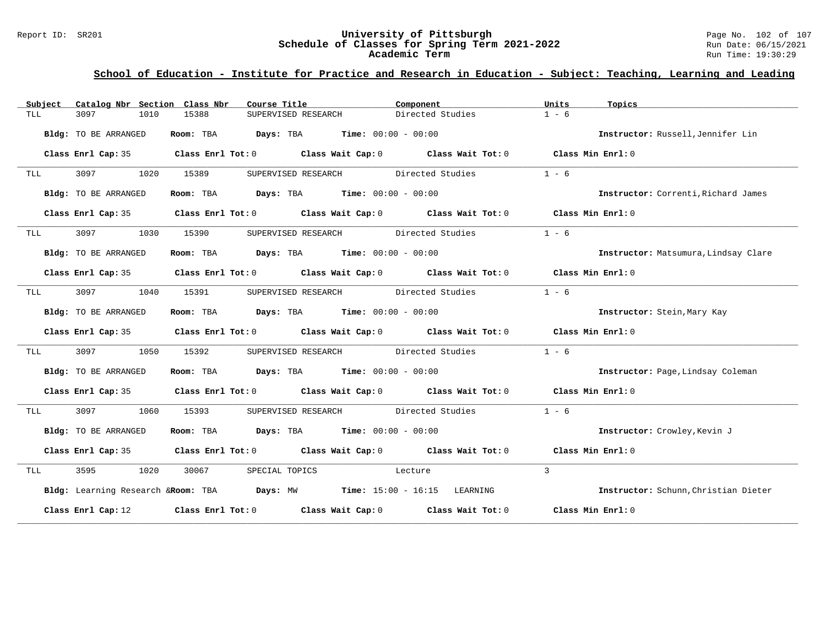### Report ID: SR201 **University of Pittsburgh** Page No. 102 of 107 **Schedule of Classes for Spring Term 2021-2022** Run Date: 06/15/2021 **Academic Term** Run Time: 19:30:29

# **School of Education - Institute for Practice and Research in Education - Subject: Teaching, Learning and Leading**

| Subject    | Catalog Nbr Section Class Nbr | Course Title                                                                               | Component        | Units<br>Topics                      |
|------------|-------------------------------|--------------------------------------------------------------------------------------------|------------------|--------------------------------------|
| TLL        | 3097<br>1010                  | 15388<br>SUPERVISED RESEARCH                                                               | Directed Studies | $1 - 6$                              |
|            | Bldg: TO BE ARRANGED          | <b>Room:</b> TBA <b>Days:</b> TBA <b>Time:</b> 00:00 - 00:00                               |                  | Instructor: Russell, Jennifer Lin    |
|            | Class Enrl Cap: 35            | Class Enrl Tot: $0$ Class Wait Cap: $0$ Class Wait Tot: $0$ Class Min Enrl: $0$            |                  |                                      |
| TLL        | 3097<br>1020                  | SUPERVISED RESEARCH Directed Studies<br>15389                                              |                  | $1 - 6$                              |
|            | Bldg: TO BE ARRANGED          | Room: TBA $Days:$ TBA Time: $00:00 - 00:00$                                                |                  | Instructor: Correnti, Richard James  |
|            |                               | Class Enrl Cap: 35 Class Enrl Tot: 0 Class Wait Cap: 0 Class Wait Tot: 0 Class Min Enrl: 0 |                  |                                      |
| <b>TLL</b> | 3097 1030                     | SUPERVISED RESEARCH Directed Studies<br>15390                                              |                  | $1 - 6$                              |
|            | Bldg: TO BE ARRANGED          | Room: TBA $Days:$ TBA $Time: 00:00 - 00:00$                                                |                  | Instructor: Matsumura, Lindsay Clare |
|            |                               | Class Enrl Cap: 35 Class Enrl Tot: 0 Class Wait Cap: 0 Class Wait Tot: 0 Class Min Enrl: 0 |                  |                                      |
| TLL        | 3097<br>1040                  | SUPERVISED RESEARCH Directed Studies<br>15391                                              |                  | $1 - 6$                              |
|            | Bldg: TO BE ARRANGED          | Room: TBA $Days:$ TBA $Time: 00:00 - 00:00$                                                |                  | Instructor: Stein, Mary Kay          |
|            |                               | Class Enrl Cap: 35 Class Enrl Tot: 0 Class Wait Cap: 0 Class Wait Tot: 0 Class Min Enrl: 0 |                  |                                      |
| TLL        | 3097<br>1050                  | SUPERVISED RESEARCH Directed Studies<br>15392                                              |                  | $1 - 6$                              |
|            | Bldg: TO BE ARRANGED          | Room: TBA $Days:$ TBA $Time: 00:00 - 00:00$                                                |                  | Instructor: Page, Lindsay Coleman    |
|            |                               | Class Enrl Cap: 35 Class Enrl Tot: 0 Class Wait Cap: 0 Class Wait Tot: 0 Class Min Enrl: 0 |                  |                                      |
| TLL        | 3097 300<br>1060              | SUPERVISED RESEARCH Directed Studies<br>15393                                              |                  | $1 - 6$                              |
|            | Bldg: TO BE ARRANGED          | Room: TBA $Days:$ TBA $Time: 00:00 - 00:00$                                                |                  | Instructor: Crowley, Kevin J         |
|            |                               | Class Enrl Cap: 35 Class Enrl Tot: 0 Class Wait Cap: 0 Class Wait Tot: 0 Class Min Enrl: 0 |                  |                                      |
| TLL        | 3595 1020                     | 30067<br>SPECIAL TOPICS<br>Lecture                                                         |                  | $\mathbf{3}$                         |
|            |                               | Bldg: Learning Research & Room: TBA Days: MW Time: 15:00 - 16:15 LEARNING                  |                  | Instructor: Schunn, Christian Dieter |
|            |                               | Class Enrl Cap: 12 Class Enrl Tot: 0 Class Wait Cap: 0 Class Wait Tot: 0 Class Min Enrl: 0 |                  |                                      |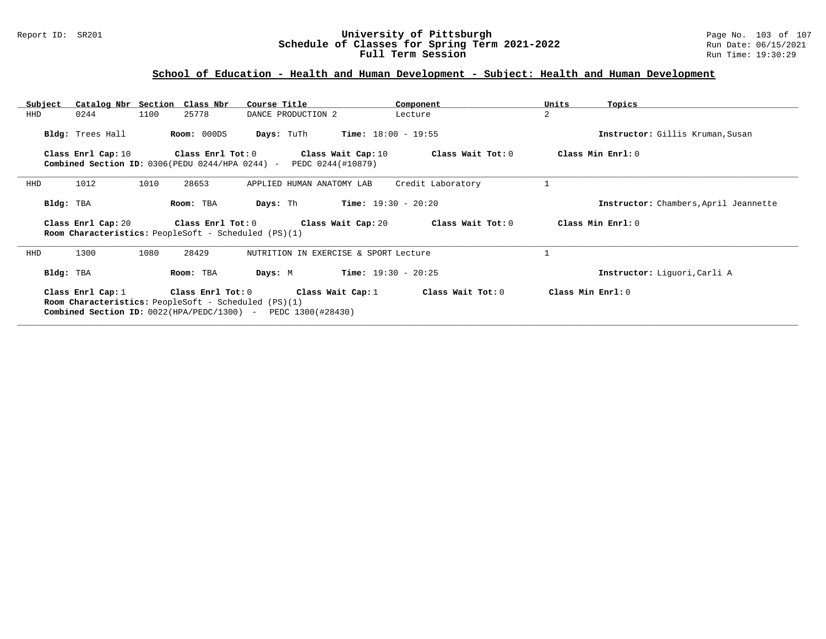### Report ID: SR201 **University of Pittsburgh** Page No. 103 of 107 **Schedule of Classes for Spring Term 2021-2022** Run Date: 06/15/2021 **Full Term Session Rundall Term Session Rundall Term Session**

# **School of Education - Health and Human Development - Subject: Health and Human Development**

| Subject |                                                                                                                                                                 | Catalog Nbr Section Class Nbr                                                       | Course Title                            | Component                    | Units          | Topics                                |  |  |  |  |
|---------|-----------------------------------------------------------------------------------------------------------------------------------------------------------------|-------------------------------------------------------------------------------------|-----------------------------------------|------------------------------|----------------|---------------------------------------|--|--|--|--|
| HHD     | 0244                                                                                                                                                            | 1100<br>25778                                                                       | DANCE PRODUCTION 2                      | Lecture                      | $\overline{a}$ |                                       |  |  |  |  |
|         | Bldg: Trees Hall                                                                                                                                                | Room: 000DS                                                                         | Days: TuTh                              | $Time: 18:00 - 19:55$        |                | Instructor: Gillis Kruman, Susan      |  |  |  |  |
|         | Class Enrl Cap: 10                                                                                                                                              | $Class$ $Enr1$ $Tot: 0$<br>Combined Section ID: $0306$ (PEDU $0244$ /HPA $0244$ ) - | Class Wait Cap: 10<br>PEDC 0244(#10879) | Class Wait Tot: 0            |                | Class Min Enrl: 0                     |  |  |  |  |
| HHD     | 1012                                                                                                                                                            | 1010<br>28653                                                                       | APPLIED HUMAN ANATOMY LAB               | Credit Laboratory            |                |                                       |  |  |  |  |
|         | Bldg: TBA                                                                                                                                                       | Room: TBA                                                                           | Days: Th                                | $Time: 19:30 - 20:20$        |                | Instructor: Chambers, April Jeannette |  |  |  |  |
|         | Class Min Enrl: 0<br>Class Enrl Tot: 0<br>Class Wait Cap: 20<br>Class Wait Tot: 0<br>Class Enrl Cap: 20<br>Room Characteristics: PeopleSoft - Scheduled (PS)(1) |                                                                                     |                                         |                              |                |                                       |  |  |  |  |
|         |                                                                                                                                                                 |                                                                                     |                                         |                              |                |                                       |  |  |  |  |
| HHD     | 1300                                                                                                                                                            | 1080<br>28429                                                                       | NUTRITION IN EXERCISE & SPORT Lecture   |                              |                |                                       |  |  |  |  |
|         | Bldg: TBA                                                                                                                                                       | Room: TBA                                                                           | Days: M                                 | <b>Time:</b> $19:30 - 20:25$ |                | Instructor: Liquori, Carli A          |  |  |  |  |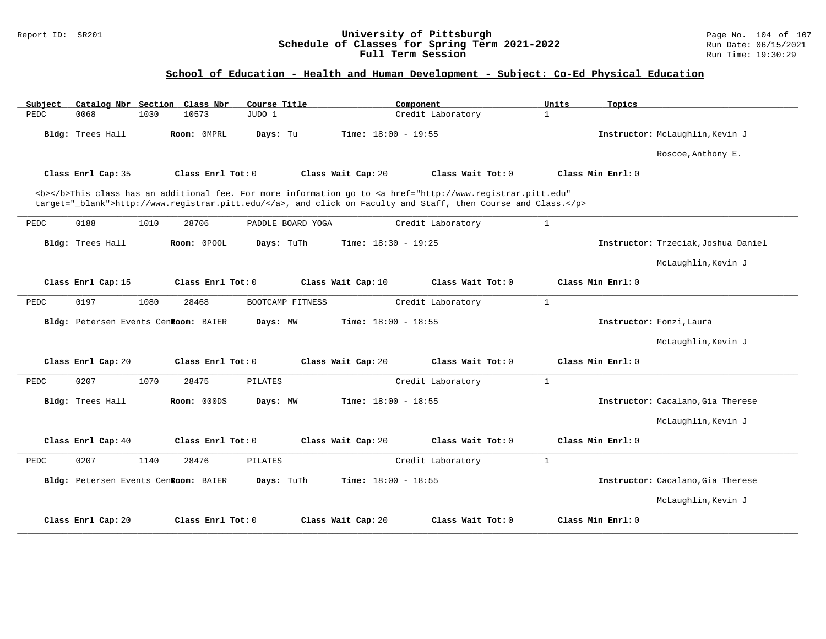### Report ID: SR201 **University of Pittsburgh** Page No. 104 of 107 **Schedule of Classes for Spring Term 2021-2022** Run Date: 06/15/2021 **Full Term Session Rundall Term Session Rundall Term Session**

# **School of Education - Health and Human Development - Subject: Co-Ed Physical Education**

| Subject |                                      |      | Catalog Nbr Section Class Nbr | Course Title      |                    | Component             |                                                                                                                                                                                                                                    | Units        | Topics            |                                     |
|---------|--------------------------------------|------|-------------------------------|-------------------|--------------------|-----------------------|------------------------------------------------------------------------------------------------------------------------------------------------------------------------------------------------------------------------------------|--------------|-------------------|-------------------------------------|
| PEDC    | 0068                                 | 1030 | 10573                         | JUDO 1            |                    |                       | Credit Laboratory                                                                                                                                                                                                                  | $\mathbf{1}$ |                   |                                     |
|         | Bldg: Trees Hall                     |      | Room: OMPRL                   | Days: Tu          |                    | Time: $18:00 - 19:55$ |                                                                                                                                                                                                                                    |              |                   | Instructor: McLaughlin, Kevin J     |
|         |                                      |      |                               |                   |                    |                       |                                                                                                                                                                                                                                    |              |                   | Roscoe, Anthony E.                  |
|         | Class Enrl Cap: 35                   |      | Class Enrl Tot: 0             |                   | Class Wait Cap: 20 |                       | Class Wait Tot: 0                                                                                                                                                                                                                  |              | Class Min Enrl: 0 |                                     |
|         |                                      |      |                               |                   |                    |                       | <b></b> This class has an additional fee. For more information go to <a <br="" href="http://www.registrar.pitt.edu">target="_blank"&gt;http://www.registrar.pitt.edu/</a> , and click on Faculty and Staff, then Course and Class. |              |                   |                                     |
| PEDC    | 0188                                 | 1010 | 28706                         | PADDLE BOARD YOGA |                    |                       | Credit Laboratory                                                                                                                                                                                                                  | $\mathbf{1}$ |                   |                                     |
|         | Bldg: Trees Hall                     |      | Room: OPOOL                   | Days: TuTh        |                    | Time: $18:30 - 19:25$ |                                                                                                                                                                                                                                    |              |                   | Instructor: Trzeciak, Joshua Daniel |
|         |                                      |      |                               |                   |                    |                       |                                                                                                                                                                                                                                    |              |                   | McLaughlin, Kevin J                 |
|         | Class Enrl Cap: 15                   |      | Class Enrl Tot: 0             |                   | Class Wait Cap: 10 |                       | Class Wait Tot: 0                                                                                                                                                                                                                  |              | Class Min Enrl: 0 |                                     |
| PEDC    | 0197                                 | 1080 | 28468                         | BOOTCAMP FITNESS  |                    |                       | Credit Laboratory                                                                                                                                                                                                                  | $\mathbf{1}$ |                   |                                     |
|         | Bldg: Petersen Events CenRoom: BAIER |      |                               | Days: MW          |                    | Time: $18:00 - 18:55$ |                                                                                                                                                                                                                                    |              |                   | Instructor: Fonzi, Laura            |
|         |                                      |      |                               |                   |                    |                       |                                                                                                                                                                                                                                    |              |                   | McLaughlin, Kevin J                 |
|         | Class Enrl Cap: 20                   |      | Class Enrl Tot: 0             |                   | Class Wait Cap: 20 |                       | Class Wait Tot: 0                                                                                                                                                                                                                  |              | Class Min Enrl: 0 |                                     |
| PEDC    | 0207                                 | 1070 | 28475                         | <b>PILATES</b>    |                    |                       | Credit Laboratory                                                                                                                                                                                                                  | $\mathbf{1}$ |                   |                                     |
|         | Bldg: Trees Hall                     |      | Room: 000DS                   | Days: MW          |                    | Time: $18:00 - 18:55$ |                                                                                                                                                                                                                                    |              |                   | Instructor: Cacalano, Gia Therese   |
|         |                                      |      |                               |                   |                    |                       |                                                                                                                                                                                                                                    |              |                   | McLaughlin, Kevin J                 |
|         | Class Enrl Cap: 40                   |      | Class Enrl Tot: 0             |                   | Class Wait Cap: 20 |                       | Class Wait Tot: 0                                                                                                                                                                                                                  |              | Class Min Enrl: 0 |                                     |
| PEDC    | 0207                                 | 1140 | 28476                         | PILATES           |                    |                       | Credit Laboratory                                                                                                                                                                                                                  | $\mathbf{1}$ |                   |                                     |
|         | Bldg: Petersen Events CenRoom: BAIER |      |                               | Days: TuTh        |                    | Time: $18:00 - 18:55$ |                                                                                                                                                                                                                                    |              |                   | Instructor: Cacalano, Gia Therese   |
|         |                                      |      |                               |                   |                    |                       |                                                                                                                                                                                                                                    |              |                   | McLaughlin, Kevin J                 |
|         | Class Enrl Cap: 20                   |      | Class Enrl Tot: 0             |                   | Class Wait Cap: 20 |                       | Class Wait Tot: 0                                                                                                                                                                                                                  |              | Class Min Enrl: 0 |                                     |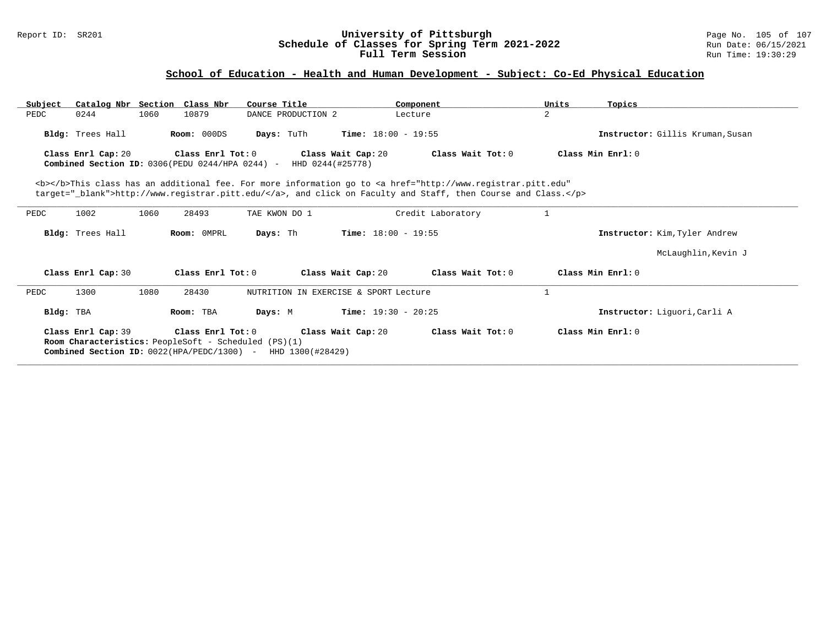### Report ID: SR201 **University of Pittsburgh** Page No. 105 of 107 **Schedule of Classes for Spring Term 2021-2022** Run Date: 06/15/2021 **Full Term Session Rundall Term Session Rundall Term Session**

# **School of Education - Health and Human Development - Subject: Co-Ed Physical Education**

| Subject   | Catalog Nbr Section Class Nbr                                                     |      |                   | Course Title                                                    |                              | Component                                                                                                                                                                                                                          | Units | Topics                           |
|-----------|-----------------------------------------------------------------------------------|------|-------------------|-----------------------------------------------------------------|------------------------------|------------------------------------------------------------------------------------------------------------------------------------------------------------------------------------------------------------------------------------|-------|----------------------------------|
| PEDC      | 0244                                                                              | 1060 | 10879             | DANCE PRODUCTION 2                                              |                              | Lecture                                                                                                                                                                                                                            | 2     |                                  |
|           | Bldg: Trees Hall                                                                  |      | Room: 000DS       | Days: TuTh                                                      | <b>Time:</b> $18:00 - 19:55$ |                                                                                                                                                                                                                                    |       | Instructor: Gillis Kruman, Susan |
|           | Class Enrl Cap: 20<br>Combined Section ID: 0306(PEDU 0244/HPA 0244) -             |      | Class Enrl Tot: 0 | HHD 0244(#25778)                                                | Class Wait Cap: 20           | Class Wait Tot: $0$                                                                                                                                                                                                                |       | Class Min Enrl: 0                |
|           |                                                                                   |      |                   |                                                                 |                              | <b></b> This class has an additional fee. For more information go to <a <br="" href="http://www.registrar.pitt.edu">target="_blank"&gt;http://www.registrar.pitt.edu/</a> , and click on Faculty and Staff, then Course and Class. |       |                                  |
| PEDC      | 1002                                                                              | 1060 | 28493             | TAE KWON DO 1                                                   |                              | Credit Laboratory                                                                                                                                                                                                                  |       |                                  |
|           | Bldg: Trees Hall                                                                  |      | Room: OMPRL       | Days: Th                                                        | <b>Time:</b> $18:00 - 19:55$ |                                                                                                                                                                                                                                    |       | Instructor: Kim, Tyler Andrew    |
|           |                                                                                   |      |                   |                                                                 |                              |                                                                                                                                                                                                                                    |       | McLaughlin, Kevin J              |
|           | Class Enrl Cap: 30                                                                |      | Class Enrl Tot: 0 |                                                                 | Class Wait Cap: 20           | Class Wait Tot: 0                                                                                                                                                                                                                  |       | Class Min Enrl: 0                |
| PEDC      | 1300                                                                              | 1080 | 28430             | NUTRITION IN EXERCISE & SPORT Lecture                           |                              |                                                                                                                                                                                                                                    |       |                                  |
| Bldg: TBA |                                                                                   |      | Room: TBA         | Days: M                                                         | <b>Time:</b> $19:30 - 20:25$ |                                                                                                                                                                                                                                    |       | Instructor: Liquori, Carli A     |
|           | Class Enrl Cap: 39<br><b>Room Characteristics:</b> PeopleSoft - Scheduled (PS)(1) |      | Class Enrl Tot: 0 | Combined Section ID: $0022$ (HPA/PEDC/1300) - HHD 1300 (#28429) | Class Wait Cap: 20           | Class Wait Tot: 0                                                                                                                                                                                                                  |       | Class Min $Err1:0$               |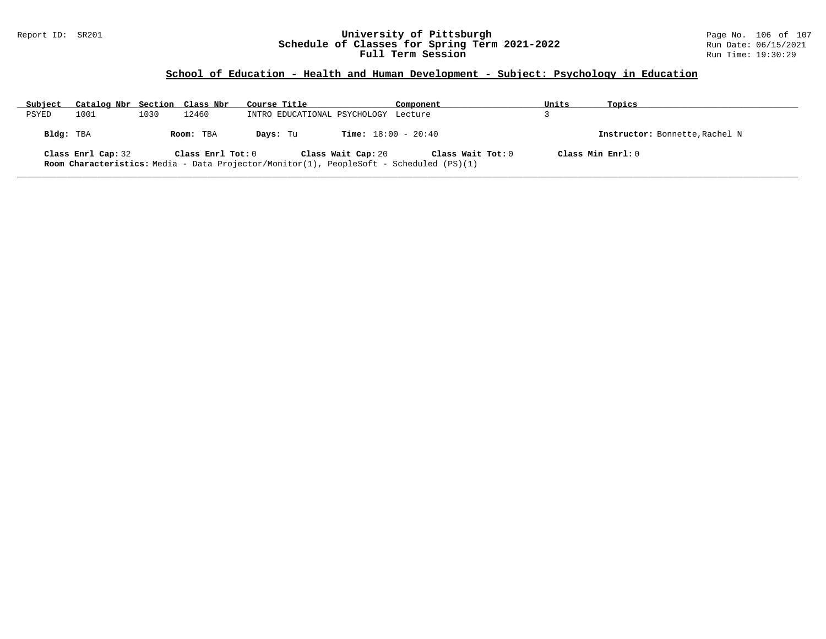### Report ID: SR201 **University of Pittsburgh** Page No. 106 of 107 **Schedule of Classes for Spring Term 2021-2022** Run Date: 06/15/2021 **Full Term Session Rundall Term Session Rundall Term Session**

# **School of Education - Health and Human Development - Subject: Psychology in Education**

| Subject   | Catalog Nbr Section Class Nbr |      |                   | Course Title                                                                                   |                              | Component         | Units               | Topics                         |
|-----------|-------------------------------|------|-------------------|------------------------------------------------------------------------------------------------|------------------------------|-------------------|---------------------|--------------------------------|
| PSYED     | 1001                          | 1030 | 12460             | INTRO EDUCATIONAL PSYCHOLOGY Lecture                                                           |                              |                   |                     |                                |
| Bldg: TBA |                               |      | Room: TBA         | Davs: Tu                                                                                       | <b>Time:</b> $18:00 - 20:40$ |                   |                     | Instructor: Bonnette, Rachel N |
|           | Class Enrl Cap: 32            |      | Class Enrl Tot: 0 | <b>Room Characteristics:</b> Media - Data Projector/Monitor(1), PeopleSoft - Scheduled (PS)(1) | Class Wait Cap: 20           | Class Wait Tot: 0 | Class Min $Enrl: 0$ |                                |